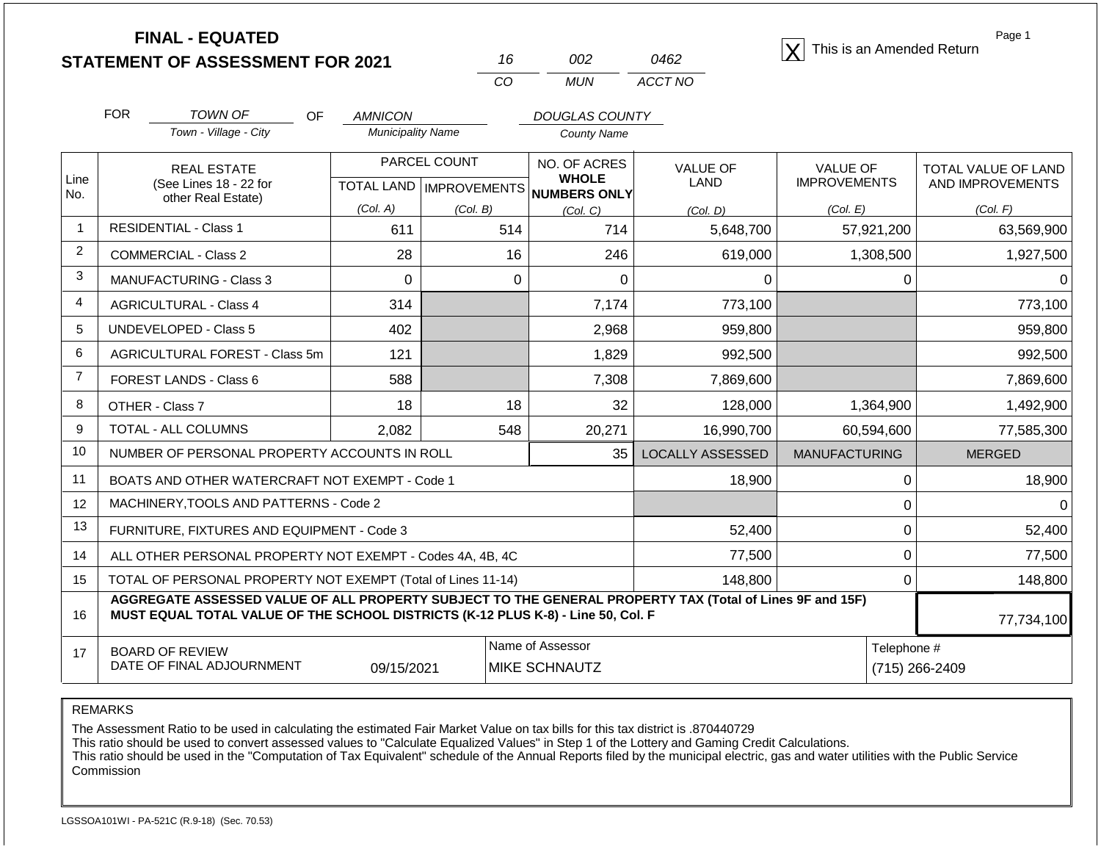| <b>FINAL - EQUATED</b>                  |  |      | This is an Amended Return |
|-----------------------------------------|--|------|---------------------------|
| <b>STATEMENT OF ASSESSMENT FOR 2021</b> |  | 0462 |                           |

| 16  | צווו | (1462   |
|-----|------|---------|
| CO. | MUN  | ACCT NO |

Page 1

|                | <b>FOR</b><br><b>TOWN OF</b><br><b>OF</b>                                                                                                                                                    | <b>AMNICON</b>           |                           | <b>DOUGLAS COUNTY</b>                    |                               |                      |                     |
|----------------|----------------------------------------------------------------------------------------------------------------------------------------------------------------------------------------------|--------------------------|---------------------------|------------------------------------------|-------------------------------|----------------------|---------------------|
|                | Town - Village - City                                                                                                                                                                        | <b>Municipality Name</b> |                           | <b>County Name</b>                       |                               |                      |                     |
|                | <b>REAL ESTATE</b>                                                                                                                                                                           |                          | PARCEL COUNT              | NO. OF ACRES                             | <b>VALUE OF</b>               | <b>VALUE OF</b>      | TOTAL VALUE OF LAND |
| Line<br>No.    | (See Lines 18 - 22 for<br>other Real Estate)                                                                                                                                                 |                          | TOTAL LAND   IMPROVEMENTS | <b>WHOLE</b><br>NUMBERS ONLY             | LAND                          | <b>IMPROVEMENTS</b>  | AND IMPROVEMENTS    |
|                |                                                                                                                                                                                              | (Col. A)                 | (Col. B)                  | (Col. C)                                 | (Col, D)                      | (Col. E)             | (Col. F)            |
| $\mathbf{1}$   | <b>RESIDENTIAL - Class 1</b>                                                                                                                                                                 | 611                      | 514                       | 714                                      | 5,648,700                     | 57,921,200           | 63,569,900          |
| $\overline{2}$ | <b>COMMERCIAL - Class 2</b>                                                                                                                                                                  | 28                       | 16                        | 246                                      | 619,000                       | 1,308,500            | 1,927,500           |
| 3              | <b>MANUFACTURING - Class 3</b>                                                                                                                                                               | $\Omega$                 | 0                         | $\Omega$                                 | $\Omega$                      | $\Omega$             |                     |
| $\overline{4}$ | <b>AGRICULTURAL - Class 4</b>                                                                                                                                                                | 314                      |                           | 7,174                                    | 773,100                       |                      | 773,100             |
| 5              | UNDEVELOPED - Class 5                                                                                                                                                                        | 402                      |                           | 2,968                                    | 959,800                       |                      | 959,800             |
| 6              | AGRICULTURAL FOREST - Class 5m                                                                                                                                                               | 121                      |                           | 1,829                                    | 992,500                       |                      | 992,500             |
| $\overline{7}$ | FOREST LANDS - Class 6                                                                                                                                                                       | 588                      |                           | 7,308                                    | 7,869,600                     |                      | 7,869,600           |
| 8              | OTHER - Class 7                                                                                                                                                                              | 18                       | 18                        | 32                                       | 128,000                       | 1,364,900            | 1,492,900           |
| 9              | TOTAL - ALL COLUMNS                                                                                                                                                                          | 2,082                    | 548                       | 20,271                                   | 16,990,700                    | 60,594,600           | 77,585,300          |
| 10             | NUMBER OF PERSONAL PROPERTY ACCOUNTS IN ROLL                                                                                                                                                 |                          |                           | 35                                       | <b>LOCALLY ASSESSED</b>       | <b>MANUFACTURING</b> | <b>MERGED</b>       |
| 11             | BOATS AND OTHER WATERCRAFT NOT EXEMPT - Code 1                                                                                                                                               |                          |                           |                                          | 18,900                        | 0                    | 18,900              |
| 12             | MACHINERY, TOOLS AND PATTERNS - Code 2                                                                                                                                                       |                          |                           |                                          |                               | $\Omega$             | 0                   |
| 13             | FURNITURE, FIXTURES AND EQUIPMENT - Code 3                                                                                                                                                   |                          |                           |                                          | 52,400                        | $\Omega$             | 52,400              |
| 14             | ALL OTHER PERSONAL PROPERTY NOT EXEMPT - Codes 4A, 4B, 4C                                                                                                                                    |                          |                           | 77,500                                   | $\overline{0}$                | 77,500               |                     |
| 15             | TOTAL OF PERSONAL PROPERTY NOT EXEMPT (Total of Lines 11-14)                                                                                                                                 |                          |                           |                                          | 148,800                       | 0                    | 148,800             |
| 16             | AGGREGATE ASSESSED VALUE OF ALL PROPERTY SUBJECT TO THE GENERAL PROPERTY TAX (Total of Lines 9F and 15F)<br>MUST EQUAL TOTAL VALUE OF THE SCHOOL DISTRICTS (K-12 PLUS K-8) - Line 50, Col. F |                          |                           |                                          |                               |                      | 77,734,100          |
| 17             | <b>BOARD OF REVIEW</b><br>DATE OF FINAL ADJOURNMENT                                                                                                                                          | 09/15/2021               |                           | Name of Assessor<br><b>MIKE SCHNAUTZ</b> | Telephone #<br>(715) 266-2409 |                      |                     |

REMARKS

The Assessment Ratio to be used in calculating the estimated Fair Market Value on tax bills for this tax district is .870440729

This ratio should be used to convert assessed values to "Calculate Equalized Values" in Step 1 of the Lottery and Gaming Credit Calculations.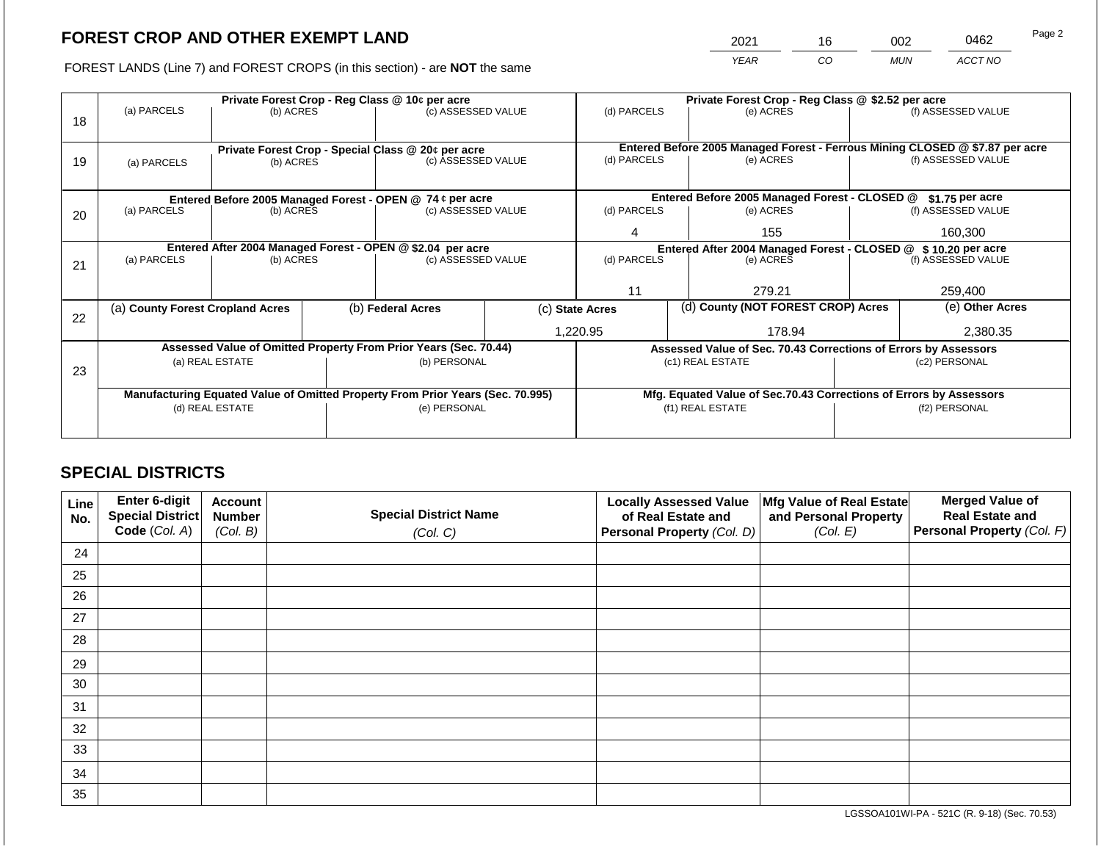2021 16 002 0462

FOREST LANDS (Line 7) and FOREST CROPS (in this section) - are **NOT** the same *YEAR CO MUN ACCT NO*

|    | Private Forest Crop - Reg Class @ 10¢ per acre                                 |                 |                   |                                                                  |  |                                                               | Private Forest Crop - Reg Class @ \$2.52 per acre |                                                                    |                 |                                                                              |
|----|--------------------------------------------------------------------------------|-----------------|-------------------|------------------------------------------------------------------|--|---------------------------------------------------------------|---------------------------------------------------|--------------------------------------------------------------------|-----------------|------------------------------------------------------------------------------|
| 18 | (a) PARCELS                                                                    | (b) ACRES       |                   | (c) ASSESSED VALUE                                               |  | (d) PARCELS                                                   |                                                   | (e) ACRES                                                          |                 | (f) ASSESSED VALUE                                                           |
|    |                                                                                |                 |                   | Private Forest Crop - Special Class @ 20¢ per acre               |  |                                                               |                                                   |                                                                    |                 | Entered Before 2005 Managed Forest - Ferrous Mining CLOSED @ \$7.87 per acre |
| 19 | (a) PARCELS                                                                    | (b) ACRES       |                   | (c) ASSESSED VALUE                                               |  | (d) PARCELS                                                   |                                                   | (e) ACRES                                                          |                 | (f) ASSESSED VALUE                                                           |
|    |                                                                                |                 |                   |                                                                  |  |                                                               |                                                   |                                                                    |                 |                                                                              |
|    |                                                                                |                 |                   | Entered Before 2005 Managed Forest - OPEN @ 74 ¢ per acre        |  |                                                               |                                                   | Entered Before 2005 Managed Forest - CLOSED @                      |                 | $$1.75$ per acre                                                             |
| 20 | (a) PARCELS                                                                    | (b) ACRES       |                   | (c) ASSESSED VALUE                                               |  | (d) PARCELS                                                   |                                                   | (e) ACRES                                                          |                 | (f) ASSESSED VALUE                                                           |
|    |                                                                                |                 |                   |                                                                  |  | 4                                                             |                                                   | 155                                                                |                 | 160,300                                                                      |
|    |                                                                                |                 |                   | Entered After 2004 Managed Forest - OPEN @ \$2.04 per acre       |  | Entered After 2004 Managed Forest - CLOSED @ \$10.20 per acre |                                                   |                                                                    |                 |                                                                              |
| 21 | (a) PARCELS                                                                    | (b) ACRES       |                   | (c) ASSESSED VALUE                                               |  | (d) PARCELS                                                   |                                                   | (e) ACRES                                                          |                 | (f) ASSESSED VALUE                                                           |
|    |                                                                                |                 |                   |                                                                  |  |                                                               |                                                   |                                                                    |                 |                                                                              |
|    |                                                                                |                 |                   |                                                                  |  |                                                               |                                                   | 279.21                                                             |                 | 259,400                                                                      |
| 22 | (a) County Forest Cropland Acres                                               |                 | (b) Federal Acres | (c) State Acres                                                  |  |                                                               | (d) County (NOT FOREST CROP) Acres                |                                                                    | (e) Other Acres |                                                                              |
|    |                                                                                |                 |                   |                                                                  |  | 1,220.95                                                      |                                                   | 178.94                                                             |                 | 2,380.35                                                                     |
|    |                                                                                |                 |                   | Assessed Value of Omitted Property From Prior Years (Sec. 70.44) |  |                                                               |                                                   | Assessed Value of Sec. 70.43 Corrections of Errors by Assessors    |                 |                                                                              |
| 23 |                                                                                | (a) REAL ESTATE |                   | (b) PERSONAL                                                     |  |                                                               |                                                   | (c1) REAL ESTATE                                                   |                 | (c2) PERSONAL                                                                |
|    |                                                                                |                 |                   |                                                                  |  |                                                               |                                                   |                                                                    |                 |                                                                              |
|    | Manufacturing Equated Value of Omitted Property From Prior Years (Sec. 70.995) |                 |                   |                                                                  |  |                                                               |                                                   | Mfg. Equated Value of Sec.70.43 Corrections of Errors by Assessors |                 |                                                                              |
|    |                                                                                | (d) REAL ESTATE |                   | (e) PERSONAL                                                     |  |                                                               |                                                   | (f1) REAL ESTATE                                                   | (f2) PERSONAL   |                                                                              |
|    |                                                                                |                 |                   |                                                                  |  |                                                               |                                                   |                                                                    |                 |                                                                              |
|    |                                                                                |                 |                   |                                                                  |  |                                                               |                                                   |                                                                    |                 |                                                                              |

# **SPECIAL DISTRICTS**

| Line<br>No. | Enter 6-digit<br>Special District<br>Code (Col. A) | <b>Account</b><br><b>Number</b><br>(Col. B) | <b>Special District Name</b><br>(Col. C) | <b>Locally Assessed Value</b><br>of Real Estate and<br><b>Personal Property (Col. D)</b> | Mfg Value of Real Estate<br>and Personal Property<br>(Col. E) | <b>Merged Value of</b><br><b>Real Estate and</b><br>Personal Property (Col. F) |
|-------------|----------------------------------------------------|---------------------------------------------|------------------------------------------|------------------------------------------------------------------------------------------|---------------------------------------------------------------|--------------------------------------------------------------------------------|
| 24          |                                                    |                                             |                                          |                                                                                          |                                                               |                                                                                |
| 25          |                                                    |                                             |                                          |                                                                                          |                                                               |                                                                                |
| 26          |                                                    |                                             |                                          |                                                                                          |                                                               |                                                                                |
| 27          |                                                    |                                             |                                          |                                                                                          |                                                               |                                                                                |
| 28          |                                                    |                                             |                                          |                                                                                          |                                                               |                                                                                |
| 29          |                                                    |                                             |                                          |                                                                                          |                                                               |                                                                                |
| 30          |                                                    |                                             |                                          |                                                                                          |                                                               |                                                                                |
| 31          |                                                    |                                             |                                          |                                                                                          |                                                               |                                                                                |
| 32          |                                                    |                                             |                                          |                                                                                          |                                                               |                                                                                |
| 33          |                                                    |                                             |                                          |                                                                                          |                                                               |                                                                                |
| 34          |                                                    |                                             |                                          |                                                                                          |                                                               |                                                                                |
| 35          |                                                    |                                             |                                          |                                                                                          |                                                               |                                                                                |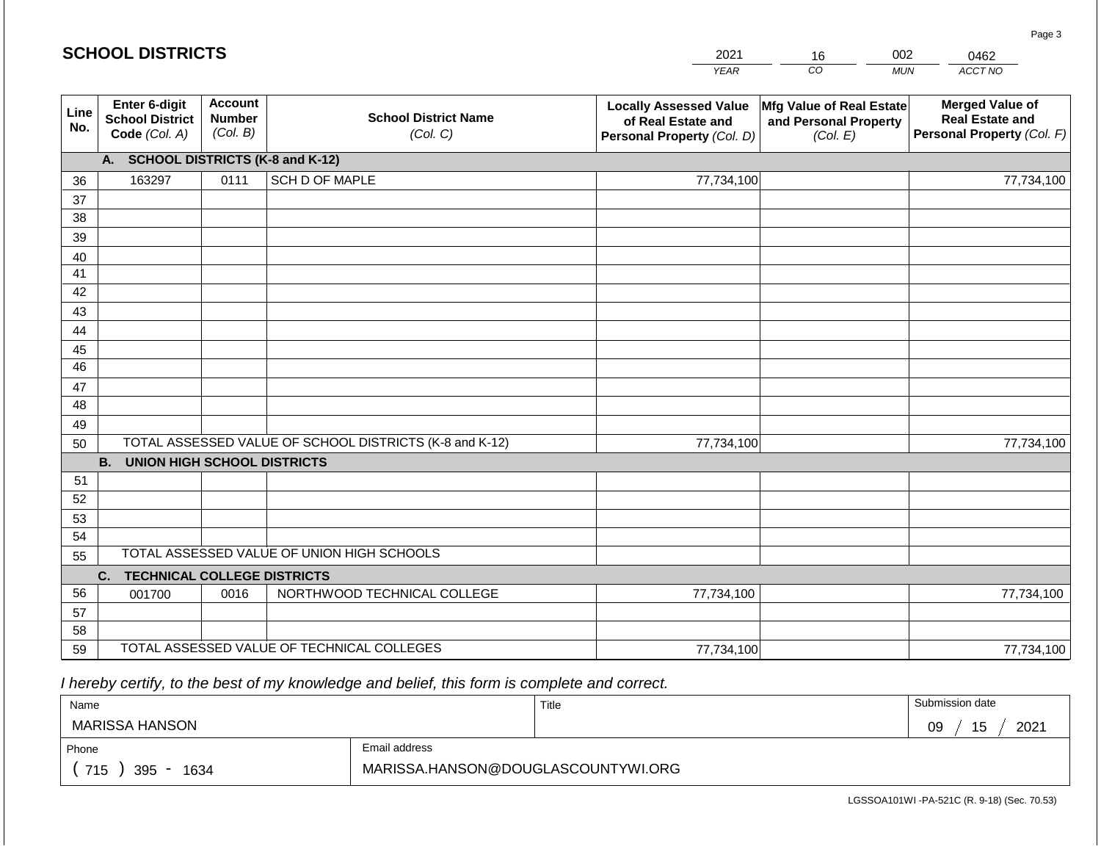#### *YEAR CO MUN ACCT NO*  0462 **SCH Line No. Enter 6-digit School District Code** *(Col. A)* **Account Number** *(Col. B)* **School District Name** *(Col. C)* **Locally Assessed Value of Real Estate and Personal Property** *(Col. D)* **Mfg Value of Real Estate and Personal Property** *(Col. E)* **Merged Value of Real Estate and Personal Property** *(Col. F)* **A. SCHOOL DISTRICTS (K-8 and K-12)** 36 37 38 39 40 41 42 43 44 45 46 47 48 49 50 TOTAL ASSESSED VALUE OF SCHOOL DISTRICTS (K-8 and K-12) **B. UNION HIGH SCHOOL DISTRICTS** 51 52 53 54 55 **C. TECHNICAL COLLEGE DISTRICTS** 56 57 58 59 TOTAL ASSESSED VALUE OF TECHNICAL COLLEGES TOTAL ASSESSED VALUE OF UNION HIGH SCHOOLS 163297 0111 SCH D OF MAPLE 77,734,100 77,734,100 001700 | 0016 | NORTHWOOD TECHNICAL COLLEGE 77,734,100 77,734,100 77,734,100 77,734,100 77,734,100 77,734,100

 *I hereby certify, to the best of my knowledge and belief, this form is complete and correct.*

| Name               |                                    | Title | Submission date   |  |  |
|--------------------|------------------------------------|-------|-------------------|--|--|
| MARISSA HANSON     |                                    |       | 2021<br>09<br>ט ו |  |  |
| Phone              | Email address                      |       |                   |  |  |
| 715<br>395<br>1634 | MARISSA.HANSON@DOUGLASCOUNTYWI.ORG |       |                   |  |  |

LGSSOA101WI -PA-521C (R. 9-18) (Sec. 70.53)

Page 3

| <b>HOOL DISTRICTS</b> |  |
|-----------------------|--|
|                       |  |

| 2021 | 6  | 002          |    |
|------|----|--------------|----|
| YEAR | า∩ | <b>MI IN</b> | AС |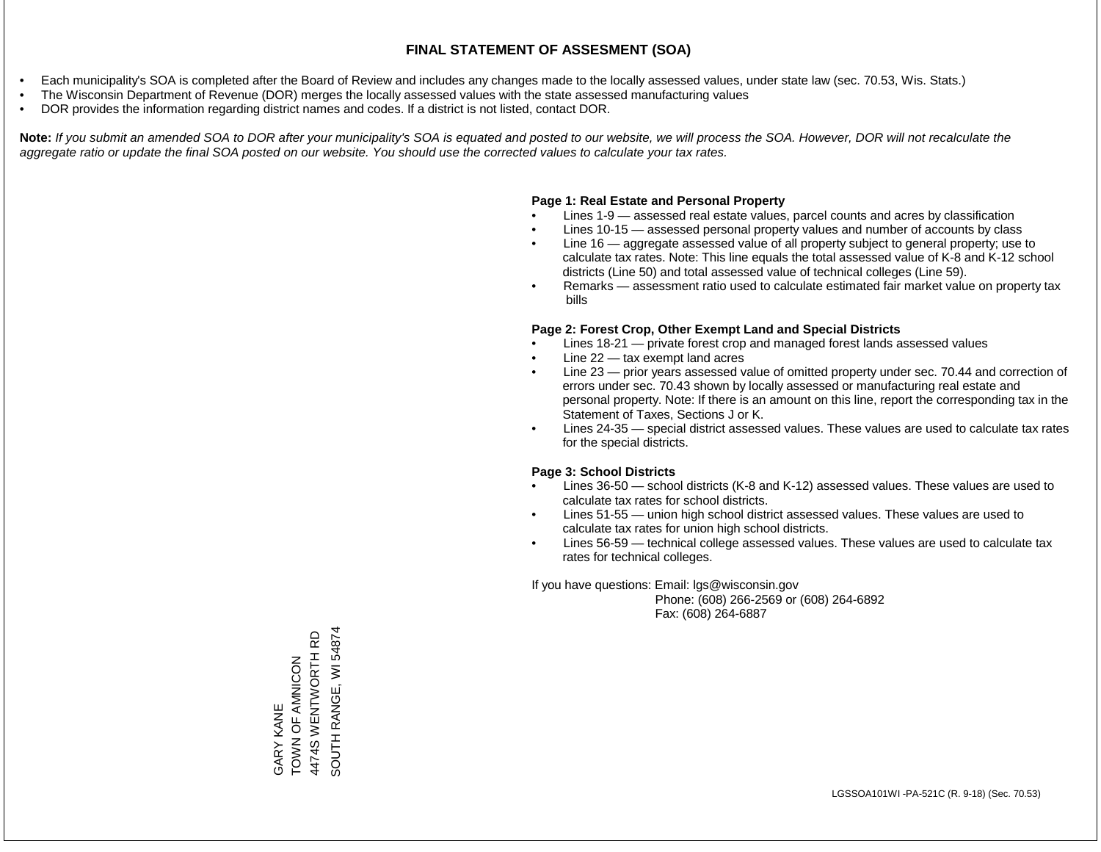- Each municipality's SOA is completed after the Board of Review and includes any changes made to the locally assessed values, under state law (sec. 70.53, Wis. Stats.)
- The Wisconsin Department of Revenue (DOR) merges the locally assessed values with the state assessed manufacturing values
- DOR provides the information regarding district names and codes. If a district is not listed, contact DOR.

Note: If you submit an amended SOA to DOR after your municipality's SOA is equated and posted to our website, we will process the SOA. However, DOR will not recalculate the *aggregate ratio or update the final SOA posted on our website. You should use the corrected values to calculate your tax rates.*

# **Page 1: Real Estate and Personal Property**

- Lines 1-9 assessed real estate values, parcel counts and acres by classification
- Lines 10-15 assessed personal property values and number of accounts by class
- Line 16 aggregate assessed value of all property subject to general property; use to calculate tax rates. Note: This line equals the total assessed value of K-8 and K-12 school districts (Line 50) and total assessed value of technical colleges (Line 59).
- Remarks assessment ratio used to calculate estimated fair market value on property tax bills

# **Page 2: Forest Crop, Other Exempt Land and Special Districts**

- Lines 18-21 private forest crop and managed forest lands assessed values
- Line  $22 -$  tax exempt land acres
- Line 23 prior years assessed value of omitted property under sec. 70.44 and correction of errors under sec. 70.43 shown by locally assessed or manufacturing real estate and personal property. Note: If there is an amount on this line, report the corresponding tax in the Statement of Taxes, Sections J or K.
- Lines 24-35 special district assessed values. These values are used to calculate tax rates for the special districts.

# **Page 3: School Districts**

- Lines 36-50 school districts (K-8 and K-12) assessed values. These values are used to calculate tax rates for school districts.
- Lines 51-55 union high school district assessed values. These values are used to calculate tax rates for union high school districts.
- Lines 56-59 technical college assessed values. These values are used to calculate tax rates for technical colleges.

If you have questions: Email: lgs@wisconsin.gov

 Phone: (608) 266-2569 or (608) 264-6892 Fax: (608) 264-6887

SOUTH RANGE, WI 54874 SOUTH RANGE, WI 548744474S WENTWORTH RD 4474S WENTWORTH RD ZOUIN ALO N NOL GARY KANE<br>TOWN OF AMNICON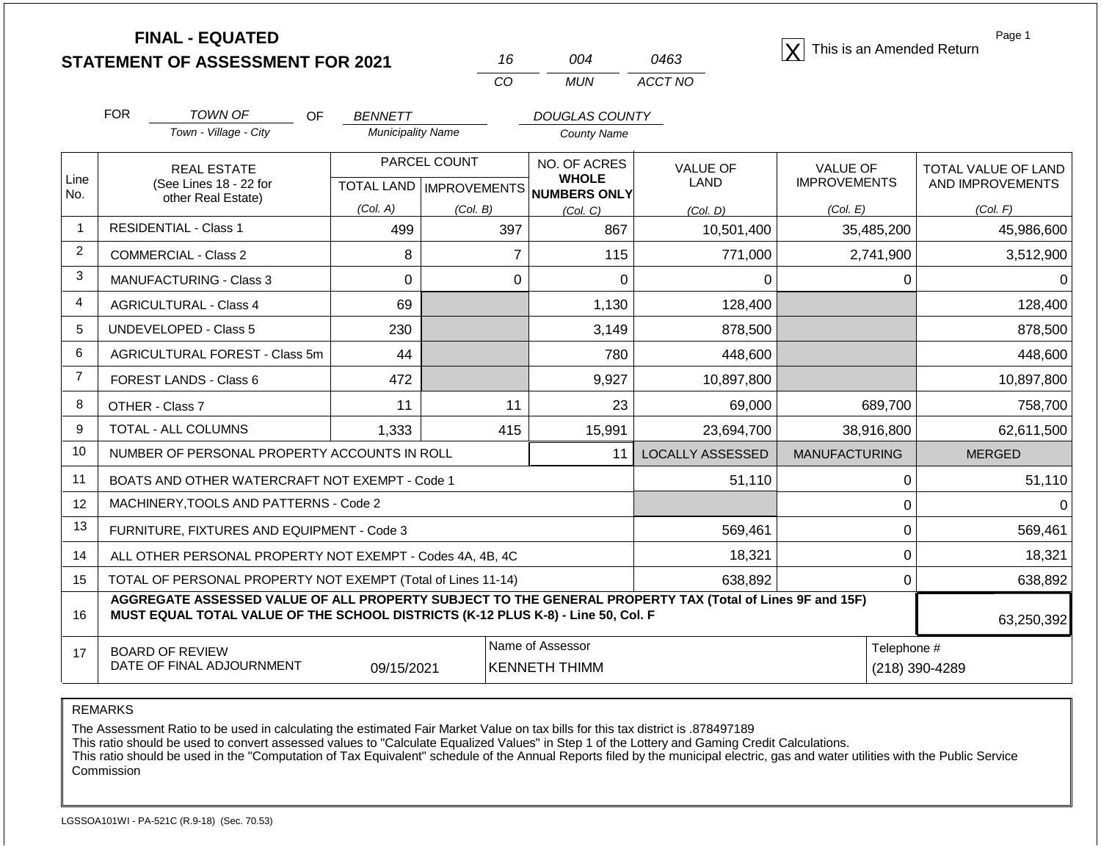| <b>STATEMENT OF ASSESSMENT FOR 2021</b> |  |
|-----------------------------------------|--|
|                                         |  |

| 16  | በበ4  | 0463    |
|-----|------|---------|
| CO. | MUN. | ACCT NO |

**FINAL - EQUATED**<br> **FINAL - EQUATED X** This is an Amended Return

Page 1

TOTAL VALUE OF LAND AND IMPROVEMENTS

*(Col. E) (Col. F)*

|       | <b>FOR</b> | TOWN OF<br>Town - Village - City             | OF | <b>BENNETT</b><br><b>Municipality Name</b> |              | DOUGLAS COUNTY<br><b>County Name</b>    |                         |                                        |
|-------|------------|----------------------------------------------|----|--------------------------------------------|--------------|-----------------------------------------|-------------------------|----------------------------------------|
| Line  |            | <b>REAL ESTATE</b><br>(See Lines 18 - 22 for |    | <b>TOTAL LAND</b>                          | PARCEL COUNT | NO. OF ACRES<br><b>WHOLE</b>            | <b>VALUE OF</b><br>LAND | <b>VALUE OF</b><br><b>IMPROVEMENTS</b> |
| l No. |            | other Real Estate)                           |    | (Col. A)                                   | (Col. B)     | / IMPROVEMENTS NUMBERS ONLY<br>(Col, C) | (Col. D)                | (Col. E)                               |
|       |            | <b>RESIDENTIAL - Class 1</b>                 |    | 499                                        | 397          | 867                                     | 10,501,400              | 35,485,200                             |
| າ     |            | COMMERCIAL - Class 2                         |    | 8                                          |              | 115                                     | 771,000                 | 2,741,900                              |

|                 | <b>RESIDENTIAL - Class 1</b>                                                                                                                                                                 | 499        | 397            | 867                                      | 10,501,400       | 35,485,200           |   | 45,986,600    |
|-----------------|----------------------------------------------------------------------------------------------------------------------------------------------------------------------------------------------|------------|----------------|------------------------------------------|------------------|----------------------|---|---------------|
| 2               | <b>COMMERCIAL - Class 2</b>                                                                                                                                                                  | 8          | $\overline{7}$ | 115                                      | 771,000          | 2,741,900            |   | 3,512,900     |
| 3               | <b>MANUFACTURING - Class 3</b>                                                                                                                                                               | 0          | 0              | 0                                        | O                |                      | 0 | $\Omega$      |
| $\overline{4}$  | <b>AGRICULTURAL - Class 4</b>                                                                                                                                                                | 69         |                | 1,130                                    | 128,400          |                      |   | 128,400       |
| 5               | UNDEVELOPED - Class 5                                                                                                                                                                        | 230        |                | 3,149                                    | 878,500          |                      |   | 878,500       |
| 6               | AGRICULTURAL FOREST - Class 5m                                                                                                                                                               | 44         |                | 780                                      | 448,600          |                      |   | 448,600       |
| $\overline{7}$  | FOREST LANDS - Class 6                                                                                                                                                                       | 472        |                | 9,927                                    | 10,897,800       |                      |   | 10,897,800    |
| 8               | OTHER - Class 7                                                                                                                                                                              | 11         | 11             | 23                                       | 69,000           | 689,700              |   | 758,700       |
| 9               | TOTAL - ALL COLUMNS                                                                                                                                                                          | 1,333      | 415            | 15,991                                   | 23,694,700       | 38,916,800           |   | 62,611,500    |
| 10              | NUMBER OF PERSONAL PROPERTY ACCOUNTS IN ROLL                                                                                                                                                 |            |                | 11                                       | LOCALLY ASSESSED | <b>MANUFACTURING</b> |   | <b>MERGED</b> |
| 11              | BOATS AND OTHER WATERCRAFT NOT EXEMPT - Code 1                                                                                                                                               |            |                |                                          | 51,110           |                      | 0 | 51,110        |
| 12 <sup>°</sup> | MACHINERY, TOOLS AND PATTERNS - Code 2                                                                                                                                                       |            |                |                                          |                  |                      | 0 | $\Omega$      |
| 13              | FURNITURE, FIXTURES AND EQUIPMENT - Code 3                                                                                                                                                   |            |                |                                          | 569,461          |                      | 0 | 569,461       |
| 14              | ALL OTHER PERSONAL PROPERTY NOT EXEMPT - Codes 4A, 4B, 4C                                                                                                                                    |            |                |                                          | 18,321           |                      | 0 | 18,321        |
| 15              | TOTAL OF PERSONAL PROPERTY NOT EXEMPT (Total of Lines 11-14)                                                                                                                                 |            |                |                                          | 638,892          |                      | 0 | 638,892       |
| 16              | AGGREGATE ASSESSED VALUE OF ALL PROPERTY SUBJECT TO THE GENERAL PROPERTY TAX (Total of Lines 9F and 15F)<br>MUST EQUAL TOTAL VALUE OF THE SCHOOL DISTRICTS (K-12 PLUS K-8) - Line 50, Col. F |            |                |                                          |                  |                      |   | 63,250,392    |
| 17              | <b>BOARD OF REVIEW</b><br>DATE OF FINAL ADJOURNMENT                                                                                                                                          | 09/15/2021 |                | Name of Assessor<br><b>KENNETH THIMM</b> | Telephone #      | (218) 390-4289       |   |               |

REMARKS

The Assessment Ratio to be used in calculating the estimated Fair Market Value on tax bills for this tax district is .878497189

This ratio should be used to convert assessed values to "Calculate Equalized Values" in Step 1 of the Lottery and Gaming Credit Calculations.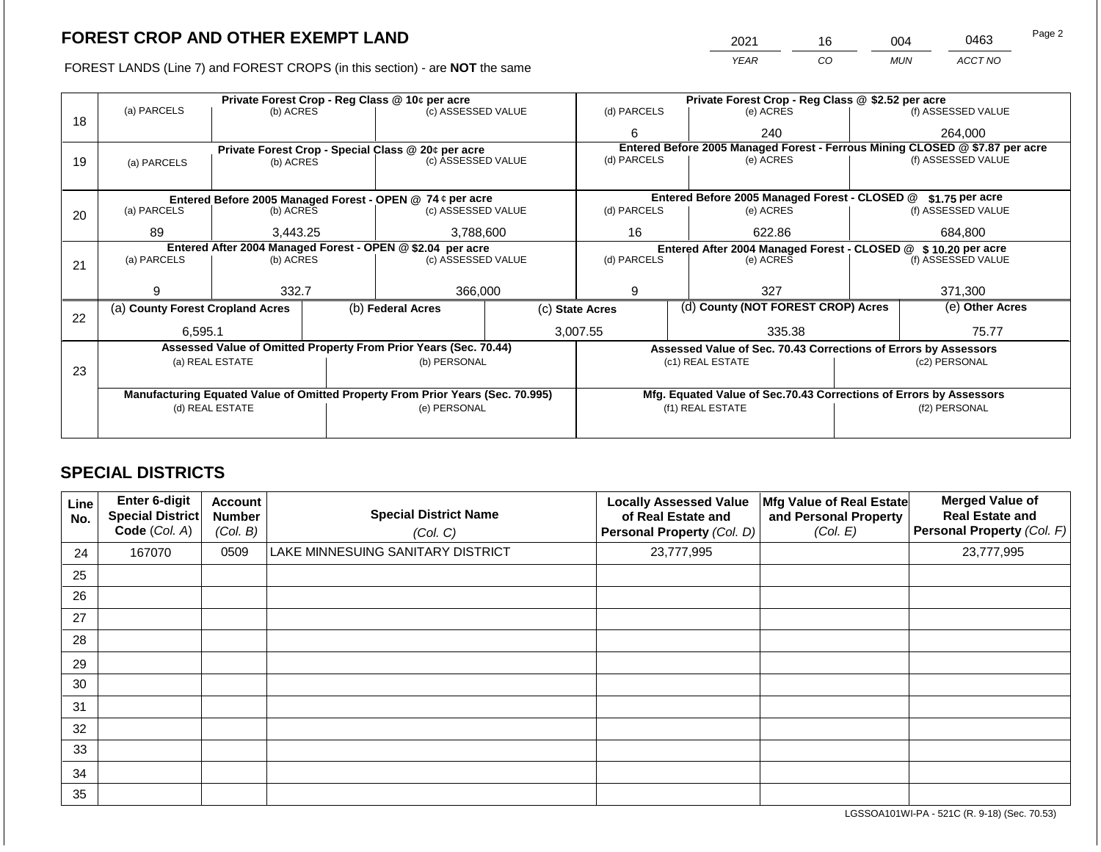FOREST LANDS (Line 7) and FOREST CROPS (in this section) - are NOT the same

| Page 2 | 0463    | 004        | 16 | 2021        |
|--------|---------|------------|----|-------------|
|        | ACCT NO | <b>MUN</b> | CO | <b>YEAR</b> |
|        |         |            |    |             |

|    |                                                            |                       |  | Private Forest Crop - Reg Class @ 10¢ per acre                                 |                                                               |                                                       | Private Forest Crop - Reg Class @ \$2.52 per acre                            |                                                                    |                    |  |
|----|------------------------------------------------------------|-----------------------|--|--------------------------------------------------------------------------------|---------------------------------------------------------------|-------------------------------------------------------|------------------------------------------------------------------------------|--------------------------------------------------------------------|--------------------|--|
|    | (a) PARCELS                                                | (b) ACRES             |  | (c) ASSESSED VALUE                                                             |                                                               | (d) PARCELS                                           | (e) ACRES                                                                    |                                                                    | (f) ASSESSED VALUE |  |
| 18 |                                                            |                       |  |                                                                                |                                                               | 6                                                     | 240                                                                          |                                                                    | 264,000            |  |
|    |                                                            |                       |  | Private Forest Crop - Special Class @ 20¢ per acre                             |                                                               |                                                       | Entered Before 2005 Managed Forest - Ferrous Mining CLOSED @ \$7.87 per acre |                                                                    |                    |  |
| 19 | (a) PARCELS                                                | (b) ACRES             |  | (c) ASSESSED VALUE                                                             |                                                               | (d) PARCELS                                           | (e) ACRES                                                                    |                                                                    | (f) ASSESSED VALUE |  |
|    |                                                            |                       |  |                                                                                |                                                               |                                                       |                                                                              |                                                                    |                    |  |
|    |                                                            |                       |  | Entered Before 2005 Managed Forest - OPEN @ 74 ¢ per acre                      |                                                               |                                                       | Entered Before 2005 Managed Forest - CLOSED @                                |                                                                    | \$1.75 per acre    |  |
| 20 | (a) PARCELS                                                | (b) ACRES             |  | (c) ASSESSED VALUE                                                             |                                                               | (d) PARCELS                                           | (e) ACRES                                                                    |                                                                    | (f) ASSESSED VALUE |  |
|    |                                                            |                       |  |                                                                                |                                                               |                                                       |                                                                              |                                                                    |                    |  |
|    | 89                                                         | 3,788,600<br>3,443.25 |  |                                                                                | 16                                                            | 622.86                                                |                                                                              | 684,800                                                            |                    |  |
|    | Entered After 2004 Managed Forest - OPEN @ \$2.04 per acre |                       |  |                                                                                | Entered After 2004 Managed Forest - CLOSED @ \$10.20 per acre |                                                       |                                                                              |                                                                    |                    |  |
| 21 | (a) PARCELS                                                | (b) ACRES             |  | (c) ASSESSED VALUE                                                             |                                                               | (d) PARCELS<br>(e) ACRES                              |                                                                              |                                                                    | (f) ASSESSED VALUE |  |
|    |                                                            |                       |  |                                                                                |                                                               |                                                       |                                                                              |                                                                    |                    |  |
|    | q                                                          | 332.7                 |  | 366,000                                                                        |                                                               | 9                                                     | 327                                                                          |                                                                    | 371,300            |  |
|    | (a) County Forest Cropland Acres                           |                       |  | (b) Federal Acres                                                              |                                                               | (d) County (NOT FOREST CROP) Acres<br>(c) State Acres |                                                                              |                                                                    | (e) Other Acres    |  |
| 22 |                                                            |                       |  |                                                                                |                                                               |                                                       |                                                                              |                                                                    |                    |  |
|    | 6,595.1                                                    |                       |  |                                                                                |                                                               | 3,007.55                                              | 335.38                                                                       |                                                                    | 75.77              |  |
|    |                                                            |                       |  | Assessed Value of Omitted Property From Prior Years (Sec. 70.44)               |                                                               |                                                       | Assessed Value of Sec. 70.43 Corrections of Errors by Assessors              |                                                                    |                    |  |
|    |                                                            | (a) REAL ESTATE       |  | (b) PERSONAL                                                                   |                                                               |                                                       | (c1) REAL ESTATE                                                             |                                                                    | (c2) PERSONAL      |  |
| 23 |                                                            |                       |  |                                                                                |                                                               |                                                       |                                                                              |                                                                    |                    |  |
|    |                                                            |                       |  |                                                                                |                                                               |                                                       |                                                                              |                                                                    |                    |  |
|    |                                                            |                       |  | Manufacturing Equated Value of Omitted Property From Prior Years (Sec. 70.995) |                                                               |                                                       |                                                                              | Mfg. Equated Value of Sec.70.43 Corrections of Errors by Assessors |                    |  |
|    |                                                            | (d) REAL ESTATE       |  | (e) PERSONAL                                                                   |                                                               |                                                       | (f1) REAL ESTATE                                                             | (f2) PERSONAL                                                      |                    |  |
|    |                                                            |                       |  |                                                                                |                                                               |                                                       |                                                                              |                                                                    |                    |  |
|    |                                                            |                       |  |                                                                                |                                                               |                                                       |                                                                              |                                                                    |                    |  |

# **SPECIAL DISTRICTS**

| Line<br>No. | Enter 6-digit<br>Special District<br>Code (Col. A) | <b>Account</b><br><b>Number</b><br>(Col. B) | <b>Special District Name</b><br>(Col. C) | <b>Locally Assessed Value</b><br>of Real Estate and<br>Personal Property (Col. D) | Mfg Value of Real Estate<br>and Personal Property<br>(Col. E) | <b>Merged Value of</b><br><b>Real Estate and</b><br>Personal Property (Col. F) |
|-------------|----------------------------------------------------|---------------------------------------------|------------------------------------------|-----------------------------------------------------------------------------------|---------------------------------------------------------------|--------------------------------------------------------------------------------|
| 24          | 167070                                             | 0509                                        | LAKE MINNESUING SANITARY DISTRICT        | 23,777,995                                                                        |                                                               | 23,777,995                                                                     |
| 25          |                                                    |                                             |                                          |                                                                                   |                                                               |                                                                                |
| 26          |                                                    |                                             |                                          |                                                                                   |                                                               |                                                                                |
| 27          |                                                    |                                             |                                          |                                                                                   |                                                               |                                                                                |
| 28          |                                                    |                                             |                                          |                                                                                   |                                                               |                                                                                |
| 29          |                                                    |                                             |                                          |                                                                                   |                                                               |                                                                                |
| 30          |                                                    |                                             |                                          |                                                                                   |                                                               |                                                                                |
| 31          |                                                    |                                             |                                          |                                                                                   |                                                               |                                                                                |
| 32          |                                                    |                                             |                                          |                                                                                   |                                                               |                                                                                |
| 33          |                                                    |                                             |                                          |                                                                                   |                                                               |                                                                                |
| 34          |                                                    |                                             |                                          |                                                                                   |                                                               |                                                                                |
| 35          |                                                    |                                             |                                          |                                                                                   |                                                               |                                                                                |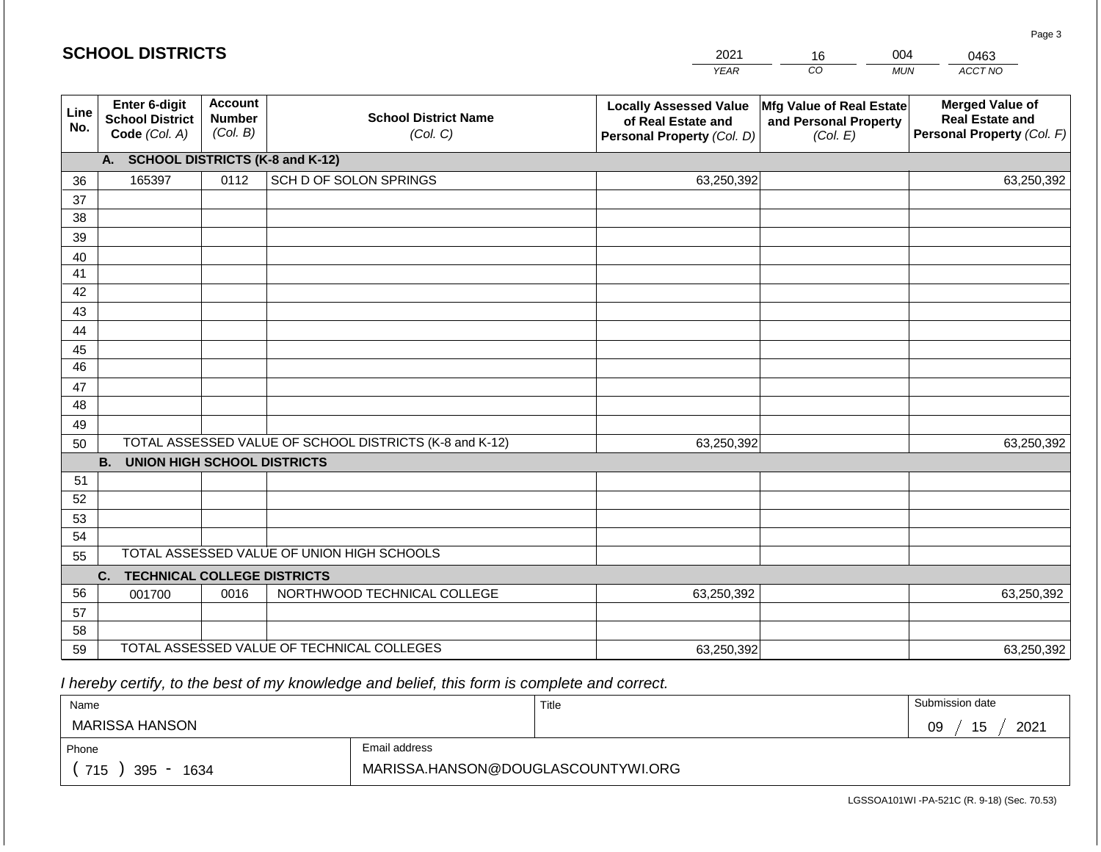|             | <b>SCHOOL DISTRICTS</b>                                  |                                             |                                                         | 2021                                                                              | 16                                                                   | 004        | 0463                                                                           |
|-------------|----------------------------------------------------------|---------------------------------------------|---------------------------------------------------------|-----------------------------------------------------------------------------------|----------------------------------------------------------------------|------------|--------------------------------------------------------------------------------|
|             |                                                          |                                             |                                                         | <b>YEAR</b>                                                                       | CO                                                                   | <b>MUN</b> | ACCT NO                                                                        |
| Line<br>No. | Enter 6-digit<br><b>School District</b><br>Code (Col. A) | <b>Account</b><br><b>Number</b><br>(Col. B) | <b>School District Name</b><br>(Col. C)                 | <b>Locally Assessed Value</b><br>of Real Estate and<br>Personal Property (Col. D) | <b>Mfg Value of Real Estate</b><br>and Personal Property<br>(Col. E) |            | <b>Merged Value of</b><br><b>Real Estate and</b><br>Personal Property (Col. F) |
|             | A.                                                       |                                             | <b>SCHOOL DISTRICTS (K-8 and K-12)</b>                  |                                                                                   |                                                                      |            |                                                                                |
| 36          | 165397                                                   | 0112                                        | SCH D OF SOLON SPRINGS                                  | 63,250,392                                                                        |                                                                      |            | 63,250,392                                                                     |
| 37          |                                                          |                                             |                                                         |                                                                                   |                                                                      |            |                                                                                |
| 38          |                                                          |                                             |                                                         |                                                                                   |                                                                      |            |                                                                                |
| 39          |                                                          |                                             |                                                         |                                                                                   |                                                                      |            |                                                                                |
| 40          |                                                          |                                             |                                                         |                                                                                   |                                                                      |            |                                                                                |
| 41          |                                                          |                                             |                                                         |                                                                                   |                                                                      |            |                                                                                |
| 42          |                                                          |                                             |                                                         |                                                                                   |                                                                      |            |                                                                                |
| 43          |                                                          |                                             |                                                         |                                                                                   |                                                                      |            |                                                                                |
| 44<br>45    |                                                          |                                             |                                                         |                                                                                   |                                                                      |            |                                                                                |
| 46          |                                                          |                                             |                                                         |                                                                                   |                                                                      |            |                                                                                |
| 47          |                                                          |                                             |                                                         |                                                                                   |                                                                      |            |                                                                                |
| 48          |                                                          |                                             |                                                         |                                                                                   |                                                                      |            |                                                                                |
| 49          |                                                          |                                             |                                                         |                                                                                   |                                                                      |            |                                                                                |
| 50          |                                                          |                                             | TOTAL ASSESSED VALUE OF SCHOOL DISTRICTS (K-8 and K-12) | 63,250,392                                                                        |                                                                      |            | 63,250,392                                                                     |
|             | <b>B. UNION HIGH SCHOOL DISTRICTS</b>                    |                                             |                                                         |                                                                                   |                                                                      |            |                                                                                |
| 51          |                                                          |                                             |                                                         |                                                                                   |                                                                      |            |                                                                                |
| 52          |                                                          |                                             |                                                         |                                                                                   |                                                                      |            |                                                                                |
| 53          |                                                          |                                             |                                                         |                                                                                   |                                                                      |            |                                                                                |
| 54          |                                                          |                                             |                                                         |                                                                                   |                                                                      |            |                                                                                |
| 55          |                                                          |                                             | TOTAL ASSESSED VALUE OF UNION HIGH SCHOOLS              |                                                                                   |                                                                      |            |                                                                                |
|             | <b>TECHNICAL COLLEGE DISTRICTS</b><br>C.                 |                                             |                                                         |                                                                                   |                                                                      |            |                                                                                |
| 56          | 001700                                                   | 0016                                        | NORTHWOOD TECHNICAL COLLEGE                             | 63,250,392                                                                        |                                                                      |            | 63,250,392                                                                     |
| 57          |                                                          |                                             |                                                         |                                                                                   |                                                                      |            |                                                                                |
| 58<br>59    |                                                          |                                             | TOTAL ASSESSED VALUE OF TECHNICAL COLLEGES              |                                                                                   |                                                                      |            |                                                                                |
|             |                                                          |                                             |                                                         | 63,250,392                                                                        |                                                                      |            | 63,250,392                                                                     |

 *I hereby certify, to the best of my knowledge and belief, this form is complete and correct.*

| Name               |                                    | Title | Submission date  |
|--------------------|------------------------------------|-------|------------------|
| MARISSA HANSON     |                                    |       | 15<br>2021<br>09 |
| Phone              | Email address                      |       |                  |
| 715<br>395<br>1634 | MARISSA.HANSON@DOUGLASCOUNTYWI.ORG |       |                  |

Page 3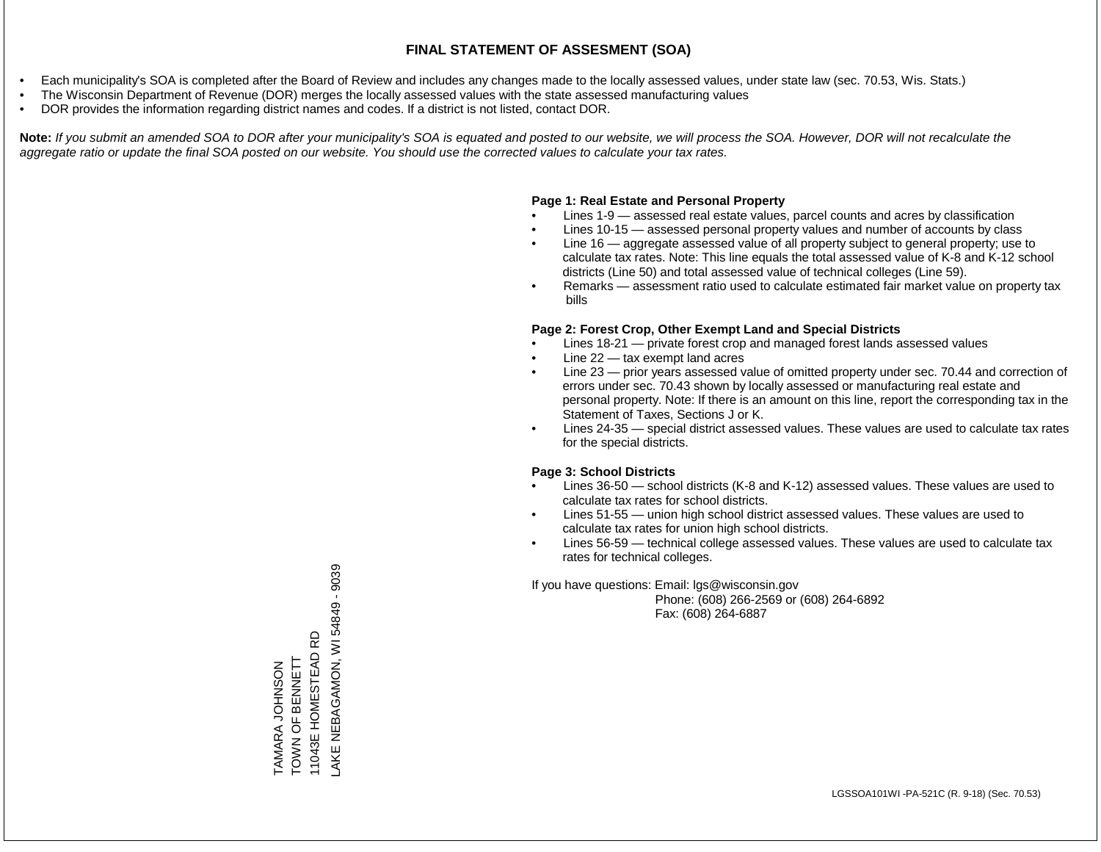- Each municipality's SOA is completed after the Board of Review and includes any changes made to the locally assessed values, under state law (sec. 70.53, Wis. Stats.)
- The Wisconsin Department of Revenue (DOR) merges the locally assessed values with the state assessed manufacturing values
- DOR provides the information regarding district names and codes. If a district is not listed, contact DOR.

Note: If you submit an amended SOA to DOR after your municipality's SOA is equated and posted to our website, we will process the SOA. However, DOR will not recalculate the *aggregate ratio or update the final SOA posted on our website. You should use the corrected values to calculate your tax rates.*

# **Page 1: Real Estate and Personal Property**

- Lines 1-9 assessed real estate values, parcel counts and acres by classification
- Lines 10-15 assessed personal property values and number of accounts by class
- Line 16 aggregate assessed value of all property subject to general property; use to calculate tax rates. Note: This line equals the total assessed value of K-8 and K-12 school districts (Line 50) and total assessed value of technical colleges (Line 59).
- Remarks assessment ratio used to calculate estimated fair market value on property tax bills

# **Page 2: Forest Crop, Other Exempt Land and Special Districts**

- Lines 18-21 private forest crop and managed forest lands assessed values
- Line  $22 -$  tax exempt land acres
- Line 23 prior years assessed value of omitted property under sec. 70.44 and correction of errors under sec. 70.43 shown by locally assessed or manufacturing real estate and personal property. Note: If there is an amount on this line, report the corresponding tax in the Statement of Taxes, Sections J or K.
- Lines 24-35 special district assessed values. These values are used to calculate tax rates for the special districts.

# **Page 3: School Districts**

- Lines 36-50 school districts (K-8 and K-12) assessed values. These values are used to calculate tax rates for school districts.
- Lines 51-55 union high school district assessed values. These values are used to calculate tax rates for union high school districts.
- Lines 56-59 technical college assessed values. These values are used to calculate tax rates for technical colleges.

If you have questions: Email: lgs@wisconsin.gov

 Phone: (608) 266-2569 or (608) 264-6892 Fax: (608) 264-6887

AKE NEBAGAMON, WI 54849 - 9039 LAKE NEBAGAMON, WI 54849 - 903911043E HOMESTEAD RD 11043E HOMESTEAD RD TOWN OF BENNETT TOWN OF BENNETT **TAMARA JOHNSON** TAMARA JOHNSON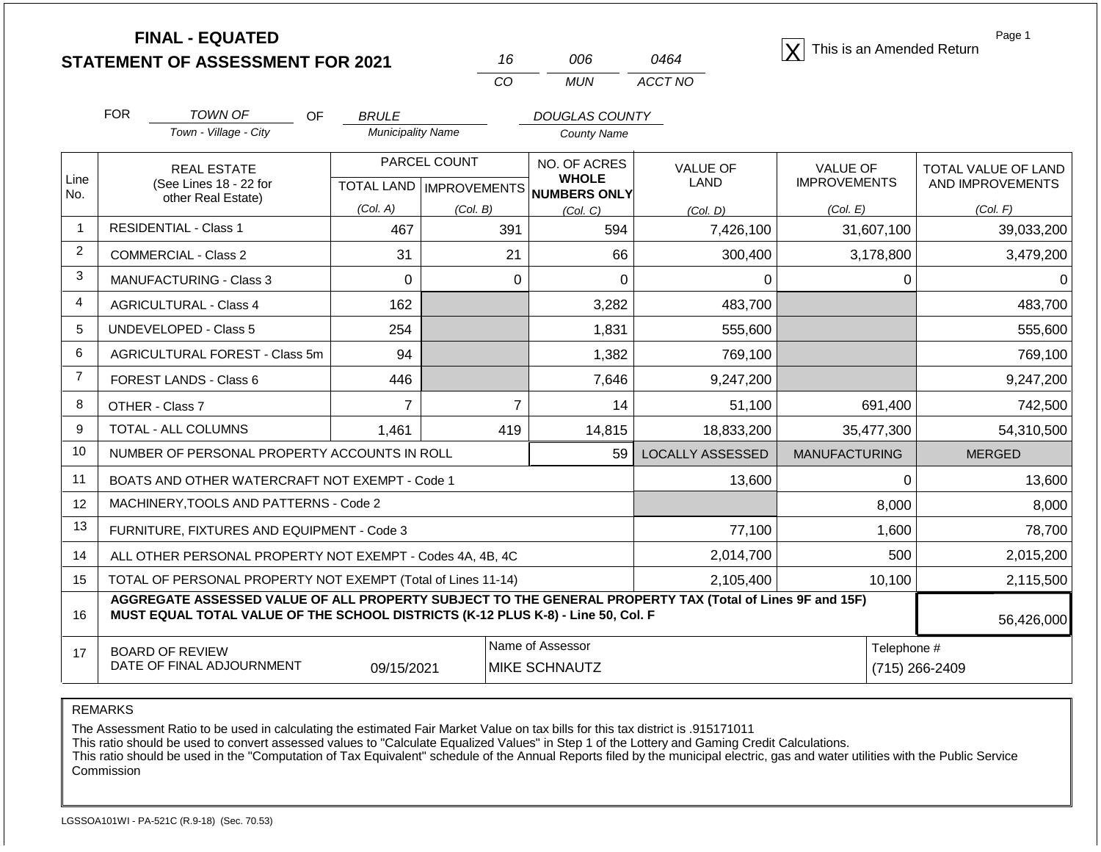| <b>STATEMENT OF ASSESSMENT FOR 2021</b> |  |
|-----------------------------------------|--|
|                                         |  |

|     | ററഞ | 0464    |
|-----|-----|---------|
| CO. | MUN | ACCT NO |

**FINAL - EQUATED**<br>  $\overline{X}$  This is an Amended Return

Page 1

|                | <b>FOR</b><br><b>TOWN OF</b><br><b>OF</b>                                                                                                                                                    | <b>BRULE</b>             |                | <b>DOUGLAS COUNTY</b>               |                         |                               |                            |
|----------------|----------------------------------------------------------------------------------------------------------------------------------------------------------------------------------------------|--------------------------|----------------|-------------------------------------|-------------------------|-------------------------------|----------------------------|
|                | Town - Village - City                                                                                                                                                                        | <b>Municipality Name</b> |                | <b>County Name</b>                  |                         |                               |                            |
| Line           | <b>REAL ESTATE</b>                                                                                                                                                                           |                          | PARCEL COUNT   | NO. OF ACRES<br><b>WHOLE</b>        | <b>VALUE OF</b>         | <b>VALUE OF</b>               | <b>TOTAL VALUE OF LAND</b> |
| No.            | (See Lines 18 - 22 for<br>other Real Estate)                                                                                                                                                 |                          |                | TOTAL LAND MPROVEMENTS NUMBERS ONLY | <b>LAND</b>             | <b>IMPROVEMENTS</b>           | AND IMPROVEMENTS           |
|                |                                                                                                                                                                                              | (Col. A)                 | (Col. B)       | (Col, C)                            | (Col. D)                | (Col. E)                      | (Col. F)                   |
| 1              | <b>RESIDENTIAL - Class 1</b>                                                                                                                                                                 | 467                      | 391            | 594                                 | 7,426,100               | 31,607,100                    | 39,033,200                 |
| 2              | <b>COMMERCIAL - Class 2</b>                                                                                                                                                                  | 31                       | 21             | 66                                  | 300,400                 | 3,178,800                     | 3,479,200                  |
| 3              | <b>MANUFACTURING - Class 3</b>                                                                                                                                                               | $\overline{0}$           | $\Omega$       | 0                                   | $\Omega$                | $\Omega$                      | U                          |
| 4              | <b>AGRICULTURAL - Class 4</b>                                                                                                                                                                | 162                      |                | 3,282                               | 483,700                 |                               | 483,700                    |
| 5              | <b>UNDEVELOPED - Class 5</b>                                                                                                                                                                 | 254                      |                | 1,831                               | 555,600                 |                               | 555,600                    |
| 6              | AGRICULTURAL FOREST - Class 5m                                                                                                                                                               | 94                       |                | 1,382                               | 769,100                 |                               | 769,100                    |
| $\overline{7}$ | FOREST LANDS - Class 6                                                                                                                                                                       | 446                      |                | 7,646                               | 9,247,200               |                               | 9,247,200                  |
| 8              | OTHER - Class 7                                                                                                                                                                              | 7                        | $\overline{7}$ | 14                                  | 51,100                  | 691,400                       | 742,500                    |
| 9              | TOTAL - ALL COLUMNS                                                                                                                                                                          | 1,461                    | 419            | 14,815                              | 18,833,200              | 35,477,300                    | 54,310,500                 |
| 10             | NUMBER OF PERSONAL PROPERTY ACCOUNTS IN ROLL                                                                                                                                                 |                          |                | 59                                  | <b>LOCALLY ASSESSED</b> | <b>MANUFACTURING</b>          | <b>MERGED</b>              |
| 11             | BOATS AND OTHER WATERCRAFT NOT EXEMPT - Code 1                                                                                                                                               |                          |                |                                     | 13,600                  | 0                             | 13,600                     |
| 12             | MACHINERY, TOOLS AND PATTERNS - Code 2                                                                                                                                                       |                          |                |                                     |                         | 8,000                         | 8,000                      |
| 13             | FURNITURE, FIXTURES AND EQUIPMENT - Code 3                                                                                                                                                   |                          |                |                                     | 77,100                  | 1,600                         | 78,700                     |
| 14             | ALL OTHER PERSONAL PROPERTY NOT EXEMPT - Codes 4A, 4B, 4C                                                                                                                                    |                          |                |                                     | 2,014,700               | 500                           | 2,015,200                  |
| 15             | TOTAL OF PERSONAL PROPERTY NOT EXEMPT (Total of Lines 11-14)                                                                                                                                 |                          | 2,105,400      | 10,100                              | 2,115,500               |                               |                            |
| 16             | AGGREGATE ASSESSED VALUE OF ALL PROPERTY SUBJECT TO THE GENERAL PROPERTY TAX (Total of Lines 9F and 15F)<br>MUST EQUAL TOTAL VALUE OF THE SCHOOL DISTRICTS (K-12 PLUS K-8) - Line 50, Col. F |                          |                |                                     |                         |                               | 56,426,000                 |
| 17             | Name of Assessor<br><b>BOARD OF REVIEW</b><br>DATE OF FINAL ADJOURNMENT<br>09/15/2021                                                                                                        |                          |                |                                     |                         | Telephone #<br>(715) 266-2409 |                            |
|                |                                                                                                                                                                                              |                          |                | <b>MIKE SCHNAUTZ</b>                |                         |                               |                            |

REMARKS

The Assessment Ratio to be used in calculating the estimated Fair Market Value on tax bills for this tax district is .915171011

This ratio should be used to convert assessed values to "Calculate Equalized Values" in Step 1 of the Lottery and Gaming Credit Calculations.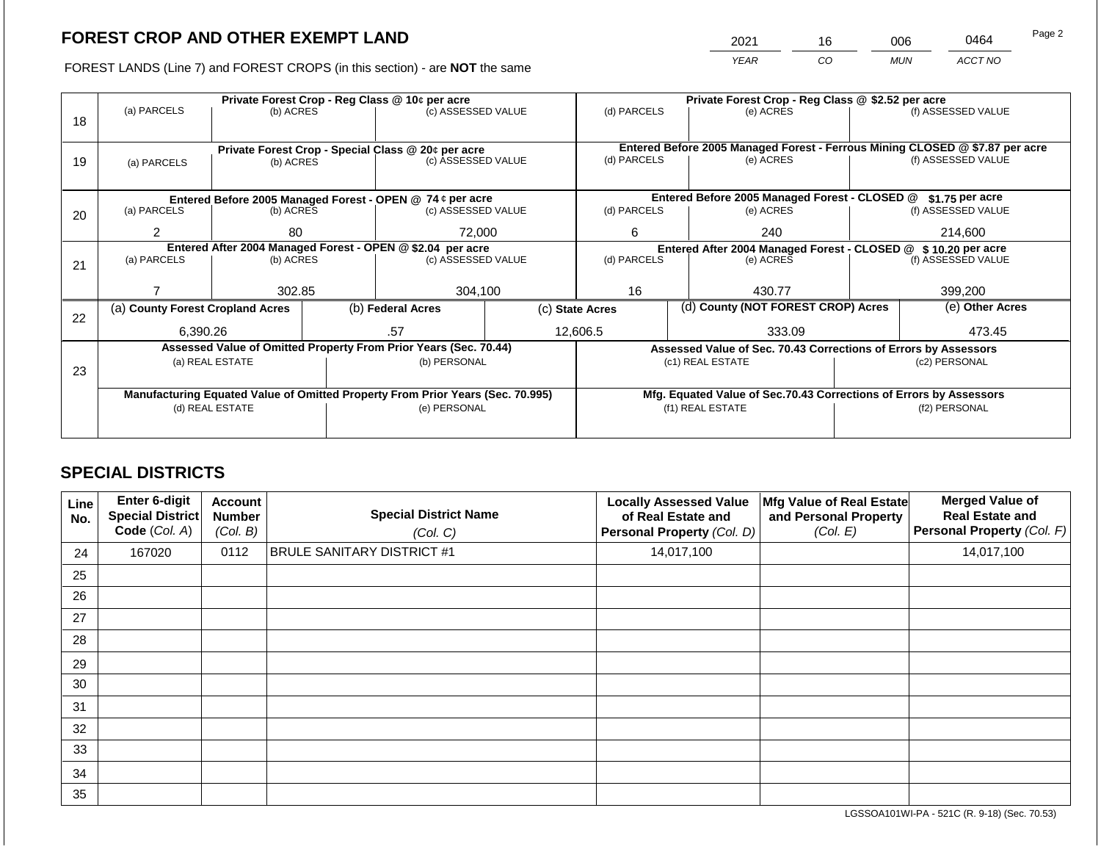| 2021 | 16  | 200 | 0464    | Page 2 |
|------|-----|-----|---------|--------|
| VFAR | CO. | MUN | ACCT NO |        |

FOREST LANDS (Line 7) and FOREST CROPS (in this section) - are NOT the same

|    | Private Forest Crop - Reg Class @ 10¢ per acre                                 |                   |  |                                                                  |          | Private Forest Crop - Reg Class @ \$2.52 per acre                |  |                                                                    |                    |                                                                              |
|----|--------------------------------------------------------------------------------|-------------------|--|------------------------------------------------------------------|----------|------------------------------------------------------------------|--|--------------------------------------------------------------------|--------------------|------------------------------------------------------------------------------|
|    | (a) PARCELS                                                                    | (b) ACRES         |  | (c) ASSESSED VALUE                                               |          | (d) PARCELS                                                      |  | (e) ACRES                                                          |                    | (f) ASSESSED VALUE                                                           |
| 18 |                                                                                |                   |  |                                                                  |          |                                                                  |  |                                                                    |                    |                                                                              |
|    |                                                                                |                   |  |                                                                  |          |                                                                  |  |                                                                    |                    |                                                                              |
|    |                                                                                |                   |  | Private Forest Crop - Special Class @ 20¢ per acre               |          |                                                                  |  |                                                                    |                    | Entered Before 2005 Managed Forest - Ferrous Mining CLOSED @ \$7.87 per acre |
| 19 | (a) PARCELS                                                                    | (b) ACRES         |  | (c) ASSESSED VALUE                                               |          | (d) PARCELS                                                      |  | (e) ACRES                                                          |                    | (f) ASSESSED VALUE                                                           |
|    |                                                                                |                   |  |                                                                  |          |                                                                  |  |                                                                    |                    |                                                                              |
|    |                                                                                |                   |  | Entered Before 2005 Managed Forest - OPEN @ 74 ¢ per acre        |          |                                                                  |  | Entered Before 2005 Managed Forest - CLOSED @                      |                    | \$1.75 per acre                                                              |
| 20 | (a) PARCELS                                                                    | (b) ACRES         |  | (c) ASSESSED VALUE                                               |          | (d) PARCELS                                                      |  | (e) ACRES                                                          |                    | (f) ASSESSED VALUE                                                           |
|    |                                                                                |                   |  |                                                                  |          |                                                                  |  |                                                                    |                    |                                                                              |
|    |                                                                                | 72,000<br>2<br>80 |  |                                                                  | 6<br>240 |                                                                  |  | 214,600                                                            |                    |                                                                              |
|    | Entered After 2004 Managed Forest - OPEN @ \$2.04 per acre                     |                   |  |                                                                  |          | Entered After 2004 Managed Forest - CLOSED @<br>\$10,20 per acre |  |                                                                    |                    |                                                                              |
| 21 | (a) PARCELS                                                                    | (b) ACRES         |  | (c) ASSESSED VALUE                                               |          | (d) PARCELS                                                      |  | (e) ACRES                                                          | (f) ASSESSED VALUE |                                                                              |
|    |                                                                                |                   |  |                                                                  |          |                                                                  |  |                                                                    |                    |                                                                              |
|    |                                                                                | 302.85            |  | 304,100                                                          |          | 16                                                               |  | 430.77                                                             |                    | 399,200                                                                      |
|    | (a) County Forest Cropland Acres                                               |                   |  | (b) Federal Acres                                                |          | (d) County (NOT FOREST CROP) Acres<br>(c) State Acres            |  |                                                                    | (e) Other Acres    |                                                                              |
| 22 |                                                                                |                   |  |                                                                  |          |                                                                  |  |                                                                    |                    |                                                                              |
|    | 6.390.26                                                                       |                   |  | .57                                                              |          | 12,606.5                                                         |  | 333.09                                                             |                    | 473.45                                                                       |
|    |                                                                                |                   |  | Assessed Value of Omitted Property From Prior Years (Sec. 70.44) |          |                                                                  |  | Assessed Value of Sec. 70.43 Corrections of Errors by Assessors    |                    |                                                                              |
|    |                                                                                | (a) REAL ESTATE   |  | (b) PERSONAL                                                     |          |                                                                  |  | (c1) REAL ESTATE                                                   | (c2) PERSONAL      |                                                                              |
| 23 |                                                                                |                   |  |                                                                  |          |                                                                  |  |                                                                    |                    |                                                                              |
|    | Manufacturing Equated Value of Omitted Property From Prior Years (Sec. 70.995) |                   |  |                                                                  |          |                                                                  |  | Mfg. Equated Value of Sec.70.43 Corrections of Errors by Assessors |                    |                                                                              |
|    |                                                                                | (d) REAL ESTATE   |  | (e) PERSONAL                                                     |          |                                                                  |  | (f1) REAL ESTATE                                                   | (f2) PERSONAL      |                                                                              |
|    |                                                                                |                   |  |                                                                  |          |                                                                  |  |                                                                    |                    |                                                                              |
|    |                                                                                |                   |  |                                                                  |          |                                                                  |  |                                                                    |                    |                                                                              |

# **SPECIAL DISTRICTS**

| Line<br>No. | <b>Enter 6-digit</b><br>Special District<br>Code (Col. A) | <b>Account</b><br><b>Number</b><br>(Col. B) | <b>Special District Name</b><br>(Col. C) | <b>Locally Assessed Value</b><br>of Real Estate and<br>Personal Property (Col. D) | Mfg Value of Real Estate<br>and Personal Property<br>(Col. E) | <b>Merged Value of</b><br><b>Real Estate and</b><br>Personal Property (Col. F) |
|-------------|-----------------------------------------------------------|---------------------------------------------|------------------------------------------|-----------------------------------------------------------------------------------|---------------------------------------------------------------|--------------------------------------------------------------------------------|
| 24          | 167020                                                    | 0112                                        | <b>BRULE SANITARY DISTRICT #1</b>        | 14,017,100                                                                        |                                                               | 14,017,100                                                                     |
| 25          |                                                           |                                             |                                          |                                                                                   |                                                               |                                                                                |
| 26          |                                                           |                                             |                                          |                                                                                   |                                                               |                                                                                |
| 27          |                                                           |                                             |                                          |                                                                                   |                                                               |                                                                                |
| 28          |                                                           |                                             |                                          |                                                                                   |                                                               |                                                                                |
| 29          |                                                           |                                             |                                          |                                                                                   |                                                               |                                                                                |
| 30          |                                                           |                                             |                                          |                                                                                   |                                                               |                                                                                |
| 31          |                                                           |                                             |                                          |                                                                                   |                                                               |                                                                                |
| 32          |                                                           |                                             |                                          |                                                                                   |                                                               |                                                                                |
| 33          |                                                           |                                             |                                          |                                                                                   |                                                               |                                                                                |
| 34          |                                                           |                                             |                                          |                                                                                   |                                                               |                                                                                |
| 35          |                                                           |                                             |                                          |                                                                                   |                                                               |                                                                                |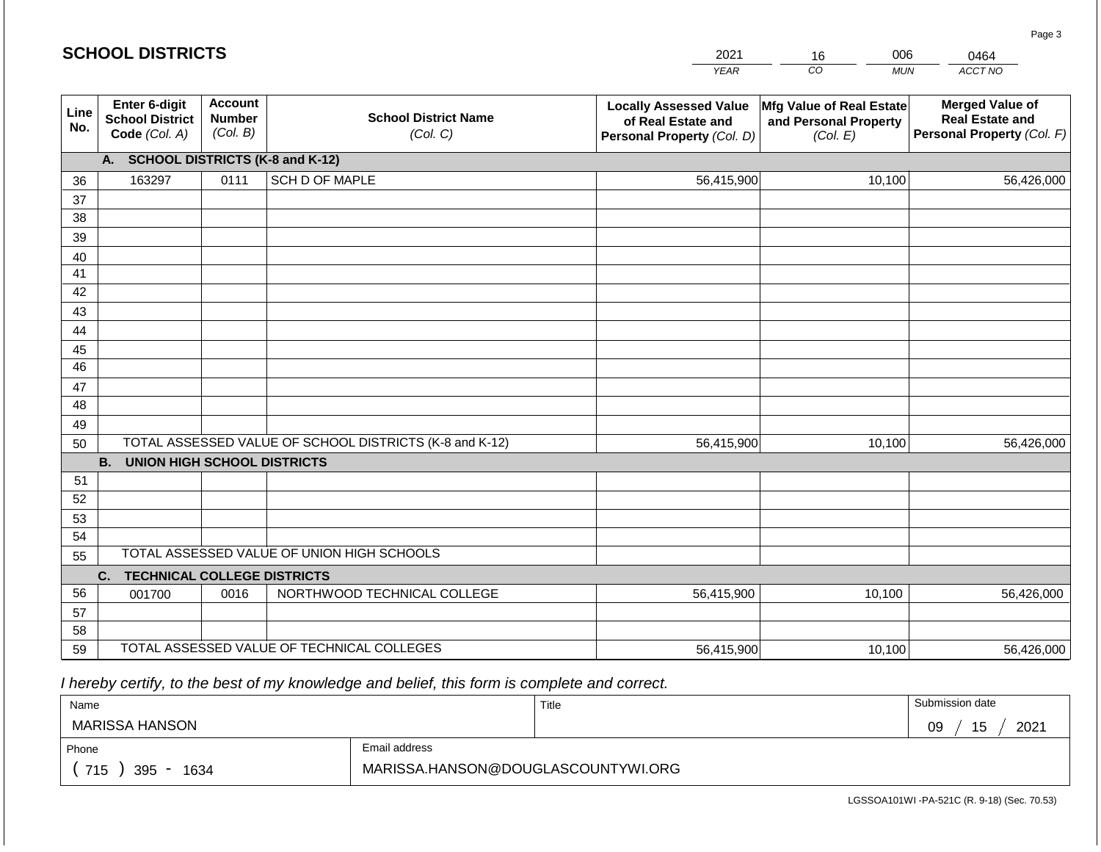|             | <b>SCHOOL DISTRICTS</b>                                  |                                             |                                                         | 2021                                                                              | 006<br>16                                                     | 0464                                                                           |
|-------------|----------------------------------------------------------|---------------------------------------------|---------------------------------------------------------|-----------------------------------------------------------------------------------|---------------------------------------------------------------|--------------------------------------------------------------------------------|
|             |                                                          |                                             |                                                         | <b>YEAR</b>                                                                       | CO <sub>.</sub><br><b>MUN</b>                                 | ACCT NO                                                                        |
| Line<br>No. | Enter 6-digit<br><b>School District</b><br>Code (Col. A) | <b>Account</b><br><b>Number</b><br>(Col. B) | <b>School District Name</b><br>(Col. C)                 | <b>Locally Assessed Value</b><br>of Real Estate and<br>Personal Property (Col. D) | Mfg Value of Real Estate<br>and Personal Property<br>(Col. E) | <b>Merged Value of</b><br><b>Real Estate and</b><br>Personal Property (Col. F) |
|             | A. SCHOOL DISTRICTS (K-8 and K-12)                       |                                             |                                                         |                                                                                   |                                                               |                                                                                |
| 36          | 163297                                                   | 0111                                        | SCH D OF MAPLE                                          | 56,415,900                                                                        | 10,100                                                        | 56,426,000                                                                     |
| 37          |                                                          |                                             |                                                         |                                                                                   |                                                               |                                                                                |
| 38          |                                                          |                                             |                                                         |                                                                                   |                                                               |                                                                                |
| 39          |                                                          |                                             |                                                         |                                                                                   |                                                               |                                                                                |
| 40          |                                                          |                                             |                                                         |                                                                                   |                                                               |                                                                                |
| 41<br>42    |                                                          |                                             |                                                         |                                                                                   |                                                               |                                                                                |
| 43          |                                                          |                                             |                                                         |                                                                                   |                                                               |                                                                                |
| 44          |                                                          |                                             |                                                         |                                                                                   |                                                               |                                                                                |
| 45          |                                                          |                                             |                                                         |                                                                                   |                                                               |                                                                                |
| 46          |                                                          |                                             |                                                         |                                                                                   |                                                               |                                                                                |
| 47          |                                                          |                                             |                                                         |                                                                                   |                                                               |                                                                                |
| 48          |                                                          |                                             |                                                         |                                                                                   |                                                               |                                                                                |
| 49          |                                                          |                                             |                                                         |                                                                                   |                                                               |                                                                                |
| 50          |                                                          |                                             | TOTAL ASSESSED VALUE OF SCHOOL DISTRICTS (K-8 and K-12) | 56,415,900                                                                        | 10,100                                                        | 56,426,000                                                                     |
|             | <b>B. UNION HIGH SCHOOL DISTRICTS</b>                    |                                             |                                                         |                                                                                   |                                                               |                                                                                |
| 51          |                                                          |                                             |                                                         |                                                                                   |                                                               |                                                                                |
| 52          |                                                          |                                             |                                                         |                                                                                   |                                                               |                                                                                |
| 53          |                                                          |                                             |                                                         |                                                                                   |                                                               |                                                                                |
| 54<br>55    |                                                          |                                             | TOTAL ASSESSED VALUE OF UNION HIGH SCHOOLS              |                                                                                   |                                                               |                                                                                |
|             | <b>TECHNICAL COLLEGE DISTRICTS</b><br>C.                 |                                             |                                                         |                                                                                   |                                                               |                                                                                |
| 56          | 001700                                                   | 0016                                        | NORTHWOOD TECHNICAL COLLEGE                             | 56,415,900                                                                        | 10,100                                                        | 56,426,000                                                                     |
| 57          |                                                          |                                             |                                                         |                                                                                   |                                                               |                                                                                |
| 58          |                                                          |                                             |                                                         |                                                                                   |                                                               |                                                                                |
| 59          |                                                          |                                             | TOTAL ASSESSED VALUE OF TECHNICAL COLLEGES              | 56,415,900                                                                        | 10,100                                                        | 56,426,000                                                                     |

 *I hereby certify, to the best of my knowledge and belief, this form is complete and correct.*

| Name               |                                    | Title | Submission date  |
|--------------------|------------------------------------|-------|------------------|
| MARISSA HANSON     |                                    |       | 15<br>2021<br>09 |
| Phone              | Email address                      |       |                  |
| 715<br>395<br>1634 | MARISSA.HANSON@DOUGLASCOUNTYWI.ORG |       |                  |

Page 3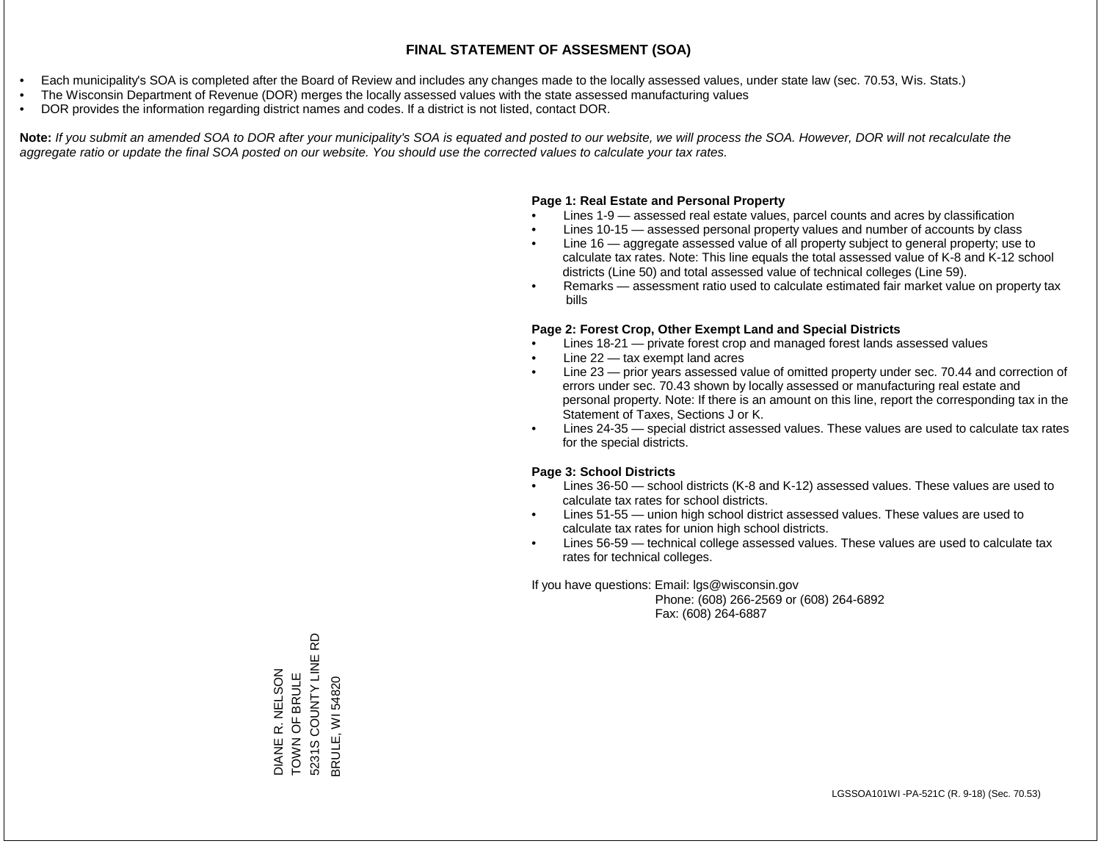- Each municipality's SOA is completed after the Board of Review and includes any changes made to the locally assessed values, under state law (sec. 70.53, Wis. Stats.)
- The Wisconsin Department of Revenue (DOR) merges the locally assessed values with the state assessed manufacturing values
- DOR provides the information regarding district names and codes. If a district is not listed, contact DOR.

Note: If you submit an amended SOA to DOR after your municipality's SOA is equated and posted to our website, we will process the SOA. However, DOR will not recalculate the *aggregate ratio or update the final SOA posted on our website. You should use the corrected values to calculate your tax rates.*

# **Page 1: Real Estate and Personal Property**

- Lines 1-9 assessed real estate values, parcel counts and acres by classification
- Lines 10-15 assessed personal property values and number of accounts by class
- Line 16 aggregate assessed value of all property subject to general property; use to calculate tax rates. Note: This line equals the total assessed value of K-8 and K-12 school districts (Line 50) and total assessed value of technical colleges (Line 59).
- Remarks assessment ratio used to calculate estimated fair market value on property tax bills

# **Page 2: Forest Crop, Other Exempt Land and Special Districts**

- Lines 18-21 private forest crop and managed forest lands assessed values
- Line  $22 -$  tax exempt land acres
- Line 23 prior years assessed value of omitted property under sec. 70.44 and correction of errors under sec. 70.43 shown by locally assessed or manufacturing real estate and personal property. Note: If there is an amount on this line, report the corresponding tax in the Statement of Taxes, Sections J or K.
- Lines 24-35 special district assessed values. These values are used to calculate tax rates for the special districts.

# **Page 3: School Districts**

- Lines 36-50 school districts (K-8 and K-12) assessed values. These values are used to calculate tax rates for school districts.
- Lines 51-55 union high school district assessed values. These values are used to calculate tax rates for union high school districts.
- Lines 56-59 technical college assessed values. These values are used to calculate tax rates for technical colleges.

If you have questions: Email: lgs@wisconsin.gov

 Phone: (608) 266-2569 or (608) 264-6892 Fax: (608) 264-6887

윤 5231S COUNTY LINE RD DIANE R. NELSON<br>TOWN OF BRULE<br>5231S COUNTY LINE R DIANE R. NELSON TOWN OF BRULE 3RULE, WI 54820 BRULE, WI 54820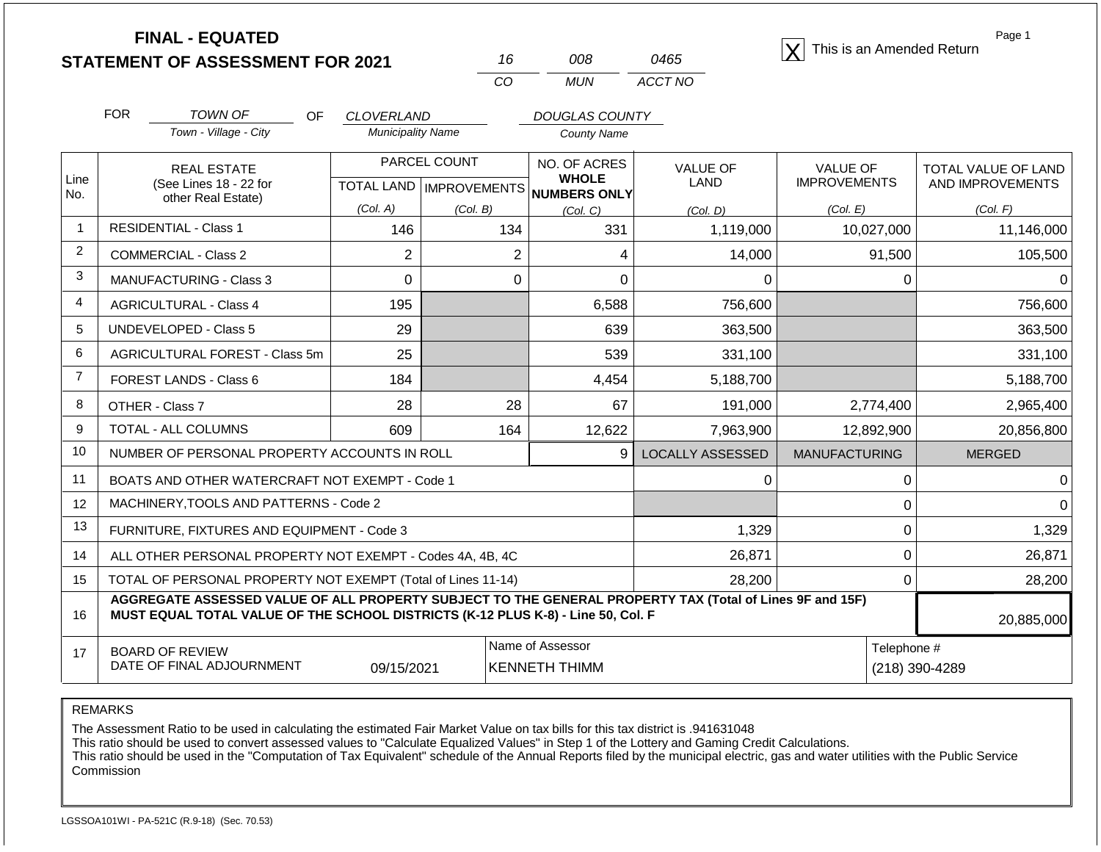|                |                                                                                                                                                                                              | <b>FINAL - EQUATED</b><br><b>STATEMENT OF ASSESSMENT FOR 2021</b> |                          |                                     | 16             | 008                          | 0465                    | This is an Amended Return              |                | Page 1                                  |
|----------------|----------------------------------------------------------------------------------------------------------------------------------------------------------------------------------------------|-------------------------------------------------------------------|--------------------------|-------------------------------------|----------------|------------------------------|-------------------------|----------------------------------------|----------------|-----------------------------------------|
|                |                                                                                                                                                                                              |                                                                   |                          |                                     | CO             | <b>MUN</b>                   | ACCT NO                 |                                        |                |                                         |
|                | <b>FOR</b>                                                                                                                                                                                   | <b>TOWN OF</b><br>OF                                              | <b>CLOVERLAND</b>        |                                     |                | DOUGLAS COUNTY               |                         |                                        |                |                                         |
|                |                                                                                                                                                                                              | Town - Village - City                                             | <b>Municipality Name</b> |                                     |                | <b>County Name</b>           |                         |                                        |                |                                         |
| Line           |                                                                                                                                                                                              | <b>REAL ESTATE</b><br>(See Lines 18 - 22 for                      | <b>TOTAL LAND</b>        | PARCEL COUNT<br><b>IMPROVEMENTS</b> |                | NO. OF ACRES<br><b>WHOLE</b> | <b>VALUE OF</b><br>LAND | <b>VALUE OF</b><br><b>IMPROVEMENTS</b> |                | TOTAL VALUE OF LAND<br>AND IMPROVEMENTS |
| No.            |                                                                                                                                                                                              | other Real Estate)                                                | (Col. A)                 | (Col. B)                            |                | NUMBERS ONLY<br>(Col. C)     | (Col. D)                | (Col. E)                               |                | (Col. F)                                |
| $\overline{1}$ |                                                                                                                                                                                              | <b>RESIDENTIAL - Class 1</b>                                      | 146                      |                                     | 134            | 331                          | 1,119,000               | 10,027,000                             |                | 11,146,000                              |
| 2              |                                                                                                                                                                                              | <b>COMMERCIAL - Class 2</b>                                       | $\overline{2}$           |                                     | $\overline{2}$ | 4                            | 14,000                  |                                        | 91,500         | 105,500                                 |
| 3              | MANUFACTURING - Class 3<br>$\mathbf 0$                                                                                                                                                       |                                                                   |                          | $\mathbf 0$                         | 0              | 0                            |                         | 0                                      | 0              |                                         |
| 4              |                                                                                                                                                                                              | <b>AGRICULTURAL - Class 4</b>                                     | 195                      |                                     |                | 6,588                        | 756,600                 |                                        |                | 756,600                                 |
| 5              |                                                                                                                                                                                              | <b>UNDEVELOPED - Class 5</b>                                      | 29                       |                                     |                | 639                          | 363,500                 |                                        |                | 363,500                                 |
| 6              |                                                                                                                                                                                              | AGRICULTURAL FOREST - Class 5m                                    | 25                       |                                     |                | 539                          | 331,100                 |                                        |                | 331,100                                 |
| $\overline{7}$ |                                                                                                                                                                                              | <b>FOREST LANDS - Class 6</b>                                     | 184                      |                                     |                | 4,454                        | 5,188,700               |                                        |                | 5,188,700                               |
| 8              |                                                                                                                                                                                              | OTHER - Class 7                                                   | 28                       |                                     | 28             | 67                           | 191,000                 | 2,774,400                              |                | 2,965,400                               |
| 9              |                                                                                                                                                                                              | TOTAL - ALL COLUMNS                                               | 609                      |                                     | 164            | 12,622                       | 7,963,900               | 12,892,900                             |                | 20,856,800                              |
| 10             |                                                                                                                                                                                              | NUMBER OF PERSONAL PROPERTY ACCOUNTS IN ROLL                      |                          |                                     |                | 9                            | <b>LOCALLY ASSESSED</b> | <b>MANUFACTURING</b>                   |                | <b>MERGED</b>                           |
| 11             |                                                                                                                                                                                              | BOATS AND OTHER WATERCRAFT NOT EXEMPT - Code 1                    |                          |                                     |                |                              | 0                       |                                        | 0              | 0                                       |
| 12             |                                                                                                                                                                                              | MACHINERY, TOOLS AND PATTERNS - Code 2                            |                          |                                     |                |                              |                         |                                        | $\mathbf 0$    |                                         |
| 13             |                                                                                                                                                                                              | FURNITURE, FIXTURES AND EQUIPMENT - Code 3                        |                          |                                     |                |                              | 1,329                   |                                        | 0              | 1,329                                   |
| 14             |                                                                                                                                                                                              | ALL OTHER PERSONAL PROPERTY NOT EXEMPT - Codes 4A, 4B, 4C         |                          |                                     |                |                              | 26,871                  |                                        | 0              | 26,871                                  |
| 15             | TOTAL OF PERSONAL PROPERTY NOT EXEMPT (Total of Lines 11-14)                                                                                                                                 |                                                                   |                          |                                     | 28,200         |                              |                         |                                        | $\Omega$       | 28,200                                  |
| 16             | AGGREGATE ASSESSED VALUE OF ALL PROPERTY SUBJECT TO THE GENERAL PROPERTY TAX (Total of Lines 9F and 15F)<br>MUST EQUAL TOTAL VALUE OF THE SCHOOL DISTRICTS (K-12 PLUS K-8) - Line 50, Col. F |                                                                   |                          |                                     |                |                              |                         |                                        |                | 20,885,000                              |
| 17             |                                                                                                                                                                                              | <b>BOARD OF REVIEW</b>                                            |                          |                                     |                | Name of Assessor             |                         |                                        | Telephone #    |                                         |
|                |                                                                                                                                                                                              | DATE OF FINAL ADJOURNMENT                                         | 09/15/2021               |                                     |                | <b>KENNETH THIMM</b>         |                         |                                        | (218) 390-4289 |                                         |

REMARKS

The Assessment Ratio to be used in calculating the estimated Fair Market Value on tax bills for this tax district is .941631048

This ratio should be used to convert assessed values to "Calculate Equalized Values" in Step 1 of the Lottery and Gaming Credit Calculations.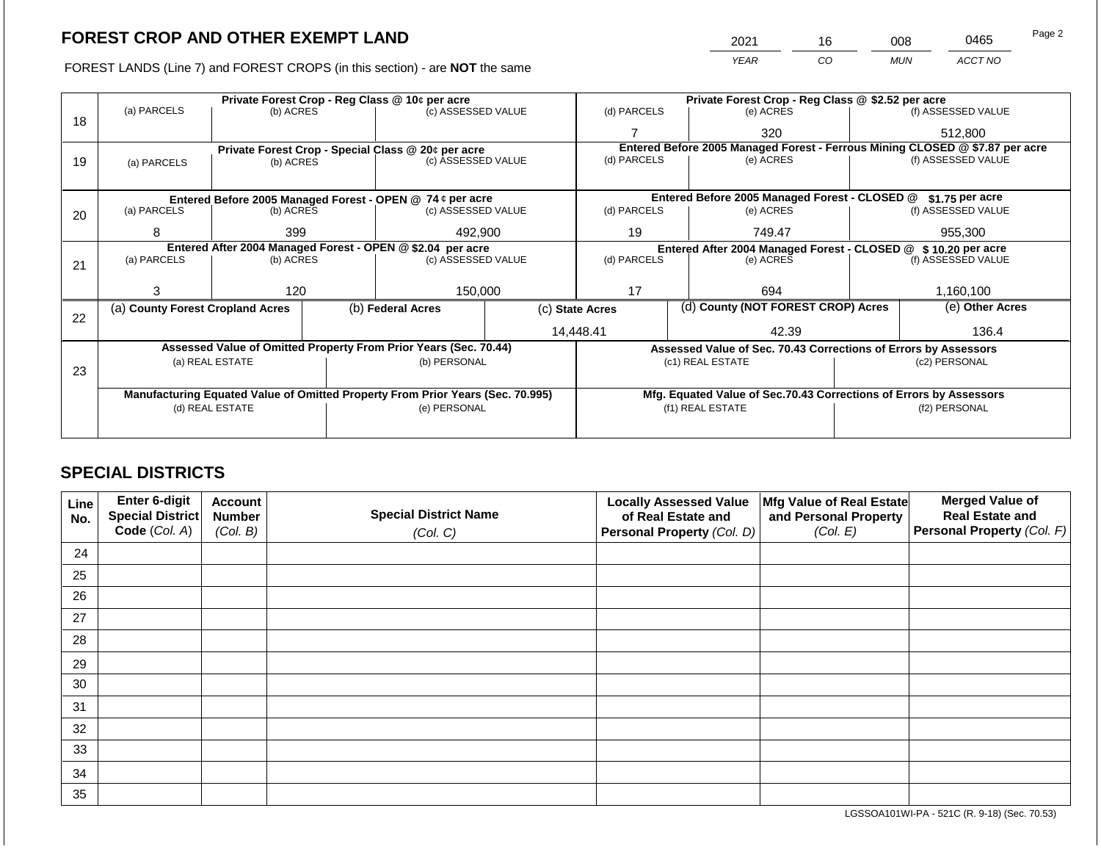FOREST LANDS (Line 7) and FOREST CROPS (in this section) - are NOT the same

| 2021 | 16 | 008        | 0465    | Page 2 |
|------|----|------------|---------|--------|
| YFAR | 20 | <b>MUN</b> | ACCT NO |        |

|    |                                                            |                     |                    | Private Forest Crop - Reg Class @ 10¢ per acre                                 |  | Private Forest Crop - Reg Class @ \$2.52 per acre |                                                               |                                                                    |               |                                                                              |  |
|----|------------------------------------------------------------|---------------------|--------------------|--------------------------------------------------------------------------------|--|---------------------------------------------------|---------------------------------------------------------------|--------------------------------------------------------------------|---------------|------------------------------------------------------------------------------|--|
| 18 | (a) PARCELS                                                | (b) ACRES           |                    | (c) ASSESSED VALUE                                                             |  | (d) PARCELS                                       |                                                               | (e) ACRES                                                          |               | (f) ASSESSED VALUE                                                           |  |
|    |                                                            |                     |                    |                                                                                |  |                                                   |                                                               | 320                                                                |               | 512,800                                                                      |  |
|    |                                                            |                     |                    | Private Forest Crop - Special Class @ 20¢ per acre                             |  |                                                   |                                                               |                                                                    |               | Entered Before 2005 Managed Forest - Ferrous Mining CLOSED @ \$7.87 per acre |  |
| 19 | (a) PARCELS                                                | (b) ACRES           | (c) ASSESSED VALUE |                                                                                |  | (d) PARCELS                                       |                                                               | (e) ACRES                                                          |               | (f) ASSESSED VALUE                                                           |  |
|    |                                                            |                     |                    |                                                                                |  |                                                   |                                                               |                                                                    |               |                                                                              |  |
|    |                                                            |                     |                    | Entered Before 2005 Managed Forest - OPEN @ 74 ¢ per acre                      |  |                                                   |                                                               | Entered Before 2005 Managed Forest - CLOSED @                      |               | \$1.75 per acre                                                              |  |
| 20 | (a) PARCELS                                                | (b) ACRES           |                    | (c) ASSESSED VALUE                                                             |  | (d) PARCELS                                       |                                                               | (e) ACRES                                                          |               | (f) ASSESSED VALUE                                                           |  |
|    |                                                            |                     |                    |                                                                                |  |                                                   |                                                               |                                                                    |               |                                                                              |  |
|    |                                                            | 492,900<br>399<br>8 |                    |                                                                                |  | 19                                                |                                                               | 749.47                                                             |               | 955,300                                                                      |  |
|    | Entered After 2004 Managed Forest - OPEN @ \$2.04 per acre |                     |                    |                                                                                |  |                                                   | Entered After 2004 Managed Forest - CLOSED @ \$10.20 per acre |                                                                    |               |                                                                              |  |
| 21 | (a) PARCELS                                                |                     |                    | (c) ASSESSED VALUE<br>(b) ACRES                                                |  | (d) PARCELS                                       |                                                               | (e) ACRES                                                          |               | (f) ASSESSED VALUE                                                           |  |
|    |                                                            |                     |                    |                                                                                |  |                                                   |                                                               |                                                                    |               |                                                                              |  |
|    |                                                            | 120                 |                    | 150,000                                                                        |  | 17                                                |                                                               | 694                                                                |               | 1,160,100                                                                    |  |
| 22 | (a) County Forest Cropland Acres                           |                     |                    | (b) Federal Acres                                                              |  | (c) State Acres                                   |                                                               | (d) County (NOT FOREST CROP) Acres                                 |               | (e) Other Acres                                                              |  |
|    |                                                            |                     |                    |                                                                                |  | 14,448.41                                         |                                                               | 42.39                                                              |               | 136.4                                                                        |  |
|    |                                                            |                     |                    | Assessed Value of Omitted Property From Prior Years (Sec. 70.44)               |  |                                                   |                                                               | Assessed Value of Sec. 70.43 Corrections of Errors by Assessors    |               |                                                                              |  |
|    |                                                            | (a) REAL ESTATE     |                    | (b) PERSONAL                                                                   |  |                                                   |                                                               | (c1) REAL ESTATE                                                   | (c2) PERSONAL |                                                                              |  |
| 23 |                                                            |                     |                    |                                                                                |  |                                                   |                                                               |                                                                    |               |                                                                              |  |
|    |                                                            |                     |                    | Manufacturing Equated Value of Omitted Property From Prior Years (Sec. 70.995) |  |                                                   |                                                               | Mfg. Equated Value of Sec.70.43 Corrections of Errors by Assessors |               |                                                                              |  |
|    |                                                            | (d) REAL ESTATE     |                    | (e) PERSONAL                                                                   |  |                                                   |                                                               | (f1) REAL ESTATE                                                   | (f2) PERSONAL |                                                                              |  |
|    |                                                            |                     |                    |                                                                                |  |                                                   |                                                               |                                                                    |               |                                                                              |  |
|    |                                                            |                     |                    |                                                                                |  |                                                   |                                                               |                                                                    |               |                                                                              |  |

# **SPECIAL DISTRICTS**

| <b>Line</b><br>No. | Enter 6-digit<br>Special District | <b>Account</b><br><b>Number</b> | <b>Special District Name</b> | <b>Locally Assessed Value</b><br>of Real Estate and | Mfg Value of Real Estate<br>and Personal Property | <b>Merged Value of</b><br><b>Real Estate and</b> |
|--------------------|-----------------------------------|---------------------------------|------------------------------|-----------------------------------------------------|---------------------------------------------------|--------------------------------------------------|
|                    | Code (Col. A)                     | (Col. B)                        | (Col. C)                     | <b>Personal Property (Col. D)</b>                   | (Col. E)                                          | Personal Property (Col. F)                       |
| 24                 |                                   |                                 |                              |                                                     |                                                   |                                                  |
| 25                 |                                   |                                 |                              |                                                     |                                                   |                                                  |
| 26                 |                                   |                                 |                              |                                                     |                                                   |                                                  |
| 27                 |                                   |                                 |                              |                                                     |                                                   |                                                  |
| 28                 |                                   |                                 |                              |                                                     |                                                   |                                                  |
| 29                 |                                   |                                 |                              |                                                     |                                                   |                                                  |
| 30                 |                                   |                                 |                              |                                                     |                                                   |                                                  |
| 31                 |                                   |                                 |                              |                                                     |                                                   |                                                  |
| 32                 |                                   |                                 |                              |                                                     |                                                   |                                                  |
| 33                 |                                   |                                 |                              |                                                     |                                                   |                                                  |
| 34                 |                                   |                                 |                              |                                                     |                                                   |                                                  |
| 35                 |                                   |                                 |                              |                                                     |                                                   |                                                  |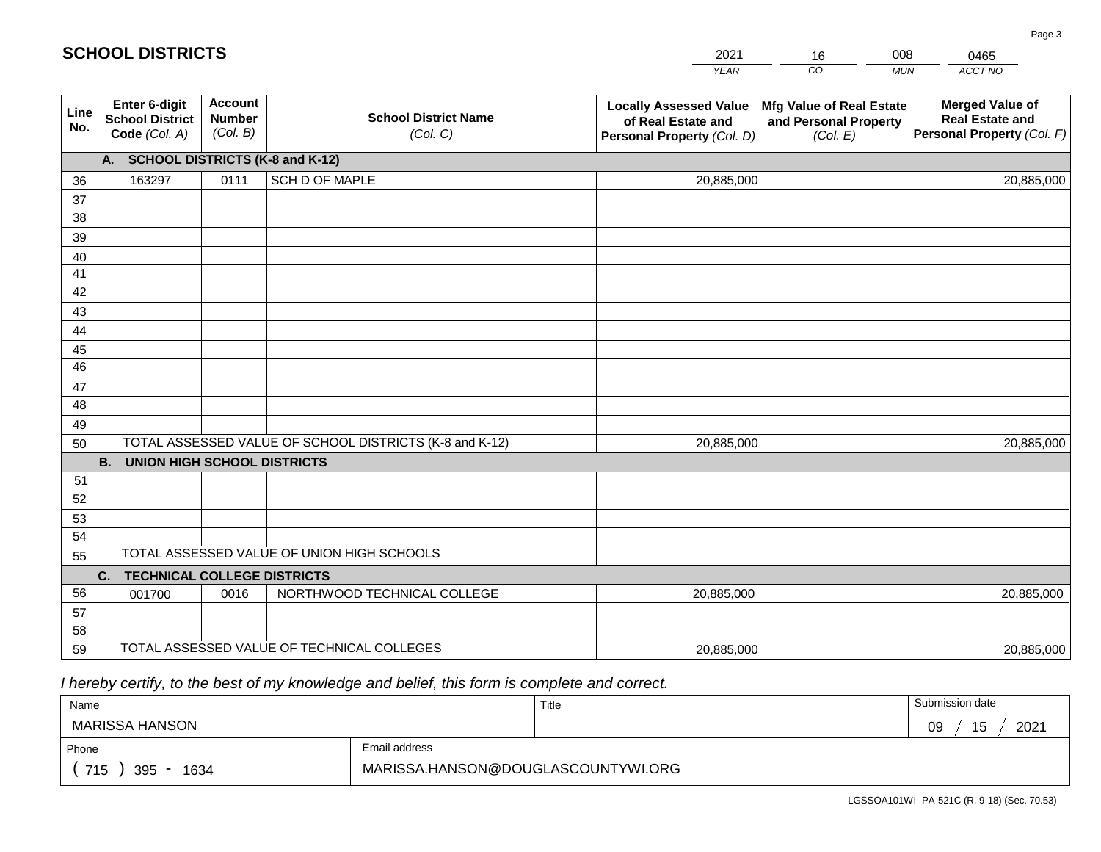|             | <b>SCHOOL DISTRICTS</b>                                  |                                             |                                                         | 2021                                                                              | 16                                                            | 008        | 0465                                                                           |
|-------------|----------------------------------------------------------|---------------------------------------------|---------------------------------------------------------|-----------------------------------------------------------------------------------|---------------------------------------------------------------|------------|--------------------------------------------------------------------------------|
|             |                                                          |                                             |                                                         | <b>YEAR</b>                                                                       | CO                                                            | <b>MUN</b> | ACCT NO                                                                        |
| Line<br>No. | Enter 6-digit<br><b>School District</b><br>Code (Col. A) | <b>Account</b><br><b>Number</b><br>(Col. B) | <b>School District Name</b><br>(Col. C)                 | <b>Locally Assessed Value</b><br>of Real Estate and<br>Personal Property (Col. D) | Mfg Value of Real Estate<br>and Personal Property<br>(Col. E) |            | <b>Merged Value of</b><br><b>Real Estate and</b><br>Personal Property (Col. F) |
|             | A. SCHOOL DISTRICTS (K-8 and K-12)                       |                                             |                                                         |                                                                                   |                                                               |            |                                                                                |
| 36          | 163297                                                   | 0111                                        | SCH D OF MAPLE                                          | 20,885,000                                                                        |                                                               |            | 20,885,000                                                                     |
| 37          |                                                          |                                             |                                                         |                                                                                   |                                                               |            |                                                                                |
| 38          |                                                          |                                             |                                                         |                                                                                   |                                                               |            |                                                                                |
| 39          |                                                          |                                             |                                                         |                                                                                   |                                                               |            |                                                                                |
| 40          |                                                          |                                             |                                                         |                                                                                   |                                                               |            |                                                                                |
| 41<br>42    |                                                          |                                             |                                                         |                                                                                   |                                                               |            |                                                                                |
| 43          |                                                          |                                             |                                                         |                                                                                   |                                                               |            |                                                                                |
| 44          |                                                          |                                             |                                                         |                                                                                   |                                                               |            |                                                                                |
| 45          |                                                          |                                             |                                                         |                                                                                   |                                                               |            |                                                                                |
| 46          |                                                          |                                             |                                                         |                                                                                   |                                                               |            |                                                                                |
| 47          |                                                          |                                             |                                                         |                                                                                   |                                                               |            |                                                                                |
| 48          |                                                          |                                             |                                                         |                                                                                   |                                                               |            |                                                                                |
| 49          |                                                          |                                             |                                                         |                                                                                   |                                                               |            |                                                                                |
| 50          |                                                          |                                             | TOTAL ASSESSED VALUE OF SCHOOL DISTRICTS (K-8 and K-12) | 20,885,000                                                                        |                                                               |            | 20,885,000                                                                     |
|             | <b>B. UNION HIGH SCHOOL DISTRICTS</b>                    |                                             |                                                         |                                                                                   |                                                               |            |                                                                                |
| 51          |                                                          |                                             |                                                         |                                                                                   |                                                               |            |                                                                                |
| 52          |                                                          |                                             |                                                         |                                                                                   |                                                               |            |                                                                                |
| 53          |                                                          |                                             |                                                         |                                                                                   |                                                               |            |                                                                                |
| 54          |                                                          |                                             | TOTAL ASSESSED VALUE OF UNION HIGH SCHOOLS              |                                                                                   |                                                               |            |                                                                                |
| 55          |                                                          |                                             |                                                         |                                                                                   |                                                               |            |                                                                                |
| 56          | C.<br><b>TECHNICAL COLLEGE DISTRICTS</b><br>001700       | 0016                                        | NORTHWOOD TECHNICAL COLLEGE                             | 20,885,000                                                                        |                                                               |            | 20,885,000                                                                     |
| 57          |                                                          |                                             |                                                         |                                                                                   |                                                               |            |                                                                                |
| 58          |                                                          |                                             |                                                         |                                                                                   |                                                               |            |                                                                                |
| 59          |                                                          |                                             | TOTAL ASSESSED VALUE OF TECHNICAL COLLEGES              | 20,885,000                                                                        |                                                               |            | 20,885,000                                                                     |

 *I hereby certify, to the best of my knowledge and belief, this form is complete and correct.*

| Name               |                                    | Title | Submission date  |
|--------------------|------------------------------------|-------|------------------|
| MARISSA HANSON     |                                    |       | 15<br>2021<br>09 |
| Phone              | Email address                      |       |                  |
| 715<br>395<br>1634 | MARISSA.HANSON@DOUGLASCOUNTYWI.ORG |       |                  |

LGSSOA101WI -PA-521C (R. 9-18) (Sec. 70.53)

Page 3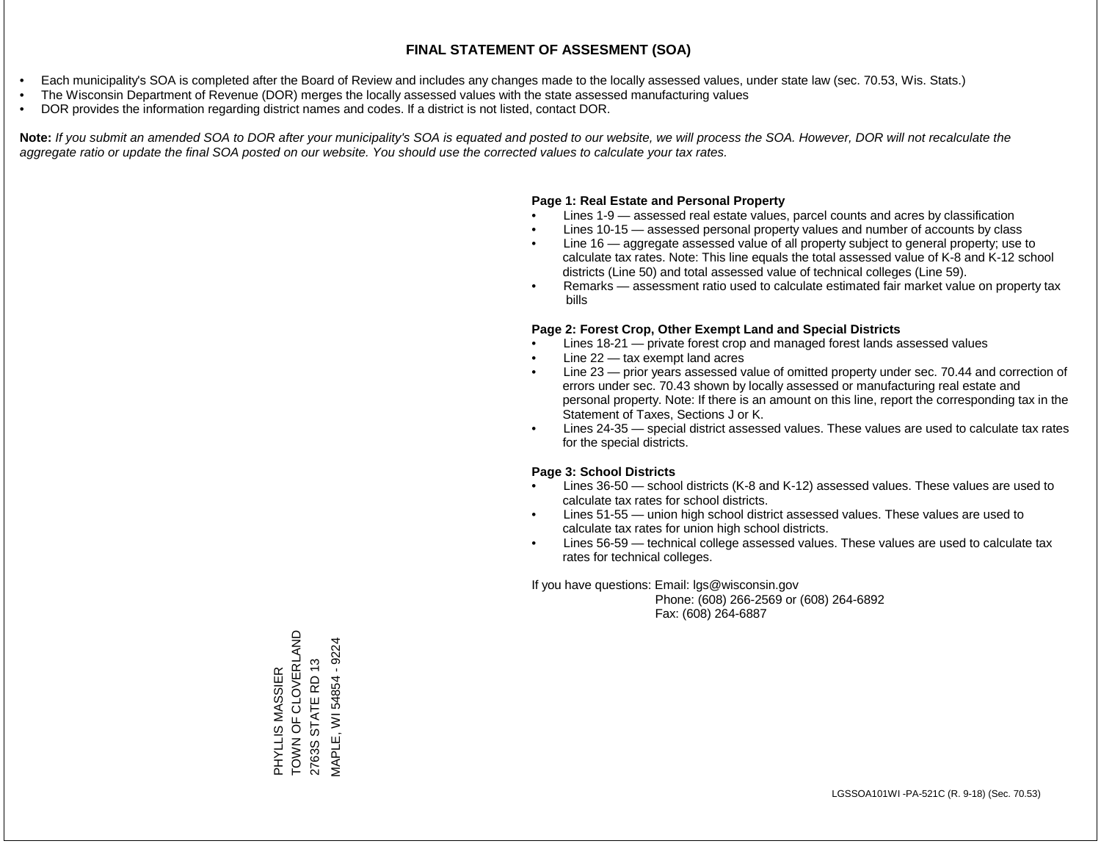- Each municipality's SOA is completed after the Board of Review and includes any changes made to the locally assessed values, under state law (sec. 70.53, Wis. Stats.)
- The Wisconsin Department of Revenue (DOR) merges the locally assessed values with the state assessed manufacturing values
- DOR provides the information regarding district names and codes. If a district is not listed, contact DOR.

Note: If you submit an amended SOA to DOR after your municipality's SOA is equated and posted to our website, we will process the SOA. However, DOR will not recalculate the *aggregate ratio or update the final SOA posted on our website. You should use the corrected values to calculate your tax rates.*

# **Page 1: Real Estate and Personal Property**

- Lines 1-9 assessed real estate values, parcel counts and acres by classification
- Lines 10-15 assessed personal property values and number of accounts by class
- Line 16 aggregate assessed value of all property subject to general property; use to calculate tax rates. Note: This line equals the total assessed value of K-8 and K-12 school districts (Line 50) and total assessed value of technical colleges (Line 59).
- Remarks assessment ratio used to calculate estimated fair market value on property tax bills

# **Page 2: Forest Crop, Other Exempt Land and Special Districts**

- Lines 18-21 private forest crop and managed forest lands assessed values
- Line  $22 -$  tax exempt land acres
- Line 23 prior years assessed value of omitted property under sec. 70.44 and correction of errors under sec. 70.43 shown by locally assessed or manufacturing real estate and personal property. Note: If there is an amount on this line, report the corresponding tax in the Statement of Taxes, Sections J or K.
- Lines 24-35 special district assessed values. These values are used to calculate tax rates for the special districts.

# **Page 3: School Districts**

- Lines 36-50 school districts (K-8 and K-12) assessed values. These values are used to calculate tax rates for school districts.
- Lines 51-55 union high school district assessed values. These values are used to calculate tax rates for union high school districts.
- Lines 56-59 technical college assessed values. These values are used to calculate tax rates for technical colleges.

If you have questions: Email: lgs@wisconsin.gov

 Phone: (608) 266-2569 or (608) 264-6892 Fax: (608) 264-6887

PHYLLIS MASSIER<br>TOWN OF CLOVERLAND<br>2763S STATE RD 13 TOWN OF CLOVERLAND VIAPLE, WI 54854 - 9224 MAPLE, WI 54854 - 92242763S STATE RD 13 PHYLLIS MASSIER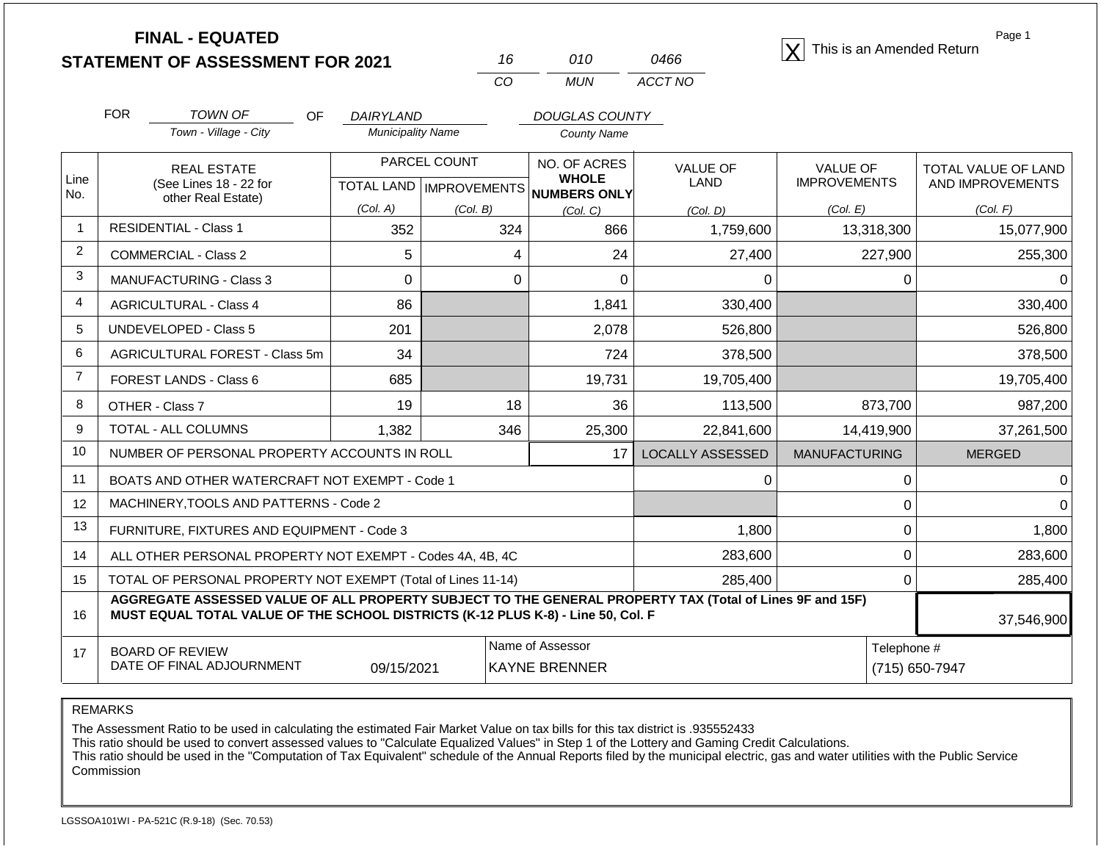| <b>STATEMENT OF ASSESSMENT FOR 2021</b> |  |
|-----------------------------------------|--|
|                                         |  |

| 16  | 010 | 0466    |
|-----|-----|---------|
| CO. | MUN | ACCT NO |

**FINAL - EQUATED**<br>  $\overline{X}$  This is an Amended Return

Page 1

|                | <b>FOR</b><br><b>TOWN OF</b><br>OF.                                                                                                                                                          | <b>DAIRYLAND</b>         |                           | <b>DOUGLAS COUNTY</b>        |                         |                      |                     |  |
|----------------|----------------------------------------------------------------------------------------------------------------------------------------------------------------------------------------------|--------------------------|---------------------------|------------------------------|-------------------------|----------------------|---------------------|--|
|                | Town - Village - City                                                                                                                                                                        | <b>Municipality Name</b> |                           | County Name                  |                         |                      |                     |  |
|                | <b>REAL ESTATE</b>                                                                                                                                                                           |                          | PARCEL COUNT              | NO. OF ACRES<br><b>WHOLE</b> | <b>VALUE OF</b>         | <b>VALUE OF</b>      | TOTAL VALUE OF LAND |  |
| Line<br>No.    | (See Lines 18 - 22 for<br>other Real Estate)                                                                                                                                                 |                          | TOTAL LAND   IMPROVEMENTS | NUMBERS ONLY                 | <b>LAND</b>             | <b>IMPROVEMENTS</b>  | AND IMPROVEMENTS    |  |
|                |                                                                                                                                                                                              | (Col. A)                 | (Col. B)                  | (Col, C)                     | (Col, D)                | (Col. E)             | (Col. F)            |  |
| $\mathbf{1}$   | <b>RESIDENTIAL - Class 1</b>                                                                                                                                                                 | 352                      | 324                       | 866                          | 1,759,600               | 13,318,300           | 15,077,900          |  |
| $\overline{2}$ | <b>COMMERCIAL - Class 2</b>                                                                                                                                                                  | 5                        | 4                         | 24                           | 27,400                  | 227,900              | 255,300             |  |
| 3              | <b>MANUFACTURING - Class 3</b>                                                                                                                                                               | $\Omega$                 | 0                         | $\Omega$                     | 0                       | 0                    |                     |  |
| $\overline{4}$ | <b>AGRICULTURAL - Class 4</b>                                                                                                                                                                | 86                       |                           | 1,841                        | 330,400                 |                      | 330,400             |  |
| 5              | <b>UNDEVELOPED - Class 5</b>                                                                                                                                                                 | 201                      |                           | 2,078                        | 526,800                 |                      | 526,800             |  |
| 6              | <b>AGRICULTURAL FOREST - Class 5m</b>                                                                                                                                                        | 34                       |                           | 724                          | 378,500                 |                      | 378,500             |  |
| $\overline{7}$ | FOREST LANDS - Class 6                                                                                                                                                                       | 685                      |                           | 19,731                       | 19,705,400              |                      | 19,705,400          |  |
| 8              | OTHER - Class 7                                                                                                                                                                              | 19                       | 18                        | 36                           | 113,500                 | 873,700              | 987,200             |  |
| 9              | <b>TOTAL - ALL COLUMNS</b>                                                                                                                                                                   | 1,382                    | 346                       | 25,300                       | 22,841,600              | 14,419,900           | 37,261,500          |  |
| 10             | NUMBER OF PERSONAL PROPERTY ACCOUNTS IN ROLL                                                                                                                                                 |                          |                           | 17                           | <b>LOCALLY ASSESSED</b> | <b>MANUFACTURING</b> | <b>MERGED</b>       |  |
| 11             | BOATS AND OTHER WATERCRAFT NOT EXEMPT - Code 1                                                                                                                                               |                          |                           |                              | 0                       | 0                    |                     |  |
| 12             | MACHINERY, TOOLS AND PATTERNS - Code 2                                                                                                                                                       |                          |                           |                              |                         | 0                    |                     |  |
| 13             | FURNITURE, FIXTURES AND EQUIPMENT - Code 3                                                                                                                                                   |                          |                           |                              | 1,800                   | 0                    | 1,800               |  |
| 14             | ALL OTHER PERSONAL PROPERTY NOT EXEMPT - Codes 4A, 4B, 4C                                                                                                                                    |                          |                           |                              | 283,600                 | 0                    | 283,600             |  |
| 15             | TOTAL OF PERSONAL PROPERTY NOT EXEMPT (Total of Lines 11-14)                                                                                                                                 |                          |                           | 285,400                      | $\Omega$                | 285,400              |                     |  |
| 16             | AGGREGATE ASSESSED VALUE OF ALL PROPERTY SUBJECT TO THE GENERAL PROPERTY TAX (Total of Lines 9F and 15F)<br>MUST EQUAL TOTAL VALUE OF THE SCHOOL DISTRICTS (K-12 PLUS K-8) - Line 50, Col. F |                          |                           |                              |                         |                      | 37,546,900          |  |
| 17             | <b>BOARD OF REVIEW</b>                                                                                                                                                                       |                          |                           | Name of Assessor             |                         | Telephone #          |                     |  |
|                | DATE OF FINAL ADJOURNMENT                                                                                                                                                                    | <b>KAYNE BRENNER</b>     |                           |                              | (715) 650-7947          |                      |                     |  |

REMARKS

The Assessment Ratio to be used in calculating the estimated Fair Market Value on tax bills for this tax district is .935552433

This ratio should be used to convert assessed values to "Calculate Equalized Values" in Step 1 of the Lottery and Gaming Credit Calculations.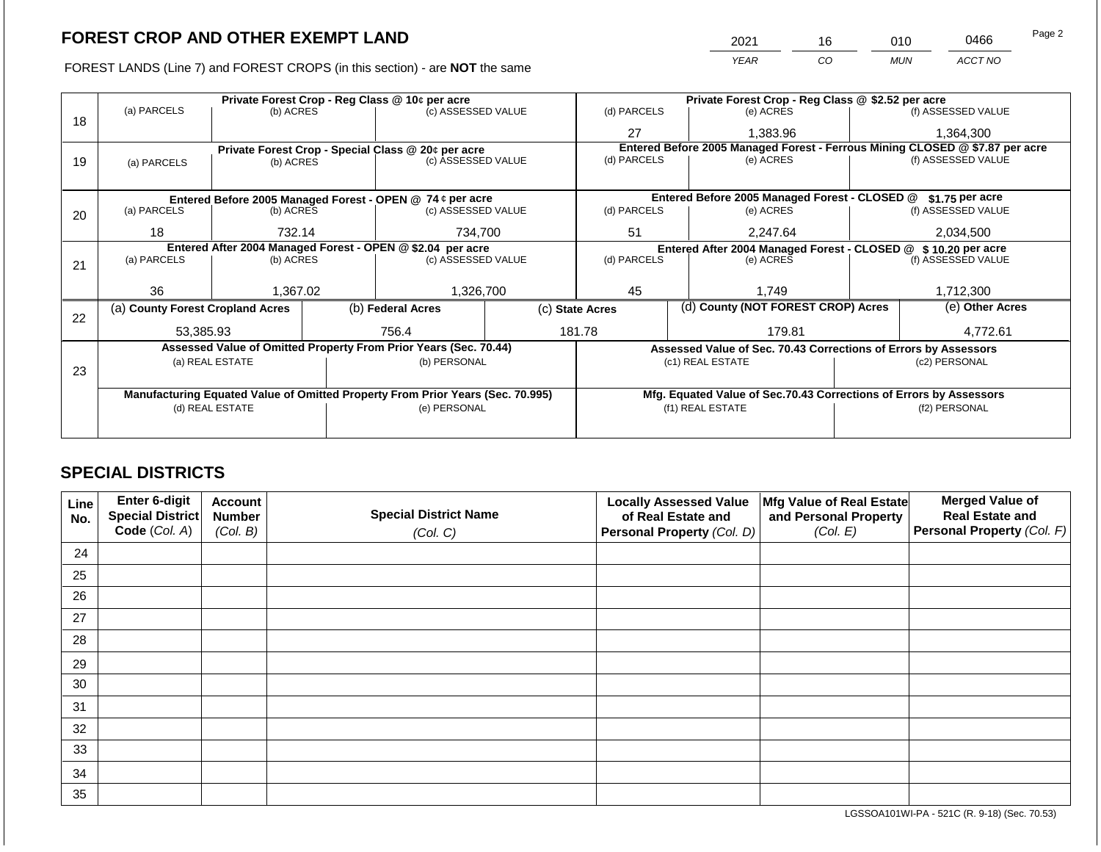FOREST LANDS (Line 7) and FOREST CROPS (in this section) - are NOT the same

| 2021 | 16 | ว10- | 0466    | Page 2 |
|------|----|------|---------|--------|
| YEAR | CO | MUN  | ACCT NO |        |

|    |                                                            |                 |  | Private Forest Crop - Reg Class @ 10¢ per acre                                 |  | Private Forest Crop - Reg Class @ \$2.52 per acre                            |                                                                    |               |                    |  |
|----|------------------------------------------------------------|-----------------|--|--------------------------------------------------------------------------------|--|------------------------------------------------------------------------------|--------------------------------------------------------------------|---------------|--------------------|--|
|    | (a) PARCELS                                                | (b) ACRES       |  | (c) ASSESSED VALUE                                                             |  | (d) PARCELS                                                                  | (e) ACRES                                                          |               | (f) ASSESSED VALUE |  |
| 18 |                                                            |                 |  |                                                                                |  | 27                                                                           | 1,383.96                                                           |               | 1,364,300          |  |
|    | Private Forest Crop - Special Class @ 20¢ per acre         |                 |  |                                                                                |  | Entered Before 2005 Managed Forest - Ferrous Mining CLOSED @ \$7.87 per acre |                                                                    |               |                    |  |
| 19 | (a) PARCELS                                                | (b) ACRES       |  | (c) ASSESSED VALUE                                                             |  | (d) PARCELS<br>(e) ACRES                                                     |                                                                    |               | (f) ASSESSED VALUE |  |
|    |                                                            |                 |  |                                                                                |  |                                                                              |                                                                    |               |                    |  |
|    |                                                            |                 |  | Entered Before 2005 Managed Forest - OPEN @ 74 ¢ per acre                      |  |                                                                              | Entered Before 2005 Managed Forest - CLOSED @                      |               | \$1.75 per acre    |  |
| 20 | (a) PARCELS                                                | (b) ACRES       |  | (c) ASSESSED VALUE                                                             |  | (d) PARCELS                                                                  | (e) ACRES                                                          |               | (f) ASSESSED VALUE |  |
|    |                                                            |                 |  |                                                                                |  |                                                                              |                                                                    |               |                    |  |
|    | 18                                                         | 732.14          |  | 734,700                                                                        |  | 51                                                                           | 2.247.64                                                           |               | 2,034,500          |  |
|    | Entered After 2004 Managed Forest - OPEN @ \$2.04 per acre |                 |  |                                                                                |  | Entered After 2004 Managed Forest - CLOSED @ \$10.20 per acre                |                                                                    |               |                    |  |
| 21 | (a) PARCELS                                                | (b) ACRES       |  | (c) ASSESSED VALUE                                                             |  | (d) PARCELS<br>(e) ACRES                                                     |                                                                    |               | (f) ASSESSED VALUE |  |
|    |                                                            |                 |  |                                                                                |  |                                                                              |                                                                    |               |                    |  |
|    | 36                                                         | 1,367.02        |  | 1,326,700                                                                      |  | 45                                                                           | 1.749                                                              |               | 1,712,300          |  |
| 22 | (a) County Forest Cropland Acres                           |                 |  | (b) Federal Acres                                                              |  | (d) County (NOT FOREST CROP) Acres<br>(c) State Acres                        |                                                                    |               | (e) Other Acres    |  |
|    | 53,385.93                                                  |                 |  | 756.4                                                                          |  | 181.78                                                                       | 179.81                                                             |               | 4,772.61           |  |
|    |                                                            |                 |  | Assessed Value of Omitted Property From Prior Years (Sec. 70.44)               |  |                                                                              | Assessed Value of Sec. 70.43 Corrections of Errors by Assessors    |               |                    |  |
|    |                                                            | (a) REAL ESTATE |  | (b) PERSONAL                                                                   |  |                                                                              | (c1) REAL ESTATE                                                   |               | (c2) PERSONAL      |  |
| 23 |                                                            |                 |  |                                                                                |  |                                                                              |                                                                    |               |                    |  |
|    |                                                            |                 |  |                                                                                |  |                                                                              |                                                                    |               |                    |  |
|    |                                                            |                 |  | Manufacturing Equated Value of Omitted Property From Prior Years (Sec. 70.995) |  |                                                                              | Mfg. Equated Value of Sec.70.43 Corrections of Errors by Assessors |               |                    |  |
|    | (d) REAL ESTATE                                            |                 |  | (e) PERSONAL                                                                   |  | (f1) REAL ESTATE                                                             |                                                                    | (f2) PERSONAL |                    |  |
|    |                                                            |                 |  |                                                                                |  |                                                                              |                                                                    |               |                    |  |
|    |                                                            |                 |  |                                                                                |  |                                                                              |                                                                    |               |                    |  |

# **SPECIAL DISTRICTS**

| <b>Line</b><br>No. | Enter 6-digit<br>Special District | <b>Account</b><br><b>Number</b> | <b>Special District Name</b> | <b>Locally Assessed Value</b><br>of Real Estate and | Mfg Value of Real Estate<br>and Personal Property | <b>Merged Value of</b><br><b>Real Estate and</b> |
|--------------------|-----------------------------------|---------------------------------|------------------------------|-----------------------------------------------------|---------------------------------------------------|--------------------------------------------------|
|                    | Code (Col. A)                     | (Col. B)                        | (Col. C)                     | <b>Personal Property (Col. D)</b>                   | (Col. E)                                          | Personal Property (Col. F)                       |
| 24                 |                                   |                                 |                              |                                                     |                                                   |                                                  |
| 25                 |                                   |                                 |                              |                                                     |                                                   |                                                  |
| 26                 |                                   |                                 |                              |                                                     |                                                   |                                                  |
| 27                 |                                   |                                 |                              |                                                     |                                                   |                                                  |
| 28                 |                                   |                                 |                              |                                                     |                                                   |                                                  |
| 29                 |                                   |                                 |                              |                                                     |                                                   |                                                  |
| 30                 |                                   |                                 |                              |                                                     |                                                   |                                                  |
| 31                 |                                   |                                 |                              |                                                     |                                                   |                                                  |
| 32                 |                                   |                                 |                              |                                                     |                                                   |                                                  |
| 33                 |                                   |                                 |                              |                                                     |                                                   |                                                  |
| 34                 |                                   |                                 |                              |                                                     |                                                   |                                                  |
| 35                 |                                   |                                 |                              |                                                     |                                                   |                                                  |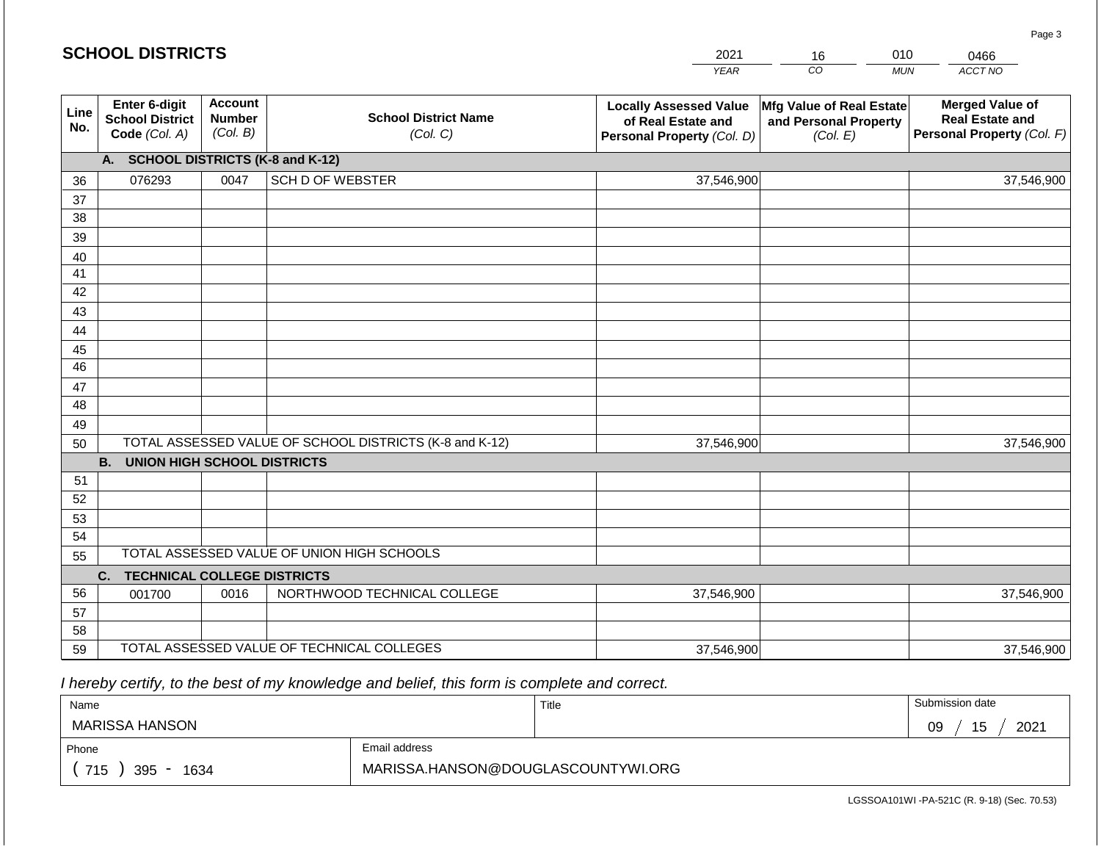| <b>SCHOOL DISTRICTS</b> |                                                               |                                             |                                            | 2021                                                                              | 16                                                            | 010<br>0466                                                                    |
|-------------------------|---------------------------------------------------------------|---------------------------------------------|--------------------------------------------|-----------------------------------------------------------------------------------|---------------------------------------------------------------|--------------------------------------------------------------------------------|
|                         |                                                               |                                             |                                            | <b>YEAR</b>                                                                       | CO                                                            | ACCT NO<br><b>MUN</b>                                                          |
| Line<br>No.             | Enter 6-digit<br><b>School District</b><br>Code (Col. A)      | <b>Account</b><br><b>Number</b><br>(Col. B) | <b>School District Name</b><br>(Col. C)    | <b>Locally Assessed Value</b><br>of Real Estate and<br>Personal Property (Col. D) | Mfg Value of Real Estate<br>and Personal Property<br>(Col. E) | <b>Merged Value of</b><br><b>Real Estate and</b><br>Personal Property (Col. F) |
|                         | A. SCHOOL DISTRICTS (K-8 and K-12)                            |                                             |                                            |                                                                                   |                                                               |                                                                                |
| 36                      | 076293                                                        | 0047                                        | <b>SCH D OF WEBSTER</b>                    | 37,546,900                                                                        |                                                               | 37,546,900                                                                     |
| 37                      |                                                               |                                             |                                            |                                                                                   |                                                               |                                                                                |
| 38                      |                                                               |                                             |                                            |                                                                                   |                                                               |                                                                                |
| 39                      |                                                               |                                             |                                            |                                                                                   |                                                               |                                                                                |
| 40                      |                                                               |                                             |                                            |                                                                                   |                                                               |                                                                                |
| 41<br>42                |                                                               |                                             |                                            |                                                                                   |                                                               |                                                                                |
| 43                      |                                                               |                                             |                                            |                                                                                   |                                                               |                                                                                |
| 44                      |                                                               |                                             |                                            |                                                                                   |                                                               |                                                                                |
| 45                      |                                                               |                                             |                                            |                                                                                   |                                                               |                                                                                |
| 46                      |                                                               |                                             |                                            |                                                                                   |                                                               |                                                                                |
| 47                      |                                                               |                                             |                                            |                                                                                   |                                                               |                                                                                |
| 48                      |                                                               |                                             |                                            |                                                                                   |                                                               |                                                                                |
| 49                      |                                                               |                                             |                                            |                                                                                   |                                                               |                                                                                |
|                         | TOTAL ASSESSED VALUE OF SCHOOL DISTRICTS (K-8 and K-12)<br>50 |                                             |                                            | 37,546,900                                                                        |                                                               | 37,546,900                                                                     |
|                         | <b>B.</b><br><b>UNION HIGH SCHOOL DISTRICTS</b>               |                                             |                                            |                                                                                   |                                                               |                                                                                |
| 51<br>52                |                                                               |                                             |                                            |                                                                                   |                                                               |                                                                                |
| 53                      |                                                               |                                             |                                            |                                                                                   |                                                               |                                                                                |
| 54                      |                                                               |                                             |                                            |                                                                                   |                                                               |                                                                                |
| 55                      |                                                               |                                             | TOTAL ASSESSED VALUE OF UNION HIGH SCHOOLS |                                                                                   |                                                               |                                                                                |
|                         | <b>TECHNICAL COLLEGE DISTRICTS</b><br>C.                      |                                             |                                            |                                                                                   |                                                               |                                                                                |
| 56                      | 001700                                                        | 0016                                        | NORTHWOOD TECHNICAL COLLEGE                | 37,546,900                                                                        |                                                               | 37,546,900                                                                     |
| 57                      |                                                               |                                             |                                            |                                                                                   |                                                               |                                                                                |
| 58                      |                                                               |                                             |                                            |                                                                                   |                                                               |                                                                                |
| 59                      | TOTAL ASSESSED VALUE OF TECHNICAL COLLEGES                    |                                             |                                            | 37,546,900                                                                        |                                                               | 37,546,900                                                                     |

 *I hereby certify, to the best of my knowledge and belief, this form is complete and correct.*

**SCHOOL DISTRICTS**

| Name                   |                                    | Title | Submission date  |
|------------------------|------------------------------------|-------|------------------|
| MARISSA HANSON         |                                    |       | 15<br>2021<br>09 |
| Email address<br>Phone |                                    |       |                  |
| 715<br>395<br>1634     | MARISSA.HANSON@DOUGLASCOUNTYWI.ORG |       |                  |

Page 3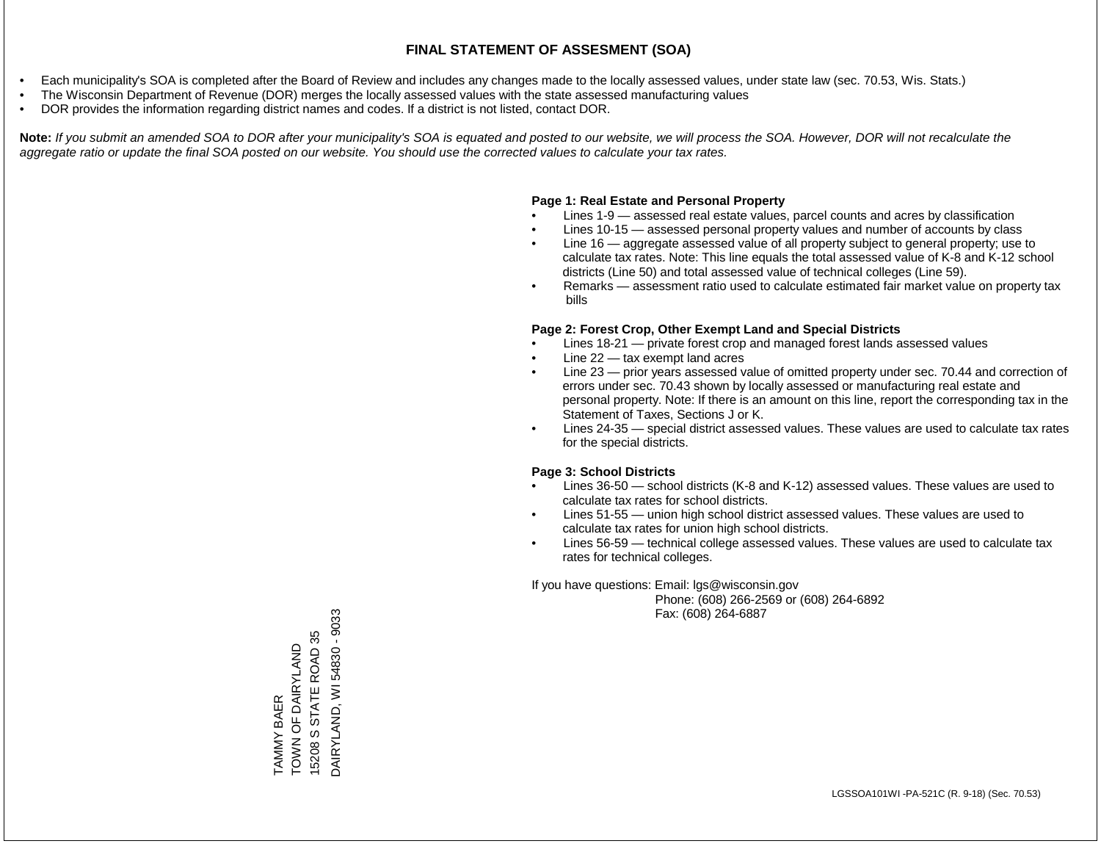- Each municipality's SOA is completed after the Board of Review and includes any changes made to the locally assessed values, under state law (sec. 70.53, Wis. Stats.)
- The Wisconsin Department of Revenue (DOR) merges the locally assessed values with the state assessed manufacturing values
- DOR provides the information regarding district names and codes. If a district is not listed, contact DOR.

Note: If you submit an amended SOA to DOR after your municipality's SOA is equated and posted to our website, we will process the SOA. However, DOR will not recalculate the *aggregate ratio or update the final SOA posted on our website. You should use the corrected values to calculate your tax rates.*

# **Page 1: Real Estate and Personal Property**

- Lines 1-9 assessed real estate values, parcel counts and acres by classification
- Lines 10-15 assessed personal property values and number of accounts by class
- Line 16 aggregate assessed value of all property subject to general property; use to calculate tax rates. Note: This line equals the total assessed value of K-8 and K-12 school districts (Line 50) and total assessed value of technical colleges (Line 59).
- Remarks assessment ratio used to calculate estimated fair market value on property tax bills

# **Page 2: Forest Crop, Other Exempt Land and Special Districts**

- Lines 18-21 private forest crop and managed forest lands assessed values
- Line  $22 -$  tax exempt land acres
- Line 23 prior years assessed value of omitted property under sec. 70.44 and correction of errors under sec. 70.43 shown by locally assessed or manufacturing real estate and personal property. Note: If there is an amount on this line, report the corresponding tax in the Statement of Taxes, Sections J or K.
- Lines 24-35 special district assessed values. These values are used to calculate tax rates for the special districts.

# **Page 3: School Districts**

- Lines 36-50 school districts (K-8 and K-12) assessed values. These values are used to calculate tax rates for school districts.
- Lines 51-55 union high school district assessed values. These values are used to calculate tax rates for union high school districts.
- Lines 56-59 technical college assessed values. These values are used to calculate tax rates for technical colleges.

If you have questions: Email: lgs@wisconsin.gov

 Phone: (608) 266-2569 or (608) 264-6892 Fax: (608) 264-6887

DAIRYLAND, WI 54830 - 9033 DAIRYLAND, WI 54830 - 903315208 S STATE ROAD 35 15208 S STATE ROAD 35 TAMMY BAER<br>TOWN OF DAIRYLAND TOWN OF DAIRYLAND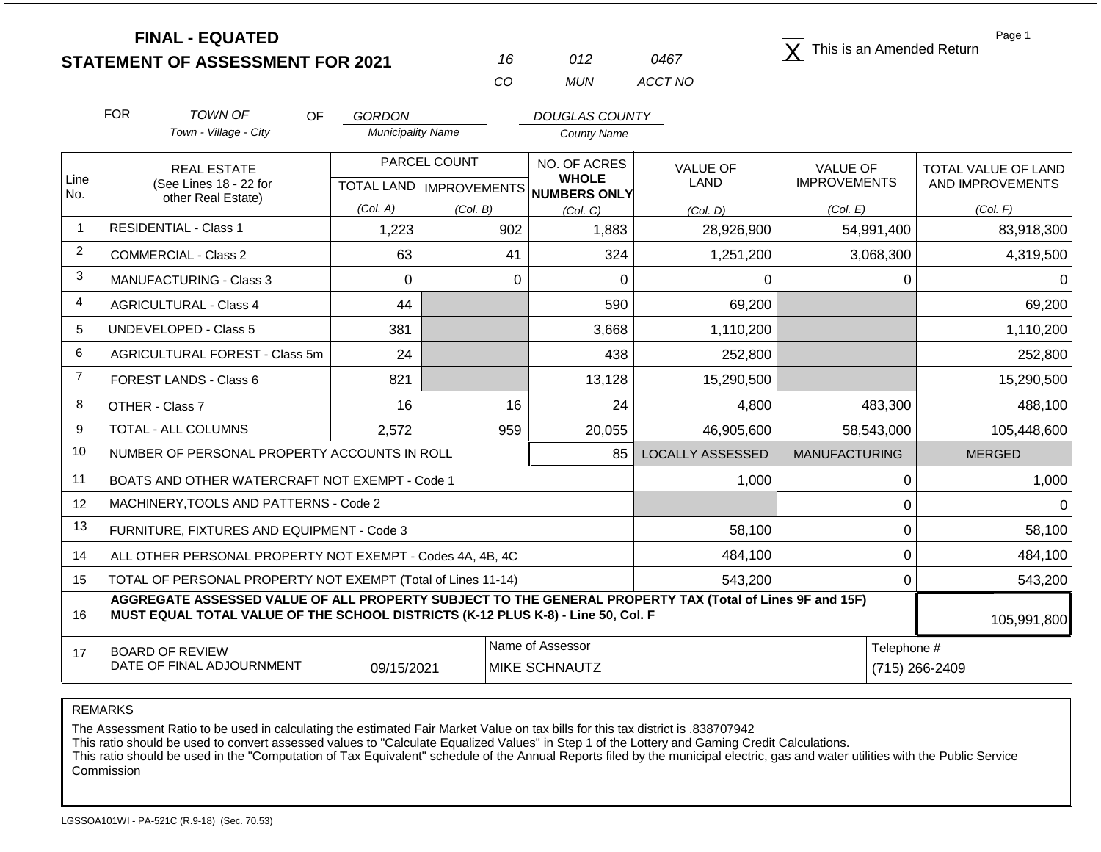| <b>FINAL - EQUATED</b>                  |  |      |                                          |
|-----------------------------------------|--|------|------------------------------------------|
| <b>STATEMENT OF ASSESSMENT FOR 2021</b> |  | 0467 | $ \mathsf{X} $ This is an Amended Return |

| 16. | 012 | 0467    |
|-----|-----|---------|
| CO. | MUN | ACCT NO |

Page 1

|                | <b>FOR</b><br><b>TOWN OF</b>                                                                                                                                                                 | OF<br><b>GORDON</b>      |                                     | <b>DOUGLAS COUNTY</b>        |                         |                      |                     |
|----------------|----------------------------------------------------------------------------------------------------------------------------------------------------------------------------------------------|--------------------------|-------------------------------------|------------------------------|-------------------------|----------------------|---------------------|
|                | Town - Village - City                                                                                                                                                                        | <b>Municipality Name</b> |                                     | <b>County Name</b>           |                         |                      |                     |
| Line           | <b>REAL ESTATE</b>                                                                                                                                                                           |                          | PARCEL COUNT                        | NO. OF ACRES<br><b>WHOLE</b> | <b>VALUE OF</b>         | <b>VALUE OF</b>      | TOTAL VALUE OF LAND |
| No.            | (See Lines 18 - 22 for<br>other Real Estate)                                                                                                                                                 |                          | TOTAL LAND MPROVEMENTS NUMBERS ONLY |                              | <b>LAND</b>             | <b>IMPROVEMENTS</b>  | AND IMPROVEMENTS    |
|                |                                                                                                                                                                                              | (Col. A)                 | (Col. B)                            | (Col, C)                     | (Col. D)                | (Col. E)             | (Col. F)            |
| $\overline{1}$ | <b>RESIDENTIAL - Class 1</b>                                                                                                                                                                 | 1,223                    | 902                                 | 1,883                        | 28,926,900              | 54,991,400           | 83,918,300          |
| 2              | <b>COMMERCIAL - Class 2</b>                                                                                                                                                                  | 63                       | 41                                  | 324                          | 1,251,200               | 3,068,300            | 4,319,500           |
| 3              | <b>MANUFACTURING - Class 3</b>                                                                                                                                                               | $\Omega$                 | $\Omega$                            | 0                            | $\Omega$                | 0                    |                     |
| $\overline{4}$ | <b>AGRICULTURAL - Class 4</b>                                                                                                                                                                | 44                       |                                     | 590                          | 69,200                  |                      | 69,200              |
| 5              | <b>UNDEVELOPED - Class 5</b>                                                                                                                                                                 | 381                      |                                     | 3,668                        | 1,110,200               |                      | 1,110,200           |
| 6              | AGRICULTURAL FOREST - Class 5m                                                                                                                                                               | 24                       |                                     | 438                          | 252,800                 |                      | 252,800             |
| $\overline{7}$ | <b>FOREST LANDS - Class 6</b>                                                                                                                                                                | 821                      |                                     | 13,128                       | 15,290,500              |                      | 15,290,500          |
| 8              | OTHER - Class 7                                                                                                                                                                              | 16                       | 16                                  | 24                           | 4,800                   | 483,300              | 488,100             |
| 9              | TOTAL - ALL COLUMNS                                                                                                                                                                          | 2,572                    | 959                                 | 20,055                       | 46,905,600              | 58,543,000           | 105,448,600         |
| 10             | NUMBER OF PERSONAL PROPERTY ACCOUNTS IN ROLL                                                                                                                                                 |                          |                                     | $85 \mid$                    | <b>LOCALLY ASSESSED</b> | <b>MANUFACTURING</b> | <b>MERGED</b>       |
| 11             | BOATS AND OTHER WATERCRAFT NOT EXEMPT - Code 1                                                                                                                                               |                          |                                     |                              | 1,000                   | 0                    | 1,000               |
| 12             | MACHINERY, TOOLS AND PATTERNS - Code 2                                                                                                                                                       |                          |                                     |                              |                         | 0                    |                     |
| 13             | FURNITURE, FIXTURES AND EQUIPMENT - Code 3                                                                                                                                                   |                          | 58,100                              | 0                            | 58,100                  |                      |                     |
| 14             | ALL OTHER PERSONAL PROPERTY NOT EXEMPT - Codes 4A, 4B, 4C                                                                                                                                    |                          | 484,100                             | 0                            | 484,100                 |                      |                     |
| 15             | TOTAL OF PERSONAL PROPERTY NOT EXEMPT (Total of Lines 11-14)<br>543,200<br>0                                                                                                                 |                          |                                     |                              |                         |                      | 543,200             |
| 16             | AGGREGATE ASSESSED VALUE OF ALL PROPERTY SUBJECT TO THE GENERAL PROPERTY TAX (Total of Lines 9F and 15F)<br>MUST EQUAL TOTAL VALUE OF THE SCHOOL DISTRICTS (K-12 PLUS K-8) - Line 50, Col. F |                          |                                     |                              |                         |                      | 105,991,800         |
| 17             | <b>BOARD OF REVIEW</b>                                                                                                                                                                       |                          |                                     | Name of Assessor             |                         | Telephone #          |                     |
|                | DATE OF FINAL ADJOURNMENT                                                                                                                                                                    | 09/15/2021               |                                     | <b>MIKE SCHNAUTZ</b>         |                         |                      | (715) 266-2409      |

REMARKS

The Assessment Ratio to be used in calculating the estimated Fair Market Value on tax bills for this tax district is .838707942

This ratio should be used to convert assessed values to "Calculate Equalized Values" in Step 1 of the Lottery and Gaming Credit Calculations.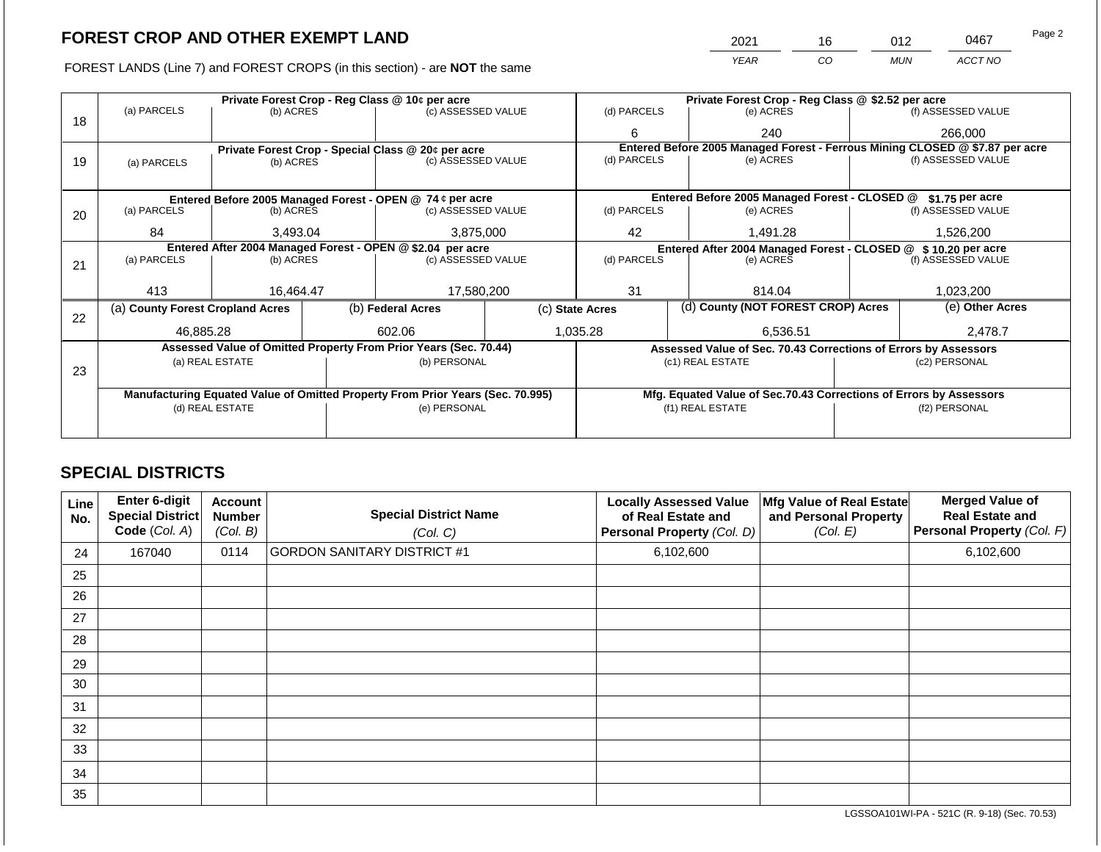FOREST LANDS (Line 7) and FOREST CROPS (in this section) - are NOT the same

| 2021 |
|------|
| YEAR |

|    | Private Forest Crop - Reg Class @ 10¢ per acre                                                    |                 |                                 |                                                                  |             | Private Forest Crop - Reg Class @ \$2.52 per acre                                      |           |                                               |                    |                                                                              |
|----|---------------------------------------------------------------------------------------------------|-----------------|---------------------------------|------------------------------------------------------------------|-------------|----------------------------------------------------------------------------------------|-----------|-----------------------------------------------|--------------------|------------------------------------------------------------------------------|
|    | (a) PARCELS                                                                                       |                 | (c) ASSESSED VALUE<br>(b) ACRES |                                                                  | (d) PARCELS |                                                                                        | (e) ACRES |                                               | (f) ASSESSED VALUE |                                                                              |
| 18 |                                                                                                   |                 |                                 |                                                                  |             | 6                                                                                      |           | 240                                           |                    | 266,000                                                                      |
|    |                                                                                                   |                 |                                 | Private Forest Crop - Special Class @ 20¢ per acre               |             |                                                                                        |           |                                               |                    | Entered Before 2005 Managed Forest - Ferrous Mining CLOSED @ \$7.87 per acre |
| 19 | (a) PARCELS                                                                                       | (b) ACRES       |                                 | (c) ASSESSED VALUE                                               |             | (d) PARCELS                                                                            |           | (e) ACRES                                     |                    | (f) ASSESSED VALUE                                                           |
|    |                                                                                                   |                 |                                 |                                                                  |             |                                                                                        |           |                                               |                    |                                                                              |
|    |                                                                                                   |                 |                                 | Entered Before 2005 Managed Forest - OPEN @ 74 ¢ per acre        |             |                                                                                        |           | Entered Before 2005 Managed Forest - CLOSED @ |                    | \$1.75 per acre                                                              |
| 20 | (a) PARCELS                                                                                       | (b) ACRES       |                                 | (c) ASSESSED VALUE                                               |             | (d) PARCELS                                                                            |           | (e) ACRES                                     |                    | (f) ASSESSED VALUE                                                           |
|    |                                                                                                   |                 |                                 |                                                                  |             |                                                                                        |           |                                               |                    |                                                                              |
|    | 84                                                                                                | 3.493.04        |                                 | 3,875,000                                                        |             | 42                                                                                     |           | 1.491.28                                      |                    | 1,526,200                                                                    |
|    | Entered After 2004 Managed Forest - OPEN @ \$2.04 per acre                                        |                 |                                 |                                                                  |             |                                                                                        |           | Entered After 2004 Managed Forest - CLOSED @  |                    | \$10.20 per acre                                                             |
| 21 | (a) PARCELS                                                                                       | (b) ACRES       |                                 | (c) ASSESSED VALUE                                               |             | (d) PARCELS<br>(e) ACRES                                                               |           | (f) ASSESSED VALUE                            |                    |                                                                              |
|    |                                                                                                   |                 |                                 |                                                                  |             |                                                                                        |           |                                               |                    |                                                                              |
|    | 413                                                                                               | 16,464.47       |                                 | 17,580,200                                                       |             | 31                                                                                     |           | 814.04                                        |                    | 1,023,200                                                                    |
| 22 | (a) County Forest Cropland Acres                                                                  |                 |                                 | (b) Federal Acres                                                |             | (d) County (NOT FOREST CROP) Acres<br>(c) State Acres                                  |           |                                               | (e) Other Acres    |                                                                              |
|    | 46,885.28                                                                                         |                 |                                 | 602.06                                                           |             | 1,035.28<br>6,536.51                                                                   |           |                                               | 2,478.7            |                                                                              |
|    |                                                                                                   |                 |                                 | Assessed Value of Omitted Property From Prior Years (Sec. 70.44) |             | Assessed Value of Sec. 70.43 Corrections of Errors by Assessors                        |           |                                               |                    |                                                                              |
|    |                                                                                                   | (a) REAL ESTATE |                                 | (b) PERSONAL                                                     |             | (c1) REAL ESTATE                                                                       |           |                                               |                    | (c2) PERSONAL                                                                |
| 23 |                                                                                                   |                 |                                 |                                                                  |             |                                                                                        |           |                                               |                    |                                                                              |
|    |                                                                                                   |                 |                                 |                                                                  |             |                                                                                        |           |                                               |                    |                                                                              |
|    |                                                                                                   |                 |                                 |                                                                  |             |                                                                                        |           |                                               |                    |                                                                              |
|    |                                                                                                   |                 |                                 |                                                                  |             |                                                                                        |           |                                               |                    |                                                                              |
|    |                                                                                                   |                 |                                 |                                                                  |             |                                                                                        |           |                                               |                    |                                                                              |
|    | Manufacturing Equated Value of Omitted Property From Prior Years (Sec. 70.995)<br>(d) REAL ESTATE |                 |                                 | (e) PERSONAL                                                     |             | Mfg. Equated Value of Sec.70.43 Corrections of Errors by Assessors<br>(f1) REAL ESTATE |           |                                               | (f2) PERSONAL      |                                                                              |

# **SPECIAL DISTRICTS**

| Line<br>No. | <b>Enter 6-digit</b><br>Special District<br>Code (Col. A) | <b>Account</b><br><b>Number</b><br>(Col. B) | <b>Special District Name</b><br>(Col. C) | <b>Locally Assessed Value</b><br>of Real Estate and<br>Personal Property (Col. D) | Mfg Value of Real Estate<br>and Personal Property<br>(Col. E) | <b>Merged Value of</b><br><b>Real Estate and</b><br>Personal Property (Col. F) |
|-------------|-----------------------------------------------------------|---------------------------------------------|------------------------------------------|-----------------------------------------------------------------------------------|---------------------------------------------------------------|--------------------------------------------------------------------------------|
| 24          | 167040                                                    | 0114                                        | <b>GORDON SANITARY DISTRICT #1</b>       | 6,102,600                                                                         |                                                               | 6,102,600                                                                      |
| 25          |                                                           |                                             |                                          |                                                                                   |                                                               |                                                                                |
| 26          |                                                           |                                             |                                          |                                                                                   |                                                               |                                                                                |
| 27          |                                                           |                                             |                                          |                                                                                   |                                                               |                                                                                |
| 28          |                                                           |                                             |                                          |                                                                                   |                                                               |                                                                                |
| 29          |                                                           |                                             |                                          |                                                                                   |                                                               |                                                                                |
| 30          |                                                           |                                             |                                          |                                                                                   |                                                               |                                                                                |
| 31          |                                                           |                                             |                                          |                                                                                   |                                                               |                                                                                |
| 32          |                                                           |                                             |                                          |                                                                                   |                                                               |                                                                                |
| 33          |                                                           |                                             |                                          |                                                                                   |                                                               |                                                                                |
| 34          |                                                           |                                             |                                          |                                                                                   |                                                               |                                                                                |
| 35          |                                                           |                                             |                                          |                                                                                   |                                                               |                                                                                |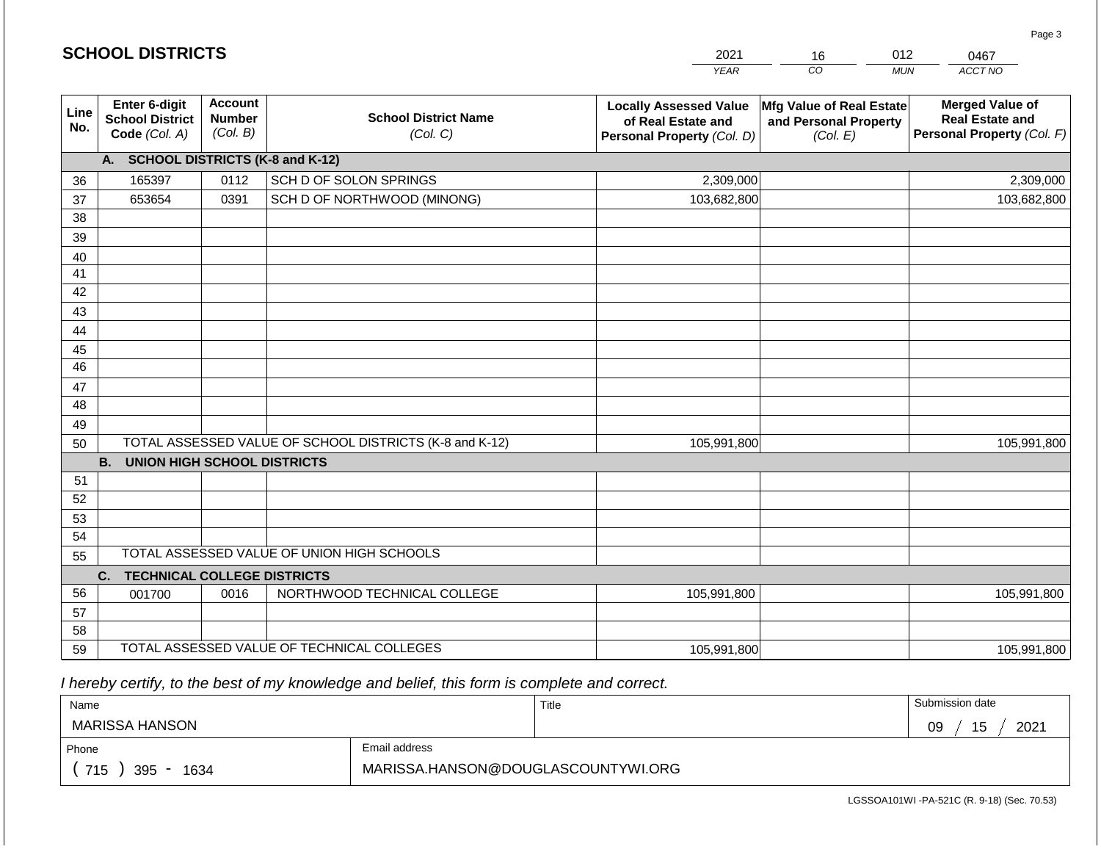| <b>SCHOOL DISTRICTS</b> |                                                          |                                             |                                                         | 2021                                                                              | 16                                                            | 012<br>0467                                                                    |
|-------------------------|----------------------------------------------------------|---------------------------------------------|---------------------------------------------------------|-----------------------------------------------------------------------------------|---------------------------------------------------------------|--------------------------------------------------------------------------------|
|                         |                                                          |                                             |                                                         | <b>YEAR</b>                                                                       | CO                                                            | <b>MUN</b><br>ACCT NO                                                          |
| Line<br>No.             | Enter 6-digit<br><b>School District</b><br>Code (Col. A) | <b>Account</b><br><b>Number</b><br>(Col. B) | <b>School District Name</b><br>(Col. C)                 | <b>Locally Assessed Value</b><br>of Real Estate and<br>Personal Property (Col. D) | Mfg Value of Real Estate<br>and Personal Property<br>(Col. E) | <b>Merged Value of</b><br><b>Real Estate and</b><br>Personal Property (Col. F) |
|                         | A. SCHOOL DISTRICTS (K-8 and K-12)                       |                                             |                                                         |                                                                                   |                                                               |                                                                                |
| 36                      | 165397                                                   | 0112                                        | SCH D OF SOLON SPRINGS                                  | 2,309,000                                                                         |                                                               | 2,309,000                                                                      |
| 37                      | 653654                                                   | 0391                                        | SCH D OF NORTHWOOD (MINONG)                             | 103,682,800                                                                       |                                                               | 103,682,800                                                                    |
| 38                      |                                                          |                                             |                                                         |                                                                                   |                                                               |                                                                                |
| 39                      |                                                          |                                             |                                                         |                                                                                   |                                                               |                                                                                |
| 40<br>41                |                                                          |                                             |                                                         |                                                                                   |                                                               |                                                                                |
| 42                      |                                                          |                                             |                                                         |                                                                                   |                                                               |                                                                                |
| 43                      |                                                          |                                             |                                                         |                                                                                   |                                                               |                                                                                |
| 44                      |                                                          |                                             |                                                         |                                                                                   |                                                               |                                                                                |
| 45                      |                                                          |                                             |                                                         |                                                                                   |                                                               |                                                                                |
| 46                      |                                                          |                                             |                                                         |                                                                                   |                                                               |                                                                                |
| 47                      |                                                          |                                             |                                                         |                                                                                   |                                                               |                                                                                |
| 48                      |                                                          |                                             |                                                         |                                                                                   |                                                               |                                                                                |
| 49<br>50                |                                                          |                                             | TOTAL ASSESSED VALUE OF SCHOOL DISTRICTS (K-8 and K-12) | 105,991,800                                                                       |                                                               | 105,991,800                                                                    |
|                         | <b>B. UNION HIGH SCHOOL DISTRICTS</b>                    |                                             |                                                         |                                                                                   |                                                               |                                                                                |
| 51                      |                                                          |                                             |                                                         |                                                                                   |                                                               |                                                                                |
| 52                      |                                                          |                                             |                                                         |                                                                                   |                                                               |                                                                                |
| 53                      |                                                          |                                             |                                                         |                                                                                   |                                                               |                                                                                |
| 54                      |                                                          |                                             |                                                         |                                                                                   |                                                               |                                                                                |
| 55                      |                                                          |                                             | TOTAL ASSESSED VALUE OF UNION HIGH SCHOOLS              |                                                                                   |                                                               |                                                                                |
|                         | C.<br><b>TECHNICAL COLLEGE DISTRICTS</b>                 |                                             |                                                         |                                                                                   |                                                               |                                                                                |
| 56                      | 001700                                                   | 0016                                        | NORTHWOOD TECHNICAL COLLEGE                             | 105,991,800                                                                       |                                                               | 105,991,800                                                                    |
| 57<br>58                |                                                          |                                             |                                                         |                                                                                   |                                                               |                                                                                |
| 59                      |                                                          |                                             | TOTAL ASSESSED VALUE OF TECHNICAL COLLEGES              | 105,991,800                                                                       |                                                               | 105,991,800                                                                    |

 *I hereby certify, to the best of my knowledge and belief, this form is complete and correct.*

| Name                   |                                    | Title | Submission date  |
|------------------------|------------------------------------|-------|------------------|
| MARISSA HANSON         |                                    |       | 15<br>2021<br>09 |
| Email address<br>Phone |                                    |       |                  |
| 715<br>395<br>1634     | MARISSA.HANSON@DOUGLASCOUNTYWI.ORG |       |                  |

Page 3

| <b>SCHOOL DISTRICTS</b> |  |
|-------------------------|--|
|-------------------------|--|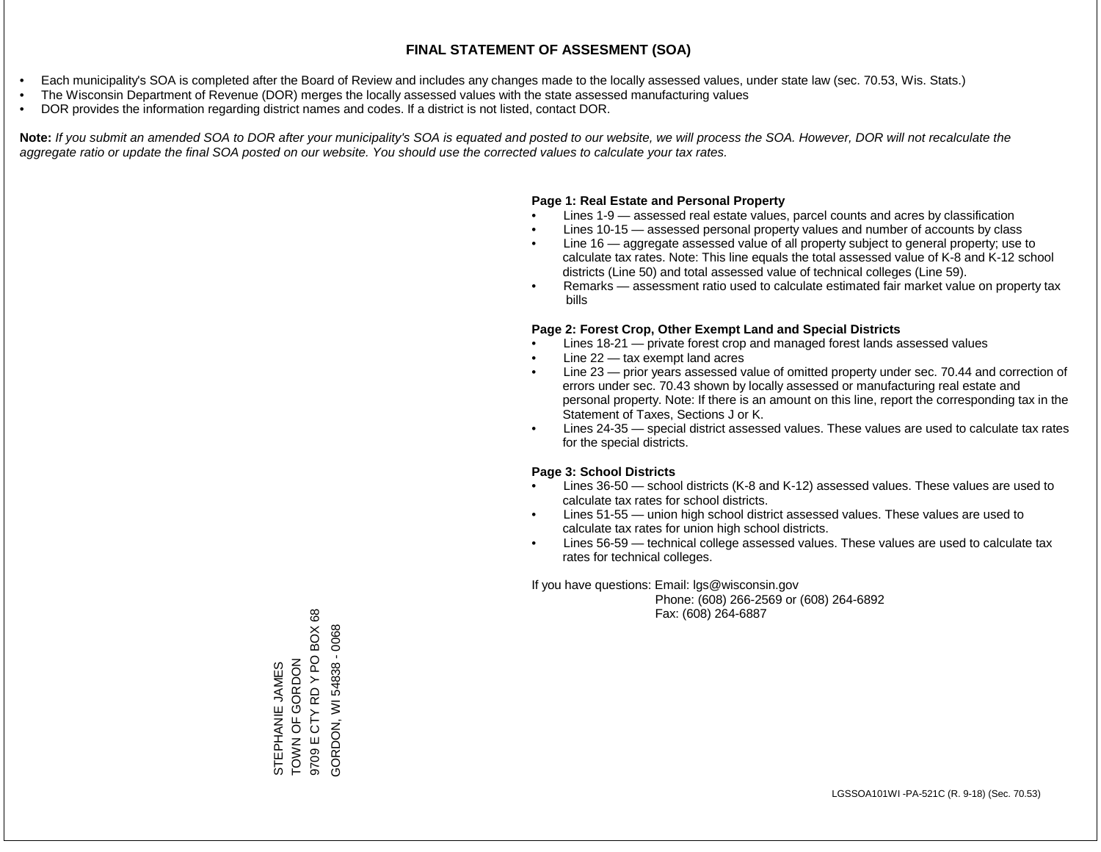- Each municipality's SOA is completed after the Board of Review and includes any changes made to the locally assessed values, under state law (sec. 70.53, Wis. Stats.)
- The Wisconsin Department of Revenue (DOR) merges the locally assessed values with the state assessed manufacturing values
- DOR provides the information regarding district names and codes. If a district is not listed, contact DOR.

Note: If you submit an amended SOA to DOR after your municipality's SOA is equated and posted to our website, we will process the SOA. However, DOR will not recalculate the *aggregate ratio or update the final SOA posted on our website. You should use the corrected values to calculate your tax rates.*

#### **Page 1: Real Estate and Personal Property**

- Lines 1-9 assessed real estate values, parcel counts and acres by classification
- Lines 10-15 assessed personal property values and number of accounts by class
- Line 16 aggregate assessed value of all property subject to general property; use to calculate tax rates. Note: This line equals the total assessed value of K-8 and K-12 school districts (Line 50) and total assessed value of technical colleges (Line 59).
- Remarks assessment ratio used to calculate estimated fair market value on property tax bills

#### **Page 2: Forest Crop, Other Exempt Land and Special Districts**

- Lines 18-21 private forest crop and managed forest lands assessed values
- Line  $22 -$  tax exempt land acres
- Line 23 prior years assessed value of omitted property under sec. 70.44 and correction of errors under sec. 70.43 shown by locally assessed or manufacturing real estate and personal property. Note: If there is an amount on this line, report the corresponding tax in the Statement of Taxes, Sections J or K.
- Lines 24-35 special district assessed values. These values are used to calculate tax rates for the special districts.

#### **Page 3: School Districts**

- Lines 36-50 school districts (K-8 and K-12) assessed values. These values are used to calculate tax rates for school districts.
- Lines 51-55 union high school district assessed values. These values are used to calculate tax rates for union high school districts.
- Lines 56-59 technical college assessed values. These values are used to calculate tax rates for technical colleges.

If you have questions: Email: lgs@wisconsin.gov

 Phone: (608) 266-2569 or (608) 264-6892 Fax: (608) 264-6887

**BOX68** 9709 E CTY RD Y PO BOX 68 0068 GORDON, WI 54838 - 0068CTY RD Y PO GORDON, WI 54838 -TOWN OF GORDON<br>9709 E CTY RD Y PO **NON OF GORDON** STEPHANIE JAMES STEPHANIE JAMES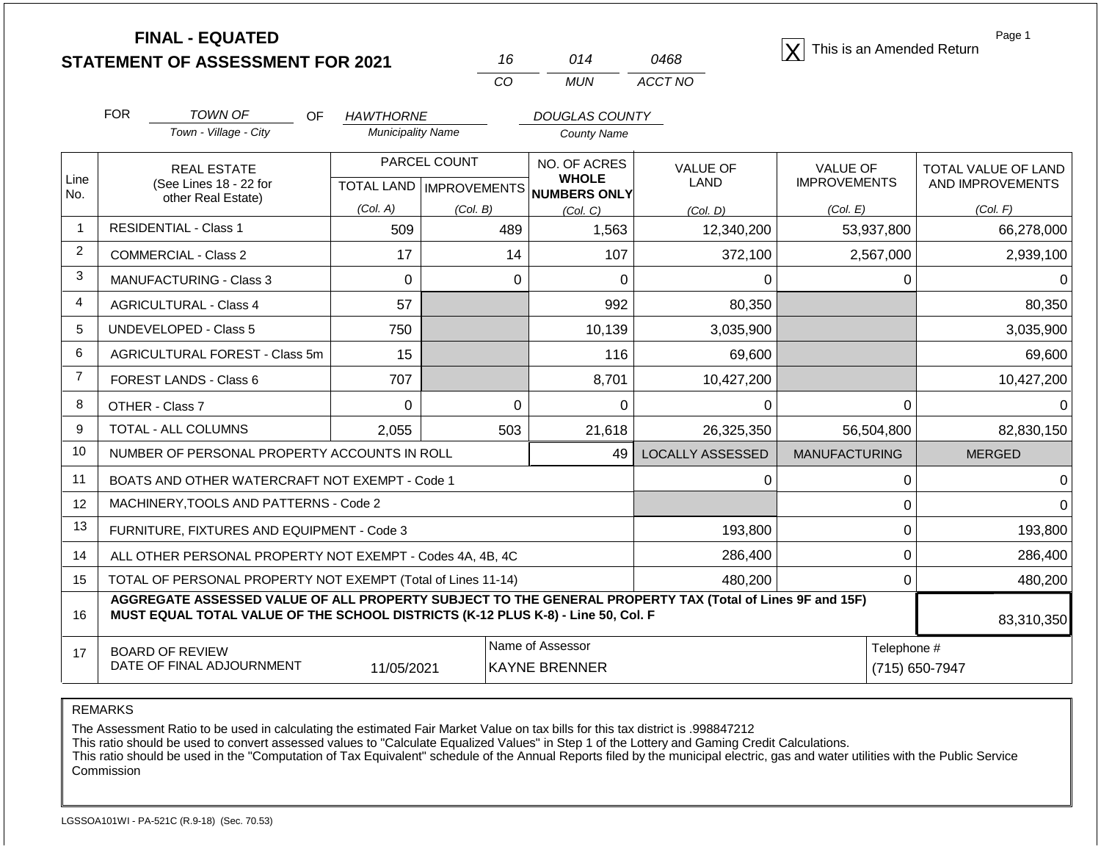| <b>STATEMENT OF ASSESSMENT FOR 2021</b> |  |
|-----------------------------------------|--|
|                                         |  |

|     | 014 | 0468    |
|-----|-----|---------|
| CO. | MUN | ACCT NO |

**FINAL - EQUATED**<br>  $\overline{X}$  This is an Amended Return

Page 1

|                | <b>FOR</b>                                                   | TOWN OF<br><b>OF</b><br>Town - Village - City                                                                                                                                                | <b>HAWTHORNE</b><br><b>Municipality Name</b> |                                           | <b>DOUGLAS COUNTY</b><br>County Name     |                                |                                 |                                         |
|----------------|--------------------------------------------------------------|----------------------------------------------------------------------------------------------------------------------------------------------------------------------------------------------|----------------------------------------------|-------------------------------------------|------------------------------------------|--------------------------------|---------------------------------|-----------------------------------------|
| Line           |                                                              | <b>REAL ESTATE</b><br>(See Lines 18 - 22 for                                                                                                                                                 |                                              | PARCEL COUNT<br>TOTAL LAND   IMPROVEMENTS | NO. OF ACRES<br><b>WHOLE</b>             | <b>VALUE OF</b><br><b>LAND</b> | VALUE OF<br><b>IMPROVEMENTS</b> | TOTAL VALUE OF LAND<br>AND IMPROVEMENTS |
| No.            |                                                              | other Real Estate)                                                                                                                                                                           | (Col. A)                                     | (Col. B)                                  | NUMBERS ONLY<br>(Col. C)                 | (Col. D)                       | (Col. E)                        | (Col. F)                                |
| $\mathbf 1$    |                                                              | <b>RESIDENTIAL - Class 1</b>                                                                                                                                                                 | 509                                          | 489                                       | 1,563                                    | 12,340,200                     | 53,937,800                      | 66,278,000                              |
| 2              |                                                              | <b>COMMERCIAL - Class 2</b>                                                                                                                                                                  | 17                                           | 14                                        | 107                                      | 372,100                        | 2,567,000                       | 2,939,100                               |
| 3              |                                                              | <b>MANUFACTURING - Class 3</b>                                                                                                                                                               | 0                                            | 0                                         | $\Omega$                                 | $\Omega$                       | 0                               |                                         |
| 4              |                                                              | <b>AGRICULTURAL - Class 4</b>                                                                                                                                                                | 57                                           |                                           | 992                                      | 80,350                         |                                 | 80,350                                  |
| 5              |                                                              | <b>UNDEVELOPED - Class 5</b>                                                                                                                                                                 | 750                                          |                                           | 10,139                                   | 3,035,900                      |                                 | 3,035,900                               |
| 6              |                                                              | AGRICULTURAL FOREST - Class 5m                                                                                                                                                               | 15                                           |                                           | 116                                      | 69,600                         |                                 | 69,600                                  |
| $\overline{7}$ |                                                              | FOREST LANDS - Class 6                                                                                                                                                                       | 707                                          |                                           | 8,701                                    | 10,427,200                     |                                 | 10,427,200                              |
| 8              |                                                              | OTHER - Class 7                                                                                                                                                                              | $\Omega$                                     | $\Omega$                                  | $\Omega$                                 | 0                              | $\Omega$                        |                                         |
| 9              |                                                              | TOTAL - ALL COLUMNS                                                                                                                                                                          | 2,055                                        | 503                                       | 21,618                                   | 26,325,350                     | 56,504,800                      | 82,830,150                              |
| 10             |                                                              | NUMBER OF PERSONAL PROPERTY ACCOUNTS IN ROLL                                                                                                                                                 |                                              |                                           | 49                                       | <b>LOCALLY ASSESSED</b>        | <b>MANUFACTURING</b>            | <b>MERGED</b>                           |
| 11             |                                                              | BOATS AND OTHER WATERCRAFT NOT EXEMPT - Code 1                                                                                                                                               |                                              |                                           |                                          | 0                              | $\Omega$                        |                                         |
| 12             |                                                              | MACHINERY, TOOLS AND PATTERNS - Code 2                                                                                                                                                       |                                              |                                           |                                          |                                | 0                               |                                         |
| 13             |                                                              | FURNITURE, FIXTURES AND EQUIPMENT - Code 3                                                                                                                                                   |                                              |                                           |                                          | 193,800                        | $\Omega$                        | 193,800                                 |
| 14             |                                                              | ALL OTHER PERSONAL PROPERTY NOT EXEMPT - Codes 4A, 4B, 4C                                                                                                                                    |                                              |                                           |                                          | 286,400                        | $\Omega$                        | 286,400                                 |
| 15             | TOTAL OF PERSONAL PROPERTY NOT EXEMPT (Total of Lines 11-14) |                                                                                                                                                                                              |                                              |                                           | 480,200                                  | 0                              | 480,200                         |                                         |
| 16             |                                                              | AGGREGATE ASSESSED VALUE OF ALL PROPERTY SUBJECT TO THE GENERAL PROPERTY TAX (Total of Lines 9F and 15F)<br>MUST EQUAL TOTAL VALUE OF THE SCHOOL DISTRICTS (K-12 PLUS K-8) - Line 50, Col. F |                                              |                                           |                                          |                                |                                 | 83,310,350                              |
| 17             |                                                              | <b>BOARD OF REVIEW</b><br>DATE OF FINAL ADJOURNMENT                                                                                                                                          | 11/05/2021                                   |                                           | Name of Assessor<br><b>KAYNE BRENNER</b> |                                | Telephone #                     | (715) 650-7947                          |

REMARKS

The Assessment Ratio to be used in calculating the estimated Fair Market Value on tax bills for this tax district is .998847212

This ratio should be used to convert assessed values to "Calculate Equalized Values" in Step 1 of the Lottery and Gaming Credit Calculations.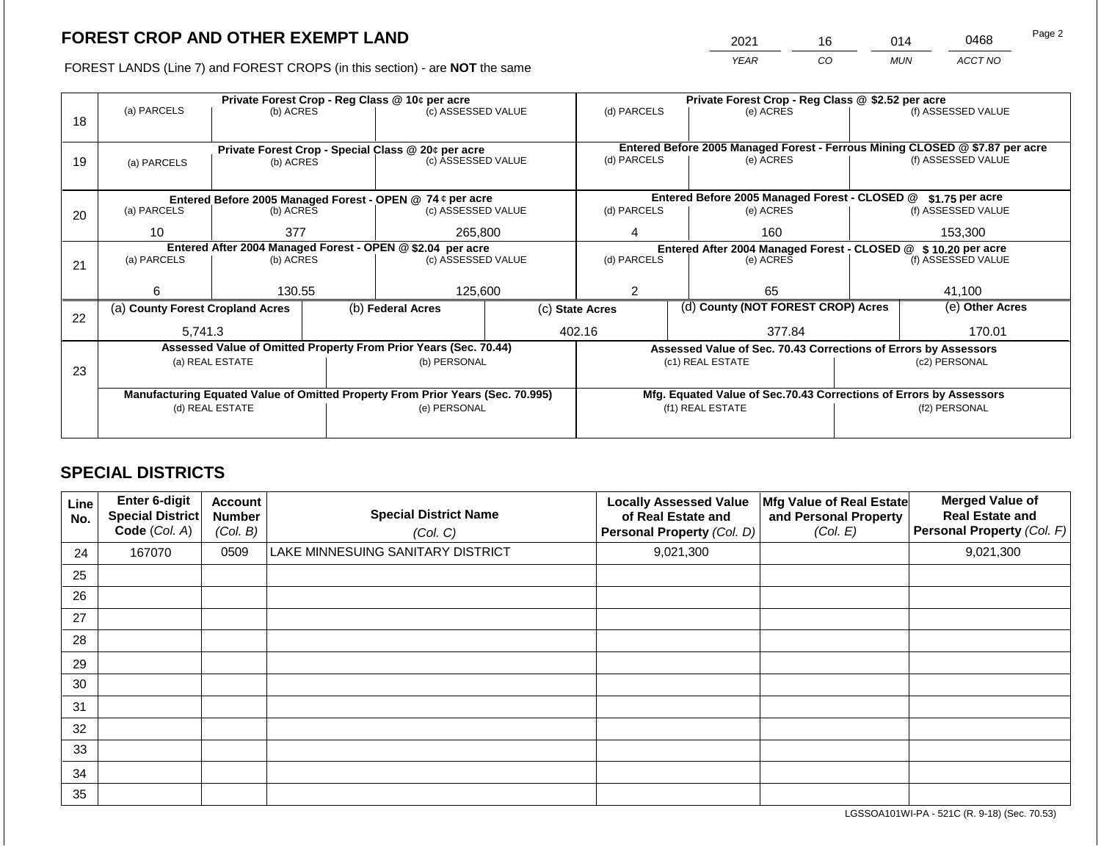2021 16 014 0468

FOREST LANDS (Line 7) and FOREST CROPS (in this section) - are **NOT** the same *YEAR CO MUN ACCT NO*

|    | Private Forest Crop - Reg Class @ 10¢ per acre                                                    |                 |              |                                                                  |         | Private Forest Crop - Reg Class @ \$2.52 per acre             |                                                                              |                                                                    |                    |                    |
|----|---------------------------------------------------------------------------------------------------|-----------------|--------------|------------------------------------------------------------------|---------|---------------------------------------------------------------|------------------------------------------------------------------------------|--------------------------------------------------------------------|--------------------|--------------------|
|    | (a) PARCELS                                                                                       | (b) ACRES       |              | (c) ASSESSED VALUE                                               |         | (d) PARCELS                                                   |                                                                              | (e) ACRES                                                          |                    | (f) ASSESSED VALUE |
| 18 |                                                                                                   |                 |              |                                                                  |         |                                                               |                                                                              |                                                                    |                    |                    |
|    |                                                                                                   |                 |              |                                                                  |         |                                                               | Entered Before 2005 Managed Forest - Ferrous Mining CLOSED @ \$7.87 per acre |                                                                    |                    |                    |
|    |                                                                                                   |                 |              | Private Forest Crop - Special Class @ 20¢ per acre               |         | (d) PARCELS                                                   |                                                                              | (e) ACRES                                                          |                    | (f) ASSESSED VALUE |
| 19 | (a) PARCELS                                                                                       | (b) ACRES       |              | (c) ASSESSED VALUE                                               |         |                                                               |                                                                              |                                                                    |                    |                    |
|    |                                                                                                   |                 |              |                                                                  |         |                                                               |                                                                              |                                                                    |                    |                    |
|    |                                                                                                   |                 |              | Entered Before 2005 Managed Forest - OPEN @ 74 ¢ per acre        |         |                                                               |                                                                              | Entered Before 2005 Managed Forest - CLOSED @                      |                    | \$1.75 per acre    |
| 20 | (a) PARCELS                                                                                       | (b) ACRES       |              | (c) ASSESSED VALUE                                               |         | (d) PARCELS                                                   |                                                                              | (e) ACRES                                                          |                    | (f) ASSESSED VALUE |
|    |                                                                                                   |                 |              |                                                                  |         |                                                               |                                                                              |                                                                    |                    |                    |
|    | 10                                                                                                | 377             |              | 265,800                                                          |         |                                                               |                                                                              | 160                                                                |                    | 153,300            |
|    |                                                                                                   |                 |              | Entered After 2004 Managed Forest - OPEN @ \$2.04 per acre       |         | Entered After 2004 Managed Forest - CLOSED @ \$10.20 per acre |                                                                              |                                                                    |                    |                    |
| 21 | (a) PARCELS                                                                                       | (b) ACRES       |              | (c) ASSESSED VALUE                                               |         | (d) PARCELS<br>(e) ACRES                                      |                                                                              |                                                                    | (f) ASSESSED VALUE |                    |
|    |                                                                                                   |                 |              |                                                                  |         |                                                               |                                                                              |                                                                    |                    |                    |
|    | 6                                                                                                 | 130.55          |              |                                                                  | 125,600 |                                                               |                                                                              | 65                                                                 |                    | 41,100             |
|    | (a) County Forest Cropland Acres                                                                  |                 |              | (b) Federal Acres                                                |         | (c) State Acres                                               |                                                                              | (d) County (NOT FOREST CROP) Acres                                 |                    | (e) Other Acres    |
| 22 |                                                                                                   |                 |              |                                                                  |         |                                                               |                                                                              |                                                                    |                    |                    |
|    | 5,741.3                                                                                           |                 |              |                                                                  |         | 402.16                                                        |                                                                              | 377.84                                                             |                    | 170.01             |
|    |                                                                                                   |                 |              | Assessed Value of Omitted Property From Prior Years (Sec. 70.44) |         |                                                               |                                                                              | Assessed Value of Sec. 70.43 Corrections of Errors by Assessors    |                    |                    |
|    |                                                                                                   | (a) REAL ESTATE |              | (b) PERSONAL                                                     |         |                                                               |                                                                              | (c1) REAL ESTATE                                                   |                    | (c2) PERSONAL      |
| 23 |                                                                                                   |                 |              |                                                                  |         |                                                               |                                                                              |                                                                    |                    |                    |
|    |                                                                                                   |                 |              |                                                                  |         |                                                               |                                                                              | Mfg. Equated Value of Sec.70.43 Corrections of Errors by Assessors |                    |                    |
|    | Manufacturing Equated Value of Omitted Property From Prior Years (Sec. 70.995)<br>(d) REAL ESTATE |                 | (e) PERSONAL |                                                                  |         |                                                               | (f1) REAL ESTATE                                                             | (f2) PERSONAL                                                      |                    |                    |
|    |                                                                                                   |                 |              |                                                                  |         |                                                               |                                                                              |                                                                    |                    |                    |
|    |                                                                                                   |                 |              |                                                                  |         |                                                               |                                                                              |                                                                    |                    |                    |

# **SPECIAL DISTRICTS**

| Line<br>No. | <b>Enter 6-digit</b><br>Special District<br>Code (Col. A) | <b>Account</b><br><b>Number</b><br>(Col. B) | <b>Special District Name</b><br>(Col. C) | <b>Locally Assessed Value</b><br>of Real Estate and<br>Personal Property (Col. D) | Mfg Value of Real Estate<br>and Personal Property<br>(Col. E) | <b>Merged Value of</b><br><b>Real Estate and</b><br>Personal Property (Col. F) |
|-------------|-----------------------------------------------------------|---------------------------------------------|------------------------------------------|-----------------------------------------------------------------------------------|---------------------------------------------------------------|--------------------------------------------------------------------------------|
| 24          | 167070                                                    | 0509                                        | LAKE MINNESUING SANITARY DISTRICT        | 9,021,300                                                                         |                                                               | 9,021,300                                                                      |
| 25          |                                                           |                                             |                                          |                                                                                   |                                                               |                                                                                |
| 26          |                                                           |                                             |                                          |                                                                                   |                                                               |                                                                                |
| 27          |                                                           |                                             |                                          |                                                                                   |                                                               |                                                                                |
| 28          |                                                           |                                             |                                          |                                                                                   |                                                               |                                                                                |
| 29          |                                                           |                                             |                                          |                                                                                   |                                                               |                                                                                |
| 30          |                                                           |                                             |                                          |                                                                                   |                                                               |                                                                                |
| 31          |                                                           |                                             |                                          |                                                                                   |                                                               |                                                                                |
| 32          |                                                           |                                             |                                          |                                                                                   |                                                               |                                                                                |
| 33          |                                                           |                                             |                                          |                                                                                   |                                                               |                                                                                |
| 34          |                                                           |                                             |                                          |                                                                                   |                                                               |                                                                                |
| 35          |                                                           |                                             |                                          |                                                                                   |                                                               |                                                                                |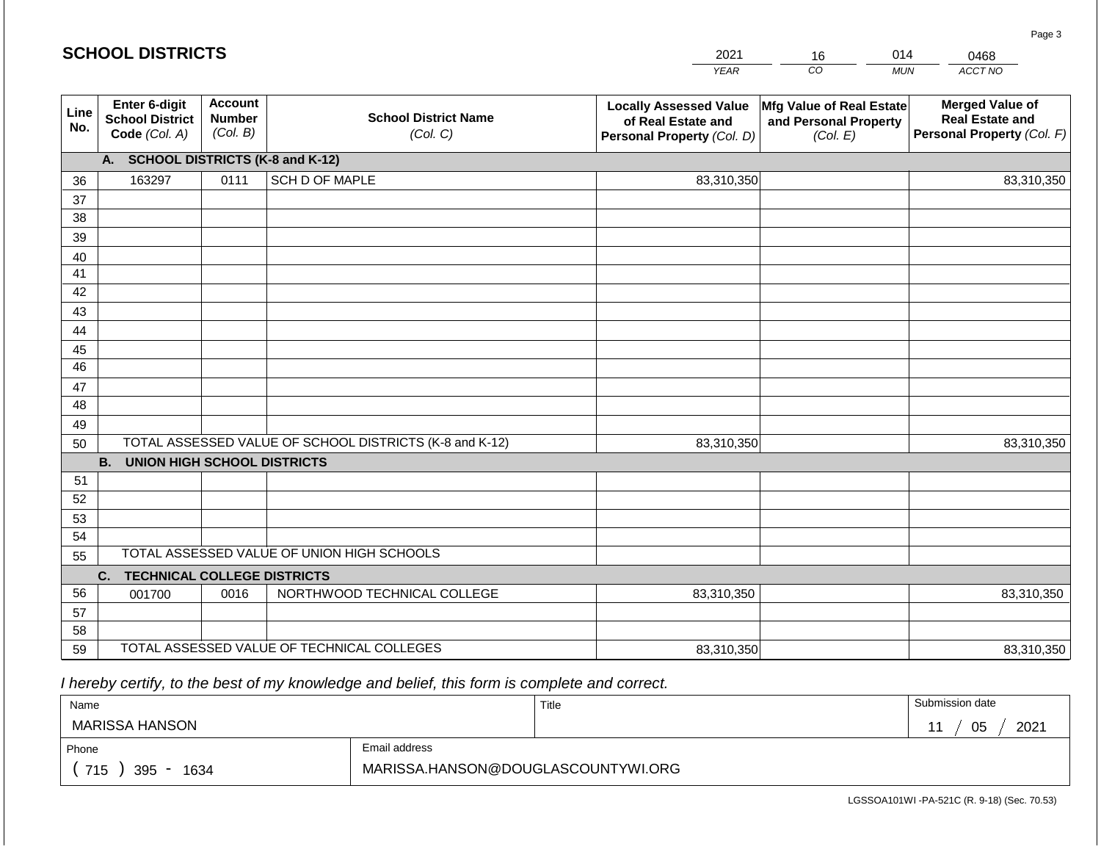#### *YEAR*  2021  $\overline{co}$ 16 *MUN*  014 *ACCT NO*  0468 **Line No. Enter 6-digit School District Code** *(Col. A)* **Account Number** *(Col. B)* **School District Name** *(Col. C)* **Locally Assessed Value of Real Estate and Personal Property** *(Col. D)* **Mfg Value of Real Estate and Personal Property** *(Col. E)* **Merged Value of Real Estate and Personal Property** *(Col. F)* **A. SCHOOL DISTRICTS (K-8 and K-12)** 36 37 38 39 40 41 42 43 44 45 46 47 48 49 50 TOTAL ASSESSED VALUE OF SCHOOL DISTRICTS (K-8 and K-12) **B. UNION HIGH SCHOOL DISTRICTS** 51 52 53 54 55 **C. TECHNICAL COLLEGE DISTRICTS** 56 57 58 59 TOTAL ASSESSED VALUE OF TECHNICAL COLLEGES TOTAL ASSESSED VALUE OF UNION HIGH SCHOOLS 163297 0111 SCH D OF MAPLE 83,310,350 83,310,350 001700 | 0016 | NORTHWOOD TECHNICAL COLLEGE 83,310,350 83,310,350 83,310,350 83,310,350 83,310,350 83,310,350

 *I hereby certify, to the best of my knowledge and belief, this form is complete and correct.*

**SCHOOL DISTRICTS**

| Name               |                                    | Title | Submission date |
|--------------------|------------------------------------|-------|-----------------|
| MARISSA HANSON     |                                    |       | 05<br>2021      |
| Phone              | Email address                      |       |                 |
| 715<br>395<br>1634 | MARISSA.HANSON@DOUGLASCOUNTYWI.ORG |       |                 |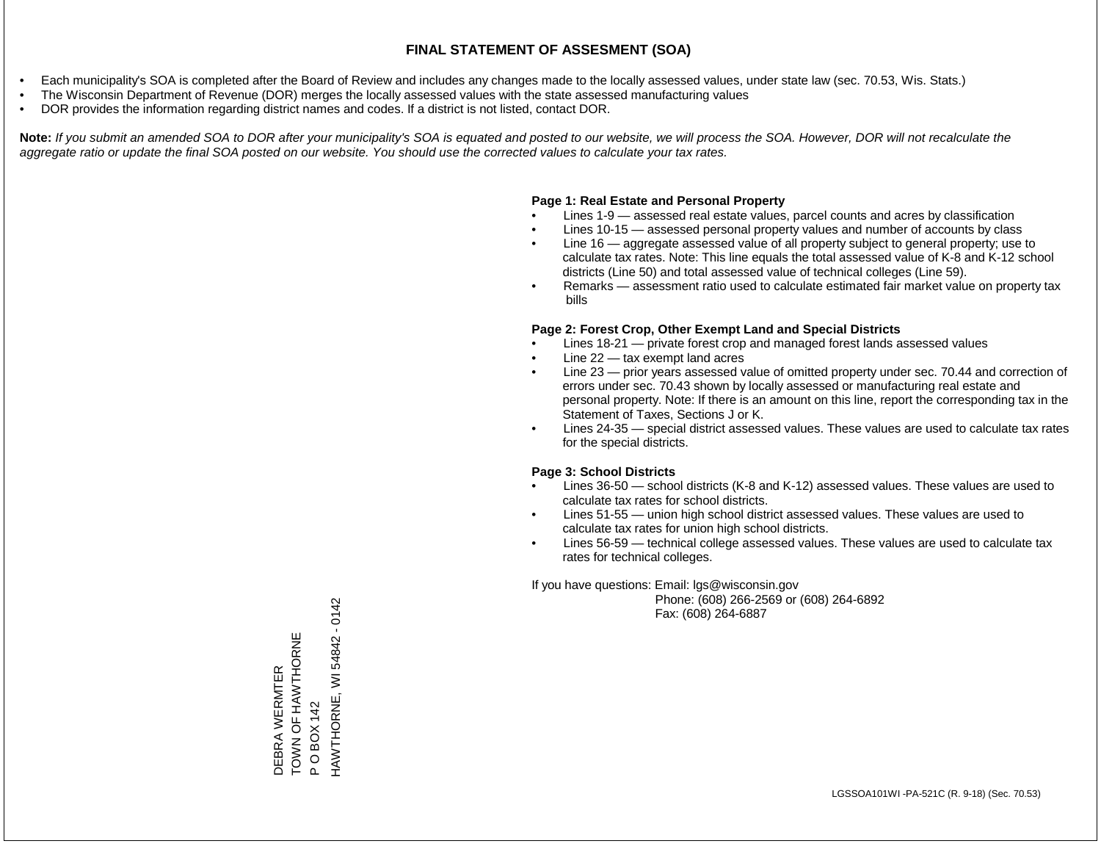- Each municipality's SOA is completed after the Board of Review and includes any changes made to the locally assessed values, under state law (sec. 70.53, Wis. Stats.)
- The Wisconsin Department of Revenue (DOR) merges the locally assessed values with the state assessed manufacturing values
- DOR provides the information regarding district names and codes. If a district is not listed, contact DOR.

Note: If you submit an amended SOA to DOR after your municipality's SOA is equated and posted to our website, we will process the SOA. However, DOR will not recalculate the *aggregate ratio or update the final SOA posted on our website. You should use the corrected values to calculate your tax rates.*

#### **Page 1: Real Estate and Personal Property**

- Lines 1-9 assessed real estate values, parcel counts and acres by classification
- Lines 10-15 assessed personal property values and number of accounts by class
- Line 16 aggregate assessed value of all property subject to general property; use to calculate tax rates. Note: This line equals the total assessed value of K-8 and K-12 school districts (Line 50) and total assessed value of technical colleges (Line 59).
- Remarks assessment ratio used to calculate estimated fair market value on property tax bills

#### **Page 2: Forest Crop, Other Exempt Land and Special Districts**

- Lines 18-21 private forest crop and managed forest lands assessed values
- Line  $22 -$  tax exempt land acres
- Line 23 prior years assessed value of omitted property under sec. 70.44 and correction of errors under sec. 70.43 shown by locally assessed or manufacturing real estate and personal property. Note: If there is an amount on this line, report the corresponding tax in the Statement of Taxes, Sections J or K.
- Lines 24-35 special district assessed values. These values are used to calculate tax rates for the special districts.

#### **Page 3: School Districts**

- Lines 36-50 school districts (K-8 and K-12) assessed values. These values are used to calculate tax rates for school districts.
- Lines 51-55 union high school district assessed values. These values are used to calculate tax rates for union high school districts.
- Lines 56-59 technical college assessed values. These values are used to calculate tax rates for technical colleges.

If you have questions: Email: lgs@wisconsin.gov

 Phone: (608) 266-2569 or (608) 264-6892 Fax: (608) 264-6887

WI 54842 - 0142 HAWTHORNE, WI 54842 - 0142DEBRA WERMTER<br>TOWN OF HAWTHORNE<br>P O BOX 142<br>HAWTHORNE, WI 54842 - ( TO AN OF HAW A HAMPLE DEBRA WERMTER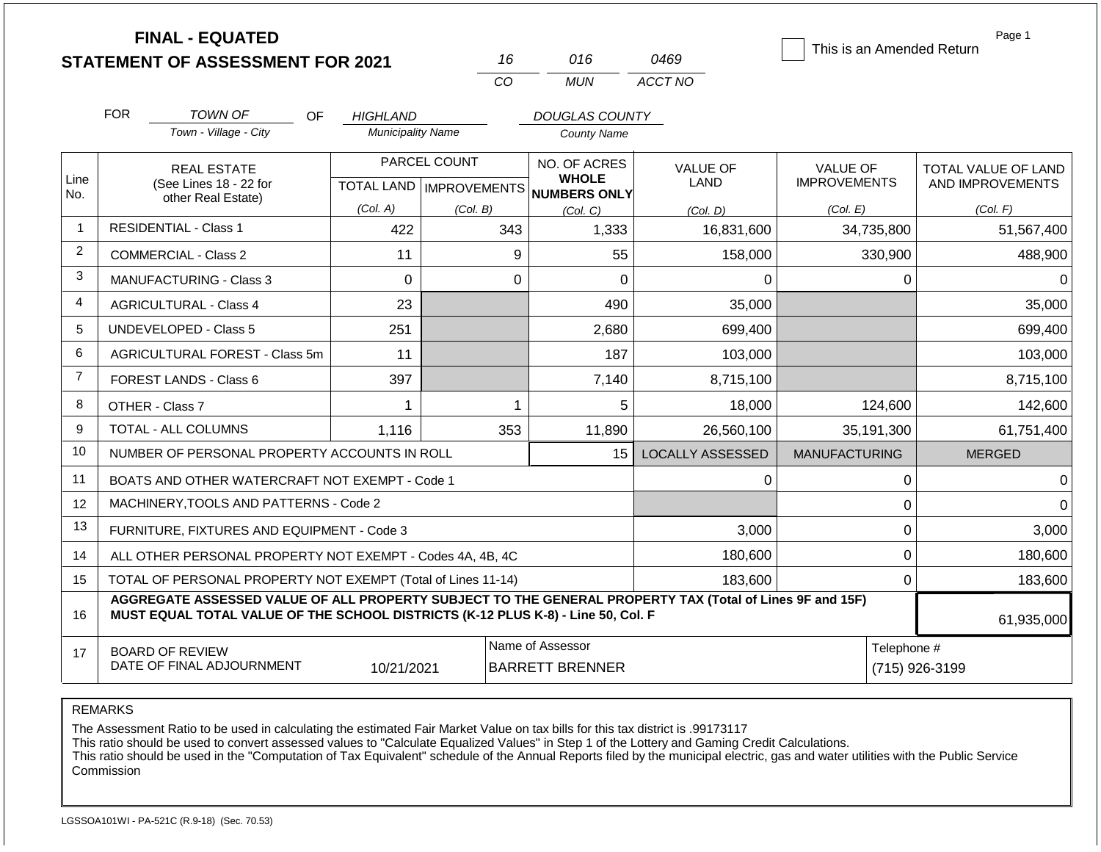|                |                                                                                                                                                                                              | <b>FINAL - EQUATED</b><br><b>STATEMENT OF ASSESSMENT FOR 2021</b> |                           |              | 16          | 016                                                 | 0469                    | This is an Amended Return              | Page 1                                         |
|----------------|----------------------------------------------------------------------------------------------------------------------------------------------------------------------------------------------|-------------------------------------------------------------------|---------------------------|--------------|-------------|-----------------------------------------------------|-------------------------|----------------------------------------|------------------------------------------------|
|                |                                                                                                                                                                                              |                                                                   |                           |              | CO          | <b>MUN</b>                                          | ACCT NO                 |                                        |                                                |
|                | <b>FOR</b>                                                                                                                                                                                   | <b>TOWN OF</b><br><b>OF</b>                                       | <b>HIGHLAND</b>           |              |             | <b>DOUGLAS COUNTY</b>                               |                         |                                        |                                                |
|                |                                                                                                                                                                                              | Town - Village - City                                             | <b>Municipality Name</b>  |              |             | <b>County Name</b>                                  |                         |                                        |                                                |
| Line<br>No.    |                                                                                                                                                                                              | <b>REAL ESTATE</b><br>(See Lines 18 - 22 for                      | TOTAL LAND   IMPROVEMENTS | PARCEL COUNT |             | NO. OF ACRES<br><b>WHOLE</b><br><b>NUMBERS ONLY</b> | <b>VALUE OF</b><br>LAND | <b>VALUE OF</b><br><b>IMPROVEMENTS</b> | <b>TOTAL VALUE OF LAND</b><br>AND IMPROVEMENTS |
|                |                                                                                                                                                                                              | other Real Estate)                                                | (Col. A)                  | (Col. B)     |             | (Col. C)                                            | (Col. D)                | (Col. E)                               | (Col. F)                                       |
| $\mathbf 1$    |                                                                                                                                                                                              | <b>RESIDENTIAL - Class 1</b>                                      | 422                       |              | 343         | 1,333                                               | 16,831,600              | 34,735,800                             | 51,567,400                                     |
| $\overline{2}$ |                                                                                                                                                                                              | <b>COMMERCIAL - Class 2</b>                                       | 11                        |              | 9           | 55                                                  | 158,000                 | 330,900                                | 488,900                                        |
| 3              |                                                                                                                                                                                              | MANUFACTURING - Class 3                                           | $\mathbf 0$               |              | $\mathbf 0$ | $\overline{0}$                                      | 0                       | 0                                      | $\Omega$                                       |
| 4              |                                                                                                                                                                                              | <b>AGRICULTURAL - Class 4</b>                                     | 23                        |              |             | 490                                                 | 35,000                  |                                        | 35,000                                         |
| 5              |                                                                                                                                                                                              | <b>UNDEVELOPED - Class 5</b>                                      | 251                       |              |             | 2,680                                               | 699,400                 |                                        | 699,400                                        |
| 6              |                                                                                                                                                                                              | AGRICULTURAL FOREST - Class 5m                                    | 11                        |              |             | 187                                                 | 103,000                 |                                        | 103,000                                        |
| $\overline{7}$ |                                                                                                                                                                                              | FOREST LANDS - Class 6                                            | 397                       |              |             | 7,140                                               | 8,715,100               |                                        | 8,715,100                                      |
| 8              |                                                                                                                                                                                              | OTHER - Class 7                                                   | 1                         |              | 1           | 5                                                   | 18,000                  | 124,600                                | 142,600                                        |
| 9              |                                                                                                                                                                                              | <b>TOTAL - ALL COLUMNS</b>                                        | 1,116                     |              | 353         | 11,890                                              | 26,560,100              | 35,191,300                             | 61,751,400                                     |
| 10             |                                                                                                                                                                                              | NUMBER OF PERSONAL PROPERTY ACCOUNTS IN ROLL                      |                           |              |             | 15                                                  | <b>LOCALLY ASSESSED</b> | <b>MANUFACTURING</b>                   | <b>MERGED</b>                                  |
| 11             |                                                                                                                                                                                              | BOATS AND OTHER WATERCRAFT NOT EXEMPT - Code 1                    |                           |              |             |                                                     | 0                       | $\pmb{0}$                              | $\Omega$                                       |
| 12             |                                                                                                                                                                                              | MACHINERY, TOOLS AND PATTERNS - Code 2                            |                           |              |             |                                                     |                         | $\mathbf 0$                            | $\Omega$                                       |
| 13             |                                                                                                                                                                                              | FURNITURE, FIXTURES AND EQUIPMENT - Code 3                        |                           |              |             |                                                     | 3,000                   | $\mathbf 0$                            | 3,000                                          |
| 14             | ALL OTHER PERSONAL PROPERTY NOT EXEMPT - Codes 4A, 4B, 4C                                                                                                                                    |                                                                   |                           |              |             |                                                     | 180,600                 | $\mathbf 0$                            | 180,600                                        |
| 15             | TOTAL OF PERSONAL PROPERTY NOT EXEMPT (Total of Lines 11-14)                                                                                                                                 |                                                                   |                           |              |             |                                                     | 183,600                 | $\mathbf 0$                            | 183,600                                        |
| 16             | AGGREGATE ASSESSED VALUE OF ALL PROPERTY SUBJECT TO THE GENERAL PROPERTY TAX (Total of Lines 9F and 15F)<br>MUST EQUAL TOTAL VALUE OF THE SCHOOL DISTRICTS (K-12 PLUS K-8) - Line 50, Col. F |                                                                   |                           |              |             |                                                     |                         |                                        | 61,935,000                                     |
| 17             |                                                                                                                                                                                              | <b>BOARD OF REVIEW</b><br>DATE OF FINAL ADJOURNMENT               | 10/21/2021                |              |             | Name of Assessor<br><b>BARRETT BRENNER</b>          |                         | Telephone #                            | (715) 926-3199                                 |

REMARKS

The Assessment Ratio to be used in calculating the estimated Fair Market Value on tax bills for this tax district is .99173117

This ratio should be used to convert assessed values to "Calculate Equalized Values" in Step 1 of the Lottery and Gaming Credit Calculations.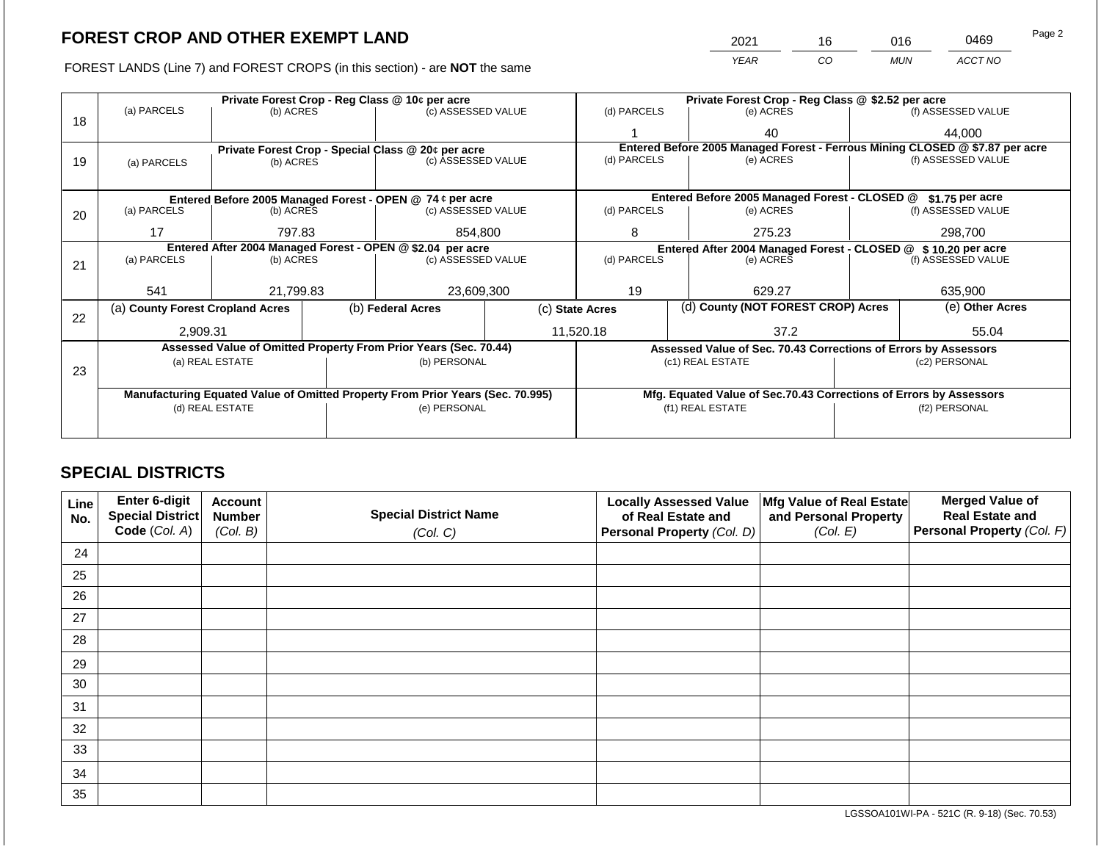2021 16 016 0469 Page 2

FOREST LANDS (Line 7) and FOREST CROPS (in this section) - are **NOT** the same *YEAR CO MUN ACCT NO*

|    | Private Forest Crop - Reg Class @ 10¢ per acre                                 |                 |  |                                                                  | Private Forest Crop - Reg Class @ \$2.52 per acre |                                                                    |                                                                 |  |                                                                              |  |
|----|--------------------------------------------------------------------------------|-----------------|--|------------------------------------------------------------------|---------------------------------------------------|--------------------------------------------------------------------|-----------------------------------------------------------------|--|------------------------------------------------------------------------------|--|
| 18 | (a) PARCELS                                                                    | (b) ACRES       |  | (c) ASSESSED VALUE                                               |                                                   | (d) PARCELS                                                        | (e) ACRES                                                       |  | (f) ASSESSED VALUE                                                           |  |
|    |                                                                                |                 |  |                                                                  |                                                   |                                                                    | 40                                                              |  | 44,000                                                                       |  |
|    |                                                                                |                 |  | Private Forest Crop - Special Class @ 20¢ per acre               |                                                   |                                                                    |                                                                 |  | Entered Before 2005 Managed Forest - Ferrous Mining CLOSED @ \$7.87 per acre |  |
| 19 | (a) PARCELS                                                                    | (b) ACRES       |  | (c) ASSESSED VALUE                                               |                                                   | (d) PARCELS                                                        | (e) ACRES                                                       |  | (f) ASSESSED VALUE                                                           |  |
|    |                                                                                |                 |  |                                                                  |                                                   |                                                                    |                                                                 |  |                                                                              |  |
|    |                                                                                |                 |  | Entered Before 2005 Managed Forest - OPEN @ 74 ¢ per acre        |                                                   |                                                                    | Entered Before 2005 Managed Forest - CLOSED @                   |  | \$1.75 per acre                                                              |  |
| 20 | (a) PARCELS                                                                    | (b) ACRES       |  | (c) ASSESSED VALUE                                               |                                                   | (d) PARCELS                                                        | (e) ACRES                                                       |  | (f) ASSESSED VALUE                                                           |  |
|    |                                                                                |                 |  |                                                                  |                                                   |                                                                    |                                                                 |  |                                                                              |  |
|    | 17                                                                             | 797.83          |  | 854,800                                                          |                                                   | 8                                                                  | 275.23                                                          |  | 298,700                                                                      |  |
|    |                                                                                |                 |  | Entered After 2004 Managed Forest - OPEN @ \$2.04 per acre       |                                                   |                                                                    | Entered After 2004 Managed Forest - CLOSED @ \$ 10.20 per acre  |  |                                                                              |  |
| 21 | (a) PARCELS                                                                    | (b) ACRES       |  | (c) ASSESSED VALUE                                               |                                                   | (d) PARCELS                                                        | (e) ACRES                                                       |  | (f) ASSESSED VALUE                                                           |  |
|    |                                                                                |                 |  |                                                                  |                                                   |                                                                    |                                                                 |  |                                                                              |  |
|    | 541                                                                            | 21,799.83       |  | 23,609,300                                                       |                                                   | 19<br>629.27                                                       |                                                                 |  | 635,900                                                                      |  |
| 22 | (a) County Forest Cropland Acres                                               |                 |  | (b) Federal Acres                                                |                                                   | (c) State Acres                                                    | (d) County (NOT FOREST CROP) Acres                              |  | (e) Other Acres                                                              |  |
|    | 2,909.31                                                                       |                 |  |                                                                  |                                                   | 11,520.18                                                          | 37.2                                                            |  | 55.04                                                                        |  |
|    |                                                                                |                 |  | Assessed Value of Omitted Property From Prior Years (Sec. 70.44) |                                                   |                                                                    | Assessed Value of Sec. 70.43 Corrections of Errors by Assessors |  |                                                                              |  |
|    |                                                                                | (a) REAL ESTATE |  | (b) PERSONAL                                                     |                                                   |                                                                    | (c1) REAL ESTATE                                                |  | (c2) PERSONAL                                                                |  |
| 23 |                                                                                |                 |  |                                                                  |                                                   |                                                                    |                                                                 |  |                                                                              |  |
|    | Manufacturing Equated Value of Omitted Property From Prior Years (Sec. 70.995) |                 |  |                                                                  |                                                   | Mfg. Equated Value of Sec.70.43 Corrections of Errors by Assessors |                                                                 |  |                                                                              |  |
|    |                                                                                | (d) REAL ESTATE |  | (e) PERSONAL                                                     |                                                   |                                                                    | (f1) REAL ESTATE                                                |  | (f2) PERSONAL                                                                |  |
|    |                                                                                |                 |  |                                                                  |                                                   |                                                                    |                                                                 |  |                                                                              |  |
|    |                                                                                |                 |  |                                                                  |                                                   |                                                                    |                                                                 |  |                                                                              |  |

# **SPECIAL DISTRICTS**

| Line<br>No. | <b>Enter 6-digit</b><br>Special District | <b>Account</b><br><b>Number</b> | <b>Special District Name</b> | <b>Locally Assessed Value</b><br>of Real Estate and | Mfg Value of Real Estate<br>and Personal Property | <b>Merged Value of</b><br><b>Real Estate and</b> |
|-------------|------------------------------------------|---------------------------------|------------------------------|-----------------------------------------------------|---------------------------------------------------|--------------------------------------------------|
|             | Code (Col. A)                            | (Col. B)                        | (Col. C)                     | Personal Property (Col. D)                          | (Col. E)                                          | <b>Personal Property (Col. F)</b>                |
| 24          |                                          |                                 |                              |                                                     |                                                   |                                                  |
| 25          |                                          |                                 |                              |                                                     |                                                   |                                                  |
| 26          |                                          |                                 |                              |                                                     |                                                   |                                                  |
| 27          |                                          |                                 |                              |                                                     |                                                   |                                                  |
| 28          |                                          |                                 |                              |                                                     |                                                   |                                                  |
| 29          |                                          |                                 |                              |                                                     |                                                   |                                                  |
| 30          |                                          |                                 |                              |                                                     |                                                   |                                                  |
| 31          |                                          |                                 |                              |                                                     |                                                   |                                                  |
| 32          |                                          |                                 |                              |                                                     |                                                   |                                                  |
| 33          |                                          |                                 |                              |                                                     |                                                   |                                                  |
| 34          |                                          |                                 |                              |                                                     |                                                   |                                                  |
| 35          |                                          |                                 |                              |                                                     |                                                   |                                                  |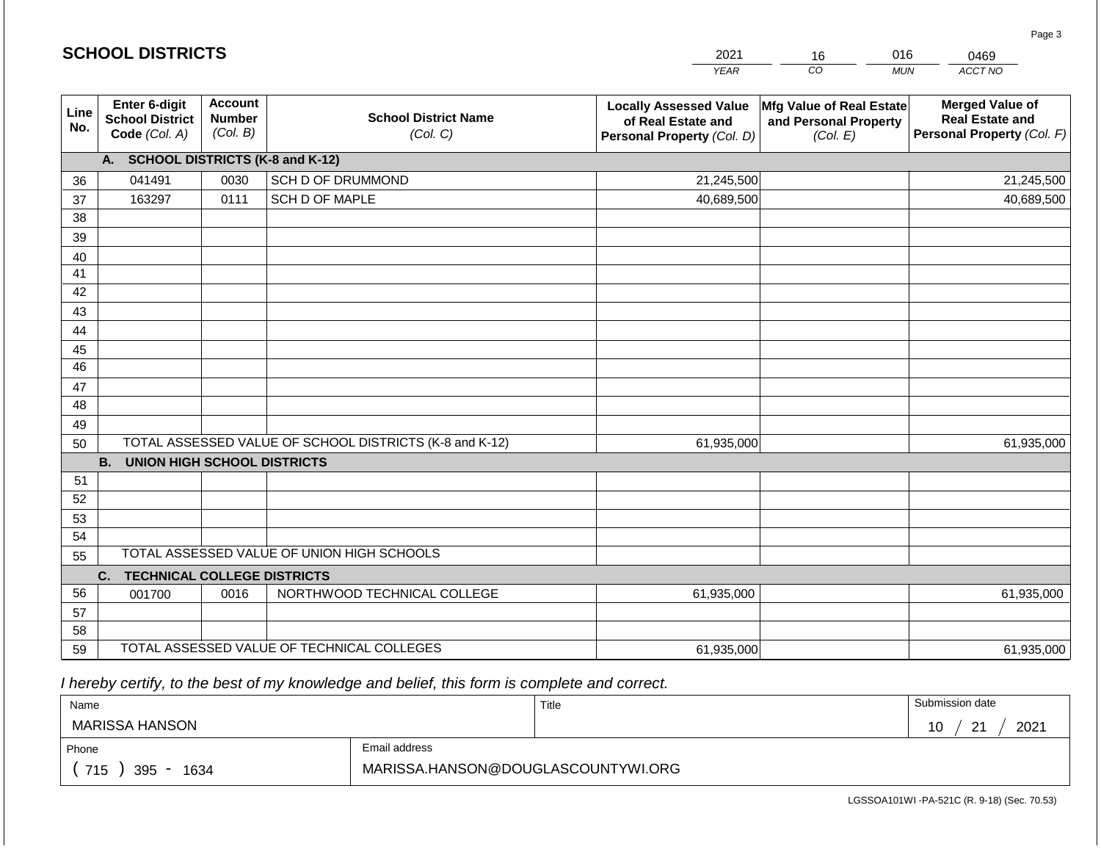|             | <b>SCHOOL DISTRICTS</b>                                  |                                             | 2021                                                    | 16                                                                                | 016<br>0469                                                   |                                                                                |
|-------------|----------------------------------------------------------|---------------------------------------------|---------------------------------------------------------|-----------------------------------------------------------------------------------|---------------------------------------------------------------|--------------------------------------------------------------------------------|
|             |                                                          |                                             |                                                         | <b>YEAR</b>                                                                       | CO                                                            | ACCT NO<br><b>MUN</b>                                                          |
| Line<br>No. | Enter 6-digit<br><b>School District</b><br>Code (Col. A) | <b>Account</b><br><b>Number</b><br>(Col. B) | <b>School District Name</b><br>(Col. C)                 | <b>Locally Assessed Value</b><br>of Real Estate and<br>Personal Property (Col. D) | Mfg Value of Real Estate<br>and Personal Property<br>(Col. E) | <b>Merged Value of</b><br><b>Real Estate and</b><br>Personal Property (Col. F) |
|             | A. SCHOOL DISTRICTS (K-8 and K-12)                       |                                             |                                                         |                                                                                   |                                                               |                                                                                |
| 36          | 041491                                                   | 0030                                        | SCH D OF DRUMMOND                                       | 21,245,500                                                                        |                                                               | 21,245,500                                                                     |
| 37          | 163297                                                   | 0111                                        | SCH D OF MAPLE                                          | 40,689,500                                                                        |                                                               | 40,689,500                                                                     |
| 38          |                                                          |                                             |                                                         |                                                                                   |                                                               |                                                                                |
| 39          |                                                          |                                             |                                                         |                                                                                   |                                                               |                                                                                |
| 40          |                                                          |                                             |                                                         |                                                                                   |                                                               |                                                                                |
| 41          |                                                          |                                             |                                                         |                                                                                   |                                                               |                                                                                |
| 42          |                                                          |                                             |                                                         |                                                                                   |                                                               |                                                                                |
| 43          |                                                          |                                             |                                                         |                                                                                   |                                                               |                                                                                |
| 44<br>45    |                                                          |                                             |                                                         |                                                                                   |                                                               |                                                                                |
| 46          |                                                          |                                             |                                                         |                                                                                   |                                                               |                                                                                |
| 47          |                                                          |                                             |                                                         |                                                                                   |                                                               |                                                                                |
| 48          |                                                          |                                             |                                                         |                                                                                   |                                                               |                                                                                |
| 49          |                                                          |                                             |                                                         |                                                                                   |                                                               |                                                                                |
| 50          |                                                          |                                             | TOTAL ASSESSED VALUE OF SCHOOL DISTRICTS (K-8 and K-12) | 61,935,000                                                                        |                                                               | 61,935,000                                                                     |
|             | <b>B. UNION HIGH SCHOOL DISTRICTS</b>                    |                                             |                                                         |                                                                                   |                                                               |                                                                                |
| 51          |                                                          |                                             |                                                         |                                                                                   |                                                               |                                                                                |
| 52          |                                                          |                                             |                                                         |                                                                                   |                                                               |                                                                                |
| 53          |                                                          |                                             |                                                         |                                                                                   |                                                               |                                                                                |
| 54          |                                                          |                                             |                                                         |                                                                                   |                                                               |                                                                                |
| 55          |                                                          |                                             | TOTAL ASSESSED VALUE OF UNION HIGH SCHOOLS              |                                                                                   |                                                               |                                                                                |
|             | C.<br><b>TECHNICAL COLLEGE DISTRICTS</b>                 |                                             |                                                         |                                                                                   |                                                               |                                                                                |
| 56          | 001700                                                   | 0016                                        | NORTHWOOD TECHNICAL COLLEGE                             | 61,935,000                                                                        |                                                               | 61,935,000                                                                     |
| 57          |                                                          |                                             |                                                         |                                                                                   |                                                               |                                                                                |
| 58          |                                                          |                                             | TOTAL ASSESSED VALUE OF TECHNICAL COLLEGES              |                                                                                   |                                                               |                                                                                |
| 59          |                                                          |                                             |                                                         | 61,935,000                                                                        |                                                               | 61,935,000                                                                     |

 *I hereby certify, to the best of my knowledge and belief, this form is complete and correct.*

**SCHOOL DISTRICTS**

| Name                  |                                    | Title | Submission date    |
|-----------------------|------------------------------------|-------|--------------------|
| <b>MARISSA HANSON</b> |                                    |       | 2021<br>ົດ 4<br>10 |
| Phone                 | Email address                      |       |                    |
| 715<br>395<br>1634    | MARISSA.HANSON@DOUGLASCOUNTYWI.ORG |       |                    |

Page 3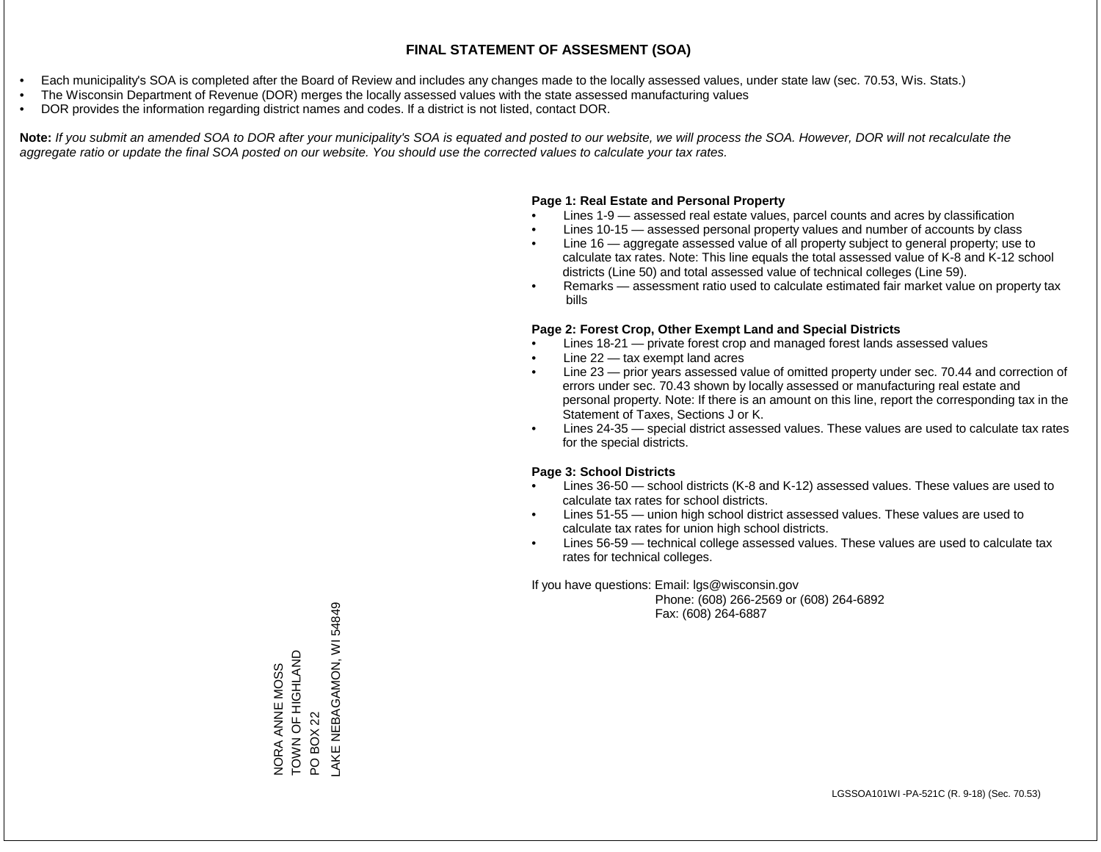- Each municipality's SOA is completed after the Board of Review and includes any changes made to the locally assessed values, under state law (sec. 70.53, Wis. Stats.)
- The Wisconsin Department of Revenue (DOR) merges the locally assessed values with the state assessed manufacturing values
- DOR provides the information regarding district names and codes. If a district is not listed, contact DOR.

Note: If you submit an amended SOA to DOR after your municipality's SOA is equated and posted to our website, we will process the SOA. However, DOR will not recalculate the *aggregate ratio or update the final SOA posted on our website. You should use the corrected values to calculate your tax rates.*

# **Page 1: Real Estate and Personal Property**

- Lines 1-9 assessed real estate values, parcel counts and acres by classification
- Lines 10-15 assessed personal property values and number of accounts by class
- Line 16 aggregate assessed value of all property subject to general property; use to calculate tax rates. Note: This line equals the total assessed value of K-8 and K-12 school districts (Line 50) and total assessed value of technical colleges (Line 59).
- Remarks assessment ratio used to calculate estimated fair market value on property tax bills

# **Page 2: Forest Crop, Other Exempt Land and Special Districts**

- Lines 18-21 private forest crop and managed forest lands assessed values
- Line  $22 -$  tax exempt land acres
- Line 23 prior years assessed value of omitted property under sec. 70.44 and correction of errors under sec. 70.43 shown by locally assessed or manufacturing real estate and personal property. Note: If there is an amount on this line, report the corresponding tax in the Statement of Taxes, Sections J or K.
- Lines 24-35 special district assessed values. These values are used to calculate tax rates for the special districts.

# **Page 3: School Districts**

- Lines 36-50 school districts (K-8 and K-12) assessed values. These values are used to calculate tax rates for school districts.
- Lines 51-55 union high school district assessed values. These values are used to calculate tax rates for union high school districts.
- Lines 56-59 technical college assessed values. These values are used to calculate tax rates for technical colleges.

If you have questions: Email: lgs@wisconsin.gov

 Phone: (608) 266-2569 or (608) 264-6892 Fax: (608) 264-6887

NORA ANNE MOSS TOWN OF HIGHLAND NORA ANNE MOSS<br>TOWN OF HIGHLAND<br>PO BOX 22<br>LAKE NEBAGAMON, WI 54849 LAKE NEBAGAMON, WI 54849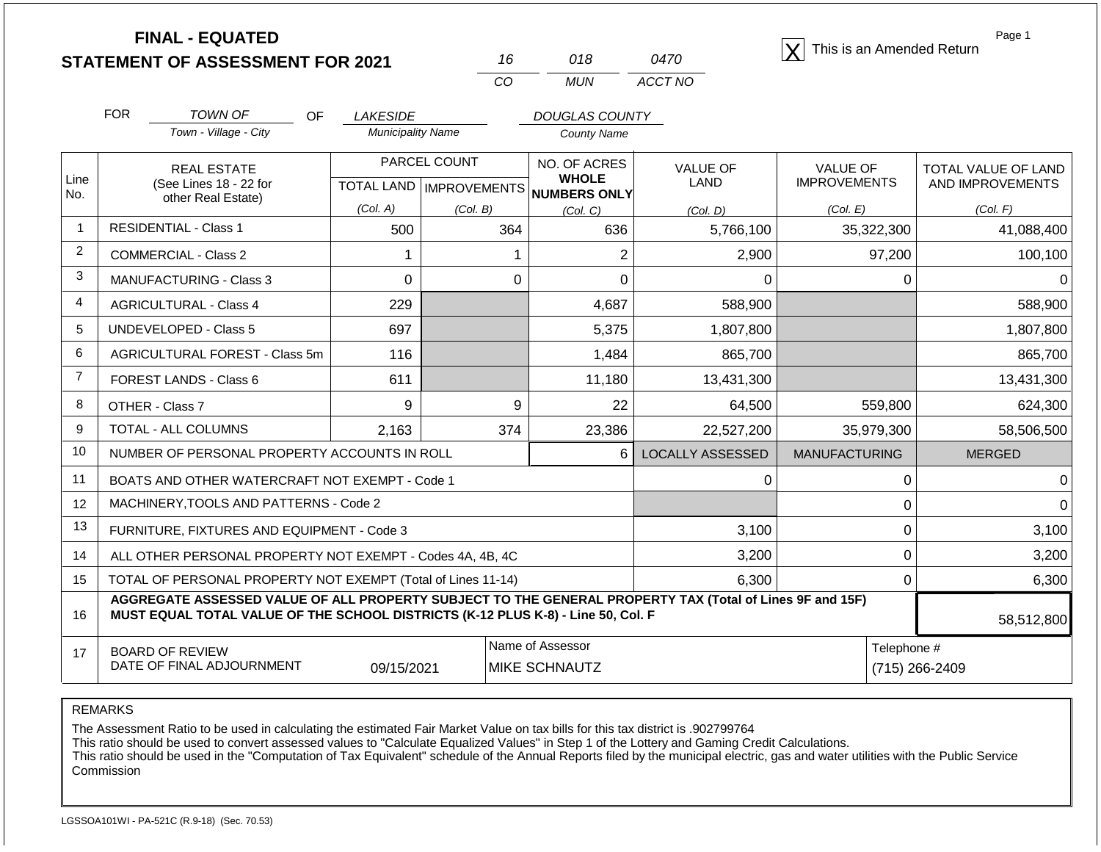**STATEMENT OF ASSESSMENT FOR 2021** 16 018 0470 18 This is an Amended Return<br> **STATEMENT OF ASSESSMENT FOR 2021** 16 018 0470 18

| 16 | 018 | <i>0470</i> |
|----|-----|-------------|
| CО | MUN | ACCT NO     |

Page 1

|                | <b>FOR</b><br>TOWN OF                                                                                                                                                                        | <b>OF</b><br><b>LAKESIDE</b> |                           | <b>DOUGLAS COUNTY</b>        |                         |                      |                            |
|----------------|----------------------------------------------------------------------------------------------------------------------------------------------------------------------------------------------|------------------------------|---------------------------|------------------------------|-------------------------|----------------------|----------------------------|
|                | Town - Village - City                                                                                                                                                                        |                              | <b>Municipality Name</b>  | <b>County Name</b>           |                         |                      |                            |
|                | <b>REAL ESTATE</b>                                                                                                                                                                           |                              | PARCEL COUNT              |                              | <b>VALUE OF</b>         | <b>VALUE OF</b>      | <b>TOTAL VALUE OF LAND</b> |
| Line<br>No.    | (See Lines 18 - 22 for<br>other Real Estate)                                                                                                                                                 |                              | TOTAL LAND   IMPROVEMENTS | <b>WHOLE</b><br>NUMBERS ONLY | <b>LAND</b>             | <b>IMPROVEMENTS</b>  | AND IMPROVEMENTS           |
|                |                                                                                                                                                                                              | (Col. A)                     | (Col. B)                  | (Col, C)                     | (Col. D)                | (Col. E)             | (Col. F)                   |
|                | <b>RESIDENTIAL - Class 1</b>                                                                                                                                                                 | 500                          | 364                       | 636                          | 5,766,100               | 35,322,300           | 41,088,400                 |
| $\overline{2}$ | <b>COMMERCIAL - Class 2</b>                                                                                                                                                                  |                              |                           | $\overline{2}$               | 2,900                   | 97,200               | 100,100                    |
| 3              | <b>MANUFACTURING - Class 3</b>                                                                                                                                                               | $\Omega$                     | 0                         | $\Omega$                     | 0                       | 0                    |                            |
| 4              | <b>AGRICULTURAL - Class 4</b>                                                                                                                                                                | 229                          |                           | 4,687                        | 588,900                 |                      | 588,900                    |
| 5              | <b>UNDEVELOPED - Class 5</b>                                                                                                                                                                 | 697                          |                           | 5,375                        | 1,807,800               |                      | 1,807,800                  |
| 6              | AGRICULTURAL FOREST - Class 5m                                                                                                                                                               | 116                          |                           | 1,484                        | 865,700                 |                      | 865,700                    |
| $\overline{7}$ | <b>FOREST LANDS - Class 6</b>                                                                                                                                                                | 611                          |                           | 11,180                       | 13,431,300              |                      | 13,431,300                 |
| 8              | OTHER - Class 7                                                                                                                                                                              | 9                            | 9                         | 22                           | 64,500                  | 559,800              | 624,300                    |
| 9              | TOTAL - ALL COLUMNS                                                                                                                                                                          | 2,163                        | 374                       | 23,386                       | 22,527,200              | 35,979,300           | 58,506,500                 |
| 10             | NUMBER OF PERSONAL PROPERTY ACCOUNTS IN ROLL                                                                                                                                                 |                              |                           | 6                            | <b>LOCALLY ASSESSED</b> | <b>MANUFACTURING</b> | <b>MERGED</b>              |
| 11             | BOATS AND OTHER WATERCRAFT NOT EXEMPT - Code 1                                                                                                                                               |                              |                           |                              | 0                       | ∩                    | 0                          |
| 12             | MACHINERY, TOOLS AND PATTERNS - Code 2                                                                                                                                                       |                              |                           |                              |                         | 0                    | 0                          |
| 13             | FURNITURE, FIXTURES AND EQUIPMENT - Code 3                                                                                                                                                   |                              |                           |                              | 3,100                   | 0                    | 3,100                      |
| 14             | ALL OTHER PERSONAL PROPERTY NOT EXEMPT - Codes 4A, 4B, 4C                                                                                                                                    |                              |                           |                              | 3,200                   | $\Omega$             | 3,200                      |
| 15             | TOTAL OF PERSONAL PROPERTY NOT EXEMPT (Total of Lines 11-14)                                                                                                                                 |                              |                           |                              | 6,300                   | $\Omega$             | 6,300                      |
| 16             | AGGREGATE ASSESSED VALUE OF ALL PROPERTY SUBJECT TO THE GENERAL PROPERTY TAX (Total of Lines 9F and 15F)<br>MUST EQUAL TOTAL VALUE OF THE SCHOOL DISTRICTS (K-12 PLUS K-8) - Line 50, Col. F |                              |                           |                              |                         |                      | 58.512.800                 |

| 16 | MUST EQUAL TOTAL VALUE OF THE SCHOOL DISTRICTS (K-12 PLUS K-8) - Line 50, Col. F |            |                       |             |                |
|----|----------------------------------------------------------------------------------|------------|-----------------------|-------------|----------------|
|    | <b>BOARD OF REVIEW</b>                                                           |            | l Name of Assessor    | Telephone # |                |
|    | DATE OF FINAL ADJOURNMENT                                                        | 09/15/2021 | <b>IMIKE SCHNAUTZ</b> |             | (715) 266-2409 |

REMARKS

The Assessment Ratio to be used in calculating the estimated Fair Market Value on tax bills for this tax district is .902799764

This ratio should be used to convert assessed values to "Calculate Equalized Values" in Step 1 of the Lottery and Gaming Credit Calculations.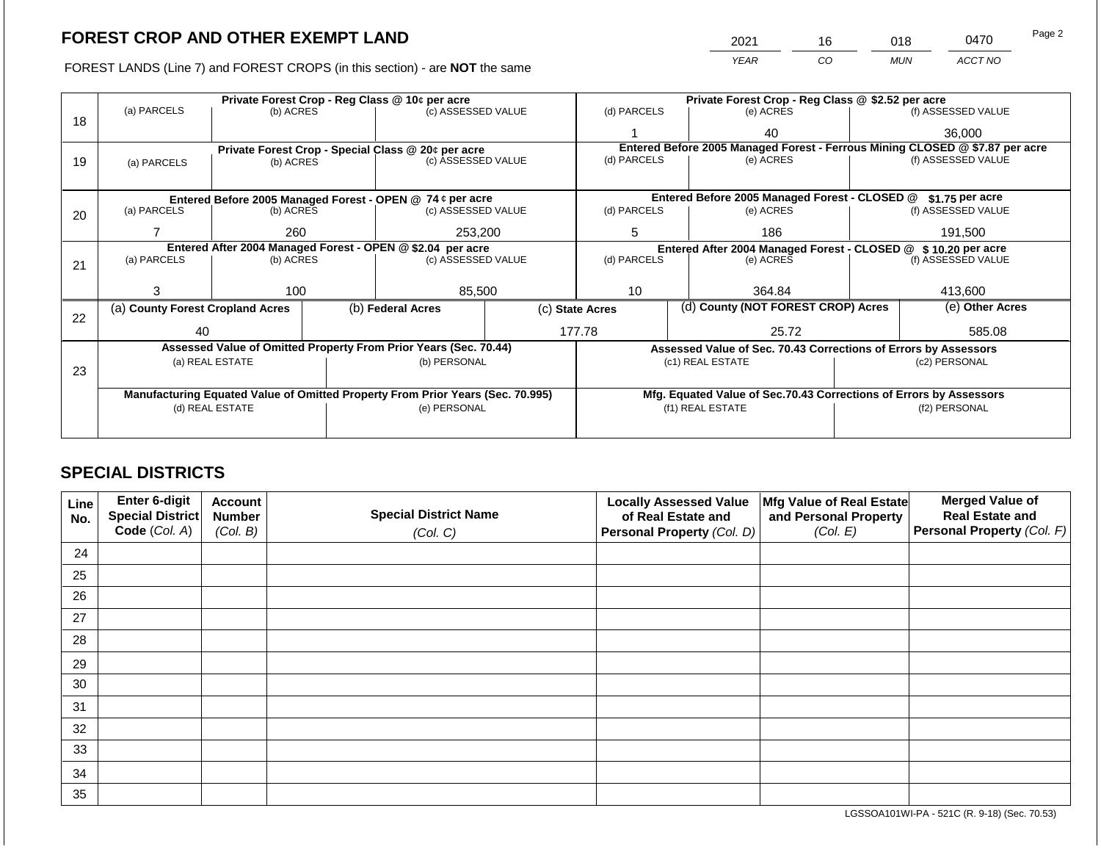FOREST LANDS (Line 7) and FOREST CROPS (in this section) - are NOT the same

| 2021 | 16 | 018        | 0470    | Page 2 |
|------|----|------------|---------|--------|
| YEAR | CO | <b>MUN</b> | ACCT NO |        |

|    |                                                                                | Private Forest Crop - Reg Class @ 10¢ per acre |                   |                                                                  | Private Forest Crop - Reg Class @ \$2.52 per acre                  |                                                                              |                                               |                    |                    |  |
|----|--------------------------------------------------------------------------------|------------------------------------------------|-------------------|------------------------------------------------------------------|--------------------------------------------------------------------|------------------------------------------------------------------------------|-----------------------------------------------|--------------------|--------------------|--|
|    | (a) PARCELS                                                                    | (b) ACRES                                      |                   | (c) ASSESSED VALUE                                               |                                                                    | (d) PARCELS                                                                  | (e) ACRES                                     |                    | (f) ASSESSED VALUE |  |
| 18 |                                                                                |                                                |                   |                                                                  |                                                                    |                                                                              | 40                                            |                    | 36,000             |  |
|    | Private Forest Crop - Special Class @ 20¢ per acre                             |                                                |                   |                                                                  |                                                                    | Entered Before 2005 Managed Forest - Ferrous Mining CLOSED @ \$7.87 per acre |                                               |                    |                    |  |
| 19 | (a) PARCELS                                                                    | (b) ACRES                                      |                   | (c) ASSESSED VALUE                                               |                                                                    | (d) PARCELS                                                                  | (e) ACRES                                     |                    | (f) ASSESSED VALUE |  |
|    |                                                                                |                                                |                   |                                                                  |                                                                    |                                                                              |                                               |                    |                    |  |
|    |                                                                                |                                                |                   | Entered Before 2005 Managed Forest - OPEN @ 74 ¢ per acre        |                                                                    |                                                                              | Entered Before 2005 Managed Forest - CLOSED @ |                    | \$1.75 per acre    |  |
| 20 | (a) PARCELS                                                                    | (b) ACRES                                      |                   | (c) ASSESSED VALUE                                               |                                                                    | (d) PARCELS                                                                  | (e) ACRES                                     |                    | (f) ASSESSED VALUE |  |
|    |                                                                                |                                                |                   |                                                                  |                                                                    |                                                                              |                                               |                    |                    |  |
|    |                                                                                | 260                                            |                   | 253,200                                                          |                                                                    | 5                                                                            | 186                                           | 191,500            |                    |  |
|    | Entered After 2004 Managed Forest - OPEN @ \$2.04 per acre                     |                                                |                   |                                                                  | Entered After 2004 Managed Forest - CLOSED @ \$10.20 per acre      |                                                                              |                                               |                    |                    |  |
| 21 | (a) PARCELS                                                                    | (b) ACRES                                      |                   | (c) ASSESSED VALUE                                               |                                                                    | (d) PARCELS<br>(e) ACRES                                                     |                                               | (f) ASSESSED VALUE |                    |  |
|    |                                                                                |                                                |                   |                                                                  |                                                                    |                                                                              |                                               |                    |                    |  |
|    |                                                                                | 100                                            |                   | 85,500                                                           |                                                                    | 10                                                                           | 364.84                                        |                    | 413,600            |  |
|    | (a) County Forest Cropland Acres                                               |                                                | (b) Federal Acres | (c) State Acres                                                  |                                                                    | (d) County (NOT FOREST CROP) Acres                                           |                                               | (e) Other Acres    |                    |  |
| 22 |                                                                                |                                                |                   |                                                                  |                                                                    |                                                                              |                                               |                    |                    |  |
|    | 40                                                                             |                                                |                   |                                                                  |                                                                    | 177.78<br>25.72                                                              |                                               |                    | 585.08             |  |
|    |                                                                                |                                                |                   | Assessed Value of Omitted Property From Prior Years (Sec. 70.44) |                                                                    | Assessed Value of Sec. 70.43 Corrections of Errors by Assessors              |                                               |                    |                    |  |
|    | (a) REAL ESTATE                                                                |                                                | (b) PERSONAL      |                                                                  |                                                                    | (c1) REAL ESTATE                                                             |                                               |                    |                    |  |
| 23 |                                                                                |                                                |                   |                                                                  |                                                                    |                                                                              |                                               |                    |                    |  |
|    |                                                                                |                                                |                   |                                                                  |                                                                    |                                                                              |                                               |                    |                    |  |
|    | Manufacturing Equated Value of Omitted Property From Prior Years (Sec. 70.995) |                                                |                   |                                                                  | Mfg. Equated Value of Sec.70.43 Corrections of Errors by Assessors |                                                                              |                                               |                    |                    |  |
|    | (d) REAL ESTATE                                                                |                                                |                   | (e) PERSONAL                                                     |                                                                    | (f1) REAL ESTATE                                                             |                                               | (f2) PERSONAL      |                    |  |
|    |                                                                                |                                                |                   |                                                                  |                                                                    |                                                                              |                                               |                    |                    |  |
|    |                                                                                |                                                |                   |                                                                  |                                                                    |                                                                              |                                               |                    |                    |  |

# **SPECIAL DISTRICTS**

| Line<br>No. | Enter 6-digit<br><b>Special District</b> | <b>Account</b><br><b>Number</b> | <b>Special District Name</b> | <b>Locally Assessed Value</b><br>of Real Estate and | Mfg Value of Real Estate<br>and Personal Property | <b>Merged Value of</b><br><b>Real Estate and</b> |
|-------------|------------------------------------------|---------------------------------|------------------------------|-----------------------------------------------------|---------------------------------------------------|--------------------------------------------------|
|             | Code (Col. A)                            | (Col. B)                        | (Col. C)                     | Personal Property (Col. D)                          | (Col. E)                                          | Personal Property (Col. F)                       |
| 24          |                                          |                                 |                              |                                                     |                                                   |                                                  |
| 25          |                                          |                                 |                              |                                                     |                                                   |                                                  |
| 26          |                                          |                                 |                              |                                                     |                                                   |                                                  |
| 27          |                                          |                                 |                              |                                                     |                                                   |                                                  |
| 28          |                                          |                                 |                              |                                                     |                                                   |                                                  |
| 29          |                                          |                                 |                              |                                                     |                                                   |                                                  |
| 30          |                                          |                                 |                              |                                                     |                                                   |                                                  |
| 31          |                                          |                                 |                              |                                                     |                                                   |                                                  |
| 32          |                                          |                                 |                              |                                                     |                                                   |                                                  |
| 33          |                                          |                                 |                              |                                                     |                                                   |                                                  |
| 34          |                                          |                                 |                              |                                                     |                                                   |                                                  |
| 35          |                                          |                                 |                              |                                                     |                                                   |                                                  |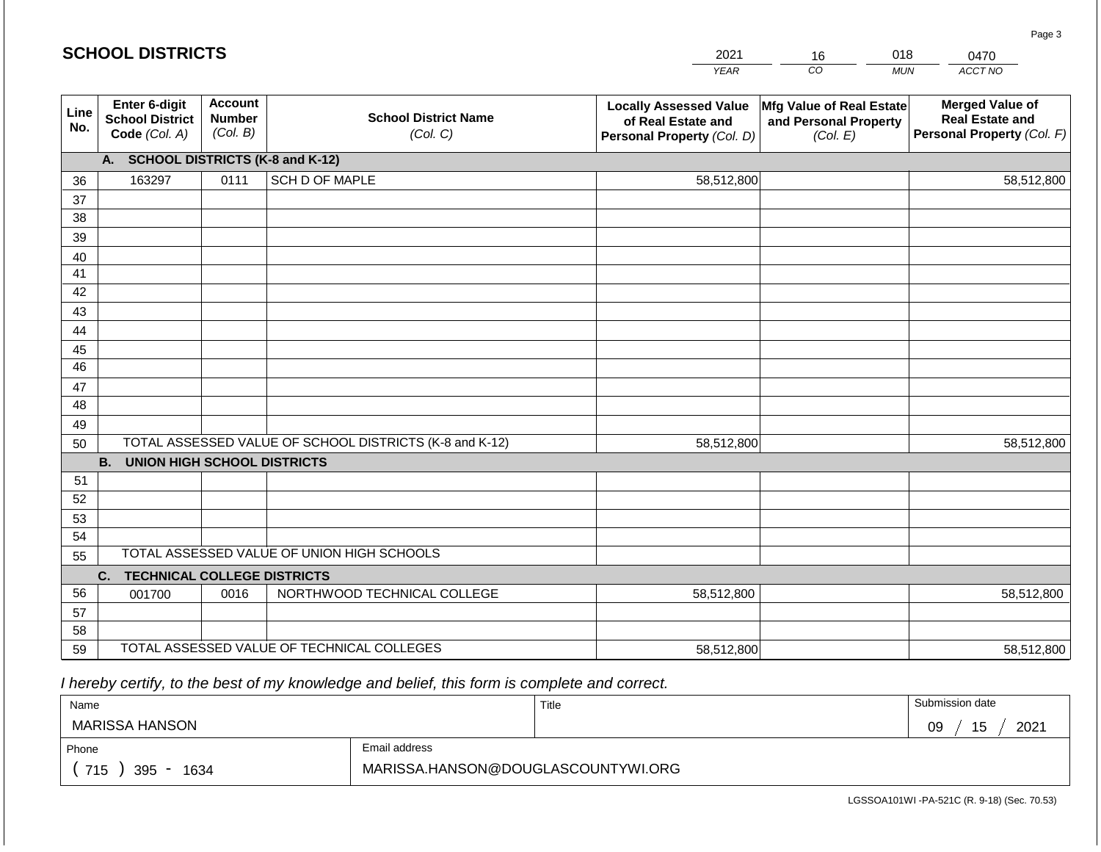#### *YEAR*  2021 *CO*  16 *MUN ACCT NO*  0470 **Line No. Enter 6-digit School District Code** *(Col. A)* **Account Number** *(Col. B)* **School District Name** *(Col. C)* **Locally Assessed Value of Real Estate and Personal Property** *(Col. D)* **Mfg Value of Real Estate and Personal Property** *(Col. E)* **Merged Value of Real Estate and Personal Property** *(Col. F)* **A. SCHOOL DISTRICTS (K-8 and K-12)** 36 37 38 39 40 41 42 43 44 45 46 47 48 49 50 TOTAL ASSESSED VALUE OF SCHOOL DISTRICTS (K-8 and K-12) **B. UNION HIGH SCHOOL DISTRICTS** 51 52 53 54 55 **C. TECHNICAL COLLEGE DISTRICTS** 56 57 58 59 TOTAL ASSESSED VALUE OF TECHNICAL COLLEGES TOTAL ASSESSED VALUE OF UNION HIGH SCHOOLS 163297 0111 SCH D OF MAPLE 58,512,800 58,512,800 001700 | 0016 | NORTHWOOD TECHNICAL COLLEGE 58,512,800 58,512,800 58,512,800 58,512,800 58,512,800 58,512,800

 *I hereby certify, to the best of my knowledge and belief, this form is complete and correct.*

| Name                   |                                    | Title | Submission date  |
|------------------------|------------------------------------|-------|------------------|
| MARISSA HANSON         |                                    |       | 15<br>2021<br>09 |
| Email address<br>Phone |                                    |       |                  |
| 715<br>395<br>1634     | MARISSA.HANSON@DOUGLASCOUNTYWI.ORG |       |                  |

Page 3

018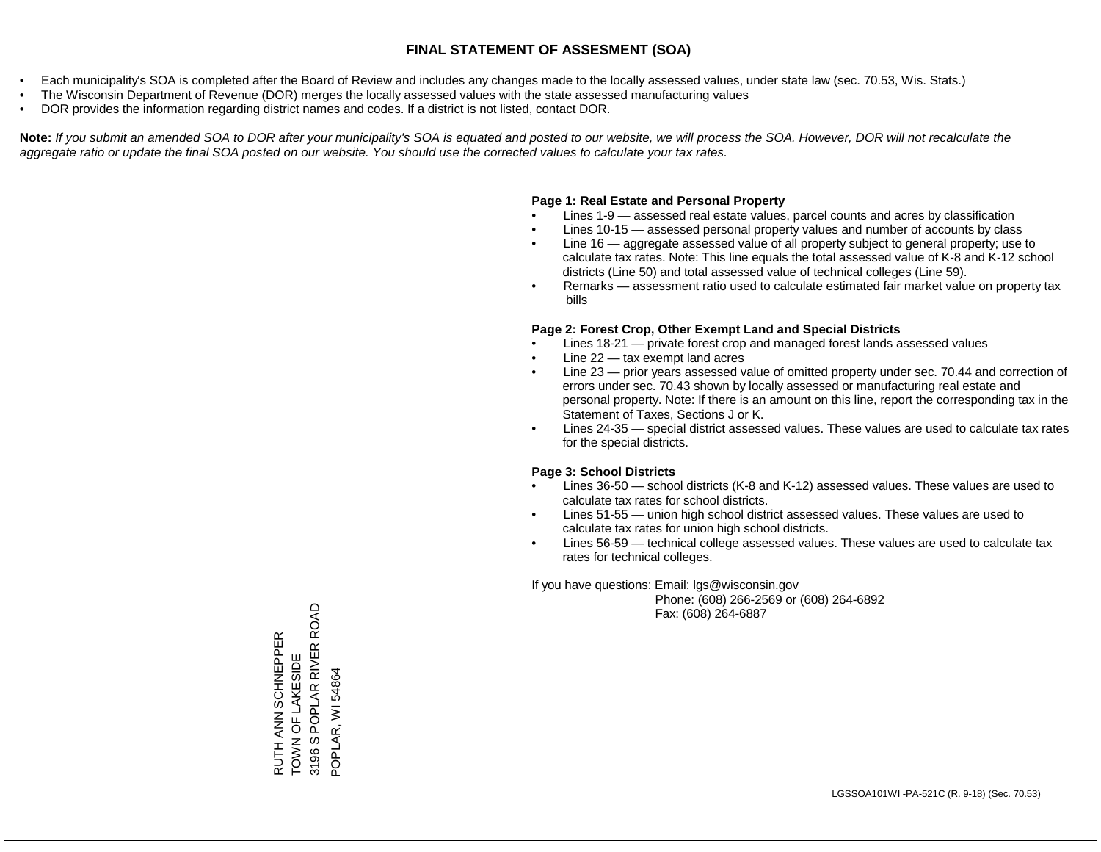- Each municipality's SOA is completed after the Board of Review and includes any changes made to the locally assessed values, under state law (sec. 70.53, Wis. Stats.)
- The Wisconsin Department of Revenue (DOR) merges the locally assessed values with the state assessed manufacturing values
- DOR provides the information regarding district names and codes. If a district is not listed, contact DOR.

Note: If you submit an amended SOA to DOR after your municipality's SOA is equated and posted to our website, we will process the SOA. However, DOR will not recalculate the *aggregate ratio or update the final SOA posted on our website. You should use the corrected values to calculate your tax rates.*

#### **Page 1: Real Estate and Personal Property**

- Lines 1-9 assessed real estate values, parcel counts and acres by classification
- Lines 10-15 assessed personal property values and number of accounts by class
- Line 16 aggregate assessed value of all property subject to general property; use to calculate tax rates. Note: This line equals the total assessed value of K-8 and K-12 school districts (Line 50) and total assessed value of technical colleges (Line 59).
- Remarks assessment ratio used to calculate estimated fair market value on property tax bills

#### **Page 2: Forest Crop, Other Exempt Land and Special Districts**

- Lines 18-21 private forest crop and managed forest lands assessed values
- Line  $22 -$  tax exempt land acres
- Line 23 prior years assessed value of omitted property under sec. 70.44 and correction of errors under sec. 70.43 shown by locally assessed or manufacturing real estate and personal property. Note: If there is an amount on this line, report the corresponding tax in the Statement of Taxes, Sections J or K.
- Lines 24-35 special district assessed values. These values are used to calculate tax rates for the special districts.

#### **Page 3: School Districts**

- Lines 36-50 school districts (K-8 and K-12) assessed values. These values are used to calculate tax rates for school districts.
- Lines 51-55 union high school district assessed values. These values are used to calculate tax rates for union high school districts.
- Lines 56-59 technical college assessed values. These values are used to calculate tax rates for technical colleges.

If you have questions: Email: lgs@wisconsin.gov

 Phone: (608) 266-2569 or (608) 264-6892 Fax: (608) 264-6887

RUTH ANN SCHNEPPER<br>TOWN OF LAKESIDE<br>3196 S POPLAR RIVER ROAD 3196 S POPLAR RIVER ROAD RUTH ANN SCHNEPPER TOWN OF LAKESIDE POPLAR, WI 54864 POPLAR, WI 54864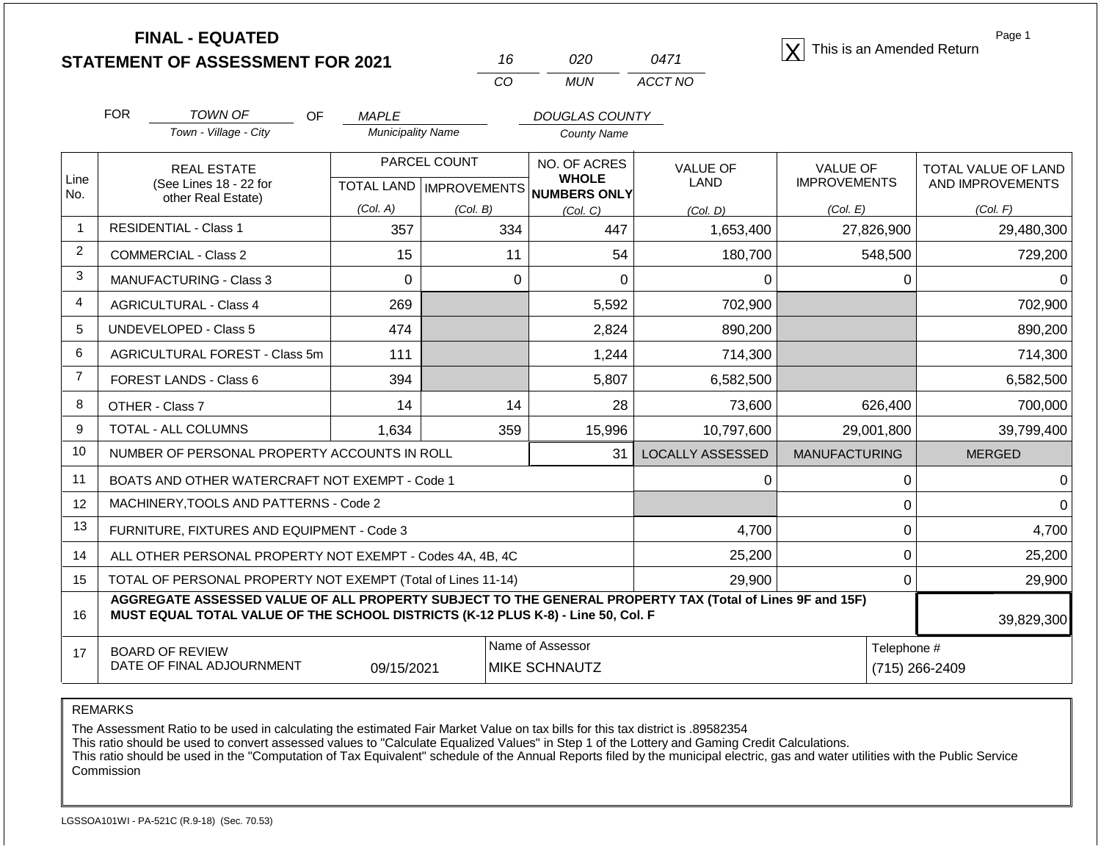**STATEMENT OF ASSESSMENT FOR 2021** 16 020 0471 2021<br> **STATEMENT OF ASSESSMENT FOR 2021** 16 020 0471 2021

| 16  | റാറ | 0471    |
|-----|-----|---------|
| CO. | MUN | ACCT NO |

Page 1

|                | <b>FOR</b>                                                                                                                                                                                   | <b>TOWN OF</b><br>OF                                         | <b>MAPLE</b>             |                     | <b>DOUGLAS COUNTY</b>               |                         |                      |                            |  |
|----------------|----------------------------------------------------------------------------------------------------------------------------------------------------------------------------------------------|--------------------------------------------------------------|--------------------------|---------------------|-------------------------------------|-------------------------|----------------------|----------------------------|--|
|                |                                                                                                                                                                                              | Town - Village - City                                        | <b>Municipality Name</b> |                     | <b>County Name</b>                  |                         |                      |                            |  |
|                |                                                                                                                                                                                              | <b>REAL ESTATE</b>                                           |                          | PARCEL COUNT        | <b>NO. OF ACRES</b>                 | <b>VALUE OF</b>         | <b>VALUE OF</b>      | <b>TOTAL VALUE OF LAND</b> |  |
| Line<br>No.    |                                                                                                                                                                                              | (See Lines 18 - 22 for<br>other Real Estate)                 | <b>TOTAL LAND</b>        | <b>IMPROVEMENTS</b> | <b>WHOLE</b><br><b>NUMBERS ONLY</b> | <b>LAND</b>             | <b>IMPROVEMENTS</b>  | AND IMPROVEMENTS           |  |
|                |                                                                                                                                                                                              |                                                              | (Col. A)                 | (Col. B)            | (Col, C)                            |                         | (Col. E)             | (Col. F)                   |  |
|                | <b>RESIDENTIAL - Class 1</b>                                                                                                                                                                 |                                                              | 357                      | 334                 | 447                                 | 1,653,400               | 27,826,900           | 29,480,300                 |  |
| $\overline{2}$ |                                                                                                                                                                                              | <b>COMMERCIAL - Class 2</b>                                  | 15                       | 11                  | 54                                  | 180,700                 | 548,500              | 729,200                    |  |
| 3              |                                                                                                                                                                                              | <b>MANUFACTURING - Class 3</b>                               | 0                        | $\Omega$            | 0                                   | 0                       | 0                    | 0                          |  |
| 4              |                                                                                                                                                                                              | <b>AGRICULTURAL - Class 4</b>                                | 269                      |                     | 5,592                               | 702,900                 |                      | 702,900                    |  |
| 5              |                                                                                                                                                                                              | <b>UNDEVELOPED - Class 5</b>                                 | 474                      |                     | 2,824                               | 890,200                 |                      | 890,200                    |  |
| 6              | AGRICULTURAL FOREST - Class 5m                                                                                                                                                               |                                                              | 111                      |                     | 1,244                               | 714,300                 |                      | 714,300                    |  |
| $\overline{7}$ |                                                                                                                                                                                              | FOREST LANDS - Class 6                                       | 394                      |                     | 5,807                               | 6,582,500               |                      | 6,582,500                  |  |
| 8              |                                                                                                                                                                                              | OTHER - Class 7                                              | 14                       | 14                  | 28                                  | 73,600                  | 626,400              | 700,000                    |  |
| 9              |                                                                                                                                                                                              | TOTAL - ALL COLUMNS                                          | 1,634                    | 359                 | 15,996                              | 10,797,600              | 29,001,800           | 39,799,400                 |  |
| 10             |                                                                                                                                                                                              | NUMBER OF PERSONAL PROPERTY ACCOUNTS IN ROLL                 |                          |                     | 31                                  | <b>LOCALLY ASSESSED</b> | <b>MANUFACTURING</b> | <b>MERGED</b>              |  |
| 11             |                                                                                                                                                                                              | BOATS AND OTHER WATERCRAFT NOT EXEMPT - Code 1               |                          |                     |                                     | 0                       | 0                    | 0                          |  |
| 12             |                                                                                                                                                                                              | MACHINERY, TOOLS AND PATTERNS - Code 2                       |                          |                     |                                     |                         | 0                    | $\Omega$                   |  |
| 13             |                                                                                                                                                                                              | FURNITURE, FIXTURES AND EQUIPMENT - Code 3                   |                          |                     |                                     | 4,700                   | 0                    | 4,700                      |  |
| 14             |                                                                                                                                                                                              | ALL OTHER PERSONAL PROPERTY NOT EXEMPT - Codes 4A, 4B, 4C    |                          |                     |                                     | 25,200                  | 0                    | 25,200                     |  |
| 15             |                                                                                                                                                                                              | TOTAL OF PERSONAL PROPERTY NOT EXEMPT (Total of Lines 11-14) |                          |                     |                                     | 29,900                  | 0                    | 29,900                     |  |
| 16             | AGGREGATE ASSESSED VALUE OF ALL PROPERTY SUBJECT TO THE GENERAL PROPERTY TAX (Total of Lines 9F and 15F)<br>MUST EQUAL TOTAL VALUE OF THE SCHOOL DISTRICTS (K-12 PLUS K-8) - Line 50, Col. F |                                                              |                          |                     |                                     |                         |                      |                            |  |

| <b>BOARD OF REVIEW</b>    |            | Name of Assessor      | l elephone #   |
|---------------------------|------------|-----------------------|----------------|
| DATE OF FINAL ADJOURNMENT | 09/15/2021 | <b>IMIKE SCHNAUTZ</b> | (715) 266-2409 |

REMARKS

The Assessment Ratio to be used in calculating the estimated Fair Market Value on tax bills for this tax district is .89582354

This ratio should be used to convert assessed values to "Calculate Equalized Values" in Step 1 of the Lottery and Gaming Credit Calculations.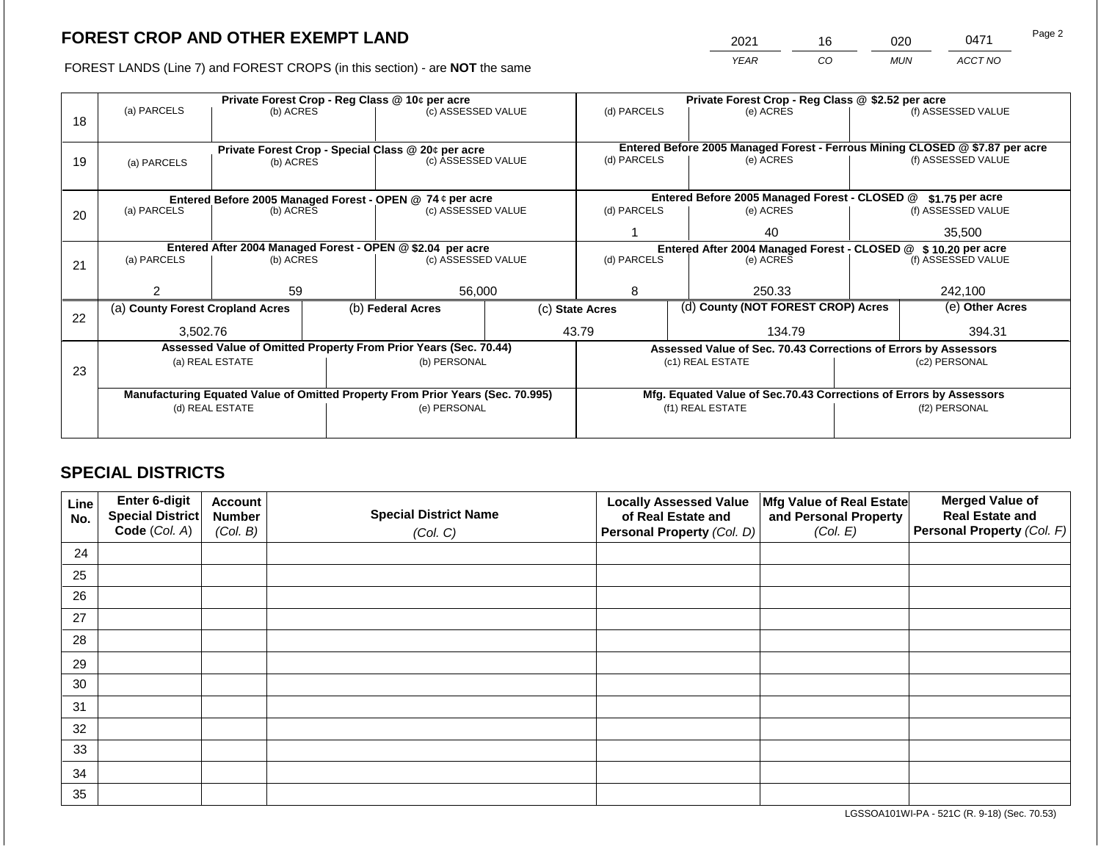2021 16 020 0471 Page 2

FOREST LANDS (Line 7) and FOREST CROPS (in this section) - are **NOT** the same *YEAR CO MUN ACCT NO*

|    |                                                            |                 | Private Forest Crop - Reg Class @ 10¢ per acre |                                                                                | Private Forest Crop - Reg Class @ \$2.52 per acre |                                                                              |                  |                                                                    |               |                    |  |
|----|------------------------------------------------------------|-----------------|------------------------------------------------|--------------------------------------------------------------------------------|---------------------------------------------------|------------------------------------------------------------------------------|------------------|--------------------------------------------------------------------|---------------|--------------------|--|
| 18 | (a) PARCELS                                                | (b) ACRES       |                                                | (c) ASSESSED VALUE                                                             |                                                   | (d) PARCELS                                                                  |                  | (e) ACRES                                                          |               | (f) ASSESSED VALUE |  |
|    |                                                            |                 |                                                | Private Forest Crop - Special Class @ 20¢ per acre                             |                                                   | Entered Before 2005 Managed Forest - Ferrous Mining CLOSED @ \$7.87 per acre |                  |                                                                    |               |                    |  |
| 19 | (b) ACRES<br>(a) PARCELS                                   |                 |                                                | (c) ASSESSED VALUE                                                             |                                                   | (d) PARCELS                                                                  |                  | (e) ACRES                                                          |               | (f) ASSESSED VALUE |  |
|    |                                                            |                 |                                                |                                                                                |                                                   |                                                                              |                  |                                                                    |               |                    |  |
|    | Entered Before 2005 Managed Forest - OPEN @ 74 ¢ per acre  |                 |                                                |                                                                                | Entered Before 2005 Managed Forest - CLOSED @     |                                                                              | $$1.75$ per acre |                                                                    |               |                    |  |
| 20 | (a) PARCELS                                                | (b) ACRES       |                                                | (c) ASSESSED VALUE                                                             |                                                   | (d) PARCELS                                                                  |                  | (e) ACRES                                                          |               | (f) ASSESSED VALUE |  |
|    |                                                            |                 |                                                |                                                                                |                                                   |                                                                              |                  | 40                                                                 |               | 35,500             |  |
|    | Entered After 2004 Managed Forest - OPEN @ \$2.04 per acre |                 |                                                |                                                                                |                                                   |                                                                              |                  | Entered After 2004 Managed Forest - CLOSED @ \$10.20 per acre      |               |                    |  |
| 21 | (a) PARCELS                                                | (b) ACRES       |                                                |                                                                                | (c) ASSESSED VALUE<br>(d) PARCELS                 |                                                                              |                  | (e) ACRES                                                          |               | (f) ASSESSED VALUE |  |
|    |                                                            |                 |                                                |                                                                                |                                                   |                                                                              |                  |                                                                    |               |                    |  |
|    |                                                            | 59              |                                                | 56,000                                                                         |                                                   | 8                                                                            |                  | 250.33                                                             |               | 242,100            |  |
| 22 | (a) County Forest Cropland Acres                           |                 |                                                | (b) Federal Acres                                                              |                                                   | (c) State Acres                                                              |                  | (d) County (NOT FOREST CROP) Acres                                 |               | (e) Other Acres    |  |
|    | 3,502.76                                                   |                 |                                                |                                                                                |                                                   | 43.79                                                                        |                  | 134.79                                                             |               | 394.31             |  |
|    |                                                            |                 |                                                | Assessed Value of Omitted Property From Prior Years (Sec. 70.44)               |                                                   |                                                                              |                  | Assessed Value of Sec. 70.43 Corrections of Errors by Assessors    |               |                    |  |
|    |                                                            | (a) REAL ESTATE |                                                | (b) PERSONAL                                                                   |                                                   |                                                                              |                  | (c1) REAL ESTATE                                                   |               | (c2) PERSONAL      |  |
| 23 |                                                            |                 |                                                |                                                                                |                                                   |                                                                              |                  |                                                                    |               |                    |  |
|    |                                                            |                 |                                                | Manufacturing Equated Value of Omitted Property From Prior Years (Sec. 70.995) |                                                   |                                                                              |                  | Mfg. Equated Value of Sec.70.43 Corrections of Errors by Assessors |               |                    |  |
|    |                                                            | (d) REAL ESTATE |                                                | (e) PERSONAL                                                                   |                                                   |                                                                              |                  | (f1) REAL ESTATE                                                   | (f2) PERSONAL |                    |  |
|    |                                                            |                 |                                                |                                                                                |                                                   |                                                                              |                  |                                                                    |               |                    |  |
|    |                                                            |                 |                                                |                                                                                |                                                   |                                                                              |                  |                                                                    |               |                    |  |

## **SPECIAL DISTRICTS**

| Line<br>No. | Enter 6-digit<br>Special District<br>Code (Col. A) | <b>Account</b><br><b>Number</b><br>(Col. B) | <b>Special District Name</b><br>(Col. C) | <b>Locally Assessed Value</b><br>of Real Estate and<br><b>Personal Property (Col. D)</b> | Mfg Value of Real Estate<br>and Personal Property<br>(Col. E) | <b>Merged Value of</b><br><b>Real Estate and</b><br>Personal Property (Col. F) |
|-------------|----------------------------------------------------|---------------------------------------------|------------------------------------------|------------------------------------------------------------------------------------------|---------------------------------------------------------------|--------------------------------------------------------------------------------|
| 24          |                                                    |                                             |                                          |                                                                                          |                                                               |                                                                                |
| 25          |                                                    |                                             |                                          |                                                                                          |                                                               |                                                                                |
| 26          |                                                    |                                             |                                          |                                                                                          |                                                               |                                                                                |
| 27          |                                                    |                                             |                                          |                                                                                          |                                                               |                                                                                |
| 28          |                                                    |                                             |                                          |                                                                                          |                                                               |                                                                                |
| 29          |                                                    |                                             |                                          |                                                                                          |                                                               |                                                                                |
| 30          |                                                    |                                             |                                          |                                                                                          |                                                               |                                                                                |
| 31          |                                                    |                                             |                                          |                                                                                          |                                                               |                                                                                |
| 32          |                                                    |                                             |                                          |                                                                                          |                                                               |                                                                                |
| 33          |                                                    |                                             |                                          |                                                                                          |                                                               |                                                                                |
| 34          |                                                    |                                             |                                          |                                                                                          |                                                               |                                                                                |
| 35          |                                                    |                                             |                                          |                                                                                          |                                                               |                                                                                |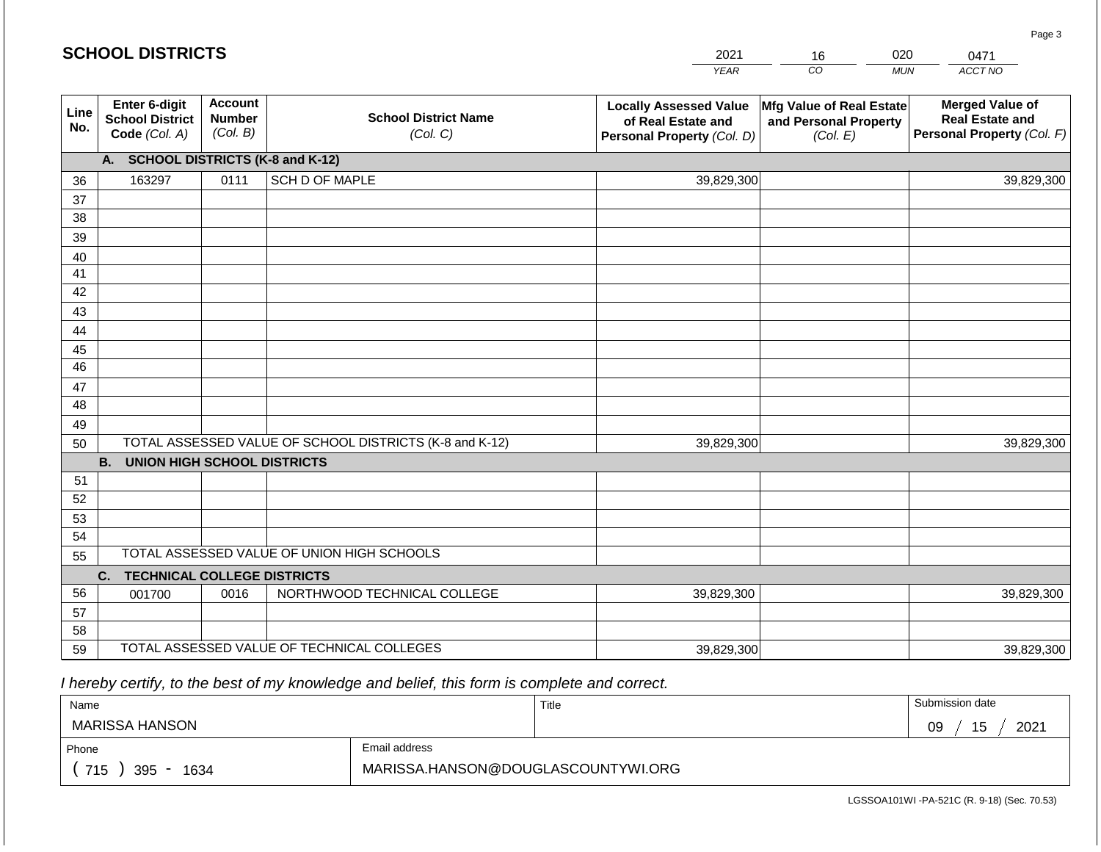|             | <b>SCHOOL DISTRICTS</b>                                  |                                             |                                                         | 2021                                                                              | 16                                                            | 020        | 0471                                                                           |
|-------------|----------------------------------------------------------|---------------------------------------------|---------------------------------------------------------|-----------------------------------------------------------------------------------|---------------------------------------------------------------|------------|--------------------------------------------------------------------------------|
|             |                                                          |                                             |                                                         | <b>YEAR</b>                                                                       | CO                                                            | <b>MUN</b> | ACCT NO                                                                        |
| Line<br>No. | Enter 6-digit<br><b>School District</b><br>Code (Col. A) | <b>Account</b><br><b>Number</b><br>(Col. B) | <b>School District Name</b><br>(Col. C)                 | <b>Locally Assessed Value</b><br>of Real Estate and<br>Personal Property (Col. D) | Mfg Value of Real Estate<br>and Personal Property<br>(Col. E) |            | <b>Merged Value of</b><br><b>Real Estate and</b><br>Personal Property (Col. F) |
|             | A. SCHOOL DISTRICTS (K-8 and K-12)                       |                                             |                                                         |                                                                                   |                                                               |            |                                                                                |
| 36          | 163297                                                   | 0111                                        | SCH D OF MAPLE                                          | 39,829,300                                                                        |                                                               |            | 39,829,300                                                                     |
| 37          |                                                          |                                             |                                                         |                                                                                   |                                                               |            |                                                                                |
| 38          |                                                          |                                             |                                                         |                                                                                   |                                                               |            |                                                                                |
| 39          |                                                          |                                             |                                                         |                                                                                   |                                                               |            |                                                                                |
| 40          |                                                          |                                             |                                                         |                                                                                   |                                                               |            |                                                                                |
| 41<br>42    |                                                          |                                             |                                                         |                                                                                   |                                                               |            |                                                                                |
| 43          |                                                          |                                             |                                                         |                                                                                   |                                                               |            |                                                                                |
| 44          |                                                          |                                             |                                                         |                                                                                   |                                                               |            |                                                                                |
| 45          |                                                          |                                             |                                                         |                                                                                   |                                                               |            |                                                                                |
| 46          |                                                          |                                             |                                                         |                                                                                   |                                                               |            |                                                                                |
| 47          |                                                          |                                             |                                                         |                                                                                   |                                                               |            |                                                                                |
| 48          |                                                          |                                             |                                                         |                                                                                   |                                                               |            |                                                                                |
| 49          |                                                          |                                             |                                                         |                                                                                   |                                                               |            |                                                                                |
| 50          |                                                          |                                             | TOTAL ASSESSED VALUE OF SCHOOL DISTRICTS (K-8 and K-12) | 39,829,300                                                                        |                                                               |            | 39,829,300                                                                     |
|             | <b>B. UNION HIGH SCHOOL DISTRICTS</b>                    |                                             |                                                         |                                                                                   |                                                               |            |                                                                                |
| 51          |                                                          |                                             |                                                         |                                                                                   |                                                               |            |                                                                                |
| 52          |                                                          |                                             |                                                         |                                                                                   |                                                               |            |                                                                                |
| 53          |                                                          |                                             |                                                         |                                                                                   |                                                               |            |                                                                                |
| 54          |                                                          |                                             | TOTAL ASSESSED VALUE OF UNION HIGH SCHOOLS              |                                                                                   |                                                               |            |                                                                                |
| 55          |                                                          |                                             |                                                         |                                                                                   |                                                               |            |                                                                                |
| 56          | C.<br><b>TECHNICAL COLLEGE DISTRICTS</b><br>001700       | 0016                                        | NORTHWOOD TECHNICAL COLLEGE                             | 39,829,300                                                                        |                                                               |            | 39,829,300                                                                     |
| 57          |                                                          |                                             |                                                         |                                                                                   |                                                               |            |                                                                                |
| 58          |                                                          |                                             |                                                         |                                                                                   |                                                               |            |                                                                                |
| 59          |                                                          |                                             | TOTAL ASSESSED VALUE OF TECHNICAL COLLEGES              | 39,829,300                                                                        |                                                               |            | 39,829,300                                                                     |

| Name                  |                                    | Title | Submission date   |
|-----------------------|------------------------------------|-------|-------------------|
| <b>MARISSA HANSON</b> |                                    |       | 2021<br>09<br>ن ا |
| Phone                 | Email address                      |       |                   |
| 715<br>395<br>1634    | MARISSA.HANSON@DOUGLASCOUNTYWI.ORG |       |                   |

LGSSOA101WI -PA-521C (R. 9-18) (Sec. 70.53)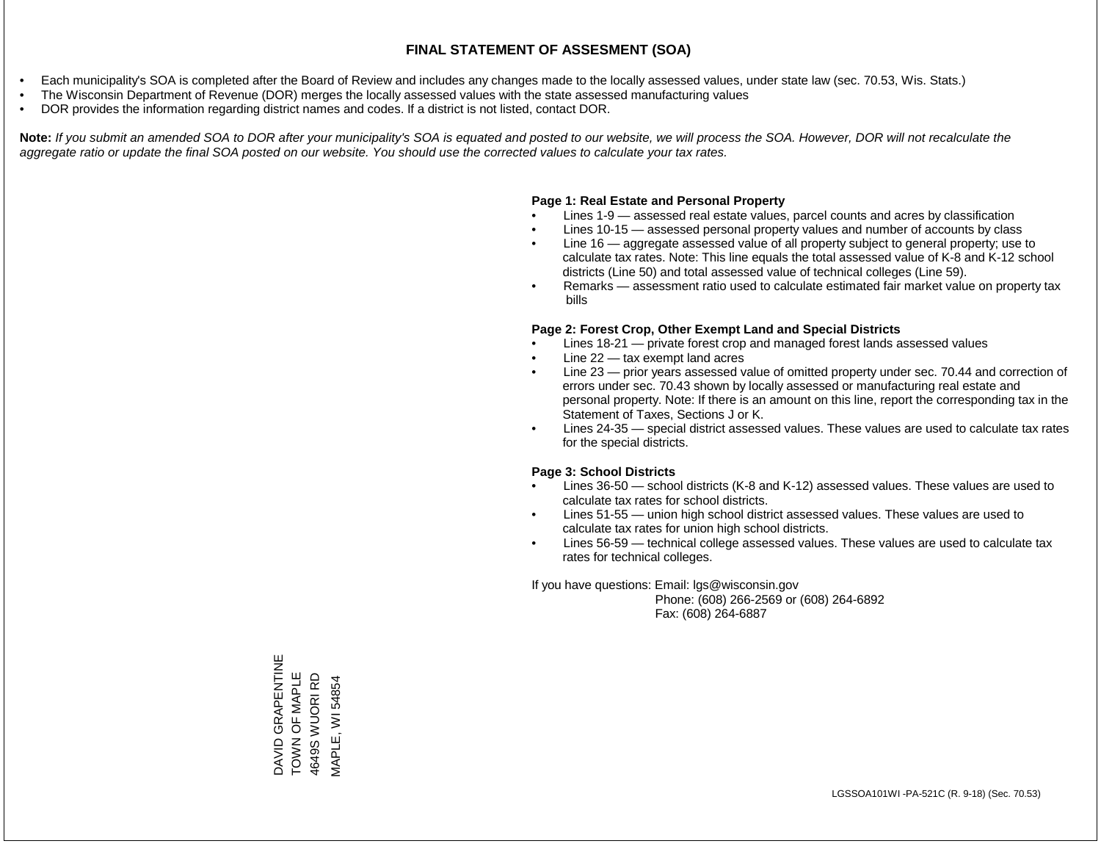- Each municipality's SOA is completed after the Board of Review and includes any changes made to the locally assessed values, under state law (sec. 70.53, Wis. Stats.)
- The Wisconsin Department of Revenue (DOR) merges the locally assessed values with the state assessed manufacturing values
- DOR provides the information regarding district names and codes. If a district is not listed, contact DOR.

Note: If you submit an amended SOA to DOR after your municipality's SOA is equated and posted to our website, we will process the SOA. However, DOR will not recalculate the *aggregate ratio or update the final SOA posted on our website. You should use the corrected values to calculate your tax rates.*

## **Page 1: Real Estate and Personal Property**

- Lines 1-9 assessed real estate values, parcel counts and acres by classification
- Lines 10-15 assessed personal property values and number of accounts by class
- Line 16 aggregate assessed value of all property subject to general property; use to calculate tax rates. Note: This line equals the total assessed value of K-8 and K-12 school districts (Line 50) and total assessed value of technical colleges (Line 59).
- Remarks assessment ratio used to calculate estimated fair market value on property tax bills

## **Page 2: Forest Crop, Other Exempt Land and Special Districts**

- Lines 18-21 private forest crop and managed forest lands assessed values
- Line  $22 -$  tax exempt land acres
- Line 23 prior years assessed value of omitted property under sec. 70.44 and correction of errors under sec. 70.43 shown by locally assessed or manufacturing real estate and personal property. Note: If there is an amount on this line, report the corresponding tax in the Statement of Taxes, Sections J or K.
- Lines 24-35 special district assessed values. These values are used to calculate tax rates for the special districts.

## **Page 3: School Districts**

- Lines 36-50 school districts (K-8 and K-12) assessed values. These values are used to calculate tax rates for school districts.
- Lines 51-55 union high school district assessed values. These values are used to calculate tax rates for union high school districts.
- Lines 56-59 technical college assessed values. These values are used to calculate tax rates for technical colleges.

If you have questions: Email: lgs@wisconsin.gov

 Phone: (608) 266-2569 or (608) 264-6892 Fax: (608) 264-6887

DAVID GRAPENTINE<br>TOWN OF MAPLE DAVID GRAPENTINE TOWN OF MAPLE 4649S WUORI RD 4649S WUORI RD **MAPLE, WI 54854** MAPLE, WI 54854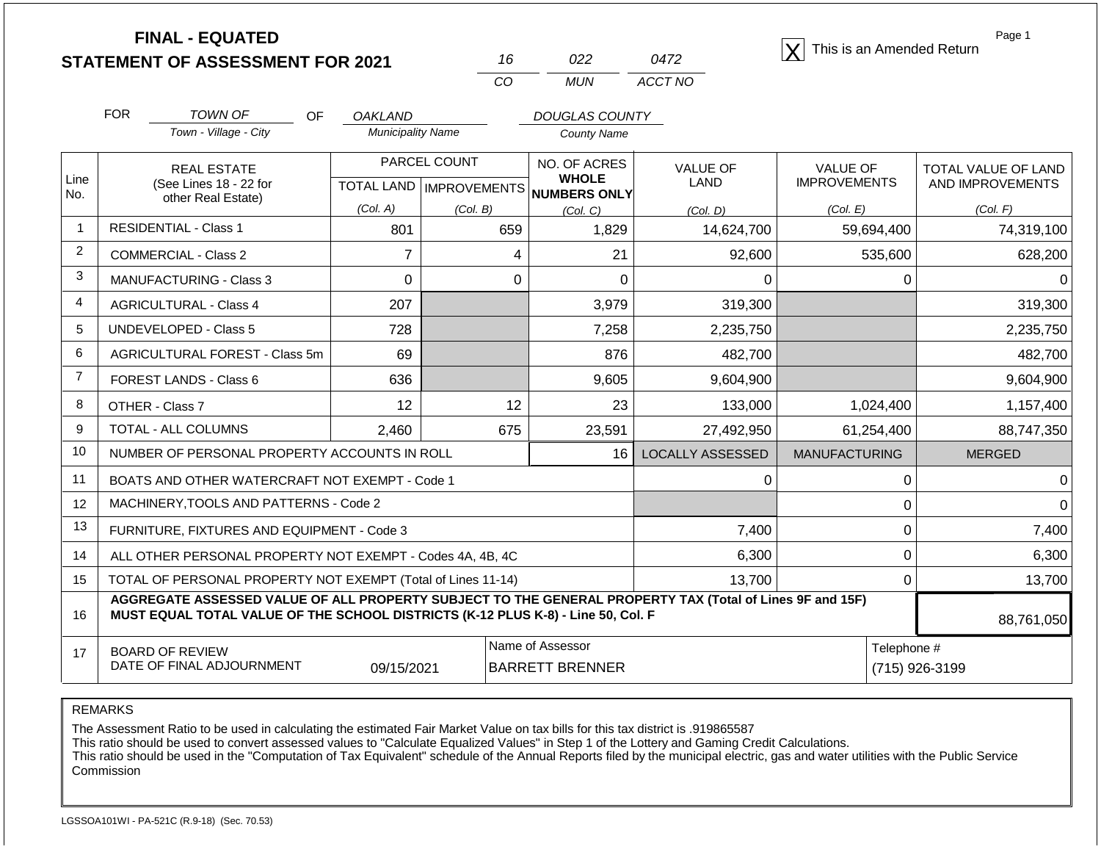**STATEMENT OF ASSESSMENT FOR 2021** 16 022 0472 2 This is an Amended Return<br> **STATEMENT OF ASSESSMENT FOR 2021** 16 022 0472

| 16. | 022  | 0472    |
|-----|------|---------|
| Γn  | MUN. | ACCT NO |

Page 1

|                                                                                                                                                                                                    | <b>FOR</b> | <b>TOWN OF</b><br>OF                                         | <b>OAKLAND</b>           |                              | <b>DOUGLAS COUNTY</b>           |                         |                                        |                                                |
|----------------------------------------------------------------------------------------------------------------------------------------------------------------------------------------------------|------------|--------------------------------------------------------------|--------------------------|------------------------------|---------------------------------|-------------------------|----------------------------------------|------------------------------------------------|
|                                                                                                                                                                                                    |            | Town - Village - City                                        | <b>Municipality Name</b> |                              | County Name                     |                         |                                        |                                                |
| Line                                                                                                                                                                                               |            | <b>REAL ESTATE</b><br>(See Lines 18 - 22 for                 | <b>TOTAL LAND</b>        | PARCEL COUNT<br>IMPROVEMENTS | NO. OF ACRES<br><b>WHOLE</b>    | <b>VALUE OF</b><br>LAND | <b>VALUE OF</b><br><b>IMPROVEMENTS</b> | <b>TOTAL VALUE OF LAND</b><br>AND IMPROVEMENTS |
| No.                                                                                                                                                                                                |            | other Real Estate)                                           | (Col. A)                 | (Col. B)                     | <b>NUMBERS ONLY</b><br>(Col. C) | (Col, D)                | (Col. E)                               | (Col. F)                                       |
| $\mathbf{1}$                                                                                                                                                                                       |            | <b>RESIDENTIAL - Class 1</b>                                 | 801                      | 659                          | 1,829                           | 14,624,700              | 59,694,400                             | 74,319,100                                     |
| $\overline{2}$                                                                                                                                                                                     |            | <b>COMMERCIAL - Class 2</b>                                  | $\overline{7}$           | 4                            | 21                              | 92,600                  | 535,600                                | 628,200                                        |
| 3                                                                                                                                                                                                  |            | <b>MANUFACTURING - Class 3</b>                               | $\Omega$                 | $\Omega$                     | $\Omega$                        | $\Omega$                | $\Omega$                               | $\Omega$                                       |
| 4                                                                                                                                                                                                  |            | <b>AGRICULTURAL - Class 4</b>                                | 207                      |                              | 3,979                           | 319,300                 |                                        | 319,300                                        |
| 5                                                                                                                                                                                                  |            | <b>UNDEVELOPED - Class 5</b>                                 | 728                      |                              | 7,258                           | 2,235,750               |                                        | 2,235,750                                      |
| 6                                                                                                                                                                                                  |            | AGRICULTURAL FOREST - Class 5m                               | 69                       |                              | 876                             | 482,700                 |                                        | 482,700                                        |
| $\overline{7}$                                                                                                                                                                                     |            | FOREST LANDS - Class 6                                       | 636                      |                              | 9,605                           | 9,604,900               |                                        | 9,604,900                                      |
| 8                                                                                                                                                                                                  |            | OTHER - Class 7                                              | 12                       | 12                           | 23                              | 133,000                 | 1,024,400                              | 1,157,400                                      |
| 9                                                                                                                                                                                                  |            | TOTAL - ALL COLUMNS                                          | 2,460                    | 675                          | 23,591                          | 27,492,950              | 61,254,400                             | 88,747,350                                     |
| 10                                                                                                                                                                                                 |            | NUMBER OF PERSONAL PROPERTY ACCOUNTS IN ROLL                 |                          |                              | 16 <sup>1</sup>                 | <b>LOCALLY ASSESSED</b> | <b>MANUFACTURING</b>                   | <b>MERGED</b>                                  |
| 11                                                                                                                                                                                                 |            | BOATS AND OTHER WATERCRAFT NOT EXEMPT - Code 1               |                          |                              |                                 | 0                       | $\Omega$                               | 0                                              |
| 12                                                                                                                                                                                                 |            | MACHINERY, TOOLS AND PATTERNS - Code 2                       |                          |                              |                                 |                         | $\Omega$                               | $\Omega$                                       |
| 13                                                                                                                                                                                                 |            | FURNITURE, FIXTURES AND EQUIPMENT - Code 3                   |                          |                              |                                 | 7,400                   | 0                                      | 7,400                                          |
| 14                                                                                                                                                                                                 |            | ALL OTHER PERSONAL PROPERTY NOT EXEMPT - Codes 4A, 4B, 4C    |                          |                              |                                 | 6,300                   | 0                                      | 6,300                                          |
| 15                                                                                                                                                                                                 |            | TOTAL OF PERSONAL PROPERTY NOT EXEMPT (Total of Lines 11-14) |                          |                              |                                 | 13,700                  | $\Omega$                               | 13,700                                         |
| AGGREGATE ASSESSED VALUE OF ALL PROPERTY SUBJECT TO THE GENERAL PROPERTY TAX (Total of Lines 9F and 15F)<br>MUST EQUAL TOTAL VALUE OF THE SCHOOL DISTRICTS (K-12 PLUS K-8) - Line 50, Col. F<br>16 |            |                                                              |                          |                              |                                 |                         |                                        |                                                |
| 17                                                                                                                                                                                                 |            | <b>BOARD OF REVIEW</b>                                       |                          | Name of Assessor             |                                 | Telephone #             |                                        |                                                |

REMARKS

The Assessment Ratio to be used in calculating the estimated Fair Market Value on tax bills for this tax district is .919865587

This ratio should be used to convert assessed values to "Calculate Equalized Values" in Step 1 of the Lottery and Gaming Credit Calculations.

 This ratio should be used in the "Computation of Tax Equivalent" schedule of the Annual Reports filed by the municipal electric, gas and water utilities with the Public Service Commission

09/15/2021 BARRETT BRENNER (715) 926-3199

DATE OF FINAL ADJOURNMENT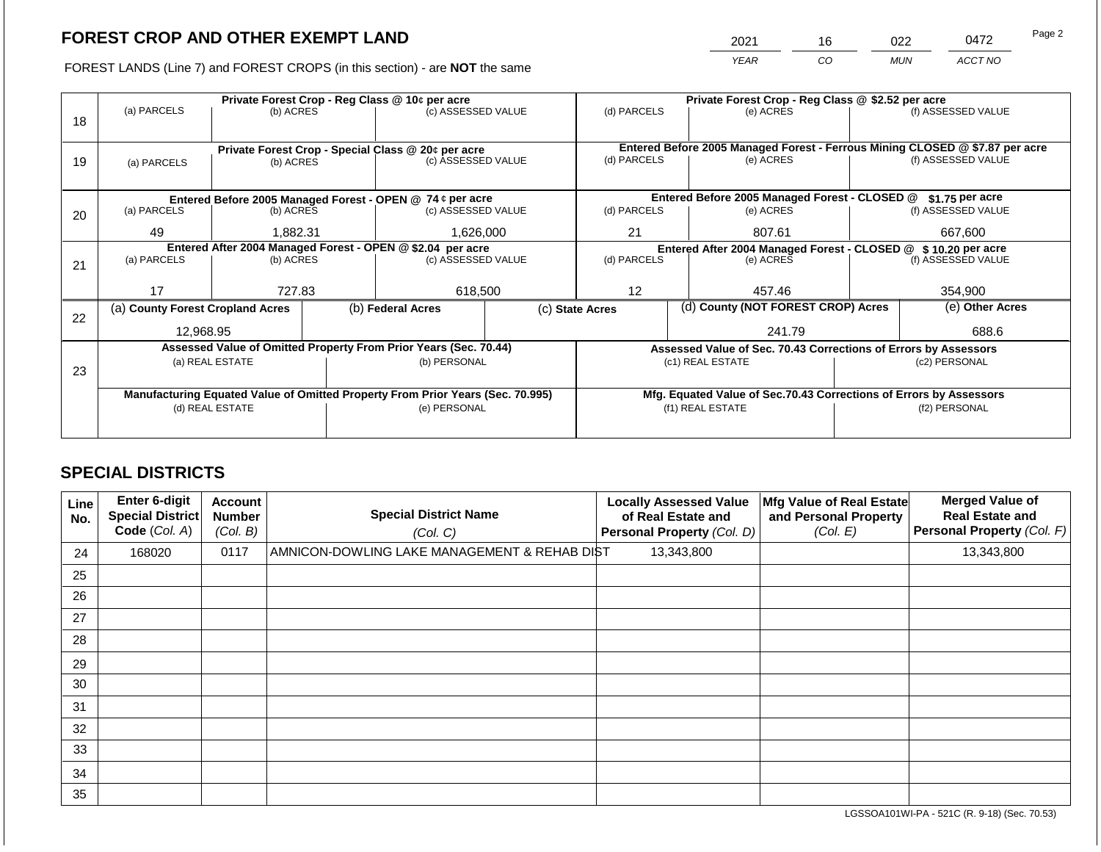2021 16 022 0472

FOREST LANDS (Line 7) and FOREST CROPS (in this section) - are **NOT** the same *YEAR CO MUN ACCT NO*

|    |                                                            | Private Forest Crop - Reg Class @ 10¢ per acre     |  | Private Forest Crop - Reg Class @ \$2.52 per acre                              |  |                 |                                                                                           |                                                                    |               |                    |
|----|------------------------------------------------------------|----------------------------------------------------|--|--------------------------------------------------------------------------------|--|-----------------|-------------------------------------------------------------------------------------------|--------------------------------------------------------------------|---------------|--------------------|
|    | (a) PARCELS                                                | (b) ACRES                                          |  | (c) ASSESSED VALUE                                                             |  | (d) PARCELS     |                                                                                           | (e) ACRES                                                          |               | (f) ASSESSED VALUE |
| 18 |                                                            |                                                    |  |                                                                                |  |                 |                                                                                           |                                                                    |               |                    |
|    |                                                            |                                                    |  |                                                                                |  |                 |                                                                                           |                                                                    |               |                    |
|    |                                                            | Private Forest Crop - Special Class @ 20¢ per acre |  | (c) ASSESSED VALUE                                                             |  | (d) PARCELS     | Entered Before 2005 Managed Forest - Ferrous Mining CLOSED @ \$7.87 per acre<br>(e) ACRES |                                                                    |               | (f) ASSESSED VALUE |
| 19 | (a) PARCELS                                                | (b) ACRES                                          |  |                                                                                |  |                 |                                                                                           |                                                                    |               |                    |
|    |                                                            |                                                    |  |                                                                                |  |                 |                                                                                           |                                                                    |               |                    |
|    |                                                            |                                                    |  | Entered Before 2005 Managed Forest - OPEN @ 74 ¢ per acre                      |  |                 |                                                                                           | Entered Before 2005 Managed Forest - CLOSED @                      |               | \$1.75 per acre    |
| 20 | (a) PARCELS                                                | (b) ACRES                                          |  | (c) ASSESSED VALUE                                                             |  | (d) PARCELS     |                                                                                           | (e) ACRES                                                          |               | (f) ASSESSED VALUE |
|    |                                                            |                                                    |  |                                                                                |  |                 |                                                                                           |                                                                    |               |                    |
|    |                                                            | 49<br>1.882.31                                     |  | 1,626,000                                                                      |  | 21<br>807.61    |                                                                                           | 667,600                                                            |               |                    |
|    | Entered After 2004 Managed Forest - OPEN @ \$2.04 per acre |                                                    |  |                                                                                |  |                 | Entered After 2004 Managed Forest - CLOSED @ \$10.20 per acre                             |                                                                    |               |                    |
| 21 | (a) PARCELS                                                | (b) ACRES                                          |  | (c) ASSESSED VALUE                                                             |  | (d) PARCELS     |                                                                                           | (e) ACRES                                                          |               | (f) ASSESSED VALUE |
|    |                                                            |                                                    |  |                                                                                |  |                 |                                                                                           |                                                                    |               |                    |
|    | 17                                                         | 727.83                                             |  | 618,500                                                                        |  | 12              |                                                                                           | 457.46                                                             |               | 354,900            |
|    | (a) County Forest Cropland Acres                           |                                                    |  | (b) Federal Acres                                                              |  | (c) State Acres |                                                                                           | (d) County (NOT FOREST CROP) Acres                                 |               | (e) Other Acres    |
| 22 |                                                            |                                                    |  |                                                                                |  |                 |                                                                                           |                                                                    |               |                    |
|    | 12,968.95                                                  |                                                    |  |                                                                                |  |                 |                                                                                           | 241.79                                                             |               | 688.6              |
|    |                                                            |                                                    |  | Assessed Value of Omitted Property From Prior Years (Sec. 70.44)               |  |                 |                                                                                           | Assessed Value of Sec. 70.43 Corrections of Errors by Assessors    |               |                    |
|    |                                                            | (a) REAL ESTATE                                    |  | (b) PERSONAL                                                                   |  |                 |                                                                                           | (c1) REAL ESTATE                                                   |               | (c2) PERSONAL      |
| 23 |                                                            |                                                    |  |                                                                                |  |                 |                                                                                           |                                                                    |               |                    |
|    |                                                            |                                                    |  | Manufacturing Equated Value of Omitted Property From Prior Years (Sec. 70.995) |  |                 |                                                                                           | Mfg. Equated Value of Sec.70.43 Corrections of Errors by Assessors |               |                    |
|    |                                                            | (d) REAL ESTATE                                    |  | (e) PERSONAL                                                                   |  |                 |                                                                                           | (f1) REAL ESTATE                                                   | (f2) PERSONAL |                    |
|    |                                                            |                                                    |  |                                                                                |  |                 |                                                                                           |                                                                    |               |                    |
|    |                                                            |                                                    |  |                                                                                |  |                 |                                                                                           |                                                                    |               |                    |

## **SPECIAL DISTRICTS**

| Line<br>No. | <b>Enter 6-digit</b><br><b>Special District</b><br>Code (Col. A) | <b>Account</b><br><b>Number</b><br>(Col. B) | <b>Special District Name</b><br>(Col. C)     | <b>Locally Assessed Value</b><br>of Real Estate and<br>Personal Property (Col. D) | Mfg Value of Real Estate<br>and Personal Property<br>(Col. E) | <b>Merged Value of</b><br><b>Real Estate and</b><br>Personal Property (Col. F) |
|-------------|------------------------------------------------------------------|---------------------------------------------|----------------------------------------------|-----------------------------------------------------------------------------------|---------------------------------------------------------------|--------------------------------------------------------------------------------|
| 24          | 168020                                                           | 0117                                        | AMNICON-DOWLING LAKE MANAGEMENT & REHAB DIST | 13,343,800                                                                        |                                                               | 13,343,800                                                                     |
| 25          |                                                                  |                                             |                                              |                                                                                   |                                                               |                                                                                |
| 26          |                                                                  |                                             |                                              |                                                                                   |                                                               |                                                                                |
| 27          |                                                                  |                                             |                                              |                                                                                   |                                                               |                                                                                |
| 28          |                                                                  |                                             |                                              |                                                                                   |                                                               |                                                                                |
| 29          |                                                                  |                                             |                                              |                                                                                   |                                                               |                                                                                |
| 30          |                                                                  |                                             |                                              |                                                                                   |                                                               |                                                                                |
| 31          |                                                                  |                                             |                                              |                                                                                   |                                                               |                                                                                |
| 32          |                                                                  |                                             |                                              |                                                                                   |                                                               |                                                                                |
| 33          |                                                                  |                                             |                                              |                                                                                   |                                                               |                                                                                |
| 34          |                                                                  |                                             |                                              |                                                                                   |                                                               |                                                                                |
| 35          |                                                                  |                                             |                                              |                                                                                   |                                                               |                                                                                |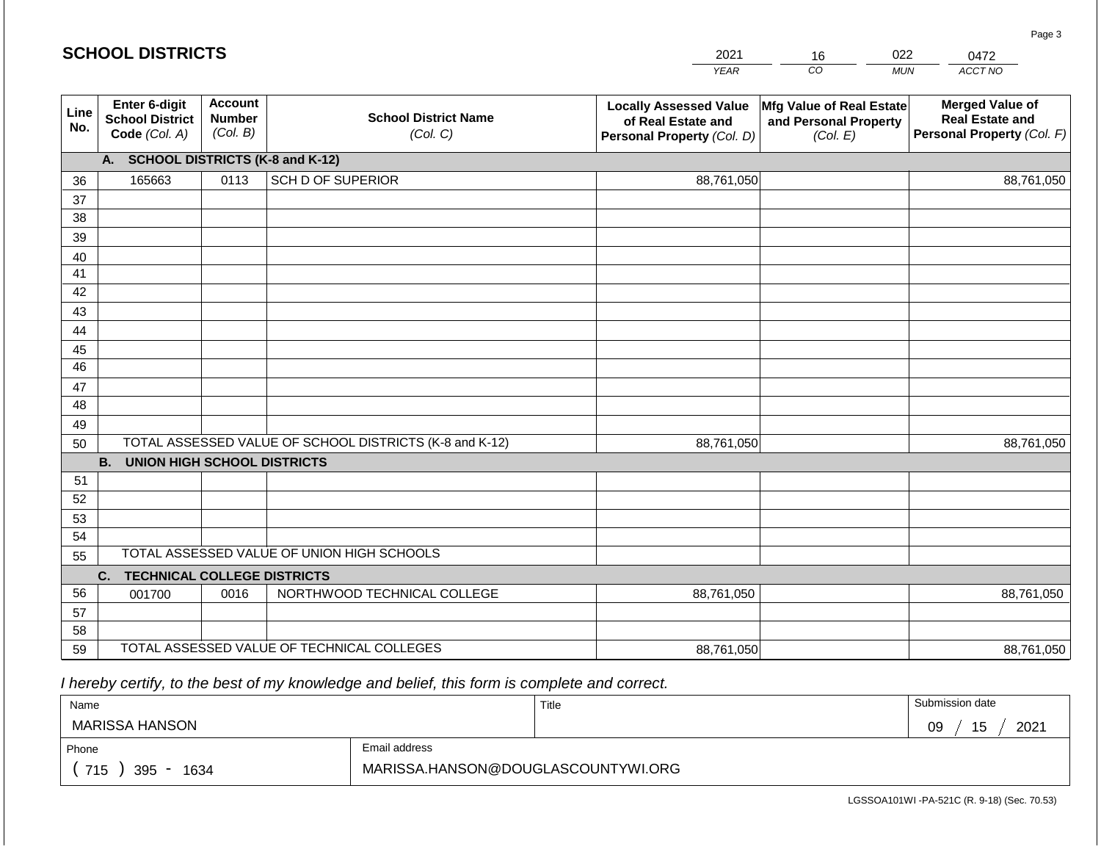|             | <b>SCHOOL DISTRICTS</b>                                  |                                             |                                                         | 2021                                                                              | 16                                                            | 022        | 0472                                                                           |  |  |  |
|-------------|----------------------------------------------------------|---------------------------------------------|---------------------------------------------------------|-----------------------------------------------------------------------------------|---------------------------------------------------------------|------------|--------------------------------------------------------------------------------|--|--|--|
|             |                                                          |                                             |                                                         | <b>YEAR</b>                                                                       | CO <sub>.</sub>                                               | <b>MUN</b> | ACCT NO                                                                        |  |  |  |
| Line<br>No. | Enter 6-digit<br><b>School District</b><br>Code (Col. A) | <b>Account</b><br><b>Number</b><br>(Col. B) | <b>School District Name</b><br>(Col. C)                 | <b>Locally Assessed Value</b><br>of Real Estate and<br>Personal Property (Col. D) | Mfg Value of Real Estate<br>and Personal Property<br>(Col. E) |            | <b>Merged Value of</b><br><b>Real Estate and</b><br>Personal Property (Col. F) |  |  |  |
|             | A. SCHOOL DISTRICTS (K-8 and K-12)                       |                                             |                                                         |                                                                                   |                                                               |            |                                                                                |  |  |  |
| 36          | 165663                                                   | 0113                                        | <b>SCH D OF SUPERIOR</b>                                | 88,761,050                                                                        |                                                               |            | 88,761,050                                                                     |  |  |  |
| 37          |                                                          |                                             |                                                         |                                                                                   |                                                               |            |                                                                                |  |  |  |
| 38          |                                                          |                                             |                                                         |                                                                                   |                                                               |            |                                                                                |  |  |  |
| 39          |                                                          |                                             |                                                         |                                                                                   |                                                               |            |                                                                                |  |  |  |
| 40          |                                                          |                                             |                                                         |                                                                                   |                                                               |            |                                                                                |  |  |  |
| 41<br>42    |                                                          |                                             |                                                         |                                                                                   |                                                               |            |                                                                                |  |  |  |
| 43          |                                                          |                                             |                                                         |                                                                                   |                                                               |            |                                                                                |  |  |  |
| 44          |                                                          |                                             |                                                         |                                                                                   |                                                               |            |                                                                                |  |  |  |
| 45          |                                                          |                                             |                                                         |                                                                                   |                                                               |            |                                                                                |  |  |  |
| 46          |                                                          |                                             |                                                         |                                                                                   |                                                               |            |                                                                                |  |  |  |
| 47          |                                                          |                                             |                                                         |                                                                                   |                                                               |            |                                                                                |  |  |  |
| 48          |                                                          |                                             |                                                         |                                                                                   |                                                               |            |                                                                                |  |  |  |
| 49          |                                                          |                                             |                                                         |                                                                                   |                                                               |            |                                                                                |  |  |  |
| 50          |                                                          |                                             | TOTAL ASSESSED VALUE OF SCHOOL DISTRICTS (K-8 and K-12) | 88,761,050                                                                        |                                                               |            | 88,761,050                                                                     |  |  |  |
|             | <b>B. UNION HIGH SCHOOL DISTRICTS</b>                    |                                             |                                                         |                                                                                   |                                                               |            |                                                                                |  |  |  |
| 51          |                                                          |                                             |                                                         |                                                                                   |                                                               |            |                                                                                |  |  |  |
| 52<br>53    |                                                          |                                             |                                                         |                                                                                   |                                                               |            |                                                                                |  |  |  |
| 54          |                                                          |                                             |                                                         |                                                                                   |                                                               |            |                                                                                |  |  |  |
| 55          |                                                          |                                             | TOTAL ASSESSED VALUE OF UNION HIGH SCHOOLS              |                                                                                   |                                                               |            |                                                                                |  |  |  |
|             | C.<br><b>TECHNICAL COLLEGE DISTRICTS</b>                 |                                             |                                                         |                                                                                   |                                                               |            |                                                                                |  |  |  |
| 56          | 001700                                                   | 0016                                        | NORTHWOOD TECHNICAL COLLEGE                             | 88,761,050                                                                        |                                                               |            | 88,761,050                                                                     |  |  |  |
| 57          |                                                          |                                             |                                                         |                                                                                   |                                                               |            |                                                                                |  |  |  |
| 58          |                                                          |                                             |                                                         |                                                                                   |                                                               |            |                                                                                |  |  |  |
| 59          |                                                          |                                             | TOTAL ASSESSED VALUE OF TECHNICAL COLLEGES              | 88,761,050                                                                        |                                                               |            | 88,761,050                                                                     |  |  |  |

| Name               |                                    | Title | Submission date  |
|--------------------|------------------------------------|-------|------------------|
| MARISSA HANSON     |                                    |       | 15<br>2021<br>09 |
| Phone              | Email address                      |       |                  |
| 715<br>395<br>1634 | MARISSA.HANSON@DOUGLASCOUNTYWI.ORG |       |                  |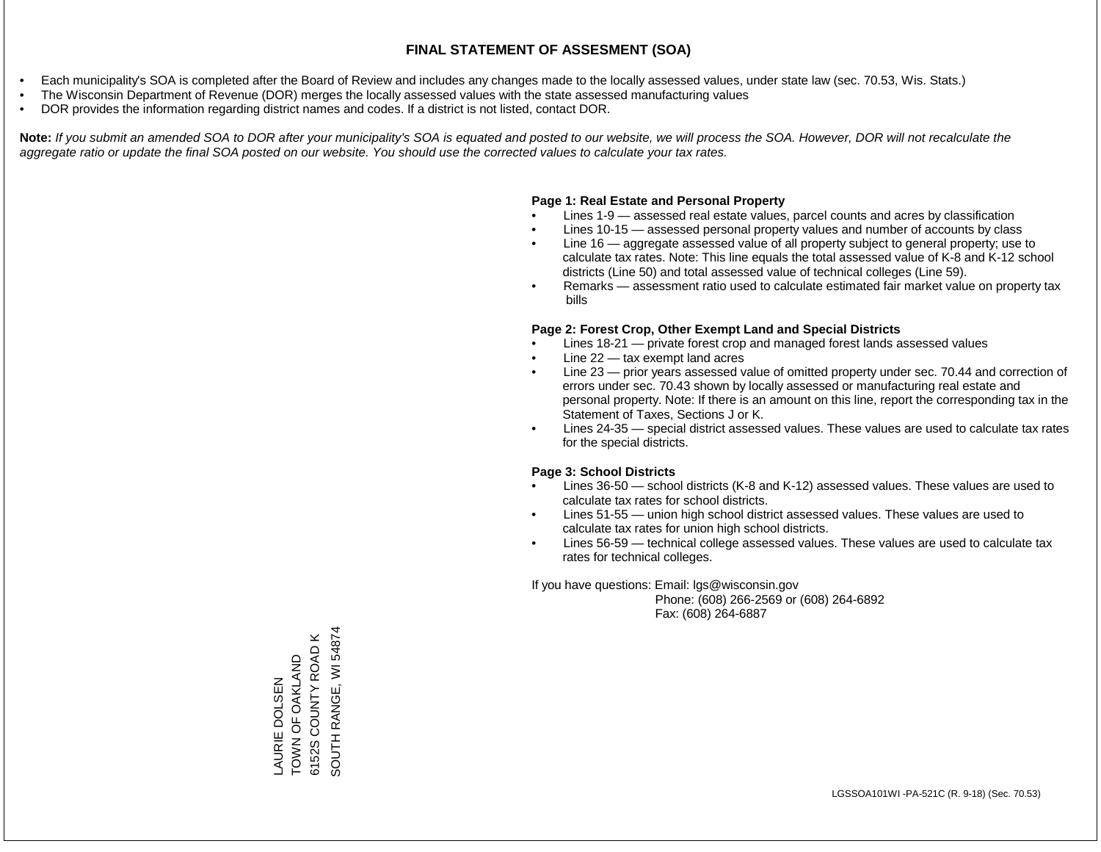- Each municipality's SOA is completed after the Board of Review and includes any changes made to the locally assessed values, under state law (sec. 70.53, Wis. Stats.)
- The Wisconsin Department of Revenue (DOR) merges the locally assessed values with the state assessed manufacturing values
- DOR provides the information regarding district names and codes. If a district is not listed, contact DOR.

Note: If you submit an amended SOA to DOR after your municipality's SOA is equated and posted to our website, we will process the SOA. However, DOR will not recalculate the *aggregate ratio or update the final SOA posted on our website. You should use the corrected values to calculate your tax rates.*

## **Page 1: Real Estate and Personal Property**

- Lines 1-9 assessed real estate values, parcel counts and acres by classification
- Lines 10-15 assessed personal property values and number of accounts by class
- Line 16 aggregate assessed value of all property subject to general property; use to calculate tax rates. Note: This line equals the total assessed value of K-8 and K-12 school districts (Line 50) and total assessed value of technical colleges (Line 59).
- Remarks assessment ratio used to calculate estimated fair market value on property tax bills

## **Page 2: Forest Crop, Other Exempt Land and Special Districts**

- Lines 18-21 private forest crop and managed forest lands assessed values
- Line  $22 -$  tax exempt land acres
- Line 23 prior years assessed value of omitted property under sec. 70.44 and correction of errors under sec. 70.43 shown by locally assessed or manufacturing real estate and personal property. Note: If there is an amount on this line, report the corresponding tax in the Statement of Taxes, Sections J or K.
- Lines 24-35 special district assessed values. These values are used to calculate tax rates for the special districts.

## **Page 3: School Districts**

- Lines 36-50 school districts (K-8 and K-12) assessed values. These values are used to calculate tax rates for school districts.
- Lines 51-55 union high school district assessed values. These values are used to calculate tax rates for union high school districts.
- Lines 56-59 technical college assessed values. These values are used to calculate tax rates for technical colleges.

If you have questions: Email: lgs@wisconsin.gov

 Phone: (608) 266-2569 or (608) 264-6892 Fax: (608) 264-6887

SOUTH RANGE, WI 54874 SOUTH RANGE, WI 548746152S COUNTY ROAD K 6152S COUNTY ROAD K TOWN OF OAKLAND TOWN OF OAKLAND AURIE DOLSEN LAURIE DOLSEN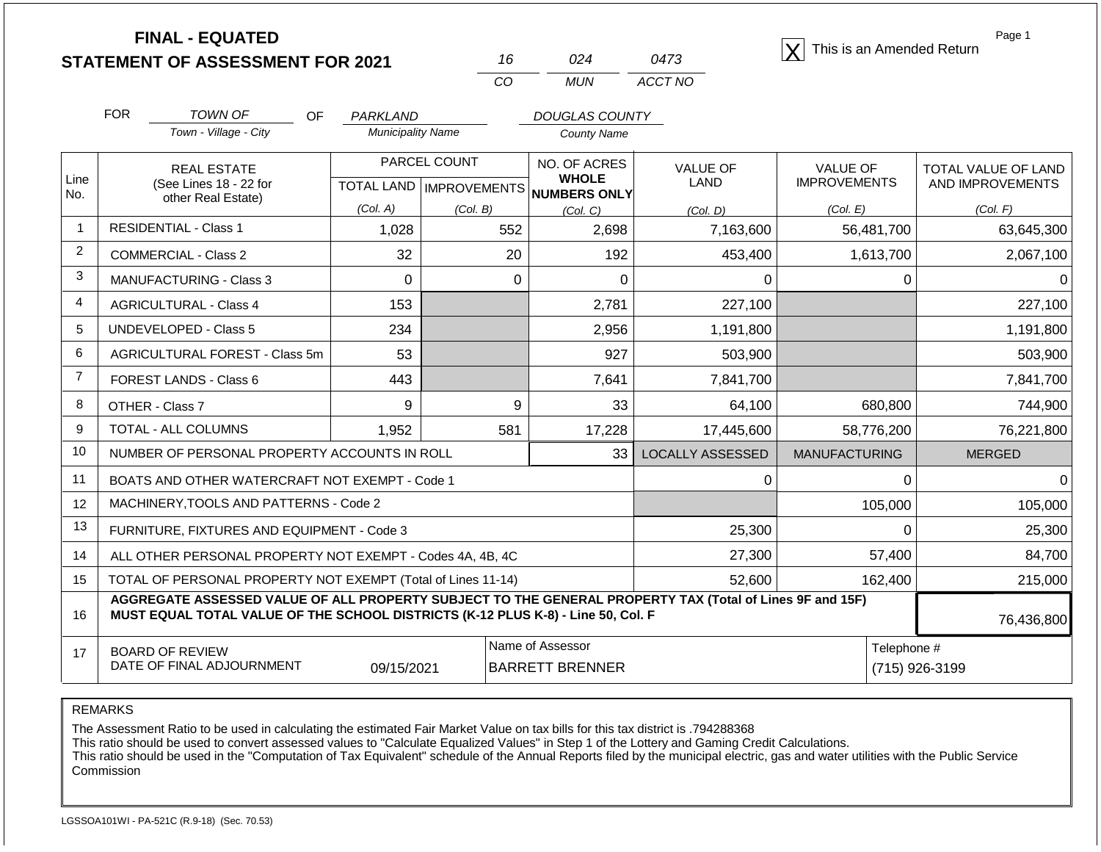| <b>FINAL - EQUATED</b>                  |  |      |                                          |
|-----------------------------------------|--|------|------------------------------------------|
| <b>STATEMENT OF ASSESSMENT FOR 2021</b> |  | 0473 | $ \mathsf{X} $ This is an Amended Return |

| 16  | በ24 | 0473    |
|-----|-----|---------|
| CO. | MUN | ACCT NO |

Page 1

|                | <b>FOR</b>                     | <b>TOWN OF</b><br><b>OF</b>                                                                                                                                                                  | PARKLAND                 |              | <b>DOUGLAS COUNTY</b>                               |                         |                      |                     |
|----------------|--------------------------------|----------------------------------------------------------------------------------------------------------------------------------------------------------------------------------------------|--------------------------|--------------|-----------------------------------------------------|-------------------------|----------------------|---------------------|
|                |                                | Town - Village - City                                                                                                                                                                        | <b>Municipality Name</b> |              | <b>County Name</b>                                  |                         |                      |                     |
|                |                                | <b>REAL ESTATE</b>                                                                                                                                                                           |                          | PARCEL COUNT | NO. OF ACRES                                        | <b>VALUE OF</b>         | <b>VALUE OF</b>      | TOTAL VALUE OF LAND |
| Line<br>No.    |                                | (See Lines 18 - 22 for<br>other Real Estate)                                                                                                                                                 |                          |              | <b>WHOLE</b><br>TOTAL LAND MPROVEMENTS NUMBERS ONLY | <b>LAND</b>             | <b>IMPROVEMENTS</b>  | AND IMPROVEMENTS    |
|                |                                |                                                                                                                                                                                              | (Col. A)                 | (Col, B)     | (Col. C)                                            | (Col. D)                | (Col. E)             | (Col. F)            |
| $\overline{1}$ |                                | <b>RESIDENTIAL - Class 1</b>                                                                                                                                                                 | 1,028                    | 552          | 2,698                                               | 7,163,600               | 56,481,700           | 63,645,300          |
| $\overline{2}$ |                                | <b>COMMERCIAL - Class 2</b>                                                                                                                                                                  | 32                       | 20           | 192                                                 | 453,400                 | 1,613,700            | 2,067,100           |
| 3              |                                | <b>MANUFACTURING - Class 3</b>                                                                                                                                                               | $\Omega$                 | 0            | 0                                                   | 0                       | $\Omega$             |                     |
| $\overline{4}$ |                                | <b>AGRICULTURAL - Class 4</b>                                                                                                                                                                | 153                      |              | 2,781                                               | 227,100                 |                      | 227,100             |
| 5              | <b>UNDEVELOPED - Class 5</b>   |                                                                                                                                                                                              | 234                      |              | 2,956                                               | 1,191,800               |                      | 1,191,800           |
| 6              | AGRICULTURAL FOREST - Class 5m |                                                                                                                                                                                              | 53                       |              | 927                                                 | 503,900                 |                      | 503,900             |
| $\overline{7}$ | FOREST LANDS - Class 6         |                                                                                                                                                                                              | 443                      |              | 7,641                                               | 7,841,700               |                      | 7,841,700           |
| 8              |                                | OTHER - Class 7                                                                                                                                                                              | 9                        | 9            | 33                                                  | 64,100                  | 680,800              | 744,900             |
| 9              |                                | <b>TOTAL - ALL COLUMNS</b>                                                                                                                                                                   | 1,952                    | 581          | 17,228                                              | 17,445,600              | 58,776,200           | 76,221,800          |
| 10             |                                | NUMBER OF PERSONAL PROPERTY ACCOUNTS IN ROLL                                                                                                                                                 |                          |              | 33                                                  | <b>LOCALLY ASSESSED</b> | <b>MANUFACTURING</b> | <b>MERGED</b>       |
| 11             |                                | BOATS AND OTHER WATERCRAFT NOT EXEMPT - Code 1                                                                                                                                               |                          |              |                                                     | 0                       | $\Omega$             |                     |
| 12             |                                | MACHINERY, TOOLS AND PATTERNS - Code 2                                                                                                                                                       |                          |              |                                                     |                         | 105,000              | 105,000             |
| 13             |                                | FURNITURE, FIXTURES AND EQUIPMENT - Code 3                                                                                                                                                   |                          |              |                                                     | 25,300                  | 0                    | 25,300              |
| 14             |                                | ALL OTHER PERSONAL PROPERTY NOT EXEMPT - Codes 4A, 4B, 4C                                                                                                                                    |                          |              |                                                     | 27,300                  | 57,400               | 84,700              |
| 15             |                                | TOTAL OF PERSONAL PROPERTY NOT EXEMPT (Total of Lines 11-14)                                                                                                                                 |                          |              |                                                     | 52,600                  | 162,400<br>215,000   |                     |
| 16             |                                | AGGREGATE ASSESSED VALUE OF ALL PROPERTY SUBJECT TO THE GENERAL PROPERTY TAX (Total of Lines 9F and 15F)<br>MUST EQUAL TOTAL VALUE OF THE SCHOOL DISTRICTS (K-12 PLUS K-8) - Line 50, Col. F |                          |              |                                                     |                         |                      | 76,436,800          |
| 17             |                                | <b>BOARD OF REVIEW</b>                                                                                                                                                                       |                          |              | Name of Assessor                                    |                         | Telephone #          |                     |
|                |                                | DATE OF FINAL ADJOURNMENT                                                                                                                                                                    | 09/15/2021               |              | <b>BARRETT BRENNER</b>                              |                         | (715) 926-3199       |                     |

REMARKS

The Assessment Ratio to be used in calculating the estimated Fair Market Value on tax bills for this tax district is .794288368

This ratio should be used to convert assessed values to "Calculate Equalized Values" in Step 1 of the Lottery and Gaming Credit Calculations.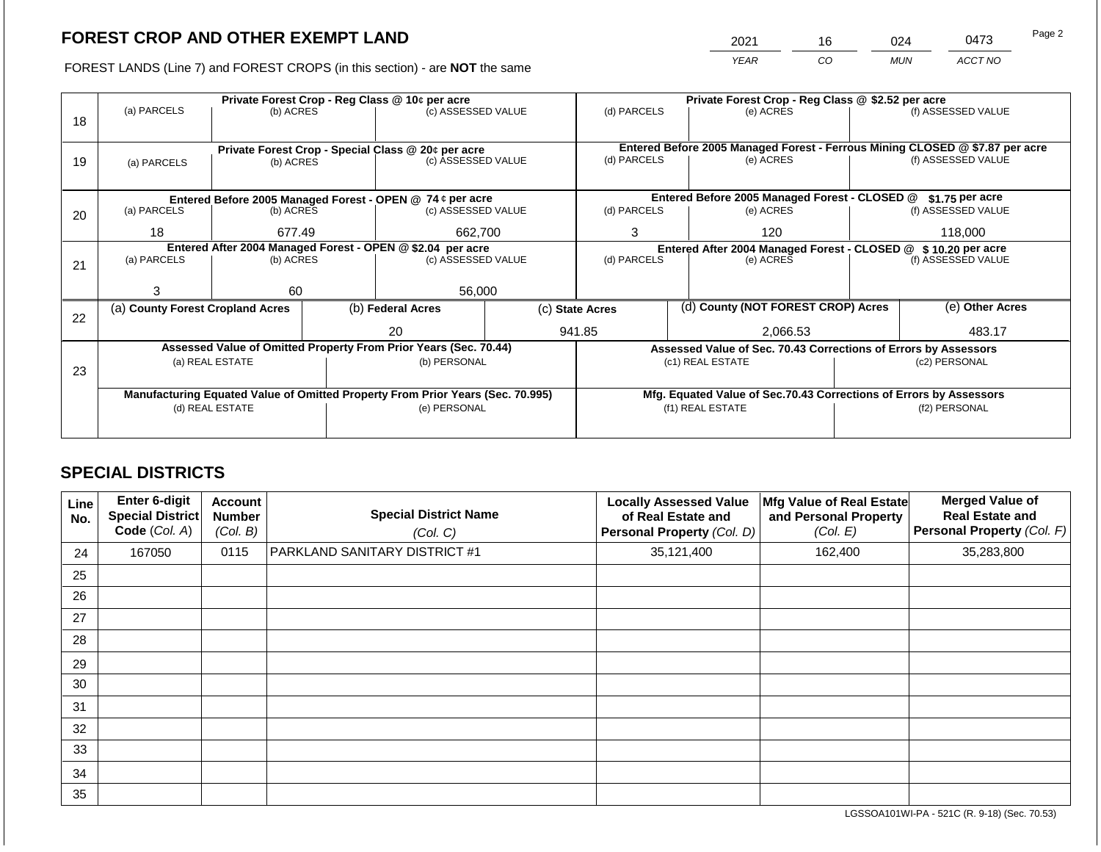2021 16 024 0473

FOREST LANDS (Line 7) and FOREST CROPS (in this section) - are **NOT** the same *YEAR CO MUN ACCT NO*

|    |                                                            |                                                                 |  | Private Forest Crop - Reg Class @ 10¢ per acre                                 |  | Private Forest Crop - Reg Class @ \$2.52 per acre |  |                                                                              |                    |                    |
|----|------------------------------------------------------------|-----------------------------------------------------------------|--|--------------------------------------------------------------------------------|--|---------------------------------------------------|--|------------------------------------------------------------------------------|--------------------|--------------------|
| 18 | (a) PARCELS                                                | (b) ACRES                                                       |  | (c) ASSESSED VALUE                                                             |  | (d) PARCELS                                       |  | (e) ACRES                                                                    |                    | (f) ASSESSED VALUE |
|    |                                                            |                                                                 |  |                                                                                |  |                                                   |  |                                                                              |                    |                    |
|    |                                                            |                                                                 |  |                                                                                |  |                                                   |  | Entered Before 2005 Managed Forest - Ferrous Mining CLOSED @ \$7.87 per acre |                    |                    |
| 19 | (a) PARCELS                                                | Private Forest Crop - Special Class @ 20¢ per acre<br>(b) ACRES |  | (c) ASSESSED VALUE                                                             |  | (d) PARCELS                                       |  | (e) ACRES                                                                    |                    | (f) ASSESSED VALUE |
|    |                                                            |                                                                 |  |                                                                                |  |                                                   |  |                                                                              |                    |                    |
|    |                                                            |                                                                 |  |                                                                                |  |                                                   |  |                                                                              |                    |                    |
|    |                                                            |                                                                 |  | Entered Before 2005 Managed Forest - OPEN @ 74 ¢ per acre                      |  |                                                   |  | Entered Before 2005 Managed Forest - CLOSED @                                |                    | $$1.75$ per acre   |
| 20 | (a) PARCELS                                                | (b) ACRES                                                       |  | (c) ASSESSED VALUE                                                             |  | (d) PARCELS                                       |  | (e) ACRES                                                                    |                    | (f) ASSESSED VALUE |
|    | 18                                                         | 677.49                                                          |  | 662,700                                                                        |  | 3                                                 |  | 120                                                                          | 118,000            |                    |
|    | Entered After 2004 Managed Forest - OPEN @ \$2.04 per acre |                                                                 |  |                                                                                |  |                                                   |  | Entered After 2004 Managed Forest - CLOSED @ \$ 10.20 per acre               |                    |                    |
| 21 | (a) PARCELS                                                | (b) ACRES                                                       |  | (c) ASSESSED VALUE                                                             |  | (d) PARCELS<br>(e) ACRES                          |  |                                                                              | (f) ASSESSED VALUE |                    |
|    |                                                            |                                                                 |  |                                                                                |  |                                                   |  |                                                                              |                    |                    |
|    | 3                                                          | 60                                                              |  | 56,000                                                                         |  |                                                   |  |                                                                              |                    |                    |
|    | (a) County Forest Cropland Acres                           |                                                                 |  | (b) Federal Acres                                                              |  | (c) State Acres                                   |  | (d) County (NOT FOREST CROP) Acres                                           |                    | (e) Other Acres    |
| 22 |                                                            |                                                                 |  |                                                                                |  |                                                   |  |                                                                              |                    |                    |
|    |                                                            |                                                                 |  | 20                                                                             |  | 941.85                                            |  | 2,066.53                                                                     |                    | 483.17             |
|    |                                                            |                                                                 |  | Assessed Value of Omitted Property From Prior Years (Sec. 70.44)               |  |                                                   |  | Assessed Value of Sec. 70.43 Corrections of Errors by Assessors              |                    |                    |
|    |                                                            | (a) REAL ESTATE                                                 |  | (b) PERSONAL                                                                   |  |                                                   |  | (c1) REAL ESTATE                                                             |                    | (c2) PERSONAL      |
| 23 |                                                            |                                                                 |  |                                                                                |  |                                                   |  |                                                                              |                    |                    |
|    |                                                            |                                                                 |  | Manufacturing Equated Value of Omitted Property From Prior Years (Sec. 70.995) |  |                                                   |  | Mfg. Equated Value of Sec.70.43 Corrections of Errors by Assessors           |                    |                    |
|    |                                                            | (d) REAL ESTATE                                                 |  | (e) PERSONAL                                                                   |  |                                                   |  | (f1) REAL ESTATE                                                             | (f2) PERSONAL      |                    |
|    |                                                            |                                                                 |  |                                                                                |  |                                                   |  |                                                                              |                    |                    |
|    |                                                            |                                                                 |  |                                                                                |  |                                                   |  |                                                                              |                    |                    |

## **SPECIAL DISTRICTS**

| Line<br>No. | <b>Enter 6-digit</b><br><b>Special District</b><br>Code (Col. A) | <b>Account</b><br><b>Number</b><br>(Col. B) | <b>Special District Name</b><br>(Col. C) | <b>Locally Assessed Value</b><br>of Real Estate and<br>Personal Property (Col. D) | Mfg Value of Real Estate<br>and Personal Property<br>(Col. E) | <b>Merged Value of</b><br><b>Real Estate and</b><br>Personal Property (Col. F) |
|-------------|------------------------------------------------------------------|---------------------------------------------|------------------------------------------|-----------------------------------------------------------------------------------|---------------------------------------------------------------|--------------------------------------------------------------------------------|
| 24          | 167050                                                           | 0115                                        | PARKLAND SANITARY DISTRICT #1            | 35,121,400                                                                        | 162,400                                                       | 35,283,800                                                                     |
| 25          |                                                                  |                                             |                                          |                                                                                   |                                                               |                                                                                |
| 26          |                                                                  |                                             |                                          |                                                                                   |                                                               |                                                                                |
| 27          |                                                                  |                                             |                                          |                                                                                   |                                                               |                                                                                |
| 28          |                                                                  |                                             |                                          |                                                                                   |                                                               |                                                                                |
| 29          |                                                                  |                                             |                                          |                                                                                   |                                                               |                                                                                |
| 30          |                                                                  |                                             |                                          |                                                                                   |                                                               |                                                                                |
| 31          |                                                                  |                                             |                                          |                                                                                   |                                                               |                                                                                |
| 32          |                                                                  |                                             |                                          |                                                                                   |                                                               |                                                                                |
| 33          |                                                                  |                                             |                                          |                                                                                   |                                                               |                                                                                |
| 34          |                                                                  |                                             |                                          |                                                                                   |                                                               |                                                                                |
| 35          |                                                                  |                                             |                                          |                                                                                   |                                                               |                                                                                |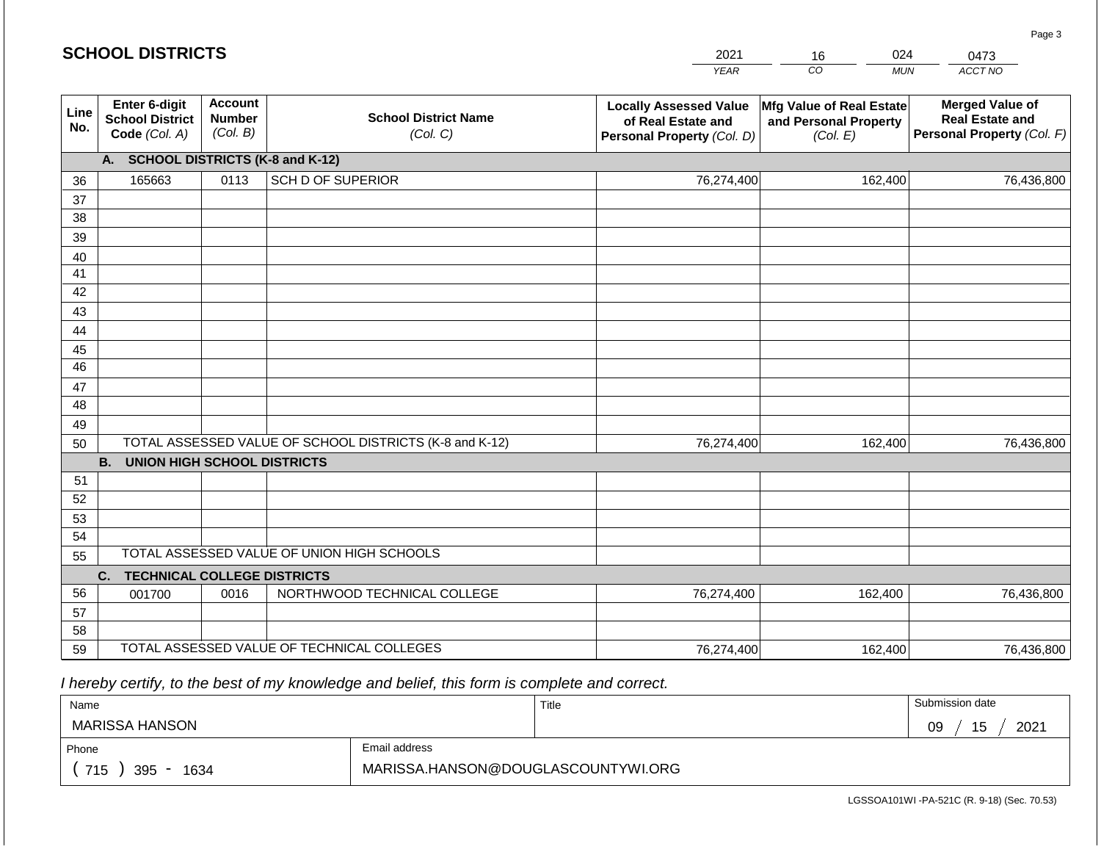| <b>SCHOOL DISTRICTS</b> |                                                          |                                             |                                                         | 2021                                                                              | 024<br>16                                                     | 0473                                                                           |
|-------------------------|----------------------------------------------------------|---------------------------------------------|---------------------------------------------------------|-----------------------------------------------------------------------------------|---------------------------------------------------------------|--------------------------------------------------------------------------------|
|                         |                                                          |                                             |                                                         | <b>YEAR</b>                                                                       | CO<br><b>MUN</b>                                              | ACCT NO                                                                        |
| Line<br>No.             | Enter 6-digit<br><b>School District</b><br>Code (Col. A) | <b>Account</b><br><b>Number</b><br>(Col. B) | <b>School District Name</b><br>(Col. C)                 | <b>Locally Assessed Value</b><br>of Real Estate and<br>Personal Property (Col. D) | Mfg Value of Real Estate<br>and Personal Property<br>(Col. E) | <b>Merged Value of</b><br><b>Real Estate and</b><br>Personal Property (Col. F) |
|                         | A. SCHOOL DISTRICTS (K-8 and K-12)                       |                                             |                                                         |                                                                                   |                                                               |                                                                                |
| 36                      | 165663                                                   | 0113                                        | <b>SCH D OF SUPERIOR</b>                                | 76,274,400                                                                        | 162,400                                                       | 76,436,800                                                                     |
| 37                      |                                                          |                                             |                                                         |                                                                                   |                                                               |                                                                                |
| 38                      |                                                          |                                             |                                                         |                                                                                   |                                                               |                                                                                |
| 39                      |                                                          |                                             |                                                         |                                                                                   |                                                               |                                                                                |
| 40                      |                                                          |                                             |                                                         |                                                                                   |                                                               |                                                                                |
| 41                      |                                                          |                                             |                                                         |                                                                                   |                                                               |                                                                                |
| 42                      |                                                          |                                             |                                                         |                                                                                   |                                                               |                                                                                |
| 43                      |                                                          |                                             |                                                         |                                                                                   |                                                               |                                                                                |
| 44<br>45                |                                                          |                                             |                                                         |                                                                                   |                                                               |                                                                                |
| 46                      |                                                          |                                             |                                                         |                                                                                   |                                                               |                                                                                |
| 47                      |                                                          |                                             |                                                         |                                                                                   |                                                               |                                                                                |
| 48                      |                                                          |                                             |                                                         |                                                                                   |                                                               |                                                                                |
| 49                      |                                                          |                                             |                                                         |                                                                                   |                                                               |                                                                                |
| 50                      |                                                          |                                             | TOTAL ASSESSED VALUE OF SCHOOL DISTRICTS (K-8 and K-12) | 76,274,400                                                                        | 162,400                                                       | 76,436,800                                                                     |
|                         | <b>B.</b><br><b>UNION HIGH SCHOOL DISTRICTS</b>          |                                             |                                                         |                                                                                   |                                                               |                                                                                |
| 51                      |                                                          |                                             |                                                         |                                                                                   |                                                               |                                                                                |
| 52                      |                                                          |                                             |                                                         |                                                                                   |                                                               |                                                                                |
| 53                      |                                                          |                                             |                                                         |                                                                                   |                                                               |                                                                                |
| 54                      |                                                          |                                             |                                                         |                                                                                   |                                                               |                                                                                |
| 55                      |                                                          |                                             | TOTAL ASSESSED VALUE OF UNION HIGH SCHOOLS              |                                                                                   |                                                               |                                                                                |
|                         | <b>TECHNICAL COLLEGE DISTRICTS</b><br>C.                 |                                             |                                                         |                                                                                   |                                                               |                                                                                |
| 56                      | 001700                                                   | 0016                                        | NORTHWOOD TECHNICAL COLLEGE                             | 76,274,400                                                                        | 162,400                                                       | 76,436,800                                                                     |
| 57                      |                                                          |                                             |                                                         |                                                                                   |                                                               |                                                                                |
| 58<br>59                |                                                          |                                             | TOTAL ASSESSED VALUE OF TECHNICAL COLLEGES              |                                                                                   |                                                               |                                                                                |
|                         |                                                          |                                             |                                                         | 76,274,400                                                                        | 162,400                                                       | 76,436,800                                                                     |

**SCHOOL DISTRICTS**

| Name               |                                    | Title | Submission date                               |
|--------------------|------------------------------------|-------|-----------------------------------------------|
| MARISSA HANSON     |                                    |       | 2021<br>$\overline{\phantom{0}}$<br>09<br>ن ا |
| Phone              | Email address                      |       |                                               |
| 715<br>395<br>1634 | MARISSA.HANSON@DOUGLASCOUNTYWI.ORG |       |                                               |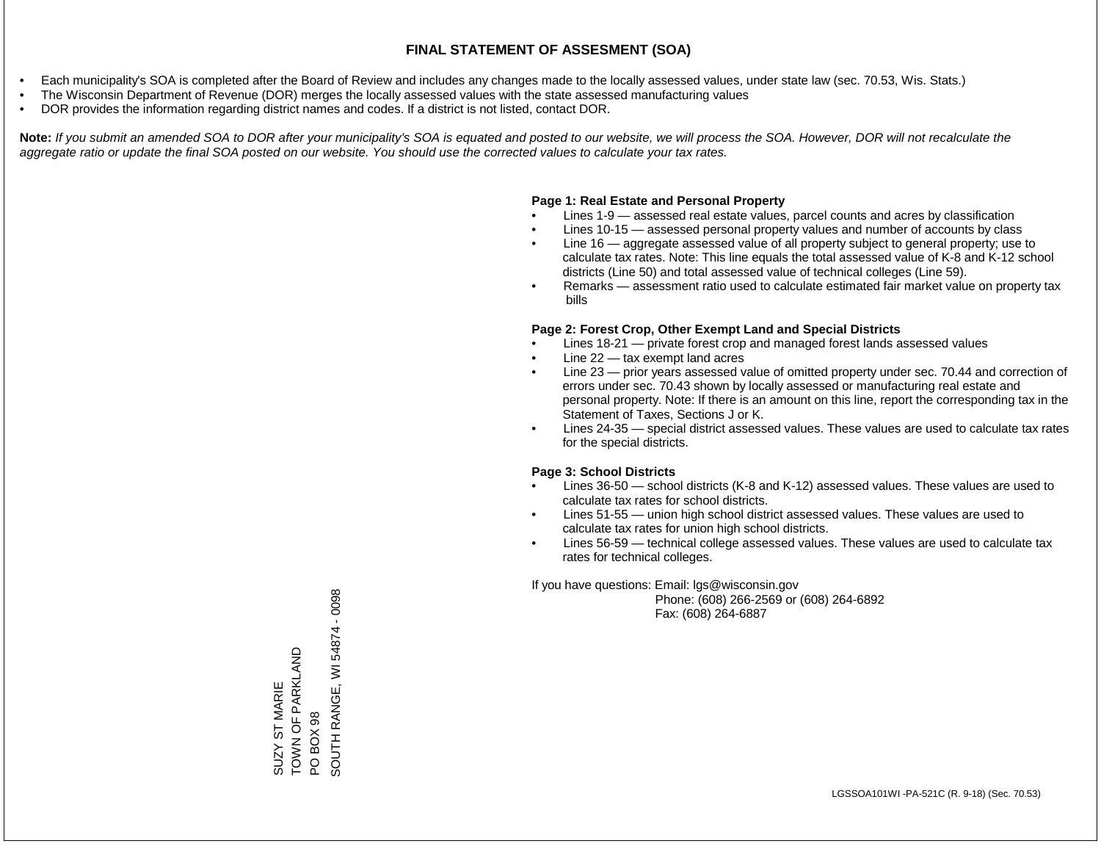- Each municipality's SOA is completed after the Board of Review and includes any changes made to the locally assessed values, under state law (sec. 70.53, Wis. Stats.)
- The Wisconsin Department of Revenue (DOR) merges the locally assessed values with the state assessed manufacturing values
- DOR provides the information regarding district names and codes. If a district is not listed, contact DOR.

Note: If you submit an amended SOA to DOR after your municipality's SOA is equated and posted to our website, we will process the SOA. However, DOR will not recalculate the *aggregate ratio or update the final SOA posted on our website. You should use the corrected values to calculate your tax rates.*

## **Page 1: Real Estate and Personal Property**

- Lines 1-9 assessed real estate values, parcel counts and acres by classification
- Lines 10-15 assessed personal property values and number of accounts by class
- Line 16 aggregate assessed value of all property subject to general property; use to calculate tax rates. Note: This line equals the total assessed value of K-8 and K-12 school districts (Line 50) and total assessed value of technical colleges (Line 59).
- Remarks assessment ratio used to calculate estimated fair market value on property tax bills

## **Page 2: Forest Crop, Other Exempt Land and Special Districts**

- Lines 18-21 private forest crop and managed forest lands assessed values
- Line  $22 -$  tax exempt land acres
- Line 23 prior years assessed value of omitted property under sec. 70.44 and correction of errors under sec. 70.43 shown by locally assessed or manufacturing real estate and personal property. Note: If there is an amount on this line, report the corresponding tax in the Statement of Taxes, Sections J or K.
- Lines 24-35 special district assessed values. These values are used to calculate tax rates for the special districts.

## **Page 3: School Districts**

- Lines 36-50 school districts (K-8 and K-12) assessed values. These values are used to calculate tax rates for school districts.
- Lines 51-55 union high school district assessed values. These values are used to calculate tax rates for union high school districts.
- Lines 56-59 technical college assessed values. These values are used to calculate tax rates for technical colleges.

If you have questions: Email: lgs@wisconsin.gov

 Phone: (608) 266-2569 or (608) 264-6892 Fax: (608) 264-6887

SOUTH RANGE, WI 54874 - 0098 SOUTH RANGE, WI 54874 - 0098SUZY ST MARIE<br>TOWN OF PARKLAND<br>PO BOX 98 TOWN OF PARKLAND SUZY ST MARIE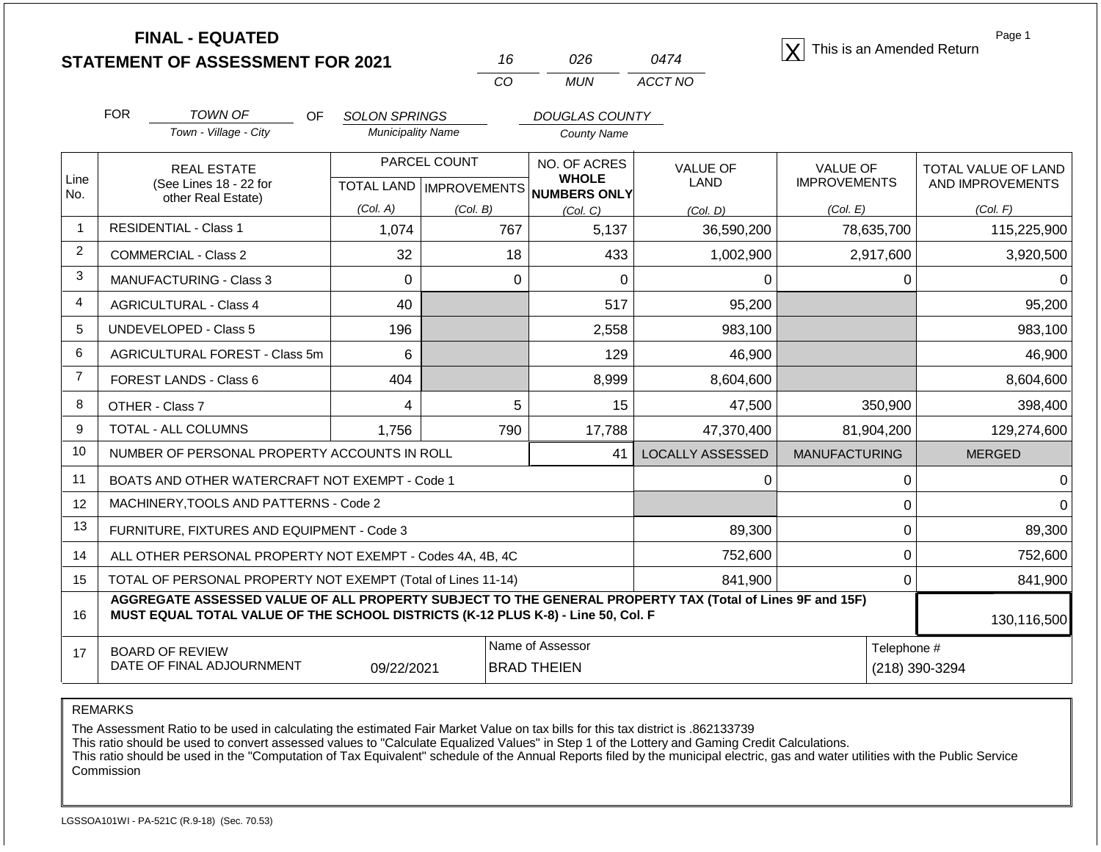|                | <b>FINAL - EQUATED</b><br><b>STATEMENT OF ASSESSMENT FOR 2021</b>                                                                                                                            |            |                                  |              | 16                                     | 026                                                 | 0474                           | This is an Amended Return              | Page 1                                  |  |
|----------------|----------------------------------------------------------------------------------------------------------------------------------------------------------------------------------------------|------------|----------------------------------|--------------|----------------------------------------|-----------------------------------------------------|--------------------------------|----------------------------------------|-----------------------------------------|--|
|                |                                                                                                                                                                                              |            |                                  |              | CO                                     | <b>MUN</b>                                          | ACCT NO                        |                                        |                                         |  |
|                | <b>FOR</b><br><b>TOWN OF</b><br>OF.<br><b>SOLON SPRINGS</b>                                                                                                                                  |            |                                  |              |                                        | <b>DOUGLAS COUNTY</b>                               |                                |                                        |                                         |  |
|                | Town - Village - City                                                                                                                                                                        |            | <b>Municipality Name</b>         |              |                                        | <b>County Name</b>                                  |                                |                                        |                                         |  |
| Line<br>No.    | <b>REAL ESTATE</b><br>(See Lines 18 - 22 for                                                                                                                                                 |            | <b>TOTAL LAND   IMPROVEMENTS</b> | PARCEL COUNT |                                        | NO. OF ACRES<br><b>WHOLE</b><br><b>NUMBERS ONLY</b> | <b>VALUE OF</b><br><b>LAND</b> | <b>VALUE OF</b><br><b>IMPROVEMENTS</b> | TOTAL VALUE OF LAND<br>AND IMPROVEMENTS |  |
|                | other Real Estate)                                                                                                                                                                           |            | (Col. A)                         | (Col. B)     |                                        | (Col. C)                                            | (Col, D)                       | (Col. E)                               | (Col. F)                                |  |
| $\mathbf{1}$   | <b>RESIDENTIAL - Class 1</b>                                                                                                                                                                 |            | 1,074                            |              | 767                                    | 5,137                                               | 36,590,200                     | 78,635,700                             | 115,225,900                             |  |
| 2              | <b>COMMERCIAL - Class 2</b>                                                                                                                                                                  |            | 32                               |              | 18                                     | 433                                                 | 1,002,900                      | 2,917,600                              | 3,920,500                               |  |
| 3              | <b>MANUFACTURING - Class 3</b><br>$\Omega$                                                                                                                                                   |            |                                  | $\Omega$     | $\Omega$                               | 0                                                   | 0                              | 0                                      |                                         |  |
| 4              | 40<br><b>AGRICULTURAL - Class 4</b>                                                                                                                                                          |            |                                  |              | 517                                    | 95,200                                              |                                | 95,200                                 |                                         |  |
| 5              | <b>UNDEVELOPED - Class 5</b>                                                                                                                                                                 |            | 196                              |              |                                        | 2,558                                               | 983,100                        |                                        | 983,100                                 |  |
| 6              | AGRICULTURAL FOREST - Class 5m                                                                                                                                                               |            | 6                                |              |                                        | 129                                                 | 46.900                         |                                        | 46,900                                  |  |
| $\overline{7}$ | FOREST LANDS - Class 6                                                                                                                                                                       |            | 404                              |              |                                        | 8,999                                               | 8,604,600                      |                                        | 8,604,600                               |  |
| 8              | OTHER - Class 7                                                                                                                                                                              |            | 4                                |              | 5                                      | 15                                                  | 47,500                         | 350,900                                | 398,400                                 |  |
| 9              | <b>TOTAL - ALL COLUMNS</b>                                                                                                                                                                   |            | 1,756                            |              | 790                                    | 17,788                                              | 47,370,400                     | 81,904,200                             | 129,274,600                             |  |
| 10             | NUMBER OF PERSONAL PROPERTY ACCOUNTS IN ROLL                                                                                                                                                 |            |                                  |              |                                        | 41                                                  | <b>LOCALLY ASSESSED</b>        | <b>MANUFACTURING</b>                   | <b>MERGED</b>                           |  |
| 11             | BOATS AND OTHER WATERCRAFT NOT EXEMPT - Code 1                                                                                                                                               |            |                                  |              |                                        |                                                     | 0                              | 0                                      | $\Omega$                                |  |
| 12             | MACHINERY, TOOLS AND PATTERNS - Code 2                                                                                                                                                       |            |                                  |              |                                        |                                                     |                                | 0                                      | $\Omega$                                |  |
| 13             | FURNITURE, FIXTURES AND EQUIPMENT - Code 3                                                                                                                                                   |            |                                  |              |                                        |                                                     | 89,300                         | 0                                      | 89,300                                  |  |
| 14             | ALL OTHER PERSONAL PROPERTY NOT EXEMPT - Codes 4A, 4B, 4C                                                                                                                                    |            |                                  |              |                                        |                                                     | 752,600                        | 0                                      | 752,600                                 |  |
| 15             | TOTAL OF PERSONAL PROPERTY NOT EXEMPT (Total of Lines 11-14)                                                                                                                                 |            |                                  |              |                                        |                                                     | 841,900                        | 0                                      | 841,900                                 |  |
| 16             | AGGREGATE ASSESSED VALUE OF ALL PROPERTY SUBJECT TO THE GENERAL PROPERTY TAX (Total of Lines 9F and 15F)<br>MUST EQUAL TOTAL VALUE OF THE SCHOOL DISTRICTS (K-12 PLUS K-8) - Line 50, Col. F |            |                                  |              |                                        |                                                     |                                |                                        | 130,116,500                             |  |
| 17             | <b>BOARD OF REVIEW</b><br>DATE OF FINAL ADJOURNMENT                                                                                                                                          | 09/22/2021 |                                  |              | Name of Assessor<br><b>BRAD THEIEN</b> |                                                     |                                | Telephone #<br>(218) 390-3294          |                                         |  |

REMARKS

The Assessment Ratio to be used in calculating the estimated Fair Market Value on tax bills for this tax district is .862133739

This ratio should be used to convert assessed values to "Calculate Equalized Values" in Step 1 of the Lottery and Gaming Credit Calculations.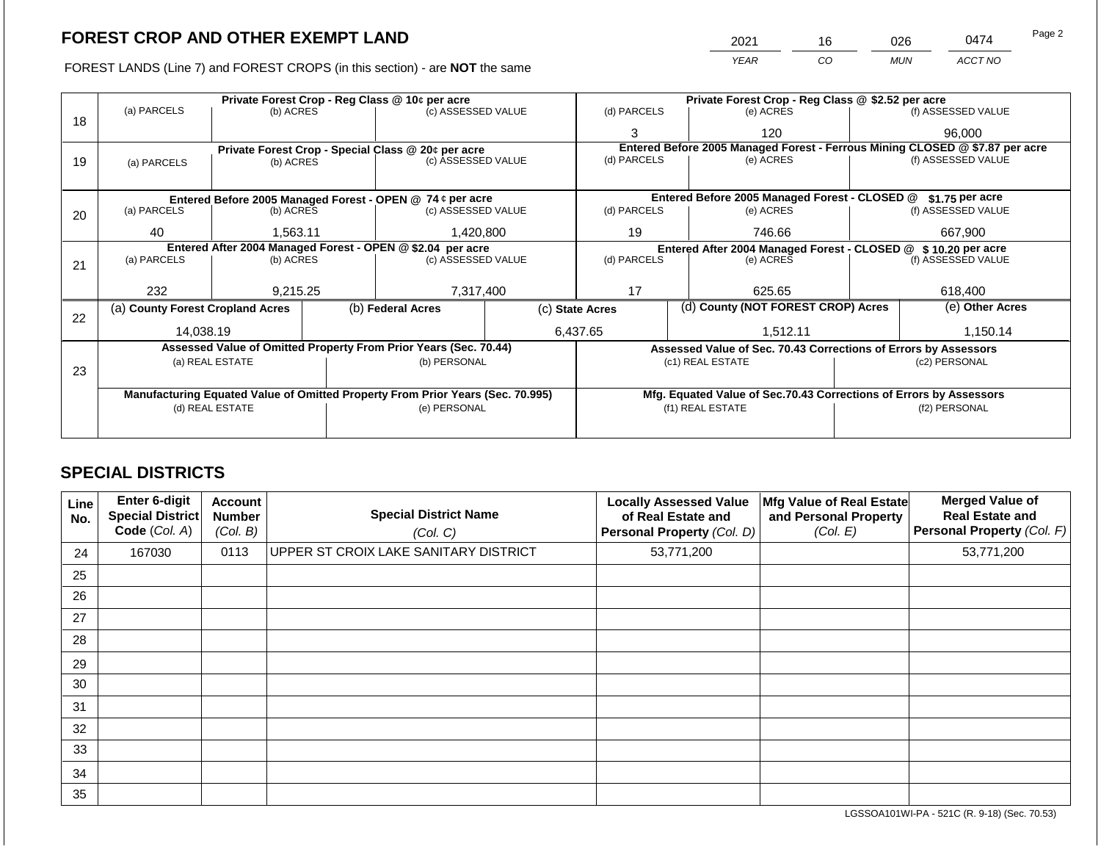FOREST LANDS (Line 7) and FOREST CROPS (in this section) - are **NOT** the same

|                                                   | 2021 | 16 | 026        | 0474    | raye z |  |  |  |  |
|---------------------------------------------------|------|----|------------|---------|--------|--|--|--|--|
|                                                   | YFAR | CО | <b>MUN</b> | ACCT NO |        |  |  |  |  |
|                                                   |      |    |            |         |        |  |  |  |  |
| Private Forest Crop - Reg Class @ \$2.52 per acre |      |    |            |         |        |  |  |  |  |

|    |                                                            |                 |  | Private Forest Crop - Reg Class @ 10¢ per acre                                 |                 | Private Forest Crop - Reg Class @ \$2.52 per acre |  |                                                                              |               |                    |
|----|------------------------------------------------------------|-----------------|--|--------------------------------------------------------------------------------|-----------------|---------------------------------------------------|--|------------------------------------------------------------------------------|---------------|--------------------|
| 18 | (a) PARCELS                                                | (b) ACRES       |  | (c) ASSESSED VALUE                                                             |                 | (d) PARCELS                                       |  | (e) ACRES                                                                    |               | (f) ASSESSED VALUE |
|    |                                                            |                 |  |                                                                                |                 | 3                                                 |  | 120                                                                          |               | 96,000             |
|    |                                                            |                 |  | Private Forest Crop - Special Class @ 20¢ per acre                             |                 |                                                   |  | Entered Before 2005 Managed Forest - Ferrous Mining CLOSED @ \$7.87 per acre |               |                    |
| 19 | (a) PARCELS                                                | (b) ACRES       |  | (c) ASSESSED VALUE                                                             |                 | (d) PARCELS                                       |  | (e) ACRES                                                                    |               | (f) ASSESSED VALUE |
|    |                                                            |                 |  |                                                                                |                 |                                                   |  |                                                                              |               |                    |
|    |                                                            |                 |  | Entered Before 2005 Managed Forest - OPEN @ 74 ¢ per acre                      |                 |                                                   |  | Entered Before 2005 Managed Forest - CLOSED @ \$1.75 per acre                |               |                    |
| 20 | (a) PARCELS                                                | (b) ACRES       |  | (c) ASSESSED VALUE                                                             |                 | (d) PARCELS                                       |  | (e) ACRES                                                                    |               | (f) ASSESSED VALUE |
|    | 40                                                         | 1,563.11        |  | 1,420,800                                                                      |                 | 19                                                |  | 746.66                                                                       | 667.900       |                    |
|    | Entered After 2004 Managed Forest - OPEN @ \$2.04 per acre |                 |  |                                                                                |                 |                                                   |  | Entered After 2004 Managed Forest - CLOSED @ \$ 10.20 per acre               |               |                    |
| 21 | (a) PARCELS                                                | (b) ACRES       |  | (c) ASSESSED VALUE                                                             |                 | (d) PARCELS                                       |  | (e) ACRES                                                                    |               | (f) ASSESSED VALUE |
|    |                                                            |                 |  |                                                                                |                 |                                                   |  |                                                                              |               |                    |
|    | 232                                                        | 9.215.25        |  | 7,317,400                                                                      |                 | 17                                                |  | 625.65                                                                       |               | 618,400            |
| 22 | (a) County Forest Cropland Acres                           |                 |  | (b) Federal Acres                                                              | (c) State Acres |                                                   |  | (d) County (NOT FOREST CROP) Acres                                           |               | (e) Other Acres    |
|    | 14.038.19                                                  |                 |  |                                                                                |                 | 6,437.65                                          |  | 1.512.11                                                                     |               | 1,150.14           |
|    |                                                            |                 |  | Assessed Value of Omitted Property From Prior Years (Sec. 70.44)               |                 |                                                   |  | Assessed Value of Sec. 70.43 Corrections of Errors by Assessors              |               |                    |
| 23 |                                                            | (a) REAL ESTATE |  | (b) PERSONAL                                                                   |                 |                                                   |  | (c1) REAL ESTATE                                                             |               | (c2) PERSONAL      |
|    |                                                            |                 |  |                                                                                |                 |                                                   |  |                                                                              |               |                    |
|    |                                                            |                 |  | Manufacturing Equated Value of Omitted Property From Prior Years (Sec. 70.995) |                 |                                                   |  | Mfg. Equated Value of Sec.70.43 Corrections of Errors by Assessors           |               |                    |
|    | (d) REAL ESTATE                                            |                 |  | (e) PERSONAL                                                                   |                 | (f1) REAL ESTATE                                  |  |                                                                              | (f2) PERSONAL |                    |
|    |                                                            |                 |  |                                                                                |                 |                                                   |  |                                                                              |               |                    |
|    |                                                            |                 |  |                                                                                |                 |                                                   |  |                                                                              |               |                    |

## **SPECIAL DISTRICTS**

 $\Box$ 

| <b>Line</b><br>No. | <b>Enter 6-digit</b><br><b>Special District</b><br>Code (Col. A) | <b>Account</b><br><b>Number</b><br>(Col. B) | <b>Special District Name</b><br>(Col. C) | <b>Locally Assessed Value</b><br>of Real Estate and<br>Personal Property (Col. D) | Mfg Value of Real Estate<br>and Personal Property<br>(Col. E) | <b>Merged Value of</b><br><b>Real Estate and</b><br>Personal Property (Col. F) |
|--------------------|------------------------------------------------------------------|---------------------------------------------|------------------------------------------|-----------------------------------------------------------------------------------|---------------------------------------------------------------|--------------------------------------------------------------------------------|
| 24                 | 167030                                                           | 0113                                        | UPPER ST CROIX LAKE SANITARY DISTRICT    | 53,771,200                                                                        |                                                               | 53,771,200                                                                     |
| 25                 |                                                                  |                                             |                                          |                                                                                   |                                                               |                                                                                |
| 26                 |                                                                  |                                             |                                          |                                                                                   |                                                               |                                                                                |
| 27                 |                                                                  |                                             |                                          |                                                                                   |                                                               |                                                                                |
| 28                 |                                                                  |                                             |                                          |                                                                                   |                                                               |                                                                                |
| 29                 |                                                                  |                                             |                                          |                                                                                   |                                                               |                                                                                |
| 30                 |                                                                  |                                             |                                          |                                                                                   |                                                               |                                                                                |
| 31                 |                                                                  |                                             |                                          |                                                                                   |                                                               |                                                                                |
| 32                 |                                                                  |                                             |                                          |                                                                                   |                                                               |                                                                                |
| 33                 |                                                                  |                                             |                                          |                                                                                   |                                                               |                                                                                |
| 34                 |                                                                  |                                             |                                          |                                                                                   |                                                               |                                                                                |
| 35                 |                                                                  |                                             |                                          |                                                                                   |                                                               |                                                                                |

LGSSOA101WI-PA - 521C (R. 9-18) (Sec. 70.53)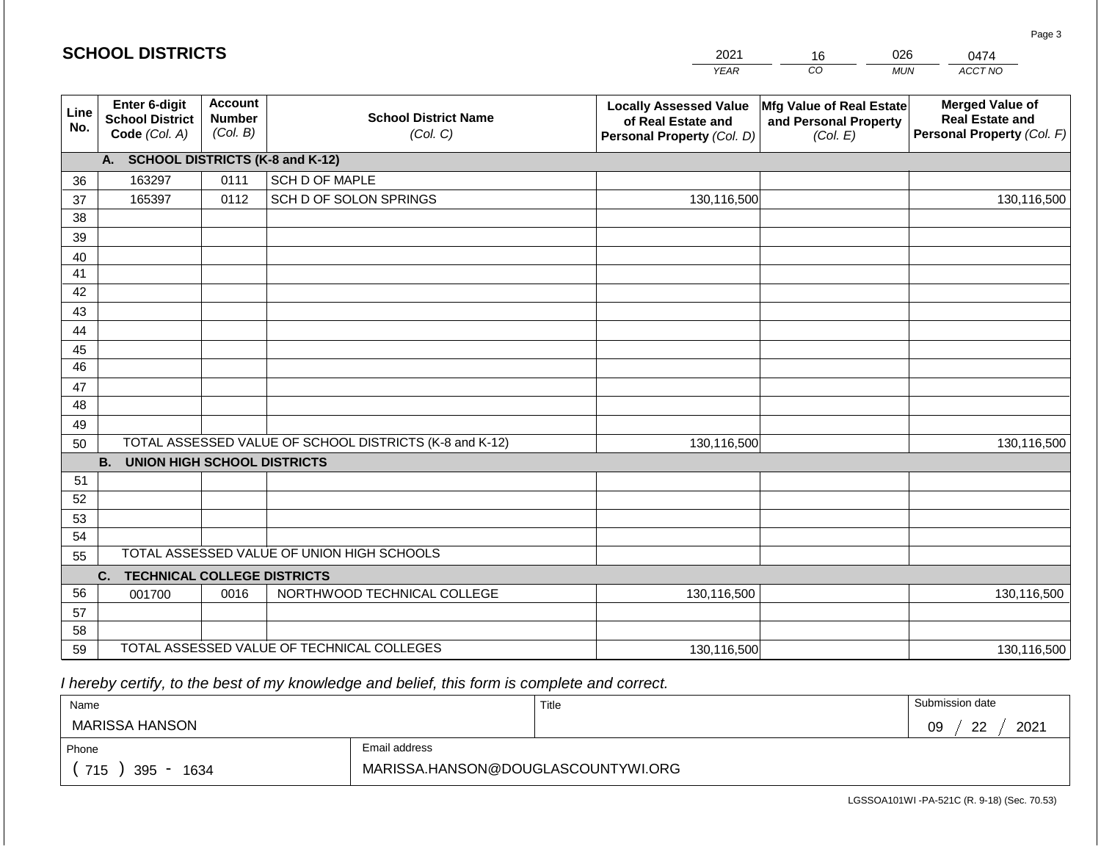|             | <b>SCHOOL DISTRICTS</b>                                  |                                             |                                                         | 2021                                                                              | 16                                                            | 026<br>0474                                                                    |
|-------------|----------------------------------------------------------|---------------------------------------------|---------------------------------------------------------|-----------------------------------------------------------------------------------|---------------------------------------------------------------|--------------------------------------------------------------------------------|
|             |                                                          |                                             |                                                         | <b>YEAR</b>                                                                       | CO <sub>.</sub>                                               | ACCT NO<br><b>MUN</b>                                                          |
| Line<br>No. | Enter 6-digit<br><b>School District</b><br>Code (Col. A) | <b>Account</b><br><b>Number</b><br>(Col. B) | <b>School District Name</b><br>(Col. C)                 | <b>Locally Assessed Value</b><br>of Real Estate and<br>Personal Property (Col. D) | Mfg Value of Real Estate<br>and Personal Property<br>(Col. E) | <b>Merged Value of</b><br><b>Real Estate and</b><br>Personal Property (Col. F) |
|             | A. SCHOOL DISTRICTS (K-8 and K-12)                       |                                             |                                                         |                                                                                   |                                                               |                                                                                |
| 36          | 163297                                                   | 0111                                        | SCH D OF MAPLE                                          |                                                                                   |                                                               |                                                                                |
| 37          | 165397                                                   | 0112                                        | SCH D OF SOLON SPRINGS                                  | 130,116,500                                                                       |                                                               | 130,116,500                                                                    |
| 38          |                                                          |                                             |                                                         |                                                                                   |                                                               |                                                                                |
| 39          |                                                          |                                             |                                                         |                                                                                   |                                                               |                                                                                |
| 40          |                                                          |                                             |                                                         |                                                                                   |                                                               |                                                                                |
| 41          |                                                          |                                             |                                                         |                                                                                   |                                                               |                                                                                |
| 42          |                                                          |                                             |                                                         |                                                                                   |                                                               |                                                                                |
| 43<br>44    |                                                          |                                             |                                                         |                                                                                   |                                                               |                                                                                |
| 45          |                                                          |                                             |                                                         |                                                                                   |                                                               |                                                                                |
| 46          |                                                          |                                             |                                                         |                                                                                   |                                                               |                                                                                |
| 47          |                                                          |                                             |                                                         |                                                                                   |                                                               |                                                                                |
| 48          |                                                          |                                             |                                                         |                                                                                   |                                                               |                                                                                |
| 49          |                                                          |                                             |                                                         |                                                                                   |                                                               |                                                                                |
| 50          |                                                          |                                             | TOTAL ASSESSED VALUE OF SCHOOL DISTRICTS (K-8 and K-12) | 130,116,500                                                                       |                                                               | 130,116,500                                                                    |
|             | <b>B. UNION HIGH SCHOOL DISTRICTS</b>                    |                                             |                                                         |                                                                                   |                                                               |                                                                                |
| 51          |                                                          |                                             |                                                         |                                                                                   |                                                               |                                                                                |
| 52          |                                                          |                                             |                                                         |                                                                                   |                                                               |                                                                                |
| 53          |                                                          |                                             |                                                         |                                                                                   |                                                               |                                                                                |
| 54          |                                                          |                                             |                                                         |                                                                                   |                                                               |                                                                                |
| 55          |                                                          |                                             | TOTAL ASSESSED VALUE OF UNION HIGH SCHOOLS              |                                                                                   |                                                               |                                                                                |
|             | C.<br><b>TECHNICAL COLLEGE DISTRICTS</b>                 |                                             |                                                         |                                                                                   |                                                               |                                                                                |
| 56          | 001700                                                   | 0016                                        | NORTHWOOD TECHNICAL COLLEGE                             | 130,116,500                                                                       |                                                               | 130,116,500                                                                    |
| 57          |                                                          |                                             |                                                         |                                                                                   |                                                               |                                                                                |
| 58<br>59    |                                                          |                                             | TOTAL ASSESSED VALUE OF TECHNICAL COLLEGES              |                                                                                   |                                                               |                                                                                |
|             |                                                          |                                             |                                                         | 130,116,500                                                                       |                                                               | 130,116,500                                                                    |

| Name               |                                    | Title | Submission date  |
|--------------------|------------------------------------|-------|------------------|
| MARISSA HANSON     |                                    |       | 2021<br>ററ<br>09 |
| Phone              | Email address                      |       |                  |
| 715<br>395<br>1634 | MARISSA.HANSON@DOUGLASCOUNTYWI.ORG |       |                  |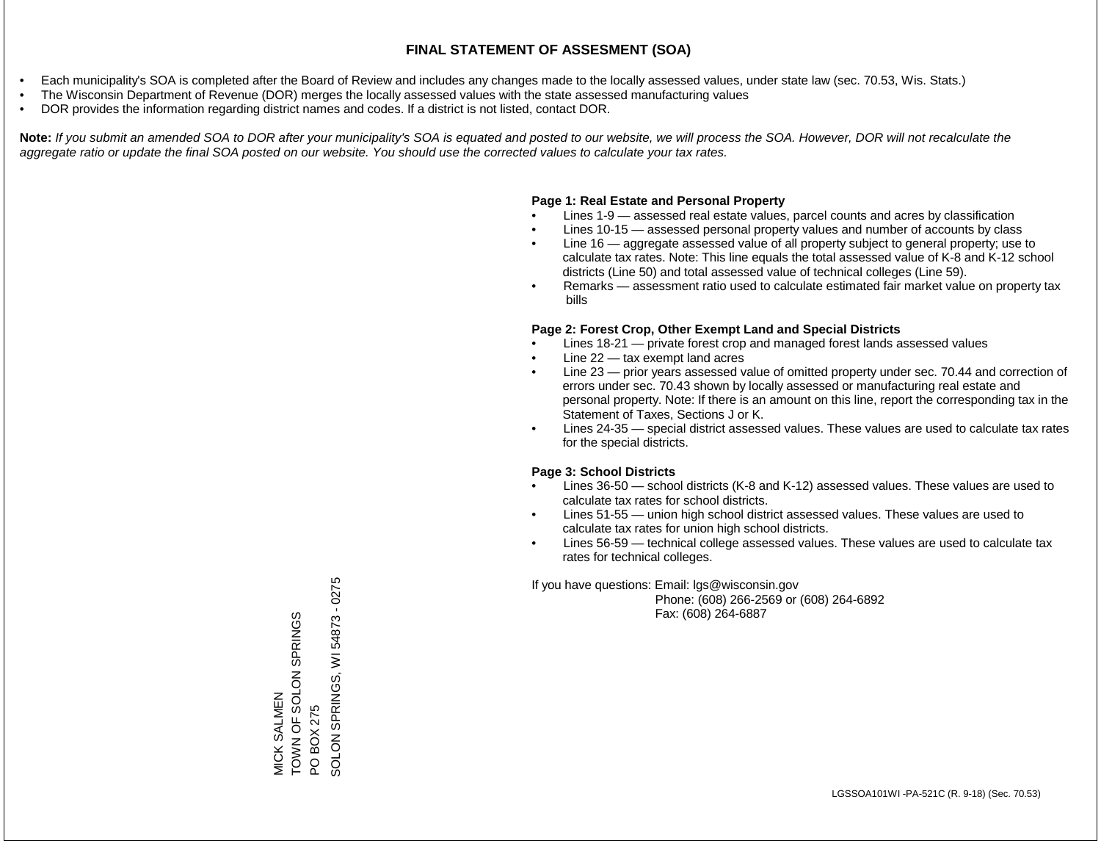- Each municipality's SOA is completed after the Board of Review and includes any changes made to the locally assessed values, under state law (sec. 70.53, Wis. Stats.)
- The Wisconsin Department of Revenue (DOR) merges the locally assessed values with the state assessed manufacturing values
- DOR provides the information regarding district names and codes. If a district is not listed, contact DOR.

Note: If you submit an amended SOA to DOR after your municipality's SOA is equated and posted to our website, we will process the SOA. However, DOR will not recalculate the *aggregate ratio or update the final SOA posted on our website. You should use the corrected values to calculate your tax rates.*

## **Page 1: Real Estate and Personal Property**

- Lines 1-9 assessed real estate values, parcel counts and acres by classification
- Lines 10-15 assessed personal property values and number of accounts by class
- Line 16 aggregate assessed value of all property subject to general property; use to calculate tax rates. Note: This line equals the total assessed value of K-8 and K-12 school districts (Line 50) and total assessed value of technical colleges (Line 59).
- Remarks assessment ratio used to calculate estimated fair market value on property tax bills

## **Page 2: Forest Crop, Other Exempt Land and Special Districts**

- Lines 18-21 private forest crop and managed forest lands assessed values
- Line  $22 -$  tax exempt land acres
- Line 23 prior years assessed value of omitted property under sec. 70.44 and correction of errors under sec. 70.43 shown by locally assessed or manufacturing real estate and personal property. Note: If there is an amount on this line, report the corresponding tax in the Statement of Taxes, Sections J or K.
- Lines 24-35 special district assessed values. These values are used to calculate tax rates for the special districts.

## **Page 3: School Districts**

- Lines 36-50 school districts (K-8 and K-12) assessed values. These values are used to calculate tax rates for school districts.
- Lines 51-55 union high school district assessed values. These values are used to calculate tax rates for union high school districts.
- Lines 56-59 technical college assessed values. These values are used to calculate tax rates for technical colleges.

If you have questions: Email: lgs@wisconsin.gov

 Phone: (608) 266-2569 or (608) 264-6892 Fax: (608) 264-6887

MICK SALMEN SON SOLOS LO NANO TOWN OF SOLON SPRINGS<br>PO BOX 275<br>SOLON SPRINGS, WI 54873 - 0275 SOLON SPRINGS, WI 54873 - 0275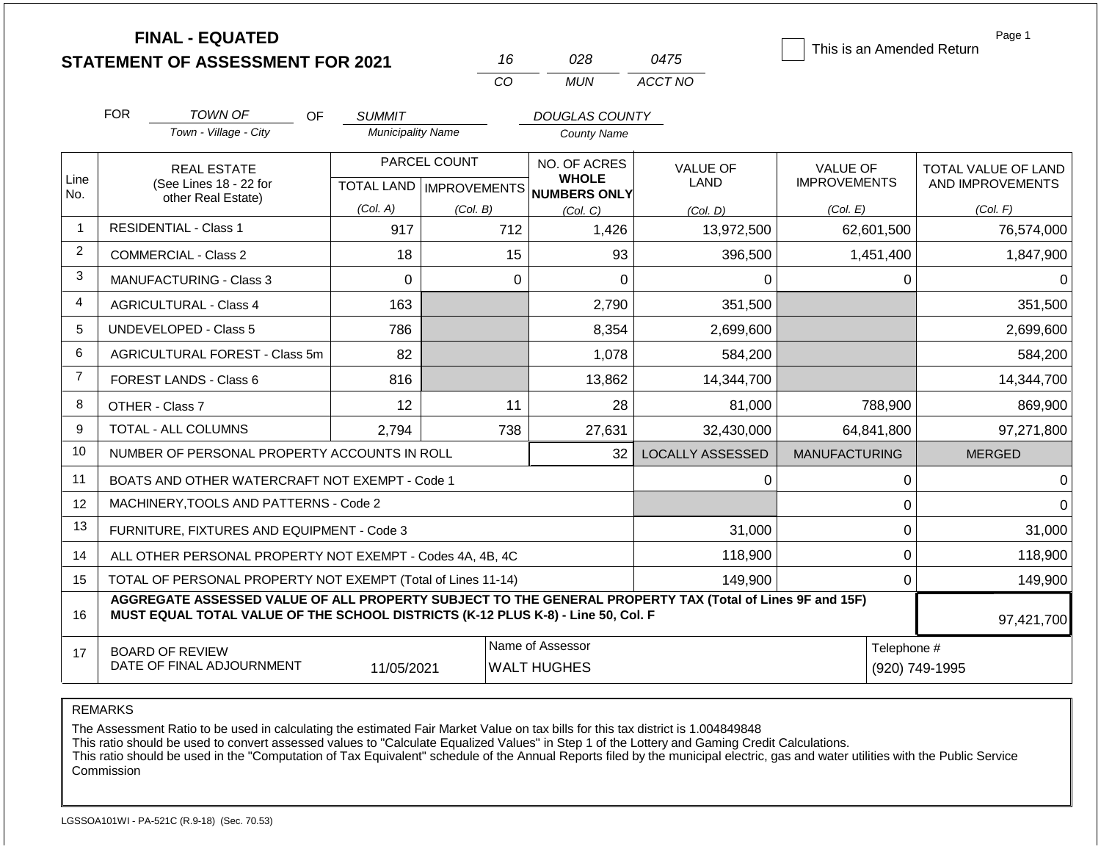|                |                                                              | <b>FINAL - EQUATED</b><br><b>STATEMENT OF ASSESSMENT FOR 2021</b>                                                                                                                            |                                           | 16              | 028                                  | 0475                    | This is an Amended Return              | Page 1                                  |
|----------------|--------------------------------------------------------------|----------------------------------------------------------------------------------------------------------------------------------------------------------------------------------------------|-------------------------------------------|-----------------|--------------------------------------|-------------------------|----------------------------------------|-----------------------------------------|
|                |                                                              |                                                                                                                                                                                              |                                           | CO              | <b>MUN</b>                           | ACCT NO                 |                                        |                                         |
|                | <b>FOR</b>                                                   |                                                                                                                                                                                              |                                           |                 |                                      |                         |                                        |                                         |
|                |                                                              | <b>TOWN OF</b><br>OF.<br>Town - Village - City                                                                                                                                               | <b>SUMMIT</b><br><b>Municipality Name</b> |                 | DOUGLAS COUNTY<br><b>County Name</b> |                         |                                        |                                         |
|                |                                                              |                                                                                                                                                                                              |                                           |                 |                                      |                         |                                        |                                         |
| Line           |                                                              | <b>REAL ESTATE</b>                                                                                                                                                                           |                                           | PARCEL COUNT    | NO. OF ACRES<br><b>WHOLE</b>         | <b>VALUE OF</b><br>LAND | <b>VALUE OF</b><br><b>IMPROVEMENTS</b> | TOTAL VALUE OF LAND<br>AND IMPROVEMENTS |
| No.            |                                                              | (See Lines 18 - 22 for<br>other Real Estate)                                                                                                                                                 |                                           |                 | TOTAL LAND MPROVEMENTS NUMBERS ONLY  |                         |                                        |                                         |
| $\mathbf{1}$   |                                                              | <b>RESIDENTIAL - Class 1</b>                                                                                                                                                                 | (Col. A)<br>917                           | (Col. B)<br>712 | (Col. C)<br>1,426                    | (Col. D)<br>13,972,500  | (Col. E)<br>62,601,500                 | (Col. F)<br>76,574,000                  |
| 2              |                                                              |                                                                                                                                                                                              |                                           |                 |                                      |                         |                                        |                                         |
| 3              |                                                              | <b>COMMERCIAL - Class 2</b>                                                                                                                                                                  | 18                                        | 15              | 93                                   | 396,500                 | 1,451,400                              | 1,847,900                               |
|                |                                                              | <b>MANUFACTURING - Class 3</b>                                                                                                                                                               | $\Omega$                                  | $\Omega$        | $\Omega$                             | $\Omega$                | $\Omega$                               | $\Omega$                                |
| $\overline{4}$ |                                                              | <b>AGRICULTURAL - Class 4</b>                                                                                                                                                                | 163                                       |                 | 2,790                                | 351,500                 |                                        | 351,500                                 |
| 5              |                                                              | <b>UNDEVELOPED - Class 5</b>                                                                                                                                                                 | 786                                       |                 | 8,354                                | 2,699,600               |                                        | 2,699,600                               |
| 6              |                                                              | AGRICULTURAL FOREST - Class 5m                                                                                                                                                               | 82                                        |                 | 1,078                                | 584,200                 |                                        | 584,200                                 |
| $\overline{7}$ |                                                              | FOREST LANDS - Class 6                                                                                                                                                                       | 816                                       |                 | 13,862                               | 14,344,700              |                                        | 14,344,700                              |
| 8              |                                                              | OTHER - Class 7                                                                                                                                                                              | 12                                        | 11              | 28                                   | 81,000                  | 788,900                                | 869,900                                 |
| 9              |                                                              | <b>TOTAL - ALL COLUMNS</b>                                                                                                                                                                   | 2,794                                     | 738             | 27,631                               | 32,430,000              | 64,841,800                             | 97,271,800                              |
| 10             |                                                              | NUMBER OF PERSONAL PROPERTY ACCOUNTS IN ROLL                                                                                                                                                 |                                           |                 | 32                                   | <b>LOCALLY ASSESSED</b> | <b>MANUFACTURING</b>                   | <b>MERGED</b>                           |
| 11             |                                                              | BOATS AND OTHER WATERCRAFT NOT EXEMPT - Code 1                                                                                                                                               |                                           |                 |                                      | 0                       | 0                                      | $\Omega$                                |
| 12             |                                                              | MACHINERY, TOOLS AND PATTERNS - Code 2                                                                                                                                                       |                                           |                 |                                      |                         | $\mathbf 0$                            | $\Omega$                                |
| 13             |                                                              | FURNITURE, FIXTURES AND EQUIPMENT - Code 3                                                                                                                                                   |                                           |                 |                                      | 31,000                  | $\mathbf 0$                            | 31,000                                  |
| 14             |                                                              | ALL OTHER PERSONAL PROPERTY NOT EXEMPT - Codes 4A, 4B, 4C                                                                                                                                    |                                           |                 |                                      | 118,900                 | $\overline{0}$                         | 118,900                                 |
| 15             | TOTAL OF PERSONAL PROPERTY NOT EXEMPT (Total of Lines 11-14) |                                                                                                                                                                                              |                                           |                 |                                      | 149,900                 | $\mathbf 0$                            | 149,900                                 |
| 16             |                                                              | AGGREGATE ASSESSED VALUE OF ALL PROPERTY SUBJECT TO THE GENERAL PROPERTY TAX (Total of Lines 9F and 15F)<br>MUST EQUAL TOTAL VALUE OF THE SCHOOL DISTRICTS (K-12 PLUS K-8) - Line 50, Col. F |                                           |                 |                                      |                         |                                        | 97,421,700                              |
| 17             |                                                              | <b>BOARD OF REVIEW</b>                                                                                                                                                                       |                                           |                 | Name of Assessor                     |                         | Telephone #                            |                                         |
|                |                                                              | DATE OF FINAL ADJOURNMENT                                                                                                                                                                    | 11/05/2021                                |                 | <b>WALT HUGHES</b>                   |                         |                                        | (920) 749-1995                          |

REMARKS

The Assessment Ratio to be used in calculating the estimated Fair Market Value on tax bills for this tax district is 1.004849848

This ratio should be used to convert assessed values to "Calculate Equalized Values" in Step 1 of the Lottery and Gaming Credit Calculations.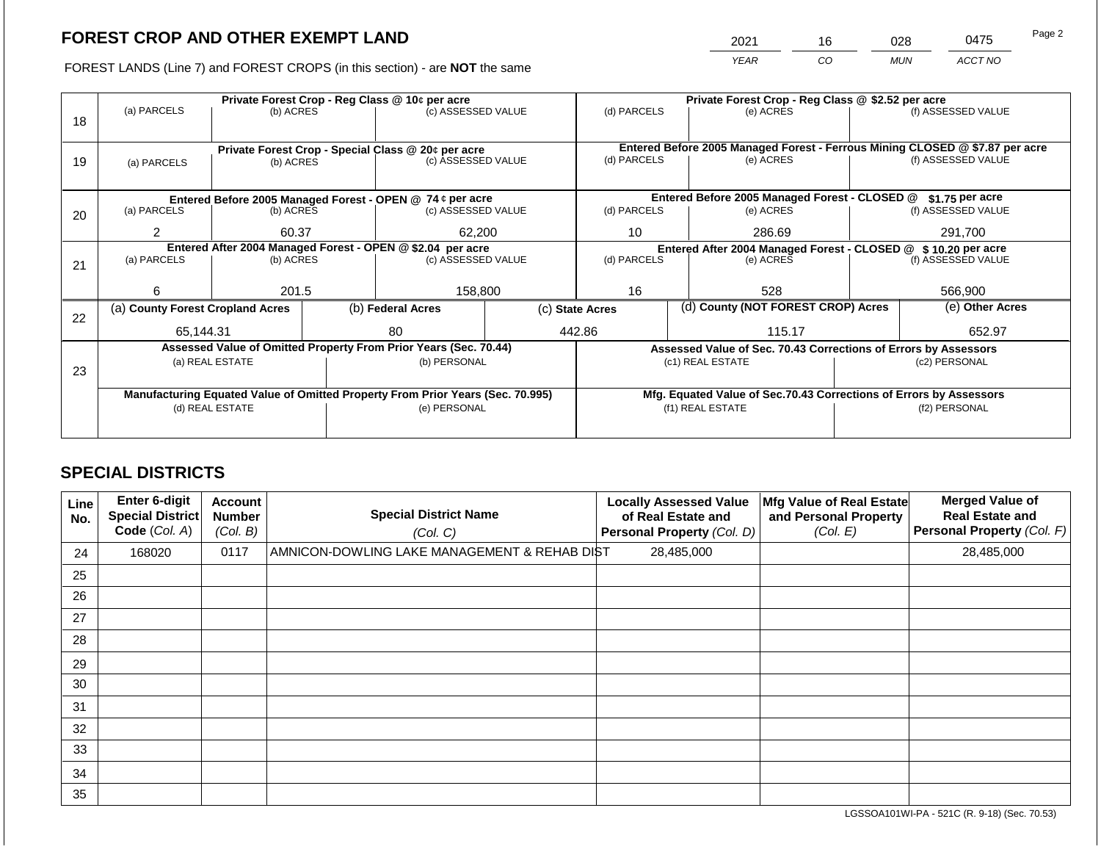2021 16 028 0475

FOREST LANDS (Line 7) and FOREST CROPS (in this section) - are **NOT** the same *YEAR CO MUN ACCT NO*

|    |                                  |                 |  | Private Forest Crop - Reg Class @ 10¢ per acre                                 |  |                 | Private Forest Crop - Reg Class @ \$2.52 per acre                  |                                                                              |                                          |  |
|----|----------------------------------|-----------------|--|--------------------------------------------------------------------------------|--|-----------------|--------------------------------------------------------------------|------------------------------------------------------------------------------|------------------------------------------|--|
| 18 | (a) PARCELS                      | (b) ACRES       |  | (c) ASSESSED VALUE                                                             |  | (d) PARCELS     | (e) ACRES                                                          |                                                                              | (f) ASSESSED VALUE                       |  |
|    |                                  |                 |  | Private Forest Crop - Special Class @ 20¢ per acre                             |  |                 |                                                                    | Entered Before 2005 Managed Forest - Ferrous Mining CLOSED @ \$7.87 per acre |                                          |  |
| 19 | (a) PARCELS                      | (b) ACRES       |  | (c) ASSESSED VALUE                                                             |  | (d) PARCELS     | (e) ACRES                                                          |                                                                              | (f) ASSESSED VALUE                       |  |
|    |                                  |                 |  |                                                                                |  |                 |                                                                    |                                                                              |                                          |  |
|    |                                  |                 |  | Entered Before 2005 Managed Forest - OPEN @ 74 ¢ per acre                      |  |                 | Entered Before 2005 Managed Forest - CLOSED @                      |                                                                              | \$1.75 per acre                          |  |
| 20 | (a) PARCELS                      | (b) ACRES       |  | (c) ASSESSED VALUE                                                             |  | (d) PARCELS     | (e) ACRES                                                          |                                                                              | (f) ASSESSED VALUE                       |  |
|    | 2                                | 60.37           |  | 62,200                                                                         |  | 10              | 286.69                                                             |                                                                              | 291,700<br>(f) ASSESSED VALUE<br>566,900 |  |
|    |                                  |                 |  | Entered After 2004 Managed Forest - OPEN @ \$2.04 per acre                     |  |                 | Entered After 2004 Managed Forest - CLOSED @ \$10.20 per acre      |                                                                              |                                          |  |
| 21 | (a) PARCELS                      | (b) ACRES       |  | (c) ASSESSED VALUE                                                             |  | (d) PARCELS     | (e) ACRES                                                          |                                                                              |                                          |  |
|    |                                  |                 |  |                                                                                |  |                 |                                                                    |                                                                              |                                          |  |
|    | 6                                | 201.5           |  | 158.800                                                                        |  | 16              | 528                                                                |                                                                              |                                          |  |
| 22 | (a) County Forest Cropland Acres |                 |  | (b) Federal Acres                                                              |  | (c) State Acres | (d) County (NOT FOREST CROP) Acres                                 |                                                                              | (e) Other Acres                          |  |
|    | 65.144.31                        |                 |  | 80                                                                             |  | 442.86          | 115.17                                                             |                                                                              | 652.97                                   |  |
|    |                                  |                 |  | Assessed Value of Omitted Property From Prior Years (Sec. 70.44)               |  |                 | Assessed Value of Sec. 70.43 Corrections of Errors by Assessors    |                                                                              |                                          |  |
| 23 |                                  | (a) REAL ESTATE |  | (b) PERSONAL                                                                   |  |                 | (c1) REAL ESTATE                                                   |                                                                              | (c2) PERSONAL                            |  |
|    |                                  |                 |  |                                                                                |  |                 |                                                                    |                                                                              |                                          |  |
|    |                                  |                 |  | Manufacturing Equated Value of Omitted Property From Prior Years (Sec. 70.995) |  |                 | Mfg. Equated Value of Sec.70.43 Corrections of Errors by Assessors |                                                                              |                                          |  |
|    |                                  | (d) REAL ESTATE |  | (e) PERSONAL                                                                   |  |                 | (f1) REAL ESTATE                                                   |                                                                              | (f2) PERSONAL                            |  |
|    |                                  |                 |  |                                                                                |  |                 |                                                                    |                                                                              |                                          |  |
|    |                                  |                 |  |                                                                                |  |                 |                                                                    |                                                                              |                                          |  |

## **SPECIAL DISTRICTS**

| Line<br>No. | <b>Enter 6-digit</b><br>Special District<br>Code (Col. A) | <b>Account</b><br><b>Number</b><br>(Col. B) | <b>Special District Name</b><br>(Col. C)     | <b>Locally Assessed Value</b><br>of Real Estate and<br>Personal Property (Col. D) | Mfg Value of Real Estate<br>and Personal Property<br>(Col. E) | <b>Merged Value of</b><br><b>Real Estate and</b><br><b>Personal Property (Col. F)</b> |
|-------------|-----------------------------------------------------------|---------------------------------------------|----------------------------------------------|-----------------------------------------------------------------------------------|---------------------------------------------------------------|---------------------------------------------------------------------------------------|
| 24          | 168020                                                    | 0117                                        | AMNICON-DOWLING LAKE MANAGEMENT & REHAB DIST | 28,485,000                                                                        |                                                               | 28,485,000                                                                            |
| 25          |                                                           |                                             |                                              |                                                                                   |                                                               |                                                                                       |
| 26          |                                                           |                                             |                                              |                                                                                   |                                                               |                                                                                       |
| 27          |                                                           |                                             |                                              |                                                                                   |                                                               |                                                                                       |
| 28          |                                                           |                                             |                                              |                                                                                   |                                                               |                                                                                       |
| 29          |                                                           |                                             |                                              |                                                                                   |                                                               |                                                                                       |
| 30          |                                                           |                                             |                                              |                                                                                   |                                                               |                                                                                       |
| 31          |                                                           |                                             |                                              |                                                                                   |                                                               |                                                                                       |
| 32          |                                                           |                                             |                                              |                                                                                   |                                                               |                                                                                       |
| 33          |                                                           |                                             |                                              |                                                                                   |                                                               |                                                                                       |
| 34          |                                                           |                                             |                                              |                                                                                   |                                                               |                                                                                       |
| 35          |                                                           |                                             |                                              |                                                                                   |                                                               |                                                                                       |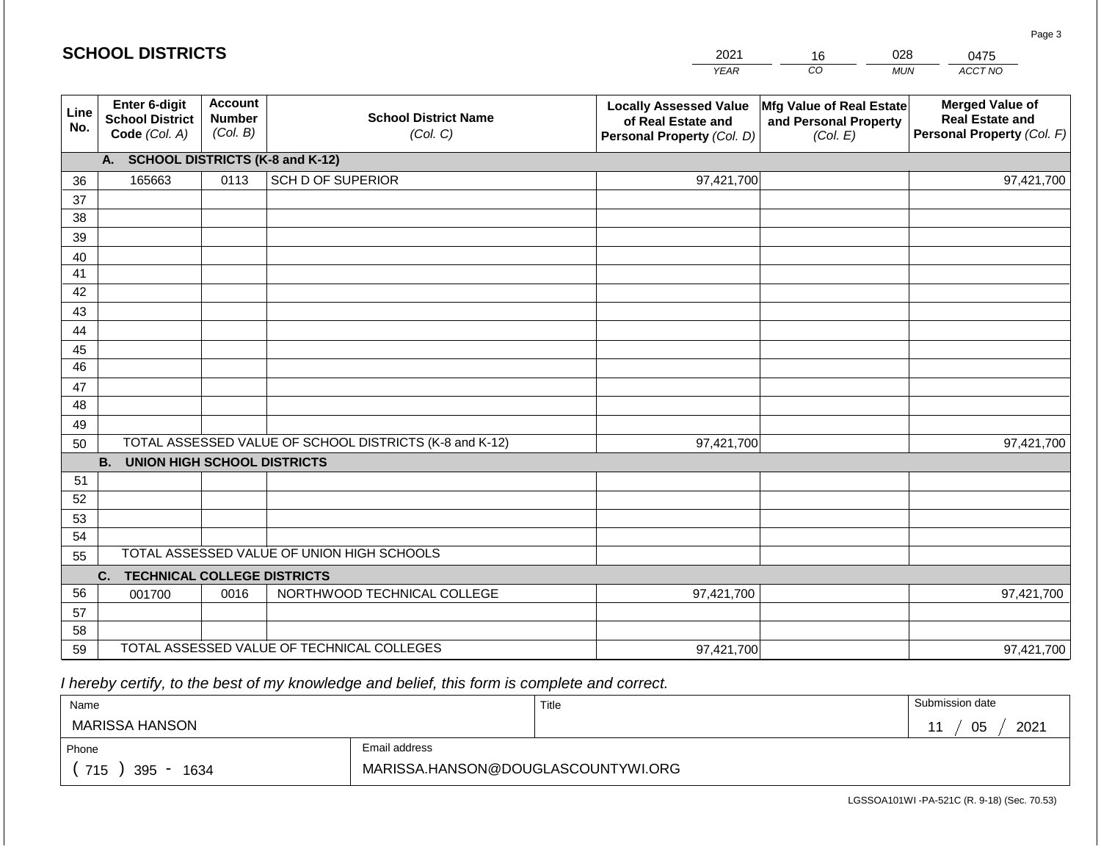|             | <b>SCHOOL DISTRICTS</b>                                  |                                             |                                                         | 2021                                                                              | 16                                                            | 028        | 0475                                                                           |
|-------------|----------------------------------------------------------|---------------------------------------------|---------------------------------------------------------|-----------------------------------------------------------------------------------|---------------------------------------------------------------|------------|--------------------------------------------------------------------------------|
|             |                                                          |                                             |                                                         | <b>YEAR</b>                                                                       | CO                                                            | <b>MUN</b> | ACCT NO                                                                        |
| Line<br>No. | Enter 6-digit<br><b>School District</b><br>Code (Col. A) | <b>Account</b><br><b>Number</b><br>(Col. B) | <b>School District Name</b><br>(Col. C)                 | <b>Locally Assessed Value</b><br>of Real Estate and<br>Personal Property (Col. D) | Mfg Value of Real Estate<br>and Personal Property<br>(Col. E) |            | <b>Merged Value of</b><br><b>Real Estate and</b><br>Personal Property (Col. F) |
|             | A. SCHOOL DISTRICTS (K-8 and K-12)                       |                                             |                                                         |                                                                                   |                                                               |            |                                                                                |
| 36          | 165663                                                   | 0113                                        | <b>SCH D OF SUPERIOR</b>                                | 97,421,700                                                                        |                                                               |            | 97,421,700                                                                     |
| 37          |                                                          |                                             |                                                         |                                                                                   |                                                               |            |                                                                                |
| 38          |                                                          |                                             |                                                         |                                                                                   |                                                               |            |                                                                                |
| 39          |                                                          |                                             |                                                         |                                                                                   |                                                               |            |                                                                                |
| 40          |                                                          |                                             |                                                         |                                                                                   |                                                               |            |                                                                                |
| 41<br>42    |                                                          |                                             |                                                         |                                                                                   |                                                               |            |                                                                                |
| 43          |                                                          |                                             |                                                         |                                                                                   |                                                               |            |                                                                                |
| 44          |                                                          |                                             |                                                         |                                                                                   |                                                               |            |                                                                                |
| 45          |                                                          |                                             |                                                         |                                                                                   |                                                               |            |                                                                                |
| 46          |                                                          |                                             |                                                         |                                                                                   |                                                               |            |                                                                                |
| 47          |                                                          |                                             |                                                         |                                                                                   |                                                               |            |                                                                                |
| 48          |                                                          |                                             |                                                         |                                                                                   |                                                               |            |                                                                                |
| 49          |                                                          |                                             |                                                         |                                                                                   |                                                               |            |                                                                                |
| 50          |                                                          |                                             | TOTAL ASSESSED VALUE OF SCHOOL DISTRICTS (K-8 and K-12) | 97,421,700                                                                        |                                                               |            | 97,421,700                                                                     |
|             | <b>B.</b><br><b>UNION HIGH SCHOOL DISTRICTS</b>          |                                             |                                                         |                                                                                   |                                                               |            |                                                                                |
| 51          |                                                          |                                             |                                                         |                                                                                   |                                                               |            |                                                                                |
| 52<br>53    |                                                          |                                             |                                                         |                                                                                   |                                                               |            |                                                                                |
| 54          |                                                          |                                             |                                                         |                                                                                   |                                                               |            |                                                                                |
| 55          |                                                          |                                             | TOTAL ASSESSED VALUE OF UNION HIGH SCHOOLS              |                                                                                   |                                                               |            |                                                                                |
|             | <b>TECHNICAL COLLEGE DISTRICTS</b><br>C.                 |                                             |                                                         |                                                                                   |                                                               |            |                                                                                |
| 56          | 001700                                                   | 0016                                        | NORTHWOOD TECHNICAL COLLEGE                             | 97,421,700                                                                        |                                                               |            | 97,421,700                                                                     |
| 57          |                                                          |                                             |                                                         |                                                                                   |                                                               |            |                                                                                |
| 58          |                                                          |                                             |                                                         |                                                                                   |                                                               |            |                                                                                |
| 59          |                                                          |                                             | TOTAL ASSESSED VALUE OF TECHNICAL COLLEGES              | 97,421,700                                                                        |                                                               |            | 97,421,700                                                                     |

**SCHOOL DISTRICTS**

| Name                                           |                                    | Title | Submission date |
|------------------------------------------------|------------------------------------|-------|-----------------|
| MARISSA HANSON                                 |                                    |       | 05<br>2021      |
| Phone                                          | Email address                      |       |                 |
| 715<br>395<br>1634<br>$\overline{\phantom{a}}$ | MARISSA.HANSON@DOUGLASCOUNTYWI.ORG |       |                 |

LGSSOA101WI -PA-521C (R. 9-18) (Sec. 70.53)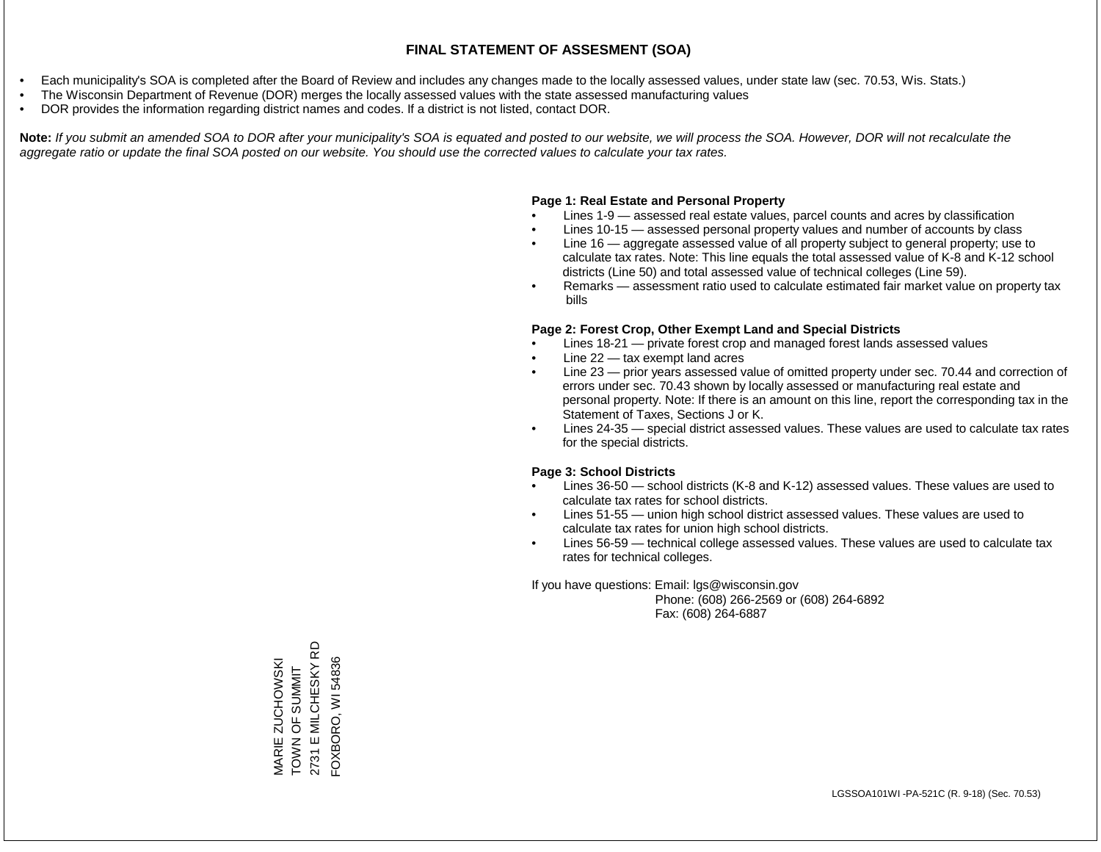- Each municipality's SOA is completed after the Board of Review and includes any changes made to the locally assessed values, under state law (sec. 70.53, Wis. Stats.)
- The Wisconsin Department of Revenue (DOR) merges the locally assessed values with the state assessed manufacturing values
- DOR provides the information regarding district names and codes. If a district is not listed, contact DOR.

Note: If you submit an amended SOA to DOR after your municipality's SOA is equated and posted to our website, we will process the SOA. However, DOR will not recalculate the *aggregate ratio or update the final SOA posted on our website. You should use the corrected values to calculate your tax rates.*

#### **Page 1: Real Estate and Personal Property**

- Lines 1-9 assessed real estate values, parcel counts and acres by classification
- Lines 10-15 assessed personal property values and number of accounts by class
- Line 16 aggregate assessed value of all property subject to general property; use to calculate tax rates. Note: This line equals the total assessed value of K-8 and K-12 school districts (Line 50) and total assessed value of technical colleges (Line 59).
- Remarks assessment ratio used to calculate estimated fair market value on property tax bills

#### **Page 2: Forest Crop, Other Exempt Land and Special Districts**

- Lines 18-21 private forest crop and managed forest lands assessed values
- Line  $22 -$  tax exempt land acres
- Line 23 prior years assessed value of omitted property under sec. 70.44 and correction of errors under sec. 70.43 shown by locally assessed or manufacturing real estate and personal property. Note: If there is an amount on this line, report the corresponding tax in the Statement of Taxes, Sections J or K.
- Lines 24-35 special district assessed values. These values are used to calculate tax rates for the special districts.

#### **Page 3: School Districts**

- Lines 36-50 school districts (K-8 and K-12) assessed values. These values are used to calculate tax rates for school districts.
- Lines 51-55 union high school district assessed values. These values are used to calculate tax rates for union high school districts.
- Lines 56-59 technical college assessed values. These values are used to calculate tax rates for technical colleges.

If you have questions: Email: lgs@wisconsin.gov

 Phone: (608) 266-2569 or (608) 264-6892 Fax: (608) 264-6887

MARIE ZUCHOWSKI<br>TOWN OF SUMMIT<br>2731 E MILCHESKY RD 2731 E MILCHESKY RD FOXBORO, WI 54836 FOXBORO, WI 54836MARIE ZUCHOWSKI TOWN OF SUMMIT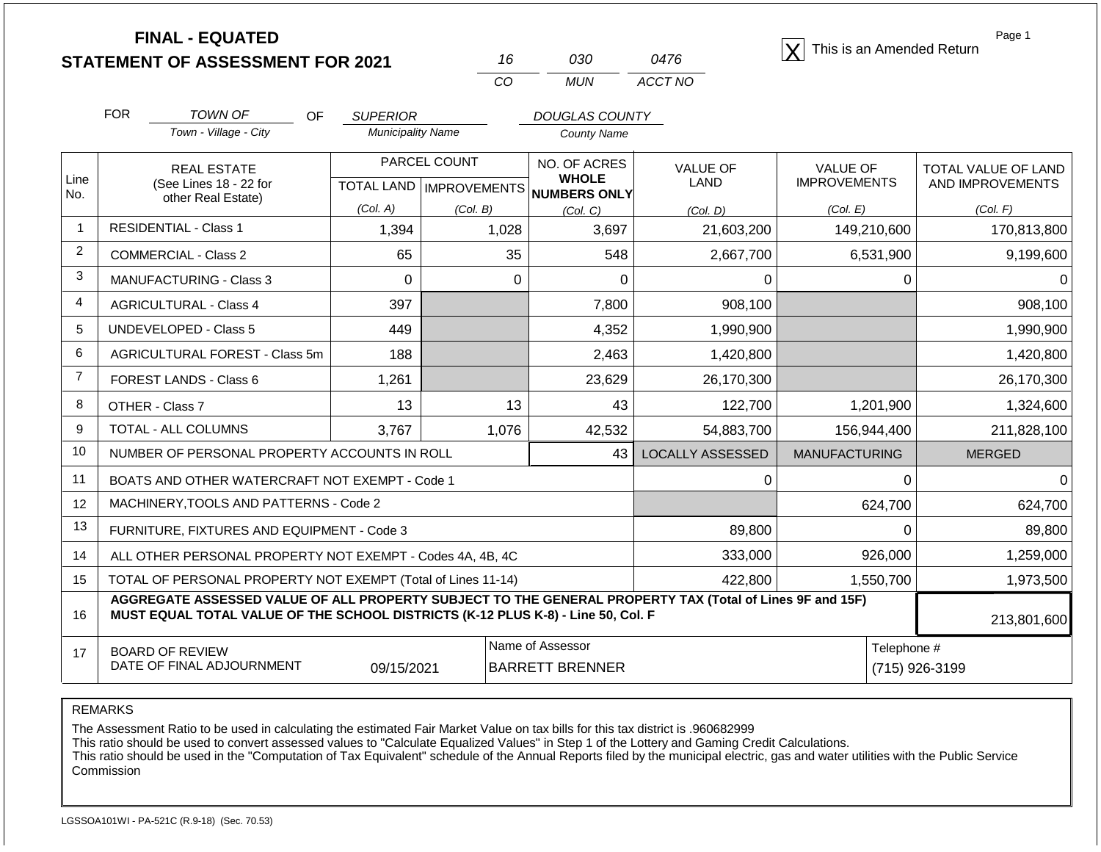| <b>STATEMENT OF ASSESSMENT FOR 2021</b> |  |
|-----------------------------------------|--|
|                                         |  |

| 16  | റദറ | 0476    |
|-----|-----|---------|
| CO. | MUN | ACCT NO |

**FINAL - EQUATED**<br> **FINAL - EQUATED X** This is an Amended Return

Page 1

|                | <b>FOR</b>                                                | TOWN OF<br>OF                                                                                                                                                                                | <b>SUPERIOR</b>                           |          | <b>DOUGLAS COUNTY</b>           |                                |                                        |                                                |
|----------------|-----------------------------------------------------------|----------------------------------------------------------------------------------------------------------------------------------------------------------------------------------------------|-------------------------------------------|----------|---------------------------------|--------------------------------|----------------------------------------|------------------------------------------------|
|                |                                                           | Town - Village - City                                                                                                                                                                        | <b>Municipality Name</b>                  |          | <b>County Name</b>              |                                |                                        |                                                |
| Line           |                                                           | <b>REAL ESTATE</b><br>(See Lines 18 - 22 for                                                                                                                                                 | PARCEL COUNT<br>TOTAL LAND   IMPROVEMENTS |          | NO. OF ACRES<br><b>WHOLE</b>    | <b>VALUE OF</b><br><b>LAND</b> | <b>VALUE OF</b><br><b>IMPROVEMENTS</b> | <b>TOTAL VALUE OF LAND</b><br>AND IMPROVEMENTS |
| No.            |                                                           | other Real Estate)                                                                                                                                                                           | (Col. A)                                  | (Col. B) | <b>NUMBERS ONLY</b><br>(Col. C) | (Col. D)                       | (Col. E)                               | (Col. F)                                       |
| $\mathbf{1}$   |                                                           | <b>RESIDENTIAL - Class 1</b>                                                                                                                                                                 | 1,394                                     | 1,028    | 3,697                           | 21,603,200                     | 149,210,600                            | 170,813,800                                    |
| $\overline{2}$ |                                                           | <b>COMMERCIAL - Class 2</b>                                                                                                                                                                  | 65                                        | 35       | 548                             | 2,667,700                      | 6,531,900                              | 9,199,600                                      |
| 3              |                                                           | MANUFACTURING - Class 3                                                                                                                                                                      | $\Omega$                                  | 0        | 0                               | 0                              | 0                                      | 0                                              |
| $\overline{4}$ |                                                           | <b>AGRICULTURAL - Class 4</b>                                                                                                                                                                | 397                                       |          | 7,800                           | 908,100                        |                                        | 908,100                                        |
| 5              |                                                           | <b>UNDEVELOPED - Class 5</b>                                                                                                                                                                 | 449                                       |          | 4,352                           | 1,990,900                      |                                        | 1,990,900                                      |
| 6              |                                                           | AGRICULTURAL FOREST - Class 5m                                                                                                                                                               | 188                                       |          | 2,463                           | 1,420,800                      |                                        | 1,420,800                                      |
| $\overline{7}$ |                                                           | FOREST LANDS - Class 6                                                                                                                                                                       | 1,261                                     |          | 23,629                          | 26,170,300                     |                                        | 26,170,300                                     |
| 8              |                                                           | OTHER - Class 7                                                                                                                                                                              | 13                                        | 13       | 43                              | 122,700                        | 1,201,900                              | 1,324,600                                      |
| 9              |                                                           | TOTAL - ALL COLUMNS                                                                                                                                                                          | 3,767                                     | 1,076    | 42,532                          | 54,883,700                     | 156,944,400                            | 211,828,100                                    |
| 10             |                                                           | NUMBER OF PERSONAL PROPERTY ACCOUNTS IN ROLL                                                                                                                                                 |                                           |          | 43                              | <b>LOCALLY ASSESSED</b>        | <b>MANUFACTURING</b>                   | <b>MERGED</b>                                  |
| 11             |                                                           | BOATS AND OTHER WATERCRAFT NOT EXEMPT - Code 1                                                                                                                                               |                                           |          |                                 | 0                              | $\Omega$                               | 0                                              |
| 12             |                                                           | MACHINERY, TOOLS AND PATTERNS - Code 2                                                                                                                                                       |                                           |          |                                 |                                | 624,700                                | 624,700                                        |
| 13             |                                                           | FURNITURE, FIXTURES AND EQUIPMENT - Code 3                                                                                                                                                   |                                           |          |                                 | 89,800                         | $\Omega$                               | 89,800                                         |
| 14             | ALL OTHER PERSONAL PROPERTY NOT EXEMPT - Codes 4A, 4B, 4C |                                                                                                                                                                                              |                                           | 333,000  | 926,000                         | 1,259,000                      |                                        |                                                |
| 15             |                                                           | TOTAL OF PERSONAL PROPERTY NOT EXEMPT (Total of Lines 11-14)                                                                                                                                 |                                           |          |                                 | 422,800                        | 1,550,700                              | 1,973,500                                      |
| 16             |                                                           | AGGREGATE ASSESSED VALUE OF ALL PROPERTY SUBJECT TO THE GENERAL PROPERTY TAX (Total of Lines 9F and 15F)<br>MUST EQUAL TOTAL VALUE OF THE SCHOOL DISTRICTS (K-12 PLUS K-8) - Line 50, Col. F |                                           |          |                                 |                                |                                        | 213,801,600                                    |
|                |                                                           |                                                                                                                                                                                              |                                           |          |                                 |                                |                                        |                                                |

17 BOARD OF REVIEW DATE OF FINAL ADJOURNMENT Name of Assessor **Name of Assessor Name of Assessor** 09/15/2021 BARRETT BRENNER (715) 926-3199

REMARKS

The Assessment Ratio to be used in calculating the estimated Fair Market Value on tax bills for this tax district is .960682999

This ratio should be used to convert assessed values to "Calculate Equalized Values" in Step 1 of the Lottery and Gaming Credit Calculations.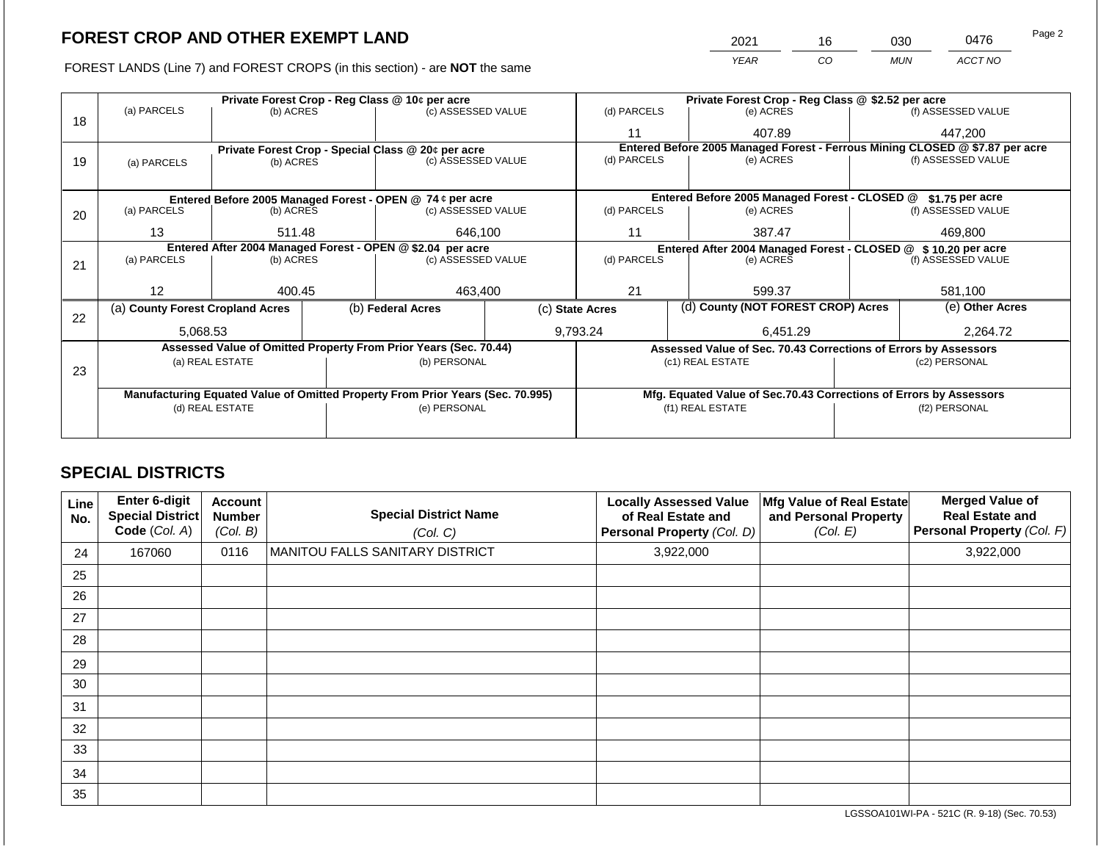FOREST LANDS (Line 7) and FOREST CROPS (in this section) - are **NOT** the same

| 2021 | 16 | ევი | 0476    | Page 2 |
|------|----|-----|---------|--------|
| YFAR | CO | MUN | ACCT NO |        |

|    |                                                            |                                  |  | Private Forest Crop - Reg Class @ 10¢ per acre                                 |  | Private Forest Crop - Reg Class @ \$2.52 per acre                |                                                                    |                    |                    |  |
|----|------------------------------------------------------------|----------------------------------|--|--------------------------------------------------------------------------------|--|------------------------------------------------------------------|--------------------------------------------------------------------|--------------------|--------------------|--|
| 18 | (a) PARCELS                                                | (b) ACRES                        |  | (c) ASSESSED VALUE                                                             |  | (d) PARCELS                                                      | (e) ACRES                                                          |                    | (f) ASSESSED VALUE |  |
|    |                                                            |                                  |  |                                                                                |  | 11                                                               | 407.89                                                             |                    | 447,200            |  |
|    | Private Forest Crop - Special Class @ 20¢ per acre         |                                  |  | Entered Before 2005 Managed Forest - Ferrous Mining CLOSED @ \$7.87 per acre   |  |                                                                  |                                                                    |                    |                    |  |
| 19 | (a) PARCELS                                                | (b) ACRES                        |  | (c) ASSESSED VALUE                                                             |  | (d) PARCELS                                                      | (e) ACRES                                                          |                    | (f) ASSESSED VALUE |  |
|    |                                                            |                                  |  |                                                                                |  |                                                                  |                                                                    |                    |                    |  |
|    |                                                            |                                  |  | Entered Before 2005 Managed Forest - OPEN @ 74 ¢ per acre                      |  | Entered Before 2005 Managed Forest - CLOSED @<br>\$1.75 per acre |                                                                    |                    |                    |  |
| 20 | (a) PARCELS                                                | (b) ACRES                        |  | (c) ASSESSED VALUE                                                             |  | (d) PARCELS                                                      | (e) ACRES                                                          |                    | (f) ASSESSED VALUE |  |
|    |                                                            |                                  |  |                                                                                |  |                                                                  |                                                                    |                    |                    |  |
|    | 13                                                         | 511.48                           |  | 646,100                                                                        |  | 11                                                               | 387.47                                                             |                    | 469.800            |  |
|    | Entered After 2004 Managed Forest - OPEN @ \$2.04 per acre |                                  |  |                                                                                |  | Entered After 2004 Managed Forest - CLOSED @ \$10.20 per acre    |                                                                    |                    |                    |  |
| 21 | (a) PARCELS                                                | (b) ACRES                        |  | (c) ASSESSED VALUE                                                             |  | (d) PARCELS<br>(e) ACRES                                         |                                                                    | (f) ASSESSED VALUE |                    |  |
|    |                                                            |                                  |  |                                                                                |  |                                                                  |                                                                    |                    |                    |  |
|    | 12                                                         | 400.45                           |  | 463,400                                                                        |  | 21                                                               | 599.37                                                             |                    |                    |  |
|    |                                                            | (a) County Forest Cropland Acres |  | (b) Federal Acres                                                              |  | (c) State Acres                                                  | (d) County (NOT FOREST CROP) Acres                                 |                    | (e) Other Acres    |  |
| 22 |                                                            |                                  |  |                                                                                |  |                                                                  |                                                                    |                    | 2,264.72           |  |
|    | 5,068.53                                                   |                                  |  |                                                                                |  | 9,793.24                                                         |                                                                    | 6,451.29           |                    |  |
|    |                                                            |                                  |  | Assessed Value of Omitted Property From Prior Years (Sec. 70.44)               |  |                                                                  | Assessed Value of Sec. 70.43 Corrections of Errors by Assessors    |                    |                    |  |
|    |                                                            | (a) REAL ESTATE                  |  | (b) PERSONAL                                                                   |  |                                                                  | (c1) REAL ESTATE                                                   |                    | (c2) PERSONAL      |  |
| 23 |                                                            |                                  |  |                                                                                |  |                                                                  |                                                                    |                    |                    |  |
|    |                                                            |                                  |  | Manufacturing Equated Value of Omitted Property From Prior Years (Sec. 70.995) |  |                                                                  | Mfg. Equated Value of Sec.70.43 Corrections of Errors by Assessors |                    |                    |  |
|    |                                                            | (d) REAL ESTATE                  |  | (e) PERSONAL                                                                   |  |                                                                  | (f1) REAL ESTATE                                                   |                    | (f2) PERSONAL      |  |
|    |                                                            |                                  |  |                                                                                |  |                                                                  |                                                                    |                    |                    |  |
|    |                                                            |                                  |  |                                                                                |  |                                                                  |                                                                    |                    |                    |  |

## **SPECIAL DISTRICTS**

| Line<br>No. | <b>Enter 6-digit</b><br>Special District<br>Code (Col. A) | <b>Account</b><br><b>Number</b><br>(Col. B) | <b>Special District Name</b><br>(Col. C) | <b>Locally Assessed Value</b><br>of Real Estate and<br>Personal Property (Col. D) | Mfg Value of Real Estate<br>and Personal Property<br>(Col. E) | <b>Merged Value of</b><br><b>Real Estate and</b><br><b>Personal Property (Col. F)</b> |
|-------------|-----------------------------------------------------------|---------------------------------------------|------------------------------------------|-----------------------------------------------------------------------------------|---------------------------------------------------------------|---------------------------------------------------------------------------------------|
| 24          | 167060                                                    | 0116                                        | MANITOU FALLS SANITARY DISTRICT          | 3,922,000                                                                         |                                                               | 3,922,000                                                                             |
| 25          |                                                           |                                             |                                          |                                                                                   |                                                               |                                                                                       |
| 26          |                                                           |                                             |                                          |                                                                                   |                                                               |                                                                                       |
| 27          |                                                           |                                             |                                          |                                                                                   |                                                               |                                                                                       |
| 28          |                                                           |                                             |                                          |                                                                                   |                                                               |                                                                                       |
| 29          |                                                           |                                             |                                          |                                                                                   |                                                               |                                                                                       |
| 30          |                                                           |                                             |                                          |                                                                                   |                                                               |                                                                                       |
| 31          |                                                           |                                             |                                          |                                                                                   |                                                               |                                                                                       |
| 32          |                                                           |                                             |                                          |                                                                                   |                                                               |                                                                                       |
| 33          |                                                           |                                             |                                          |                                                                                   |                                                               |                                                                                       |
| 34          |                                                           |                                             |                                          |                                                                                   |                                                               |                                                                                       |
| 35          |                                                           |                                             |                                          |                                                                                   |                                                               |                                                                                       |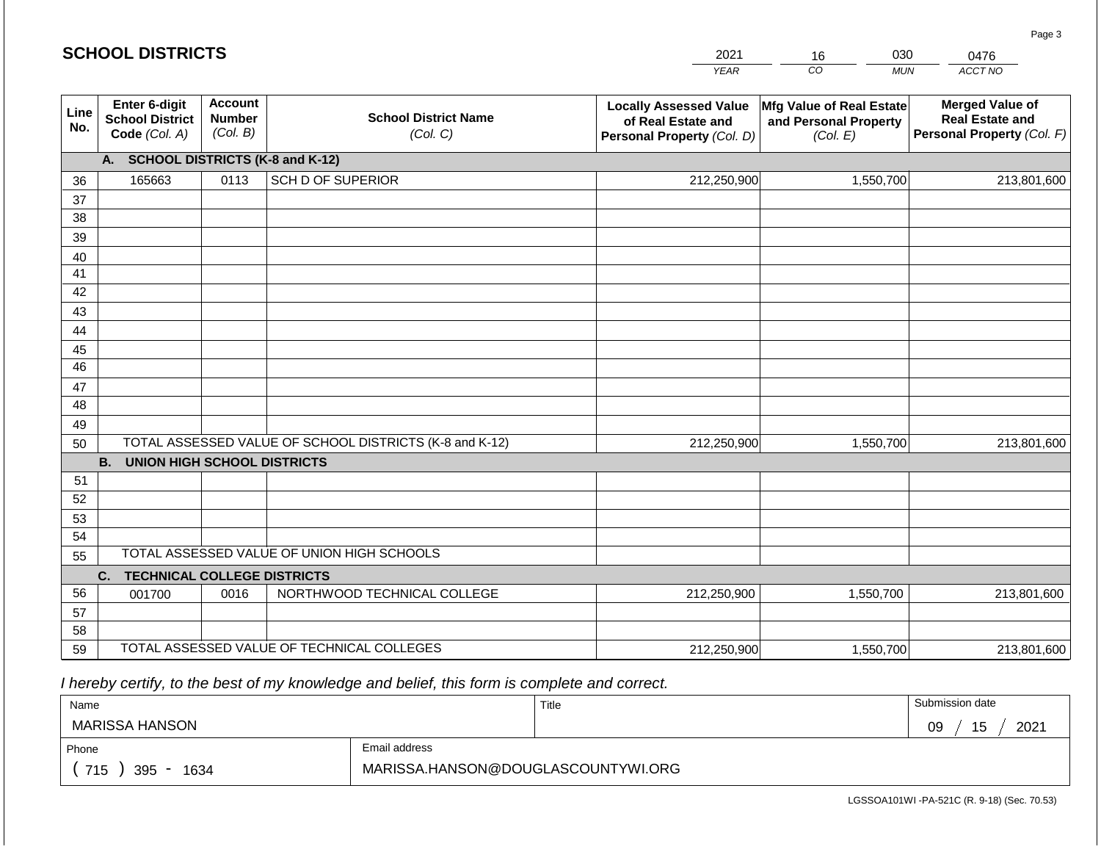|             | <b>SCHOOL DISTRICTS</b>                                  |                                             |                                                         | 2021                                                                              | 030<br>16                                                     | 0476                                                                           |
|-------------|----------------------------------------------------------|---------------------------------------------|---------------------------------------------------------|-----------------------------------------------------------------------------------|---------------------------------------------------------------|--------------------------------------------------------------------------------|
|             |                                                          |                                             |                                                         | <b>YEAR</b>                                                                       | CO<br><b>MUN</b>                                              | ACCT NO                                                                        |
| Line<br>No. | Enter 6-digit<br><b>School District</b><br>Code (Col. A) | <b>Account</b><br><b>Number</b><br>(Col. B) | <b>School District Name</b><br>(Col. C)                 | <b>Locally Assessed Value</b><br>of Real Estate and<br>Personal Property (Col. D) | Mfg Value of Real Estate<br>and Personal Property<br>(Col. E) | <b>Merged Value of</b><br><b>Real Estate and</b><br>Personal Property (Col. F) |
|             | A.                                                       |                                             | <b>SCHOOL DISTRICTS (K-8 and K-12)</b>                  |                                                                                   |                                                               |                                                                                |
| 36          | 165663                                                   | 0113                                        | <b>SCH D OF SUPERIOR</b>                                | 212,250,900                                                                       | 1,550,700                                                     | 213,801,600                                                                    |
| 37          |                                                          |                                             |                                                         |                                                                                   |                                                               |                                                                                |
| 38          |                                                          |                                             |                                                         |                                                                                   |                                                               |                                                                                |
| 39          |                                                          |                                             |                                                         |                                                                                   |                                                               |                                                                                |
| 40          |                                                          |                                             |                                                         |                                                                                   |                                                               |                                                                                |
| 41<br>42    |                                                          |                                             |                                                         |                                                                                   |                                                               |                                                                                |
| 43          |                                                          |                                             |                                                         |                                                                                   |                                                               |                                                                                |
| 44          |                                                          |                                             |                                                         |                                                                                   |                                                               |                                                                                |
| 45          |                                                          |                                             |                                                         |                                                                                   |                                                               |                                                                                |
| 46          |                                                          |                                             |                                                         |                                                                                   |                                                               |                                                                                |
| 47          |                                                          |                                             |                                                         |                                                                                   |                                                               |                                                                                |
| 48          |                                                          |                                             |                                                         |                                                                                   |                                                               |                                                                                |
| 49          |                                                          |                                             |                                                         |                                                                                   |                                                               |                                                                                |
| 50          |                                                          |                                             | TOTAL ASSESSED VALUE OF SCHOOL DISTRICTS (K-8 and K-12) | 212,250,900                                                                       | 1,550,700                                                     | 213,801,600                                                                    |
|             | <b>B.</b><br><b>UNION HIGH SCHOOL DISTRICTS</b>          |                                             |                                                         |                                                                                   |                                                               |                                                                                |
| 51          |                                                          |                                             |                                                         |                                                                                   |                                                               |                                                                                |
| 52          |                                                          |                                             |                                                         |                                                                                   |                                                               |                                                                                |
| 53<br>54    |                                                          |                                             |                                                         |                                                                                   |                                                               |                                                                                |
| 55          |                                                          |                                             | TOTAL ASSESSED VALUE OF UNION HIGH SCHOOLS              |                                                                                   |                                                               |                                                                                |
|             | <b>TECHNICAL COLLEGE DISTRICTS</b><br>C.                 |                                             |                                                         |                                                                                   |                                                               |                                                                                |
| 56          | 001700                                                   | 0016                                        | NORTHWOOD TECHNICAL COLLEGE                             | 212,250,900                                                                       | 1,550,700                                                     | 213,801,600                                                                    |
| 57          |                                                          |                                             |                                                         |                                                                                   |                                                               |                                                                                |
| 58          |                                                          |                                             |                                                         |                                                                                   |                                                               |                                                                                |
| 59          |                                                          |                                             | TOTAL ASSESSED VALUE OF TECHNICAL COLLEGES              | 212,250,900                                                                       | 1,550,700                                                     | 213,801,600                                                                    |

| Name               |                                    | Title | Submission date  |
|--------------------|------------------------------------|-------|------------------|
| MARISSA HANSON     |                                    |       | 15<br>2021<br>09 |
| Phone              | Email address                      |       |                  |
| 715<br>395<br>1634 | MARISSA.HANSON@DOUGLASCOUNTYWI.ORG |       |                  |

LGSSOA101WI -PA-521C (R. 9-18) (Sec. 70.53)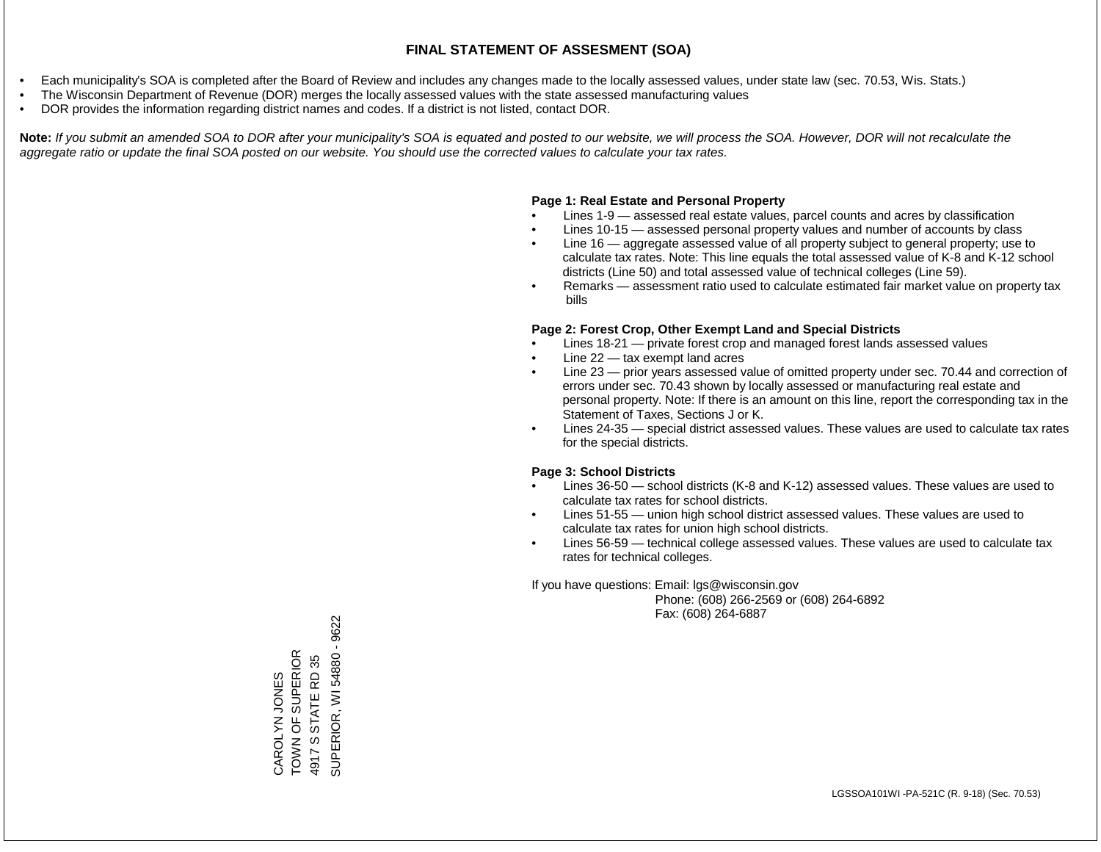- Each municipality's SOA is completed after the Board of Review and includes any changes made to the locally assessed values, under state law (sec. 70.53, Wis. Stats.)
- The Wisconsin Department of Revenue (DOR) merges the locally assessed values with the state assessed manufacturing values
- DOR provides the information regarding district names and codes. If a district is not listed, contact DOR.

Note: If you submit an amended SOA to DOR after your municipality's SOA is equated and posted to our website, we will process the SOA. However, DOR will not recalculate the *aggregate ratio or update the final SOA posted on our website. You should use the corrected values to calculate your tax rates.*

#### **Page 1: Real Estate and Personal Property**

- Lines 1-9 assessed real estate values, parcel counts and acres by classification
- Lines 10-15 assessed personal property values and number of accounts by class
- Line 16 aggregate assessed value of all property subject to general property; use to calculate tax rates. Note: This line equals the total assessed value of K-8 and K-12 school districts (Line 50) and total assessed value of technical colleges (Line 59).
- Remarks assessment ratio used to calculate estimated fair market value on property tax bills

#### **Page 2: Forest Crop, Other Exempt Land and Special Districts**

- Lines 18-21 private forest crop and managed forest lands assessed values
- Line  $22 -$  tax exempt land acres
- Line 23 prior years assessed value of omitted property under sec. 70.44 and correction of errors under sec. 70.43 shown by locally assessed or manufacturing real estate and personal property. Note: If there is an amount on this line, report the corresponding tax in the Statement of Taxes, Sections J or K.
- Lines 24-35 special district assessed values. These values are used to calculate tax rates for the special districts.

#### **Page 3: School Districts**

- Lines 36-50 school districts (K-8 and K-12) assessed values. These values are used to calculate tax rates for school districts.
- Lines 51-55 union high school district assessed values. These values are used to calculate tax rates for union high school districts.
- Lines 56-59 technical college assessed values. These values are used to calculate tax rates for technical colleges.

If you have questions: Email: lgs@wisconsin.gov

 Phone: (608) 266-2569 or (608) 264-6892 Fax: (608) 264-6887

SUPERIOR, WI 54880 - 9622 SUPERIOR, WI 54880 - 9622CAROLYN JONES<br>TOWN OF SUPERIOR<br>4917 S STATE RD 35 TOWN OF SUPERIOR 4917 S STATE RD 35 CAROLYN JONES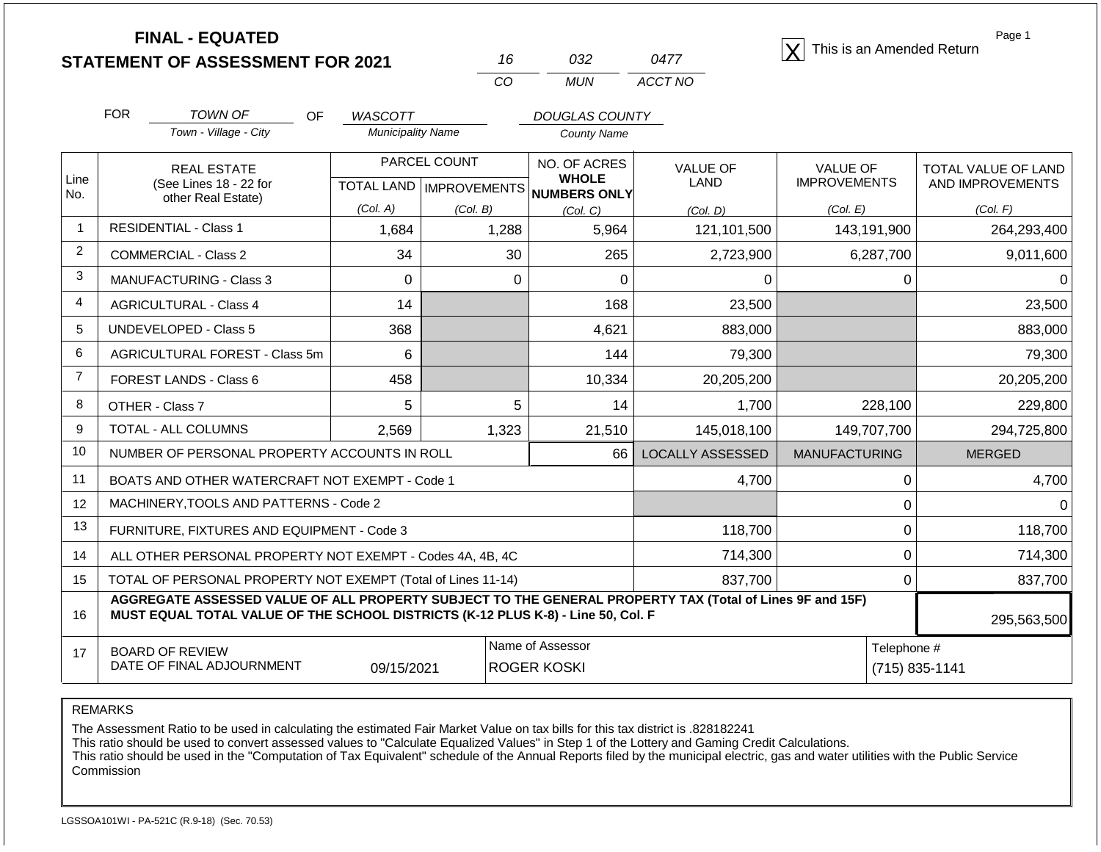| <b>FINAL - EQUATED</b>                  |  |      | This is an Amended Return |
|-----------------------------------------|--|------|---------------------------|
| <b>STATEMENT OF ASSESSMENT FOR 2021</b> |  | 0477 |                           |

| 16. | 7132 | 0477    |
|-----|------|---------|
| CO. | MUN  | ACCT NO |

Page 1

|                | <b>FOR</b> | <b>TOWN OF</b><br><b>OF</b>                                                                                                                                                                  | <b>WASCOTT</b>           |                                  | <b>DOUGLAS COUNTY</b>        |                         |                                        |                                         |
|----------------|------------|----------------------------------------------------------------------------------------------------------------------------------------------------------------------------------------------|--------------------------|----------------------------------|------------------------------|-------------------------|----------------------------------------|-----------------------------------------|
|                |            | Town - Village - City                                                                                                                                                                        | <b>Municipality Name</b> |                                  | <b>County Name</b>           |                         |                                        |                                         |
| Line           |            | <b>REAL ESTATE</b><br>(See Lines 18 - 22 for                                                                                                                                                 |                          | PARCEL COUNT                     | NO. OF ACRES<br><b>WHOLE</b> | <b>VALUE OF</b><br>LAND | <b>VALUE OF</b><br><b>IMPROVEMENTS</b> | TOTAL VALUE OF LAND<br>AND IMPROVEMENTS |
| No.            |            | other Real Estate)                                                                                                                                                                           |                          | <b>TOTAL LAND   IMPROVEMENTS</b> | NUMBERS ONLY                 |                         |                                        |                                         |
|                |            |                                                                                                                                                                                              | (Col. A)                 | (Col. B)                         | (Col, C)                     | (Col, D)                | (Col. E)                               | (Col. F)                                |
| $\mathbf{1}$   |            | <b>RESIDENTIAL - Class 1</b>                                                                                                                                                                 | 1,684                    | 1,288                            | 5,964                        | 121,101,500             | 143,191,900                            | 264,293,400                             |
| $\overline{2}$ |            | <b>COMMERCIAL - Class 2</b>                                                                                                                                                                  | 34                       | 30                               | 265                          | 2,723,900               | 6,287,700                              | 9,011,600                               |
| 3              |            | <b>MANUFACTURING - Class 3</b>                                                                                                                                                               | 0                        | 0                                | 0                            | 0                       | 0                                      |                                         |
| $\overline{4}$ |            | <b>AGRICULTURAL - Class 4</b>                                                                                                                                                                | 14                       |                                  | 168                          | 23,500                  |                                        | 23,500                                  |
| 5              |            | <b>UNDEVELOPED - Class 5</b>                                                                                                                                                                 | 368                      |                                  | 4,621                        | 883,000                 |                                        | 883,000                                 |
| 6              |            | AGRICULTURAL FOREST - Class 5m                                                                                                                                                               | 6                        |                                  | 144                          | 79,300                  |                                        | 79,300                                  |
| $\overline{7}$ |            | FOREST LANDS - Class 6                                                                                                                                                                       | 458                      |                                  | 10,334                       | 20,205,200              |                                        | 20,205,200                              |
| 8              |            | OTHER - Class 7                                                                                                                                                                              | 5                        | 5                                | 14                           | 1,700                   | 228,100                                | 229,800                                 |
| 9              |            | TOTAL - ALL COLUMNS                                                                                                                                                                          | 2,569                    | 1,323                            | 21,510                       | 145,018,100             | 149,707,700                            | 294,725,800                             |
| 10             |            | NUMBER OF PERSONAL PROPERTY ACCOUNTS IN ROLL                                                                                                                                                 |                          |                                  | 66                           | <b>LOCALLY ASSESSED</b> | <b>MANUFACTURING</b>                   | <b>MERGED</b>                           |
| 11             |            | BOATS AND OTHER WATERCRAFT NOT EXEMPT - Code 1                                                                                                                                               |                          |                                  |                              | 4,700                   | $\Omega$                               | 4,700                                   |
| 12             |            | MACHINERY, TOOLS AND PATTERNS - Code 2                                                                                                                                                       |                          |                                  |                              |                         | $\Omega$                               | n                                       |
| 13             |            | FURNITURE, FIXTURES AND EQUIPMENT - Code 3                                                                                                                                                   |                          |                                  |                              | 118,700                 | $\Omega$                               | 118,700                                 |
| 14             |            | ALL OTHER PERSONAL PROPERTY NOT EXEMPT - Codes 4A, 4B, 4C                                                                                                                                    |                          |                                  |                              | 714,300                 | $\Omega$                               | 714,300                                 |
| 15             |            | TOTAL OF PERSONAL PROPERTY NOT EXEMPT (Total of Lines 11-14)                                                                                                                                 |                          |                                  |                              | 837,700                 | $\Omega$                               | 837,700                                 |
| 16             |            | AGGREGATE ASSESSED VALUE OF ALL PROPERTY SUBJECT TO THE GENERAL PROPERTY TAX (Total of Lines 9F and 15F)<br>MUST EQUAL TOTAL VALUE OF THE SCHOOL DISTRICTS (K-12 PLUS K-8) - Line 50, Col. F |                          |                                  |                              |                         |                                        | 295,563,500                             |
| 17             |            | <b>BOARD OF REVIEW</b>                                                                                                                                                                       |                          |                                  | Name of Assessor             |                         | Telephone #                            |                                         |
|                |            | DATE OF FINAL ADJOURNMENT                                                                                                                                                                    | 09/15/2021               |                                  | <b>ROGER KOSKI</b>           |                         |                                        | (715) 835-1141                          |

REMARKS

The Assessment Ratio to be used in calculating the estimated Fair Market Value on tax bills for this tax district is .828182241

This ratio should be used to convert assessed values to "Calculate Equalized Values" in Step 1 of the Lottery and Gaming Credit Calculations.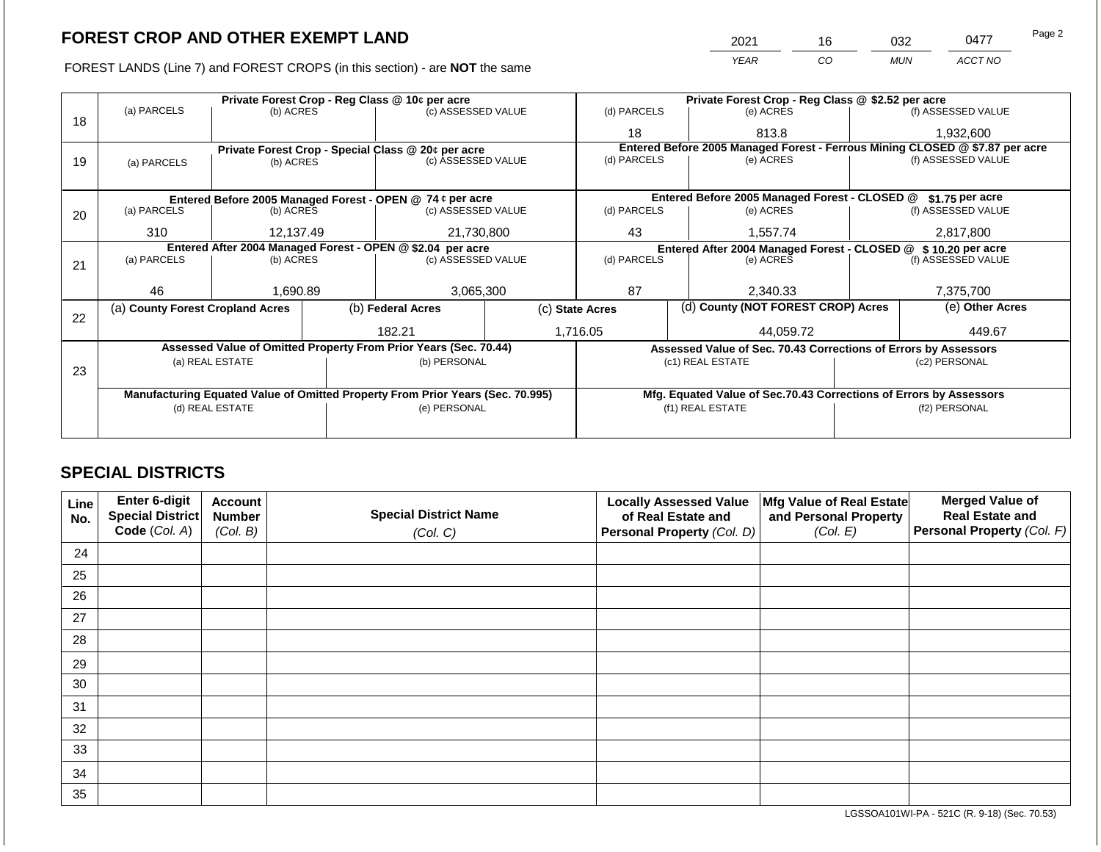FOREST LANDS (Line 7) and FOREST CROPS (in this section) - are **NOT** the same

| 2021 | 16  | 032        | 0477    | Page 2 |
|------|-----|------------|---------|--------|
| YEAR | CO. | <b>MUN</b> | ACCT NO |        |

|    |                                  |                                |  | Private Forest Crop - Reg Class @ 10¢ per acre                                 |             |                                                                              | Private Forest Crop - Reg Class @ \$2.52 per acre                  |           |                    |  |
|----|----------------------------------|--------------------------------|--|--------------------------------------------------------------------------------|-------------|------------------------------------------------------------------------------|--------------------------------------------------------------------|-----------|--------------------|--|
| 18 | (a) PARCELS                      | (b) ACRES                      |  | (c) ASSESSED VALUE                                                             |             | (d) PARCELS                                                                  | (e) ACRES                                                          |           | (f) ASSESSED VALUE |  |
|    |                                  |                                |  |                                                                                |             | 18                                                                           | 813.8                                                              |           | 1,932,600          |  |
|    |                                  |                                |  | Private Forest Crop - Special Class @ 20¢ per acre                             |             | Entered Before 2005 Managed Forest - Ferrous Mining CLOSED @ \$7.87 per acre |                                                                    |           |                    |  |
| 19 | (a) PARCELS                      | (b) ACRES                      |  | (c) ASSESSED VALUE                                                             |             | (d) PARCELS                                                                  | (e) ACRES                                                          |           | (f) ASSESSED VALUE |  |
|    |                                  |                                |  |                                                                                |             |                                                                              |                                                                    |           |                    |  |
|    |                                  |                                |  | Entered Before 2005 Managed Forest - OPEN @ 74 ¢ per acre                      |             |                                                                              | Entered Before 2005 Managed Forest - CLOSED @                      |           | \$1.75 per acre    |  |
| 20 | (a) PARCELS                      | (b) ACRES                      |  | (c) ASSESSED VALUE                                                             |             | (d) PARCELS                                                                  | (e) ACRES                                                          |           | (f) ASSESSED VALUE |  |
|    |                                  |                                |  |                                                                                |             |                                                                              |                                                                    |           |                    |  |
|    |                                  | 21,730,800<br>310<br>12,137.49 |  |                                                                                | 43          | 1,557.74                                                                     |                                                                    | 2,817,800 |                    |  |
|    |                                  |                                |  | Entered After 2004 Managed Forest - OPEN @ \$2.04 per acre                     |             |                                                                              | Entered After 2004 Managed Forest - CLOSED @ \$10.20 per acre      |           |                    |  |
| 21 | (a) PARCELS                      | (b) ACRES                      |  | (c) ASSESSED VALUE                                                             | (d) PARCELS |                                                                              | (e) ACRES                                                          |           | (f) ASSESSED VALUE |  |
|    |                                  |                                |  |                                                                                |             |                                                                              |                                                                    |           |                    |  |
|    | 46                               | 1,690.89                       |  | 3,065,300                                                                      |             | 87                                                                           | 2,340.33                                                           |           | 7,375,700          |  |
|    | (a) County Forest Cropland Acres |                                |  | (b) Federal Acres                                                              |             | (c) State Acres                                                              | (d) County (NOT FOREST CROP) Acres                                 |           | (e) Other Acres    |  |
| 22 |                                  |                                |  |                                                                                |             |                                                                              |                                                                    |           |                    |  |
|    |                                  |                                |  | 182.21                                                                         |             | 1,716.05                                                                     | 44,059.72                                                          |           | 449.67             |  |
|    |                                  |                                |  | Assessed Value of Omitted Property From Prior Years (Sec. 70.44)               |             |                                                                              | Assessed Value of Sec. 70.43 Corrections of Errors by Assessors    |           |                    |  |
|    |                                  | (a) REAL ESTATE                |  | (b) PERSONAL                                                                   |             |                                                                              | (c1) REAL ESTATE                                                   |           | (c2) PERSONAL      |  |
| 23 |                                  |                                |  |                                                                                |             |                                                                              |                                                                    |           |                    |  |
|    |                                  |                                |  | Manufacturing Equated Value of Omitted Property From Prior Years (Sec. 70.995) |             |                                                                              | Mfg. Equated Value of Sec.70.43 Corrections of Errors by Assessors |           |                    |  |
|    |                                  | (d) REAL ESTATE                |  | (e) PERSONAL                                                                   |             |                                                                              | (f1) REAL ESTATE                                                   |           | (f2) PERSONAL      |  |
|    |                                  |                                |  |                                                                                |             |                                                                              |                                                                    |           |                    |  |
|    |                                  |                                |  |                                                                                |             |                                                                              |                                                                    |           |                    |  |

## **SPECIAL DISTRICTS**

| Line<br>No. | Enter 6-digit<br>Special District | <b>Account</b><br><b>Number</b> | <b>Special District Name</b> | <b>Locally Assessed Value</b><br>of Real Estate and | Mfg Value of Real Estate<br>and Personal Property | <b>Merged Value of</b><br><b>Real Estate and</b> |
|-------------|-----------------------------------|---------------------------------|------------------------------|-----------------------------------------------------|---------------------------------------------------|--------------------------------------------------|
|             | Code (Col. A)                     | (Col. B)                        | (Col. C)                     | Personal Property (Col. D)                          | (Col. E)                                          | Personal Property (Col. F)                       |
| 24          |                                   |                                 |                              |                                                     |                                                   |                                                  |
| 25          |                                   |                                 |                              |                                                     |                                                   |                                                  |
| 26          |                                   |                                 |                              |                                                     |                                                   |                                                  |
| 27          |                                   |                                 |                              |                                                     |                                                   |                                                  |
| 28          |                                   |                                 |                              |                                                     |                                                   |                                                  |
| 29          |                                   |                                 |                              |                                                     |                                                   |                                                  |
| 30          |                                   |                                 |                              |                                                     |                                                   |                                                  |
| 31          |                                   |                                 |                              |                                                     |                                                   |                                                  |
| 32          |                                   |                                 |                              |                                                     |                                                   |                                                  |
| 33          |                                   |                                 |                              |                                                     |                                                   |                                                  |
| 34          |                                   |                                 |                              |                                                     |                                                   |                                                  |
| 35          |                                   |                                 |                              |                                                     |                                                   |                                                  |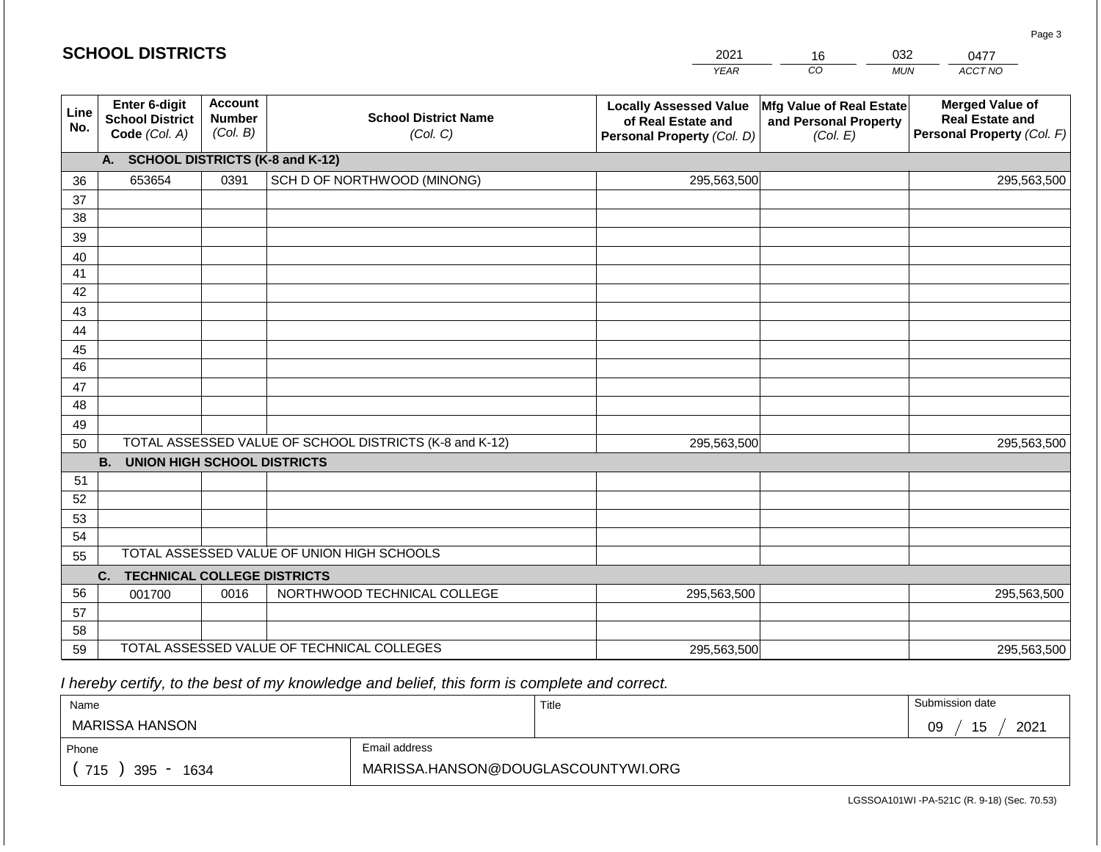|             | <b>SCHOOL DISTRICTS</b>                                  |                                             |                                                         | 2021                                                                              | 16                                                                   | 032        | 0477                                                                           |
|-------------|----------------------------------------------------------|---------------------------------------------|---------------------------------------------------------|-----------------------------------------------------------------------------------|----------------------------------------------------------------------|------------|--------------------------------------------------------------------------------|
|             |                                                          |                                             |                                                         | <b>YEAR</b>                                                                       | CO                                                                   | <b>MUN</b> | ACCT NO                                                                        |
| Line<br>No. | Enter 6-digit<br><b>School District</b><br>Code (Col. A) | <b>Account</b><br><b>Number</b><br>(Col. B) | <b>School District Name</b><br>(Col. C)                 | <b>Locally Assessed Value</b><br>of Real Estate and<br>Personal Property (Col. D) | <b>Mfg Value of Real Estate</b><br>and Personal Property<br>(Col. E) |            | <b>Merged Value of</b><br><b>Real Estate and</b><br>Personal Property (Col. F) |
|             | A.                                                       |                                             | <b>SCHOOL DISTRICTS (K-8 and K-12)</b>                  |                                                                                   |                                                                      |            |                                                                                |
| 36          | 653654                                                   | 0391                                        | SCH D OF NORTHWOOD (MINONG)                             | 295,563,500                                                                       |                                                                      |            | 295,563,500                                                                    |
| 37          |                                                          |                                             |                                                         |                                                                                   |                                                                      |            |                                                                                |
| 38          |                                                          |                                             |                                                         |                                                                                   |                                                                      |            |                                                                                |
| 39          |                                                          |                                             |                                                         |                                                                                   |                                                                      |            |                                                                                |
| 40          |                                                          |                                             |                                                         |                                                                                   |                                                                      |            |                                                                                |
| 41          |                                                          |                                             |                                                         |                                                                                   |                                                                      |            |                                                                                |
| 42          |                                                          |                                             |                                                         |                                                                                   |                                                                      |            |                                                                                |
| 43          |                                                          |                                             |                                                         |                                                                                   |                                                                      |            |                                                                                |
| 44          |                                                          |                                             |                                                         |                                                                                   |                                                                      |            |                                                                                |
| 45<br>46    |                                                          |                                             |                                                         |                                                                                   |                                                                      |            |                                                                                |
| 47          |                                                          |                                             |                                                         |                                                                                   |                                                                      |            |                                                                                |
| 48          |                                                          |                                             |                                                         |                                                                                   |                                                                      |            |                                                                                |
| 49          |                                                          |                                             |                                                         |                                                                                   |                                                                      |            |                                                                                |
| 50          |                                                          |                                             | TOTAL ASSESSED VALUE OF SCHOOL DISTRICTS (K-8 and K-12) | 295,563,500                                                                       |                                                                      |            | 295,563,500                                                                    |
|             | <b>B.</b><br><b>UNION HIGH SCHOOL DISTRICTS</b>          |                                             |                                                         |                                                                                   |                                                                      |            |                                                                                |
| 51          |                                                          |                                             |                                                         |                                                                                   |                                                                      |            |                                                                                |
| 52          |                                                          |                                             |                                                         |                                                                                   |                                                                      |            |                                                                                |
| 53          |                                                          |                                             |                                                         |                                                                                   |                                                                      |            |                                                                                |
| 54          |                                                          |                                             |                                                         |                                                                                   |                                                                      |            |                                                                                |
| 55          |                                                          |                                             | TOTAL ASSESSED VALUE OF UNION HIGH SCHOOLS              |                                                                                   |                                                                      |            |                                                                                |
|             | C.<br><b>TECHNICAL COLLEGE DISTRICTS</b>                 |                                             |                                                         |                                                                                   |                                                                      |            |                                                                                |
| 56          | 001700                                                   | 0016                                        | NORTHWOOD TECHNICAL COLLEGE                             | 295,563,500                                                                       |                                                                      |            | 295,563,500                                                                    |
| 57          |                                                          |                                             |                                                         |                                                                                   |                                                                      |            |                                                                                |
| 58          |                                                          |                                             |                                                         |                                                                                   |                                                                      |            |                                                                                |
| 59          |                                                          |                                             | TOTAL ASSESSED VALUE OF TECHNICAL COLLEGES              | 295,563,500                                                                       |                                                                      |            | 295,563,500                                                                    |

| Name               |                                    | Title | Submission date  |
|--------------------|------------------------------------|-------|------------------|
| MARISSA HANSON     |                                    |       | 15<br>2021<br>09 |
| Phone              | Email address                      |       |                  |
| 715<br>395<br>1634 | MARISSA.HANSON@DOUGLASCOUNTYWI.ORG |       |                  |

LGSSOA101WI -PA-521C (R. 9-18) (Sec. 70.53)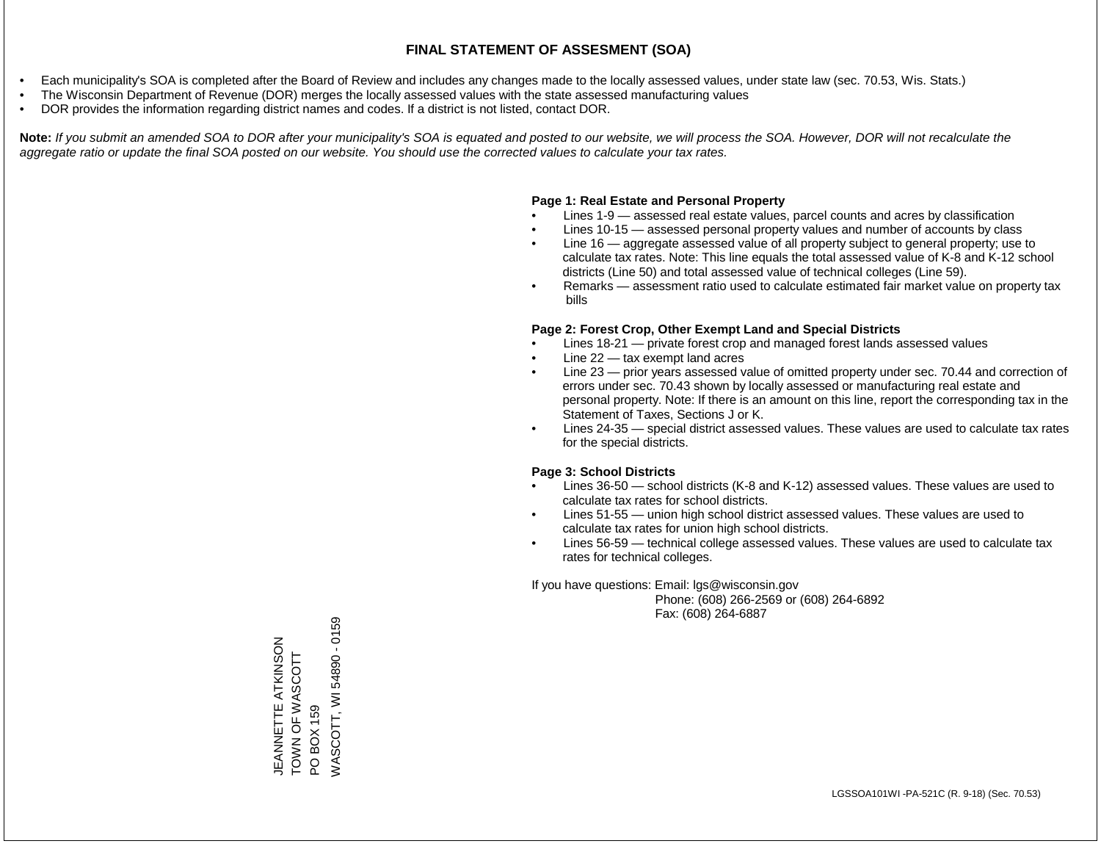- Each municipality's SOA is completed after the Board of Review and includes any changes made to the locally assessed values, under state law (sec. 70.53, Wis. Stats.)
- The Wisconsin Department of Revenue (DOR) merges the locally assessed values with the state assessed manufacturing values
- DOR provides the information regarding district names and codes. If a district is not listed, contact DOR.

Note: If you submit an amended SOA to DOR after your municipality's SOA is equated and posted to our website, we will process the SOA. However, DOR will not recalculate the *aggregate ratio or update the final SOA posted on our website. You should use the corrected values to calculate your tax rates.*

## **Page 1: Real Estate and Personal Property**

- Lines 1-9 assessed real estate values, parcel counts and acres by classification
- Lines 10-15 assessed personal property values and number of accounts by class
- Line 16 aggregate assessed value of all property subject to general property; use to calculate tax rates. Note: This line equals the total assessed value of K-8 and K-12 school districts (Line 50) and total assessed value of technical colleges (Line 59).
- Remarks assessment ratio used to calculate estimated fair market value on property tax bills

## **Page 2: Forest Crop, Other Exempt Land and Special Districts**

- Lines 18-21 private forest crop and managed forest lands assessed values
- Line  $22 -$  tax exempt land acres
- Line 23 prior years assessed value of omitted property under sec. 70.44 and correction of errors under sec. 70.43 shown by locally assessed or manufacturing real estate and personal property. Note: If there is an amount on this line, report the corresponding tax in the Statement of Taxes, Sections J or K.
- Lines 24-35 special district assessed values. These values are used to calculate tax rates for the special districts.

## **Page 3: School Districts**

- Lines 36-50 school districts (K-8 and K-12) assessed values. These values are used to calculate tax rates for school districts.
- Lines 51-55 union high school district assessed values. These values are used to calculate tax rates for union high school districts.
- Lines 56-59 technical college assessed values. These values are used to calculate tax rates for technical colleges.

If you have questions: Email: lgs@wisconsin.gov

 Phone: (608) 266-2569 or (608) 264-6892 Fax: (608) 264-6887

PO BOX 159<br>WASCOTT, WI 54890 - 0159 WASCOTT, WI 54890 - 0159JEANNETTE ATKINSON<br>TOWN OF WASCOTT JEANNETTE ATKINSON TOWN OF WAS LO Z NOT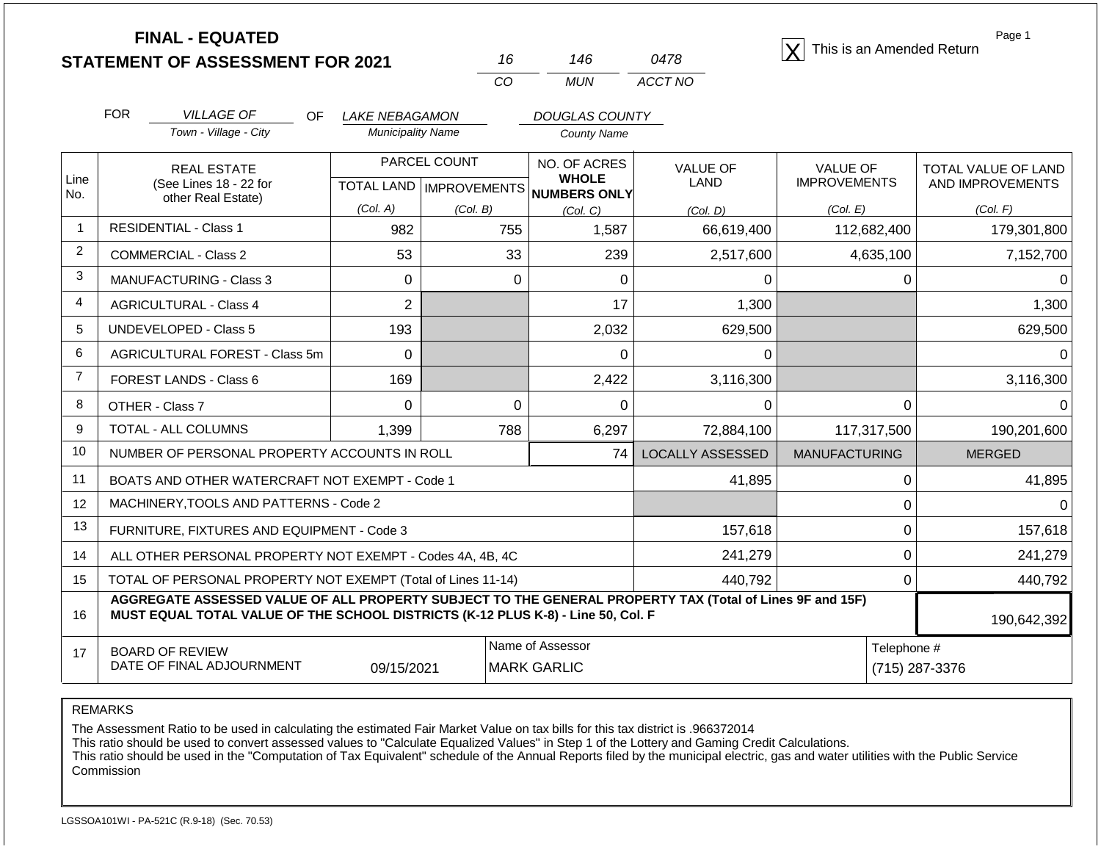|                | <b>FINAL - EQUATED</b><br><b>STATEMENT OF ASSESSMENT FOR 2021</b>                                                                                                                            |                          | 16                        | 146                                    | 0478                    | This is an Amended Return | Page 1              |
|----------------|----------------------------------------------------------------------------------------------------------------------------------------------------------------------------------------------|--------------------------|---------------------------|----------------------------------------|-------------------------|---------------------------|---------------------|
|                |                                                                                                                                                                                              |                          | CO                        | <b>MUN</b>                             | ACCT NO                 |                           |                     |
|                | <b>FOR</b><br><b>VILLAGE OF</b><br>OF.                                                                                                                                                       | LAKE NEBAGAMON           |                           | <b>DOUGLAS COUNTY</b>                  |                         |                           |                     |
|                | Town - Village - City                                                                                                                                                                        | <b>Municipality Name</b> |                           | <b>County Name</b>                     |                         |                           |                     |
|                | <b>REAL ESTATE</b>                                                                                                                                                                           |                          | PARCEL COUNT              | NO. OF ACRES                           | <b>VALUE OF</b>         | <b>VALUE OF</b>           | TOTAL VALUE OF LAND |
| Line<br>No.    | (See Lines 18 - 22 for<br>other Real Estate)                                                                                                                                                 |                          | TOTAL LAND   IMPROVEMENTS | <b>WHOLE</b><br><b>NUMBERS ONLY</b>    | LAND                    | <b>IMPROVEMENTS</b>       | AND IMPROVEMENTS    |
|                |                                                                                                                                                                                              | (Col. A)                 | (Col. B)                  | (Col. C)                               | (Col, D)                | (Col. E)                  | (Col. F)            |
| $\mathbf{1}$   | <b>RESIDENTIAL - Class 1</b>                                                                                                                                                                 | 982                      | 755                       | 1,587                                  | 66,619,400              | 112,682,400               | 179,301,800         |
| 2              | <b>COMMERCIAL - Class 2</b>                                                                                                                                                                  | 53                       | 33                        | 239                                    | 2,517,600               | 4,635,100                 | 7,152,700           |
| 3              | <b>MANUFACTURING - Class 3</b>                                                                                                                                                               | $\mathbf 0$              | $\mathbf{0}$              | 0                                      | 0                       | 0                         | $\Omega$            |
| 4              | <b>AGRICULTURAL - Class 4</b>                                                                                                                                                                | $\overline{2}$           |                           | 17                                     | 1,300                   |                           | 1,300               |
| 5              | <b>UNDEVELOPED - Class 5</b>                                                                                                                                                                 | 193                      |                           | 2,032                                  | 629,500                 |                           | 629,500             |
| 6              | AGRICULTURAL FOREST - Class 5m                                                                                                                                                               | $\Omega$                 |                           | $\Omega$                               | $\Omega$                |                           | $\Omega$            |
| $\overline{7}$ | FOREST LANDS - Class 6                                                                                                                                                                       | 169                      |                           | 2,422                                  | 3,116,300               |                           | 3,116,300           |
| 8              | OTHER - Class 7                                                                                                                                                                              | $\Omega$                 | $\mathbf{0}$              | 0                                      | 0                       | 0                         | 0                   |
| 9              | TOTAL - ALL COLUMNS                                                                                                                                                                          | 1,399                    | 788                       | 6,297                                  | 72,884,100              | 117,317,500               | 190,201,600         |
| 10             | NUMBER OF PERSONAL PROPERTY ACCOUNTS IN ROLL                                                                                                                                                 |                          |                           | 74                                     | <b>LOCALLY ASSESSED</b> | <b>MANUFACTURING</b>      | <b>MERGED</b>       |
| 11             | BOATS AND OTHER WATERCRAFT NOT EXEMPT - Code 1                                                                                                                                               |                          |                           |                                        | 41,895                  | 0                         | 41,895              |
| 12             | MACHINERY, TOOLS AND PATTERNS - Code 2                                                                                                                                                       |                          |                           |                                        |                         | $\mathbf 0$               | $\Omega$            |
| 13             | FURNITURE, FIXTURES AND EQUIPMENT - Code 3                                                                                                                                                   |                          |                           |                                        | 157,618                 | $\mathbf 0$               | 157,618             |
| 14             | ALL OTHER PERSONAL PROPERTY NOT EXEMPT - Codes 4A, 4B, 4C                                                                                                                                    |                          |                           |                                        | 241,279                 | $\mathbf 0$               | 241,279             |
| 15             | TOTAL OF PERSONAL PROPERTY NOT EXEMPT (Total of Lines 11-14)                                                                                                                                 |                          |                           |                                        | 440,792                 | $\mathbf 0$               | 440,792             |
| 16             | AGGREGATE ASSESSED VALUE OF ALL PROPERTY SUBJECT TO THE GENERAL PROPERTY TAX (Total of Lines 9F and 15F)<br>MUST EQUAL TOTAL VALUE OF THE SCHOOL DISTRICTS (K-12 PLUS K-8) - Line 50, Col. F |                          |                           |                                        |                         |                           | 190,642,392         |
| 17             | <b>BOARD OF REVIEW</b><br>DATE OF FINAL ADJOURNMENT                                                                                                                                          | 09/15/2021               |                           | Name of Assessor<br><b>MARK GARLIC</b> |                         | Telephone #               | (715) 287-3376      |

REMARKS

The Assessment Ratio to be used in calculating the estimated Fair Market Value on tax bills for this tax district is .966372014

This ratio should be used to convert assessed values to "Calculate Equalized Values" in Step 1 of the Lottery and Gaming Credit Calculations.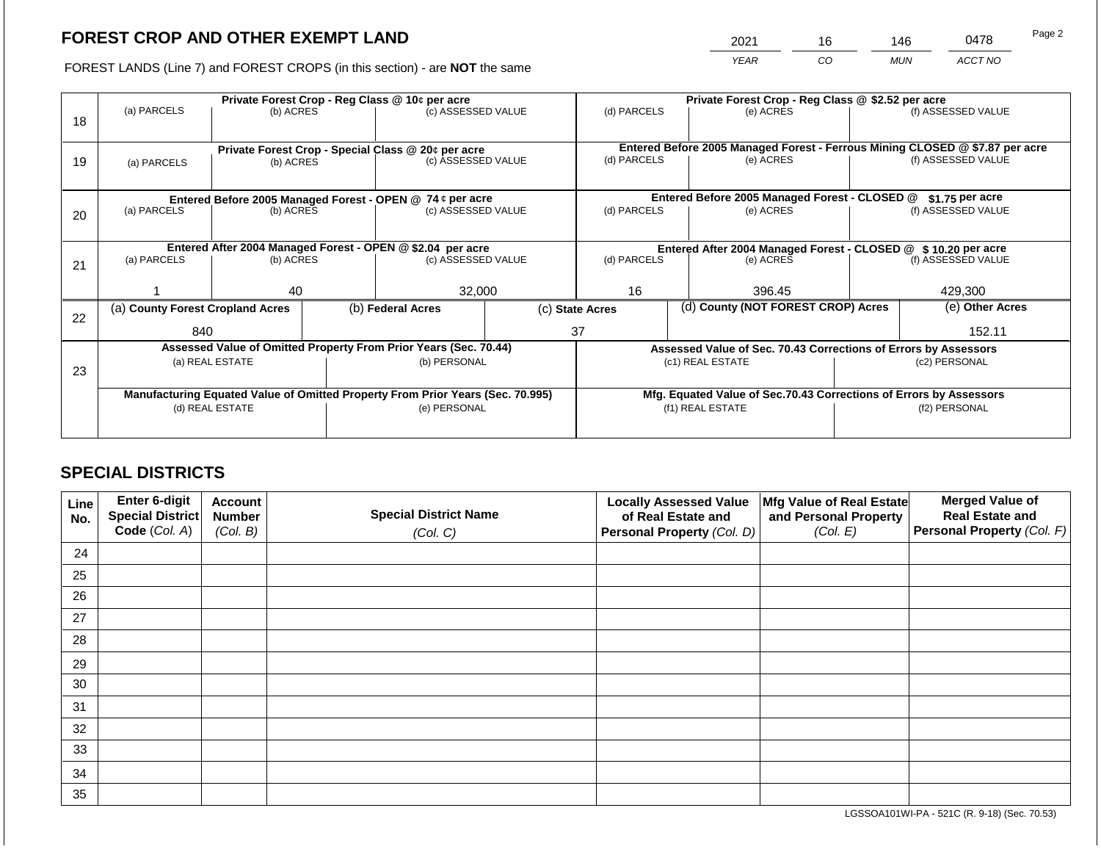2021 16 146 0478

FOREST LANDS (Line 7) and FOREST CROPS (in this section) - are **NOT** the same *YEAR CO MUN ACCT NO*

| 18 | (a) PARCELS<br>(b) ACRES                                                       |           |                                                                    | Private Forest Crop - Reg Class @ 10¢ per acre<br>(c) ASSESSED VALUE     |  | (d) PARCELS                                                     |  | Private Forest Crop - Reg Class @ \$2.52 per acre<br>(e) ACRES |                                                                                                    | (f) ASSESSED VALUE |  |
|----|--------------------------------------------------------------------------------|-----------|--------------------------------------------------------------------|--------------------------------------------------------------------------|--|-----------------------------------------------------------------|--|----------------------------------------------------------------|----------------------------------------------------------------------------------------------------|--------------------|--|
| 19 | (a) PARCELS                                                                    | (b) ACRES |                                                                    | Private Forest Crop - Special Class @ 20¢ per acre<br>(c) ASSESSED VALUE |  | (d) PARCELS<br>(e) ACRES                                        |  |                                                                | Entered Before 2005 Managed Forest - Ferrous Mining CLOSED @ \$7.87 per acre<br>(f) ASSESSED VALUE |                    |  |
|    |                                                                                |           |                                                                    | Entered Before 2005 Managed Forest - OPEN @ 74 ¢ per acre                |  |                                                                 |  | Entered Before 2005 Managed Forest - CLOSED @                  |                                                                                                    | $$1.75$ per acre   |  |
| 20 | (a) PARCELS<br>(b) ACRES                                                       |           |                                                                    | (c) ASSESSED VALUE                                                       |  | (d) PARCELS                                                     |  | (e) ACRES                                                      |                                                                                                    | (f) ASSESSED VALUE |  |
|    | Entered After 2004 Managed Forest - OPEN @ \$2.04 per acre                     |           |                                                                    |                                                                          |  |                                                                 |  |                                                                | Entered After 2004 Managed Forest - CLOSED @ \$10.20 per acre                                      |                    |  |
| 21 | (a) PARCELS                                                                    | (b) ACRES |                                                                    | (c) ASSESSED VALUE                                                       |  | (d) PARCELS                                                     |  | (e) ACRES                                                      |                                                                                                    | (f) ASSESSED VALUE |  |
|    |                                                                                | 40        |                                                                    | 32,000                                                                   |  | 16                                                              |  | 396.45                                                         |                                                                                                    | 429,300            |  |
| 22 | (a) County Forest Cropland Acres                                               |           |                                                                    | (b) Federal Acres                                                        |  | (c) State Acres                                                 |  | (d) County (NOT FOREST CROP) Acres                             |                                                                                                    | (e) Other Acres    |  |
|    | 840                                                                            |           |                                                                    |                                                                          |  | 37                                                              |  |                                                                | 152.11                                                                                             |                    |  |
|    |                                                                                |           |                                                                    | Assessed Value of Omitted Property From Prior Years (Sec. 70.44)         |  | Assessed Value of Sec. 70.43 Corrections of Errors by Assessors |  |                                                                |                                                                                                    |                    |  |
| 23 | (a) REAL ESTATE                                                                |           |                                                                    | (b) PERSONAL                                                             |  | (c1) REAL ESTATE                                                |  | (c2) PERSONAL                                                  |                                                                                                    |                    |  |
|    | Manufacturing Equated Value of Omitted Property From Prior Years (Sec. 70.995) |           | Mfg. Equated Value of Sec.70.43 Corrections of Errors by Assessors |                                                                          |  |                                                                 |  |                                                                |                                                                                                    |                    |  |
|    | (d) REAL ESTATE                                                                |           |                                                                    | (e) PERSONAL                                                             |  | (f1) REAL ESTATE                                                |  | (f2) PERSONAL                                                  |                                                                                                    |                    |  |
|    |                                                                                |           |                                                                    |                                                                          |  |                                                                 |  |                                                                |                                                                                                    |                    |  |

## **SPECIAL DISTRICTS**

| Line<br>No. | <b>Enter 6-digit</b><br>Special District | <b>Account</b><br><b>Number</b> | <b>Special District Name</b> | <b>Locally Assessed Value</b><br>of Real Estate and | Mfg Value of Real Estate<br>and Personal Property | <b>Merged Value of</b><br><b>Real Estate and</b> |
|-------------|------------------------------------------|---------------------------------|------------------------------|-----------------------------------------------------|---------------------------------------------------|--------------------------------------------------|
|             | Code (Col. A)                            | (Col. B)                        | (Col. C)                     | Personal Property (Col. D)                          | (Col. E)                                          | <b>Personal Property (Col. F)</b>                |
| 24          |                                          |                                 |                              |                                                     |                                                   |                                                  |
| 25          |                                          |                                 |                              |                                                     |                                                   |                                                  |
| 26          |                                          |                                 |                              |                                                     |                                                   |                                                  |
| 27          |                                          |                                 |                              |                                                     |                                                   |                                                  |
| 28          |                                          |                                 |                              |                                                     |                                                   |                                                  |
| 29          |                                          |                                 |                              |                                                     |                                                   |                                                  |
| 30          |                                          |                                 |                              |                                                     |                                                   |                                                  |
| 31          |                                          |                                 |                              |                                                     |                                                   |                                                  |
| 32          |                                          |                                 |                              |                                                     |                                                   |                                                  |
| 33          |                                          |                                 |                              |                                                     |                                                   |                                                  |
| 34          |                                          |                                 |                              |                                                     |                                                   |                                                  |
| 35          |                                          |                                 |                              |                                                     |                                                   |                                                  |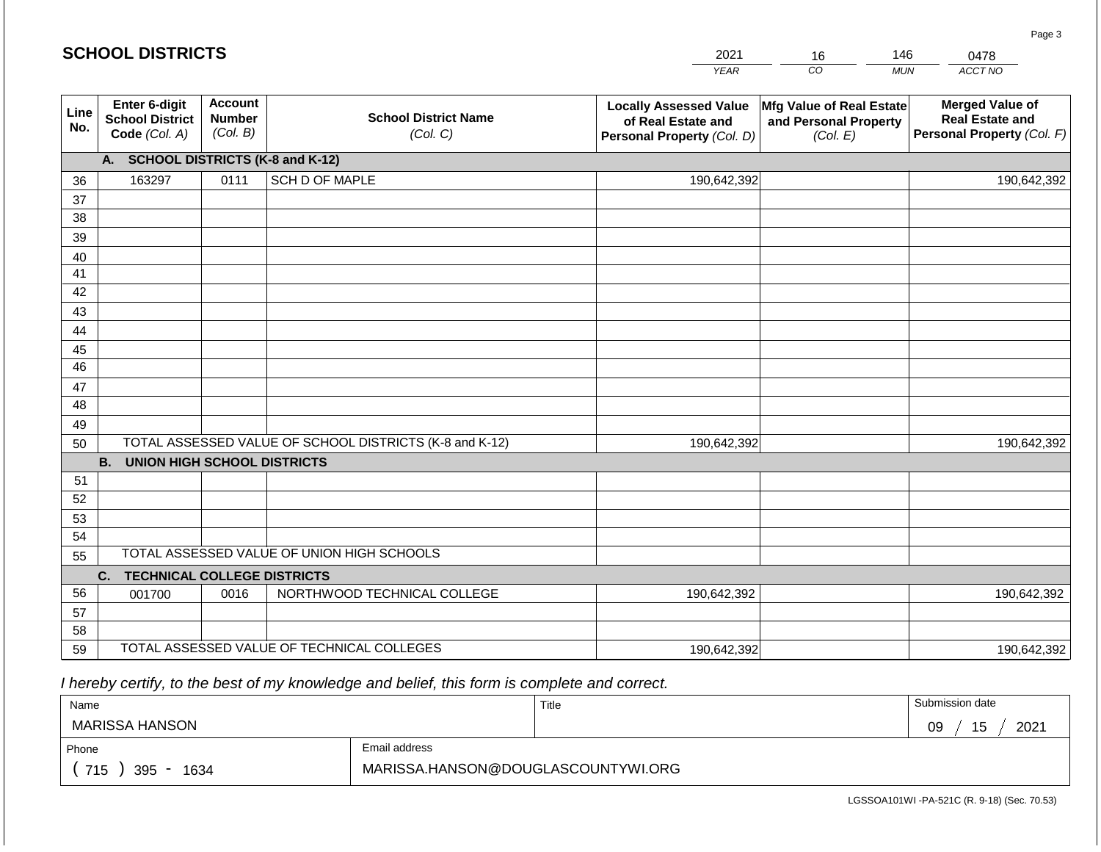#### **YEA** 2021 *CO MUN ACCT NO*  0478 **Line No. Enter 6-digit School District Code** *(Col. A)* **Account Number** *(Col. B)* **School District Name** *(Col. C)* **Locally Assessed Value of Real Estate and Personal Property** *(Col. D)* **Mfg Value of Real Estate and Personal Property** *(Col. E)* **Merged Value of Real Estate and Personal Property** *(Col. F)* **A. SCHOOL DISTRICTS (K-8 and K-12)** 36 37 38 39 40 41 42 43 44 45 46 47 48 49 50 TOTAL ASSESSED VALUE OF SCHOOL DISTRICTS (K-8 and K-12) **B. UNION HIGH SCHOOL DISTRICTS** 51 52 53 54 55 **C. TECHNICAL COLLEGE DISTRICTS** 56 57 58 59 TOTAL ASSESSED VALUE OF TECHNICAL COLLEGES TOTAL ASSESSED VALUE OF UNION HIGH SCHOOLS 163297 0111 SCH D OF MAPLE 190,642,392 190,642,392 001700 | 0016 | NORTHWOOD TECHNICAL COLLEGE 190,642,392 190,642,392 190,642,392 190,642,392 190,642,392 190,642,392

 *I hereby certify, to the best of my knowledge and belief, this form is complete and correct.*

| Name               |                                    | Title | Submission date  |
|--------------------|------------------------------------|-------|------------------|
| MARISSA HANSON     |                                    |       | 15<br>2021<br>09 |
| Phone              | Email address                      |       |                  |
| 715<br>395<br>1634 | MARISSA.HANSON@DOUGLASCOUNTYWI.ORG |       |                  |

| м<br>ä. |         | 146            |
|---------|---------|----------------|
| ⋻       | $\cdot$ | MI IN<br><br>. |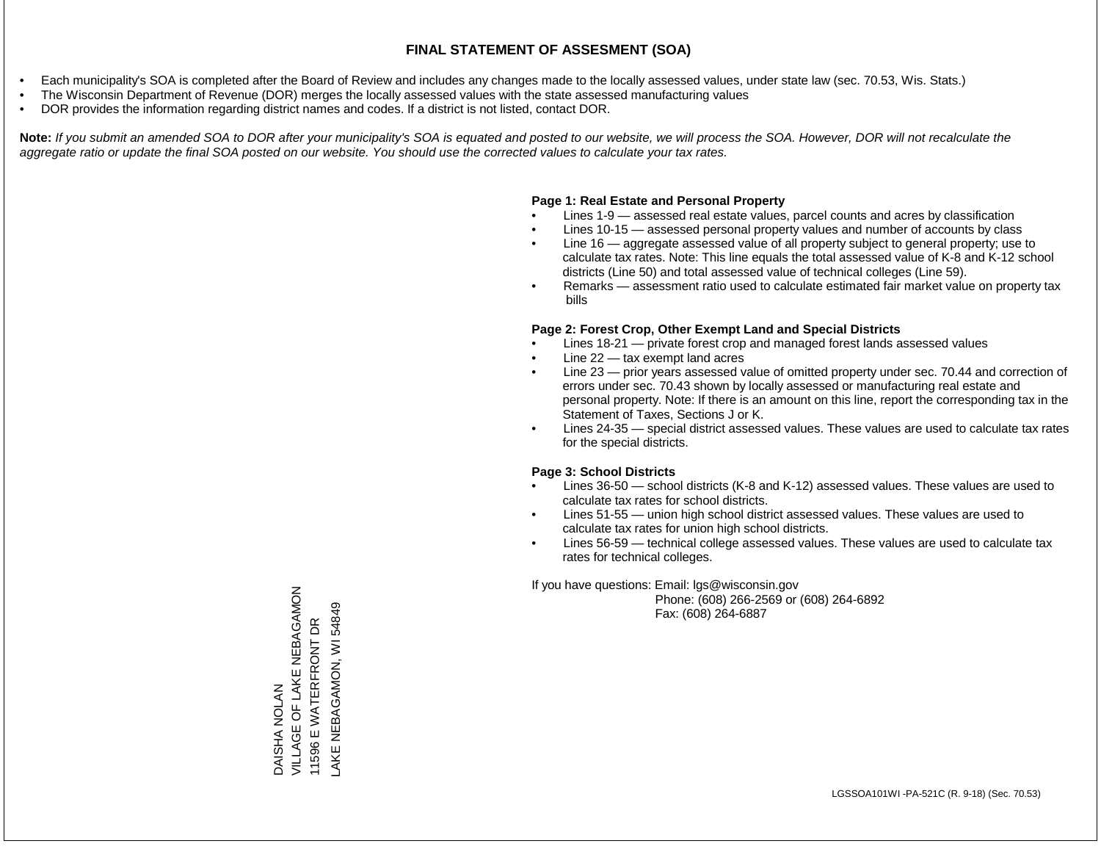- Each municipality's SOA is completed after the Board of Review and includes any changes made to the locally assessed values, under state law (sec. 70.53, Wis. Stats.)
- The Wisconsin Department of Revenue (DOR) merges the locally assessed values with the state assessed manufacturing values
- DOR provides the information regarding district names and codes. If a district is not listed, contact DOR.

Note: If you submit an amended SOA to DOR after your municipality's SOA is equated and posted to our website, we will process the SOA. However, DOR will not recalculate the *aggregate ratio or update the final SOA posted on our website. You should use the corrected values to calculate your tax rates.*

## **Page 1: Real Estate and Personal Property**

- Lines 1-9 assessed real estate values, parcel counts and acres by classification
- Lines 10-15 assessed personal property values and number of accounts by class
- Line 16 aggregate assessed value of all property subject to general property; use to calculate tax rates. Note: This line equals the total assessed value of K-8 and K-12 school districts (Line 50) and total assessed value of technical colleges (Line 59).
- Remarks assessment ratio used to calculate estimated fair market value on property tax bills

## **Page 2: Forest Crop, Other Exempt Land and Special Districts**

- Lines 18-21 private forest crop and managed forest lands assessed values
- Line  $22 -$  tax exempt land acres
- Line 23 prior years assessed value of omitted property under sec. 70.44 and correction of errors under sec. 70.43 shown by locally assessed or manufacturing real estate and personal property. Note: If there is an amount on this line, report the corresponding tax in the Statement of Taxes, Sections J or K.
- Lines 24-35 special district assessed values. These values are used to calculate tax rates for the special districts.

## **Page 3: School Districts**

- Lines 36-50 school districts (K-8 and K-12) assessed values. These values are used to calculate tax rates for school districts.
- Lines 51-55 union high school district assessed values. These values are used to calculate tax rates for union high school districts.
- Lines 56-59 technical college assessed values. These values are used to calculate tax rates for technical colleges.

If you have questions: Email: lgs@wisconsin.gov

 Phone: (608) 266-2569 or (608) 264-6892 Fax: (608) 264-6887

VILLAGE OF LAKE NEBAGAMON DAISHA NOLAN<br>VILLAGE OF LAKE NEBAGAMON AKE NEBAGAMON, WI 54849 LAKE NEBAGAMON, WI 54849E WATERFRONT DR 11596 E WATERFRONT DR 11596 B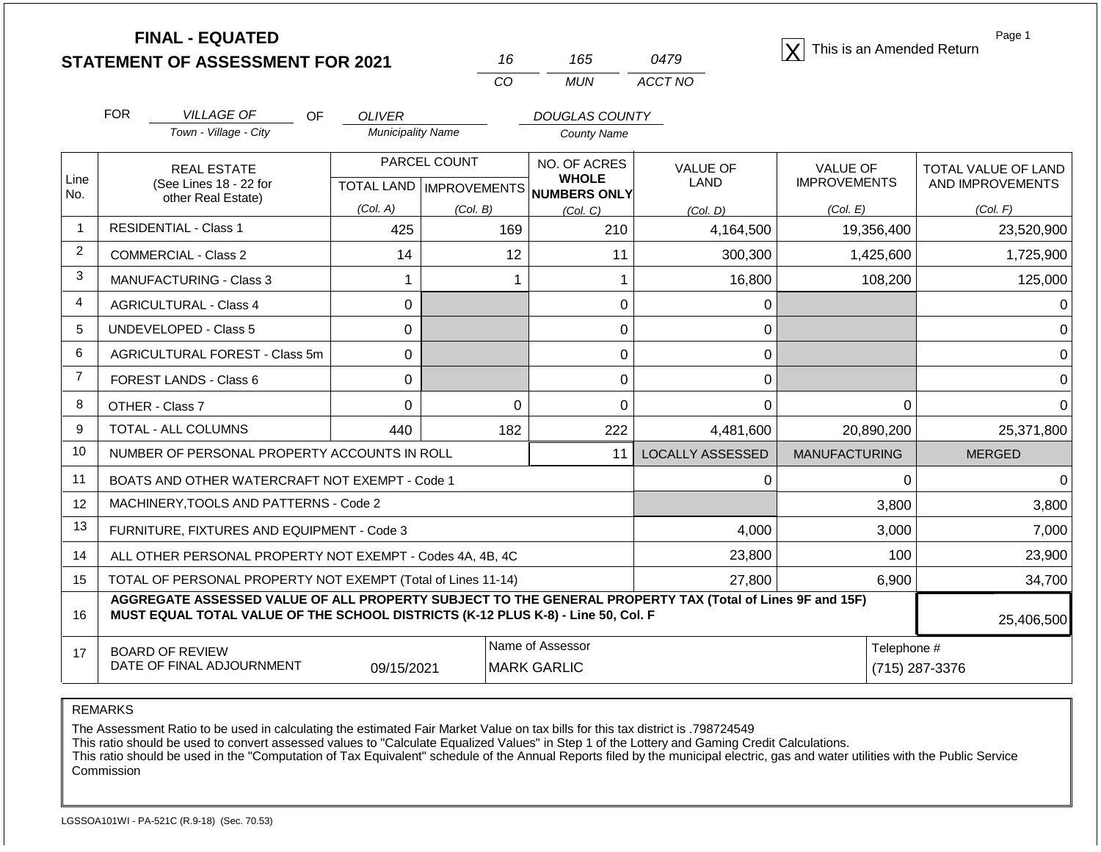|                | <b>FINAL - EQUATED</b><br><b>STATEMENT OF ASSESSMENT FOR 2021</b>                                                                                                                                          |                          | 16                                     | 165                          | 0479                          | This is an Amended Return | Page 1              |  |
|----------------|------------------------------------------------------------------------------------------------------------------------------------------------------------------------------------------------------------|--------------------------|----------------------------------------|------------------------------|-------------------------------|---------------------------|---------------------|--|
|                |                                                                                                                                                                                                            |                          | CO                                     | <b>MUN</b>                   | ACCT NO                       |                           |                     |  |
|                | <b>FOR</b><br><b>VILLAGE OF</b><br><b>OF</b>                                                                                                                                                               | <b>OLIVER</b>            |                                        | <b>DOUGLAS COUNTY</b>        |                               |                           |                     |  |
|                | Town - Village - City                                                                                                                                                                                      | <b>Municipality Name</b> |                                        | <b>County Name</b>           |                               |                           |                     |  |
| Line           | <b>REAL ESTATE</b>                                                                                                                                                                                         |                          | PARCEL COUNT                           | NO. OF ACRES<br><b>WHOLE</b> | <b>VALUE OF</b>               | <b>VALUE OF</b>           | TOTAL VALUE OF LAND |  |
| No.            | (See Lines 18 - 22 for<br>other Real Estate)                                                                                                                                                               |                          | TOTAL LAND   IMPROVEMENTS              | NUMBERS ONLY                 | LAND                          | <b>IMPROVEMENTS</b>       | AND IMPROVEMENTS    |  |
|                |                                                                                                                                                                                                            | (Col. A)                 | (Col. B)                               | (Col. C)                     | (Col. D)                      | (Col. E)                  | (Col. F)            |  |
| $\overline{1}$ | <b>RESIDENTIAL - Class 1</b>                                                                                                                                                                               | 425                      | 169                                    | 210                          | 4,164,500                     | 19,356,400                | 23,520,900          |  |
| 2              | <b>COMMERCIAL - Class 2</b>                                                                                                                                                                                | 14                       | 12                                     | 11                           | 300,300                       | 1,425,600                 | 1,725,900           |  |
| 3              | <b>MANUFACTURING - Class 3</b>                                                                                                                                                                             | 1                        | $\mathbf 1$                            | 1                            | 16,800                        | 108,200                   | 125,000             |  |
| 4              | <b>AGRICULTURAL - Class 4</b>                                                                                                                                                                              | $\Omega$                 |                                        | 0                            | $\mathbf 0$                   |                           | $\Omega$            |  |
| 5              | <b>UNDEVELOPED - Class 5</b>                                                                                                                                                                               | 0                        |                                        | $\boldsymbol{0}$             | $\mathbf 0$                   |                           | $\Omega$            |  |
| 6              | <b>AGRICULTURAL FOREST - Class 5m</b>                                                                                                                                                                      | 0                        |                                        | $\boldsymbol{0}$             | $\mathbf 0$                   |                           | $\Omega$            |  |
| $\overline{7}$ | FOREST LANDS - Class 6                                                                                                                                                                                     | $\Omega$                 |                                        | $\mathbf 0$                  | $\mathbf 0$                   |                           | $\Omega$            |  |
| 8              | OTHER - Class 7                                                                                                                                                                                            | 0                        | $\mathbf 0$                            | $\mathbf 0$                  | 0                             | 0                         | $\Omega$            |  |
| 9              | <b>TOTAL - ALL COLUMNS</b>                                                                                                                                                                                 | 440                      |                                        | 222                          | 4,481,600                     | 20,890,200                | 25,371,800          |  |
| 10             | NUMBER OF PERSONAL PROPERTY ACCOUNTS IN ROLL                                                                                                                                                               |                          |                                        | 11                           | <b>LOCALLY ASSESSED</b>       | <b>MANUFACTURING</b>      | <b>MERGED</b>       |  |
| 11             | BOATS AND OTHER WATERCRAFT NOT EXEMPT - Code 1                                                                                                                                                             |                          |                                        |                              | $\Omega$                      | 0                         | 0                   |  |
| 12             | MACHINERY, TOOLS AND PATTERNS - Code 2                                                                                                                                                                     |                          |                                        |                              |                               | 3,800                     | 3,800               |  |
| 13             | FURNITURE, FIXTURES AND EQUIPMENT - Code 3                                                                                                                                                                 |                          |                                        | 4,000                        |                               | 3,000                     | 7,000               |  |
| 14             | ALL OTHER PERSONAL PROPERTY NOT EXEMPT - Codes 4A, 4B, 4C                                                                                                                                                  |                          |                                        |                              | 23,800                        | 100                       | 23,900              |  |
| 15             | TOTAL OF PERSONAL PROPERTY NOT EXEMPT (Total of Lines 11-14)                                                                                                                                               |                          |                                        |                              | 6,900                         | 34,700                    |                     |  |
| 16             | AGGREGATE ASSESSED VALUE OF ALL PROPERTY SUBJECT TO THE GENERAL PROPERTY TAX (Total of Lines 9F and 15F)<br>MUST EQUAL TOTAL VALUE OF THE SCHOOL DISTRICTS (K-12 PLUS K-8) - Line 50, Col. F<br>25,406,500 |                          |                                        |                              |                               |                           |                     |  |
| 17             | <b>BOARD OF REVIEW</b><br>DATE OF FINAL ADJOURNMENT                                                                                                                                                        | 09/15/2021               | Name of Assessor<br><b>MARK GARLIC</b> |                              | Telephone #<br>(715) 287-3376 |                           |                     |  |

REMARKS

The Assessment Ratio to be used in calculating the estimated Fair Market Value on tax bills for this tax district is .798724549

This ratio should be used to convert assessed values to "Calculate Equalized Values" in Step 1 of the Lottery and Gaming Credit Calculations.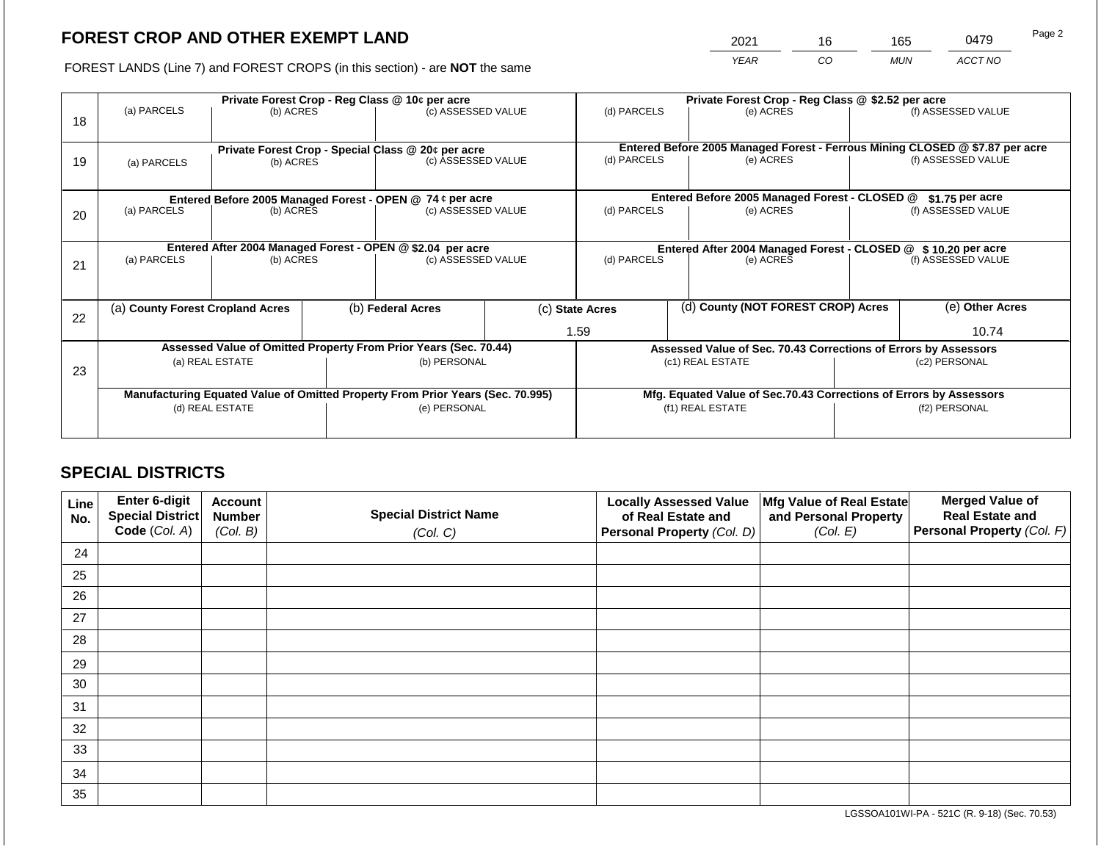2021 16 165 0479

FOREST LANDS (Line 7) and FOREST CROPS (in this section) - are **NOT** the same *YEAR CO MUN ACCT NO*

| 18 | (a) PARCELS                                                      | (b) ACRES                       |                   | Private Forest Crop - Reg Class @ 10¢ per acre<br>(c) ASSESSED VALUE           |  | (d) PARCELS                                                        |  | Private Forest Crop - Reg Class @ \$2.52 per acre<br>(e) ACRES |                                                                                                    | (f) ASSESSED VALUE |
|----|------------------------------------------------------------------|---------------------------------|-------------------|--------------------------------------------------------------------------------|--|--------------------------------------------------------------------|--|----------------------------------------------------------------|----------------------------------------------------------------------------------------------------|--------------------|
| 19 | (a) PARCELS                                                      | (b) ACRES                       |                   | Private Forest Crop - Special Class @ 20¢ per acre<br>(c) ASSESSED VALUE       |  | (d) PARCELS<br>(e) ACRES                                           |  |                                                                | Entered Before 2005 Managed Forest - Ferrous Mining CLOSED @ \$7.87 per acre<br>(f) ASSESSED VALUE |                    |
|    |                                                                  |                                 |                   | Entered Before 2005 Managed Forest - OPEN @ 74 ¢ per acre                      |  |                                                                    |  | Entered Before 2005 Managed Forest - CLOSED @                  |                                                                                                    | $$1.75$ per acre   |
| 20 | (a) PARCELS                                                      | (b) ACRES                       |                   | (c) ASSESSED VALUE                                                             |  | (d) PARCELS<br>(e) ACRES                                           |  | (f) ASSESSED VALUE                                             |                                                                                                    |                    |
|    | Entered After 2004 Managed Forest - OPEN @ \$2.04 per acre       |                                 |                   |                                                                                |  |                                                                    |  |                                                                | Entered After 2004 Managed Forest - CLOSED @ \$10.20 per acre                                      |                    |
| 21 | (a) PARCELS                                                      | (b) ACRES                       |                   | (c) ASSESSED VALUE                                                             |  | (d) PARCELS                                                        |  | (e) ACRES                                                      |                                                                                                    | (f) ASSESSED VALUE |
|    |                                                                  |                                 |                   |                                                                                |  |                                                                    |  |                                                                |                                                                                                    |                    |
| 22 | (a) County Forest Cropland Acres                                 |                                 | (b) Federal Acres |                                                                                |  | (c) State Acres                                                    |  | (d) County (NOT FOREST CROP) Acres                             |                                                                                                    | (e) Other Acres    |
|    |                                                                  |                                 |                   |                                                                                |  | 1.59                                                               |  |                                                                |                                                                                                    | 10.74              |
|    | Assessed Value of Omitted Property From Prior Years (Sec. 70.44) |                                 |                   |                                                                                |  | Assessed Value of Sec. 70.43 Corrections of Errors by Assessors    |  |                                                                |                                                                                                    |                    |
| 23 |                                                                  | (a) REAL ESTATE<br>(b) PERSONAL |                   | (c1) REAL ESTATE                                                               |  | (c2) PERSONAL                                                      |  |                                                                |                                                                                                    |                    |
|    |                                                                  |                                 |                   |                                                                                |  |                                                                    |  |                                                                |                                                                                                    |                    |
|    |                                                                  |                                 |                   | Manufacturing Equated Value of Omitted Property From Prior Years (Sec. 70.995) |  | Mfg. Equated Value of Sec.70.43 Corrections of Errors by Assessors |  |                                                                |                                                                                                    |                    |
|    |                                                                  | (d) REAL ESTATE                 |                   | (e) PERSONAL                                                                   |  |                                                                    |  | (f1) REAL ESTATE                                               | (f2) PERSONAL                                                                                      |                    |
|    |                                                                  |                                 |                   |                                                                                |  |                                                                    |  |                                                                |                                                                                                    |                    |

## **SPECIAL DISTRICTS**

| Line<br>No. | <b>Enter 6-digit</b><br>Special District | <b>Account</b><br><b>Number</b> | <b>Special District Name</b> | <b>Locally Assessed Value</b><br>of Real Estate and | Mfg Value of Real Estate<br>and Personal Property | <b>Merged Value of</b><br><b>Real Estate and</b> |
|-------------|------------------------------------------|---------------------------------|------------------------------|-----------------------------------------------------|---------------------------------------------------|--------------------------------------------------|
|             | Code (Col. A)                            | (Col. B)                        | (Col. C)                     | Personal Property (Col. D)                          | (Col. E)                                          | <b>Personal Property (Col. F)</b>                |
| 24          |                                          |                                 |                              |                                                     |                                                   |                                                  |
| 25          |                                          |                                 |                              |                                                     |                                                   |                                                  |
| 26          |                                          |                                 |                              |                                                     |                                                   |                                                  |
| 27          |                                          |                                 |                              |                                                     |                                                   |                                                  |
| 28          |                                          |                                 |                              |                                                     |                                                   |                                                  |
| 29          |                                          |                                 |                              |                                                     |                                                   |                                                  |
| 30          |                                          |                                 |                              |                                                     |                                                   |                                                  |
| 31          |                                          |                                 |                              |                                                     |                                                   |                                                  |
| 32          |                                          |                                 |                              |                                                     |                                                   |                                                  |
| 33          |                                          |                                 |                              |                                                     |                                                   |                                                  |
| 34          |                                          |                                 |                              |                                                     |                                                   |                                                  |
| 35          |                                          |                                 |                              |                                                     |                                                   |                                                  |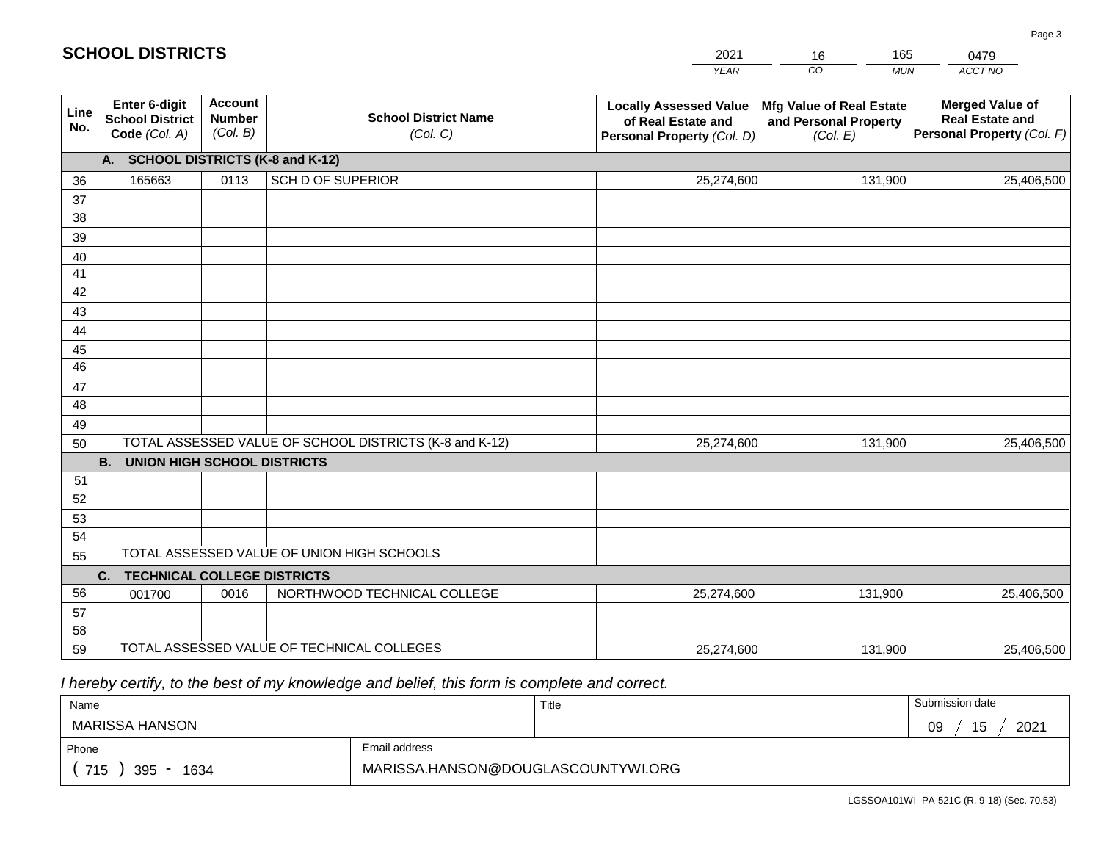| <b>SCHOOL DISTRICTS</b> |                                                          |                                             |                                                         | 2021                                                                              | 165<br>16                                                            | 0479                                                                           |
|-------------------------|----------------------------------------------------------|---------------------------------------------|---------------------------------------------------------|-----------------------------------------------------------------------------------|----------------------------------------------------------------------|--------------------------------------------------------------------------------|
|                         |                                                          |                                             |                                                         | <b>YEAR</b>                                                                       | CO<br><b>MUN</b>                                                     | ACCT NO                                                                        |
| Line<br>No.             | Enter 6-digit<br><b>School District</b><br>Code (Col. A) | <b>Account</b><br><b>Number</b><br>(Col. B) | <b>School District Name</b><br>(Col. C)                 | <b>Locally Assessed Value</b><br>of Real Estate and<br>Personal Property (Col. D) | <b>Mfg Value of Real Estate</b><br>and Personal Property<br>(Col. E) | <b>Merged Value of</b><br><b>Real Estate and</b><br>Personal Property (Col. F) |
|                         | A. SCHOOL DISTRICTS (K-8 and K-12)                       |                                             |                                                         |                                                                                   |                                                                      |                                                                                |
| 36                      | 165663                                                   | 0113                                        | <b>SCH D OF SUPERIOR</b>                                | 25,274,600                                                                        | 131,900                                                              | 25,406,500                                                                     |
| 37                      |                                                          |                                             |                                                         |                                                                                   |                                                                      |                                                                                |
| 38                      |                                                          |                                             |                                                         |                                                                                   |                                                                      |                                                                                |
| 39                      |                                                          |                                             |                                                         |                                                                                   |                                                                      |                                                                                |
| 40                      |                                                          |                                             |                                                         |                                                                                   |                                                                      |                                                                                |
| 41                      |                                                          |                                             |                                                         |                                                                                   |                                                                      |                                                                                |
| 42                      |                                                          |                                             |                                                         |                                                                                   |                                                                      |                                                                                |
| 43                      |                                                          |                                             |                                                         |                                                                                   |                                                                      |                                                                                |
| 44                      |                                                          |                                             |                                                         |                                                                                   |                                                                      |                                                                                |
| 45<br>46                |                                                          |                                             |                                                         |                                                                                   |                                                                      |                                                                                |
| 47                      |                                                          |                                             |                                                         |                                                                                   |                                                                      |                                                                                |
| 48                      |                                                          |                                             |                                                         |                                                                                   |                                                                      |                                                                                |
| 49                      |                                                          |                                             |                                                         |                                                                                   |                                                                      |                                                                                |
| 50                      |                                                          |                                             | TOTAL ASSESSED VALUE OF SCHOOL DISTRICTS (K-8 and K-12) | 25,274,600                                                                        | 131,900                                                              | 25,406,500                                                                     |
|                         | <b>B.</b><br><b>UNION HIGH SCHOOL DISTRICTS</b>          |                                             |                                                         |                                                                                   |                                                                      |                                                                                |
| 51                      |                                                          |                                             |                                                         |                                                                                   |                                                                      |                                                                                |
| 52                      |                                                          |                                             |                                                         |                                                                                   |                                                                      |                                                                                |
| 53                      |                                                          |                                             |                                                         |                                                                                   |                                                                      |                                                                                |
| 54                      |                                                          |                                             |                                                         |                                                                                   |                                                                      |                                                                                |
| 55                      |                                                          |                                             | TOTAL ASSESSED VALUE OF UNION HIGH SCHOOLS              |                                                                                   |                                                                      |                                                                                |
|                         | <b>TECHNICAL COLLEGE DISTRICTS</b><br>C.                 |                                             |                                                         |                                                                                   |                                                                      |                                                                                |
| 56                      | 001700                                                   | 0016                                        | NORTHWOOD TECHNICAL COLLEGE                             | 25,274,600                                                                        | 131,900                                                              | 25,406,500                                                                     |
| 57                      |                                                          |                                             |                                                         |                                                                                   |                                                                      |                                                                                |
| 58                      |                                                          |                                             |                                                         |                                                                                   |                                                                      |                                                                                |
| 59                      |                                                          |                                             | TOTAL ASSESSED VALUE OF TECHNICAL COLLEGES              | 25,274,600                                                                        | 131,900                                                              | 25,406,500                                                                     |

**SCHOOL DISTRICTS**

| Name               |                                    | Title | Submission date   |
|--------------------|------------------------------------|-------|-------------------|
| MARISSA HANSON     |                                    |       | 2021<br>09<br>ن ا |
| Phone              | Email address                      |       |                   |
| 715<br>395<br>1634 | MARISSA.HANSON@DOUGLASCOUNTYWI.ORG |       |                   |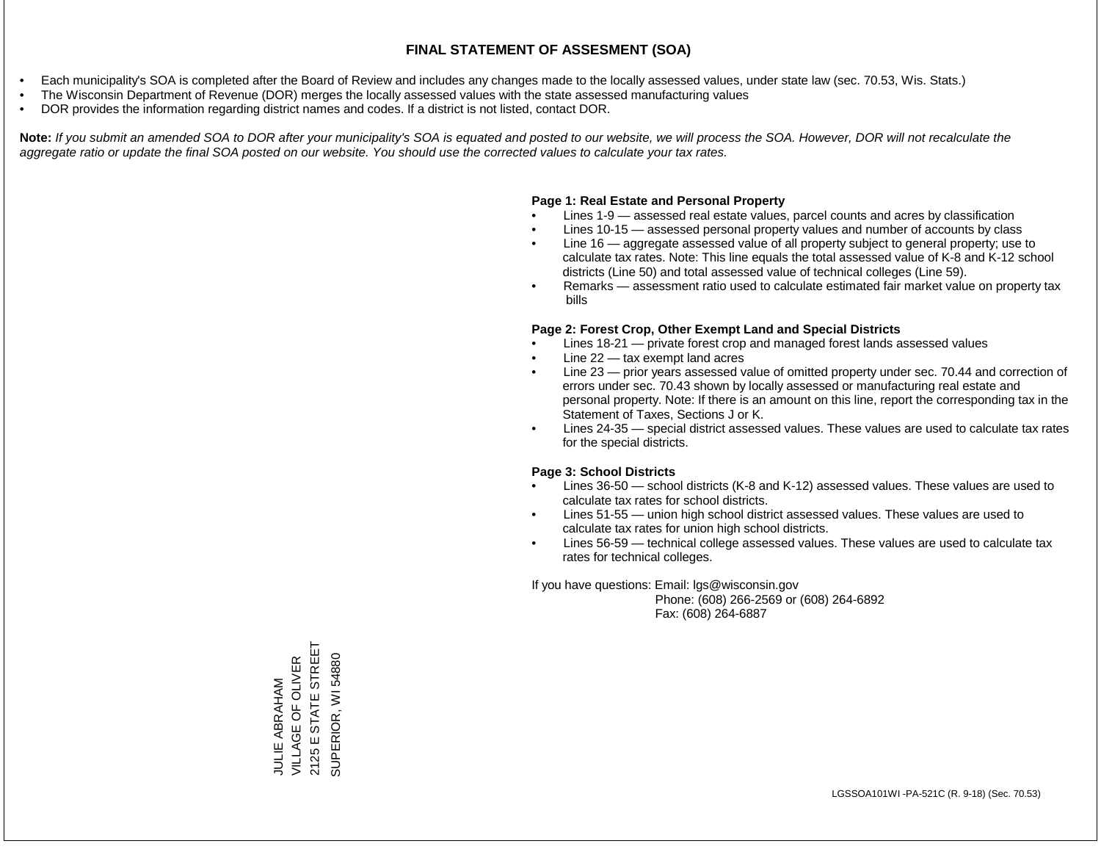- Each municipality's SOA is completed after the Board of Review and includes any changes made to the locally assessed values, under state law (sec. 70.53, Wis. Stats.)
- The Wisconsin Department of Revenue (DOR) merges the locally assessed values with the state assessed manufacturing values
- DOR provides the information regarding district names and codes. If a district is not listed, contact DOR.

Note: If you submit an amended SOA to DOR after your municipality's SOA is equated and posted to our website, we will process the SOA. However, DOR will not recalculate the *aggregate ratio or update the final SOA posted on our website. You should use the corrected values to calculate your tax rates.*

## **Page 1: Real Estate and Personal Property**

- Lines 1-9 assessed real estate values, parcel counts and acres by classification
- Lines 10-15 assessed personal property values and number of accounts by class
- Line 16 aggregate assessed value of all property subject to general property; use to calculate tax rates. Note: This line equals the total assessed value of K-8 and K-12 school districts (Line 50) and total assessed value of technical colleges (Line 59).
- Remarks assessment ratio used to calculate estimated fair market value on property tax bills

## **Page 2: Forest Crop, Other Exempt Land and Special Districts**

- Lines 18-21 private forest crop and managed forest lands assessed values
- Line  $22 -$  tax exempt land acres
- Line 23 prior years assessed value of omitted property under sec. 70.44 and correction of errors under sec. 70.43 shown by locally assessed or manufacturing real estate and personal property. Note: If there is an amount on this line, report the corresponding tax in the Statement of Taxes, Sections J or K.
- Lines 24-35 special district assessed values. These values are used to calculate tax rates for the special districts.

## **Page 3: School Districts**

- Lines 36-50 school districts (K-8 and K-12) assessed values. These values are used to calculate tax rates for school districts.
- Lines 51-55 union high school district assessed values. These values are used to calculate tax rates for union high school districts.
- Lines 56-59 technical college assessed values. These values are used to calculate tax rates for technical colleges.

If you have questions: Email: lgs@wisconsin.gov

 Phone: (608) 266-2569 or (608) 264-6892 Fax: (608) 264-6887

JULIE ABRAHAM<br>VILLAGE OF OLIVER<br>2125 E STATE STREET 2125 E STATE STREET VILLAGE OF OLIVER SUPERIOR, WI 54880 SUPERIOR, WI 54880JULIE ABRAHAM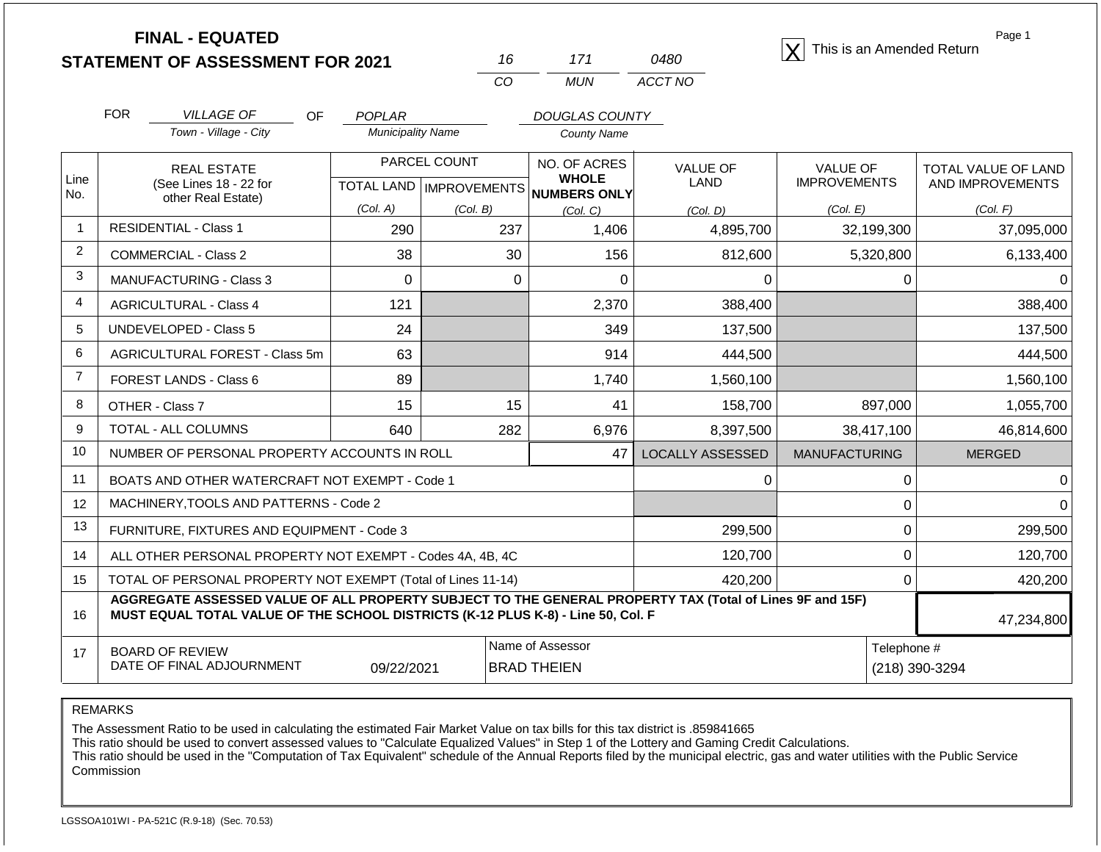| <b>FINAL - EQUATED</b>                  |  |             | This is an Amended Return |
|-----------------------------------------|--|-------------|---------------------------|
| <b>STATEMENT OF ASSESSMENT FOR 2021</b> |  | <i>0480</i> |                           |

| 16       | 171 | 0480    |
|----------|-----|---------|
| $\alpha$ | MUN | ACCT NO |

Page 1

|                | <b>FOR</b>                                                                                                                                                                                   | <b>VILLAGE OF</b><br>OF                                      | POPLAR                   |          | <b>DOUGLAS COUNTY</b>               |                         |                                        |                                         |
|----------------|----------------------------------------------------------------------------------------------------------------------------------------------------------------------------------------------|--------------------------------------------------------------|--------------------------|----------|-------------------------------------|-------------------------|----------------------------------------|-----------------------------------------|
|                |                                                                                                                                                                                              | Town - Village - City                                        | <b>Municipality Name</b> |          | County Name                         |                         |                                        |                                         |
| Line           |                                                                                                                                                                                              | <b>REAL ESTATE</b><br>(See Lines 18 - 22 for                 | PARCEL COUNT             |          | NO. OF ACRES<br><b>WHOLE</b>        | <b>VALUE OF</b><br>LAND | <b>VALUE OF</b><br><b>IMPROVEMENTS</b> | TOTAL VALUE OF LAND<br>AND IMPROVEMENTS |
| No.            | other Real Estate)                                                                                                                                                                           |                                                              |                          |          | TOTAL LAND MPROVEMENTS NUMBERS ONLY |                         |                                        |                                         |
|                |                                                                                                                                                                                              |                                                              | (Col. A)                 | (Col. B) | (Col. C)                            | (Col, D)                | (Col. E)                               | (Col. F)                                |
| $\mathbf{1}$   |                                                                                                                                                                                              | <b>RESIDENTIAL - Class 1</b>                                 | 290                      | 237      | 1,406                               | 4,895,700               | 32,199,300                             | 37,095,000                              |
| 2              |                                                                                                                                                                                              | <b>COMMERCIAL - Class 2</b>                                  | 38                       | 30       | 156                                 | 812,600                 | 5,320,800                              | 6,133,400                               |
| 3              |                                                                                                                                                                                              | <b>MANUFACTURING - Class 3</b>                               | 0                        | 0        | 0                                   | $\Omega$                | 0                                      |                                         |
| 4              |                                                                                                                                                                                              | <b>AGRICULTURAL - Class 4</b>                                | 121                      |          | 2,370                               | 388,400                 |                                        | 388,400                                 |
| 5              |                                                                                                                                                                                              | <b>UNDEVELOPED - Class 5</b>                                 | 24                       |          | 349                                 | 137,500                 |                                        | 137,500                                 |
| 6              |                                                                                                                                                                                              | AGRICULTURAL FOREST - Class 5m                               | 63                       |          | 914                                 | 444,500                 |                                        | 444,500                                 |
| $\overline{7}$ |                                                                                                                                                                                              | FOREST LANDS - Class 6                                       | 89                       |          | 1,740                               | 1,560,100               |                                        | 1,560,100                               |
| 8              |                                                                                                                                                                                              | OTHER - Class 7                                              | 15                       | 15       | 41                                  | 158,700                 | 897,000                                | 1,055,700                               |
| 9              |                                                                                                                                                                                              | TOTAL - ALL COLUMNS                                          | 640                      | 282      | 6,976                               | 8,397,500               | 38,417,100                             | 46,814,600                              |
| 10             |                                                                                                                                                                                              | NUMBER OF PERSONAL PROPERTY ACCOUNTS IN ROLL                 |                          |          | 47                                  | <b>LOCALLY ASSESSED</b> | <b>MANUFACTURING</b>                   | <b>MERGED</b>                           |
| 11             |                                                                                                                                                                                              | BOATS AND OTHER WATERCRAFT NOT EXEMPT - Code 1               |                          |          |                                     | $\Omega$                | $\Omega$                               |                                         |
| 12             |                                                                                                                                                                                              | MACHINERY, TOOLS AND PATTERNS - Code 2                       |                          |          |                                     |                         | 0                                      |                                         |
| 13             |                                                                                                                                                                                              | FURNITURE, FIXTURES AND EQUIPMENT - Code 3                   |                          |          |                                     | 299,500                 | 0                                      | 299,500                                 |
| 14             |                                                                                                                                                                                              | ALL OTHER PERSONAL PROPERTY NOT EXEMPT - Codes 4A, 4B, 4C    |                          |          | 120,700                             | 0                       | 120,700                                |                                         |
| 15             |                                                                                                                                                                                              | TOTAL OF PERSONAL PROPERTY NOT EXEMPT (Total of Lines 11-14) |                          |          |                                     | 420,200                 | 0                                      | 420,200                                 |
| 16             | AGGREGATE ASSESSED VALUE OF ALL PROPERTY SUBJECT TO THE GENERAL PROPERTY TAX (Total of Lines 9F and 15F)<br>MUST EQUAL TOTAL VALUE OF THE SCHOOL DISTRICTS (K-12 PLUS K-8) - Line 50, Col. F |                                                              |                          |          |                                     |                         |                                        | 47,234,800                              |

17 BOARD OF REVIEW DATE OF FINAL ADJOURNMENT Name of Assessor **Telephone #** 09/22/2021 BRAD THEIEN (218) 390-3294

REMARKS

The Assessment Ratio to be used in calculating the estimated Fair Market Value on tax bills for this tax district is .859841665

This ratio should be used to convert assessed values to "Calculate Equalized Values" in Step 1 of the Lottery and Gaming Credit Calculations.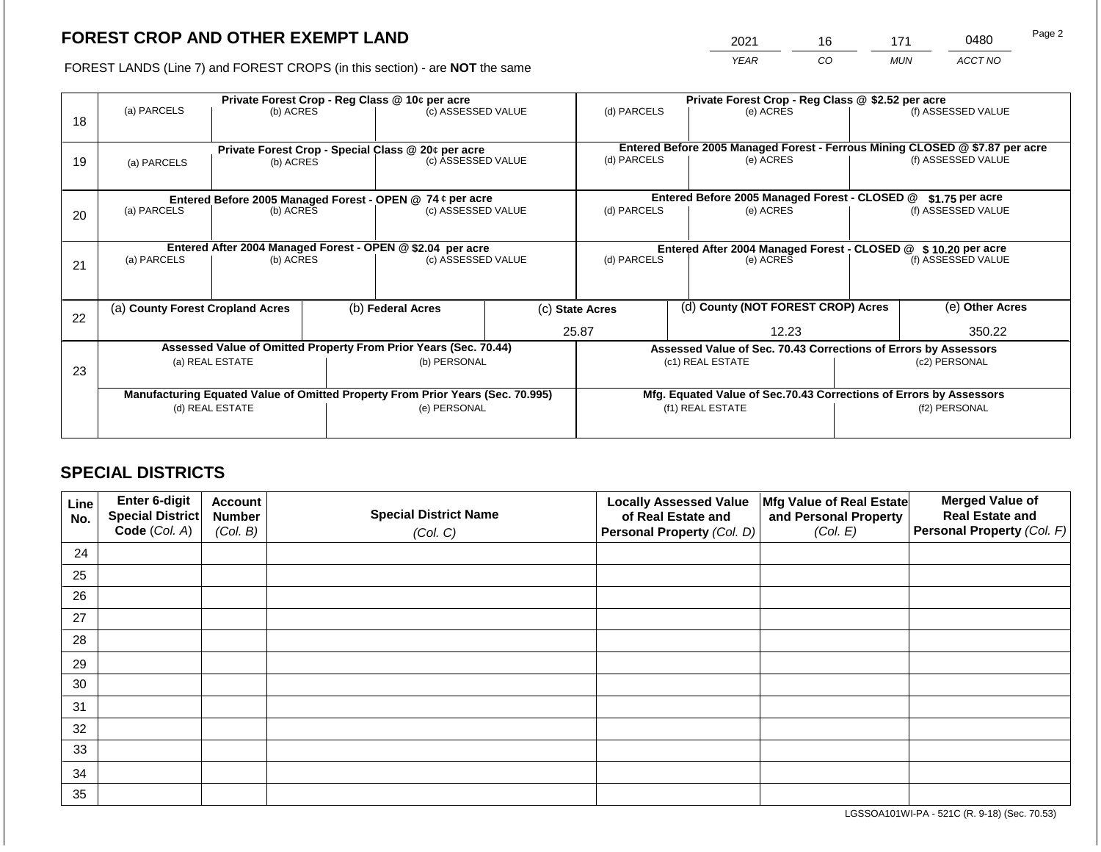2021 16 171 0480

FOREST LANDS (Line 7) and FOREST CROPS (in this section) - are **NOT** the same *YEAR CO MUN ACCT NO*

| 18 | (a) PARCELS<br>(b) ACRES                                                       |                 |                                                                    | Private Forest Crop - Reg Class @ 10¢ per acre<br>(c) ASSESSED VALUE     |  | (d) PARCELS<br>(e) ACRES                                      |  | Private Forest Crop - Reg Class @ \$2.52 per acre               | (f) ASSESSED VALUE                                                                                 |                    |
|----|--------------------------------------------------------------------------------|-----------------|--------------------------------------------------------------------|--------------------------------------------------------------------------|--|---------------------------------------------------------------|--|-----------------------------------------------------------------|----------------------------------------------------------------------------------------------------|--------------------|
| 19 | (a) PARCELS                                                                    | (b) ACRES       |                                                                    | Private Forest Crop - Special Class @ 20¢ per acre<br>(c) ASSESSED VALUE |  | (d) PARCELS                                                   |  | (e) ACRES                                                       | Entered Before 2005 Managed Forest - Ferrous Mining CLOSED @ \$7.87 per acre<br>(f) ASSESSED VALUE |                    |
|    |                                                                                |                 |                                                                    | Entered Before 2005 Managed Forest - OPEN @ 74 ¢ per acre                |  |                                                               |  | Entered Before 2005 Managed Forest - CLOSED @                   |                                                                                                    | $$1.75$ per acre   |
| 20 | (a) PARCELS                                                                    | (b) ACRES       |                                                                    | (c) ASSESSED VALUE                                                       |  | (d) PARCELS<br>(e) ACRES                                      |  |                                                                 |                                                                                                    | (f) ASSESSED VALUE |
|    |                                                                                |                 |                                                                    | Entered After 2004 Managed Forest - OPEN @ \$2.04 per acre               |  | Entered After 2004 Managed Forest - CLOSED @ \$10.20 per acre |  |                                                                 |                                                                                                    |                    |
| 21 | (a) PARCELS                                                                    | (b) ACRES       |                                                                    | (c) ASSESSED VALUE                                                       |  | (d) PARCELS<br>(e) ACRES                                      |  | (f) ASSESSED VALUE                                              |                                                                                                    |                    |
|    |                                                                                |                 |                                                                    |                                                                          |  |                                                               |  |                                                                 |                                                                                                    |                    |
| 22 | (a) County Forest Cropland Acres                                               |                 |                                                                    | (b) Federal Acres<br>(c) State Acres                                     |  | (d) County (NOT FOREST CROP) Acres                            |  |                                                                 | (e) Other Acres                                                                                    |                    |
|    |                                                                                |                 |                                                                    |                                                                          |  | 25.87                                                         |  | 12.23                                                           | 350.22                                                                                             |                    |
|    |                                                                                |                 |                                                                    | Assessed Value of Omitted Property From Prior Years (Sec. 70.44)         |  |                                                               |  | Assessed Value of Sec. 70.43 Corrections of Errors by Assessors |                                                                                                    |                    |
| 23 |                                                                                | (a) REAL ESTATE |                                                                    | (b) PERSONAL                                                             |  |                                                               |  | (c1) REAL ESTATE                                                |                                                                                                    | (c2) PERSONAL      |
|    |                                                                                |                 |                                                                    |                                                                          |  |                                                               |  |                                                                 |                                                                                                    |                    |
|    | Manufacturing Equated Value of Omitted Property From Prior Years (Sec. 70.995) |                 | Mfg. Equated Value of Sec.70.43 Corrections of Errors by Assessors |                                                                          |  |                                                               |  |                                                                 |                                                                                                    |                    |
|    | (d) REAL ESTATE                                                                |                 |                                                                    | (e) PERSONAL                                                             |  | (f1) REAL ESTATE                                              |  | (f2) PERSONAL                                                   |                                                                                                    |                    |
|    |                                                                                |                 |                                                                    |                                                                          |  |                                                               |  |                                                                 |                                                                                                    |                    |

# **SPECIAL DISTRICTS**

| Line<br>No. | Enter 6-digit<br>Special District | <b>Account</b><br><b>Number</b> | <b>Special District Name</b> | <b>Locally Assessed Value</b><br>of Real Estate and | Mfg Value of Real Estate<br>and Personal Property | <b>Merged Value of</b><br><b>Real Estate and</b> |
|-------------|-----------------------------------|---------------------------------|------------------------------|-----------------------------------------------------|---------------------------------------------------|--------------------------------------------------|
|             | Code (Col. A)                     | (Col. B)                        | (Col. C)                     | Personal Property (Col. D)                          | (Col. E)                                          | Personal Property (Col. F)                       |
| 24          |                                   |                                 |                              |                                                     |                                                   |                                                  |
| 25          |                                   |                                 |                              |                                                     |                                                   |                                                  |
| 26          |                                   |                                 |                              |                                                     |                                                   |                                                  |
| 27          |                                   |                                 |                              |                                                     |                                                   |                                                  |
| 28          |                                   |                                 |                              |                                                     |                                                   |                                                  |
| 29          |                                   |                                 |                              |                                                     |                                                   |                                                  |
| 30          |                                   |                                 |                              |                                                     |                                                   |                                                  |
| 31          |                                   |                                 |                              |                                                     |                                                   |                                                  |
| 32          |                                   |                                 |                              |                                                     |                                                   |                                                  |
| 33          |                                   |                                 |                              |                                                     |                                                   |                                                  |
| 34          |                                   |                                 |                              |                                                     |                                                   |                                                  |
| 35          |                                   |                                 |                              |                                                     |                                                   |                                                  |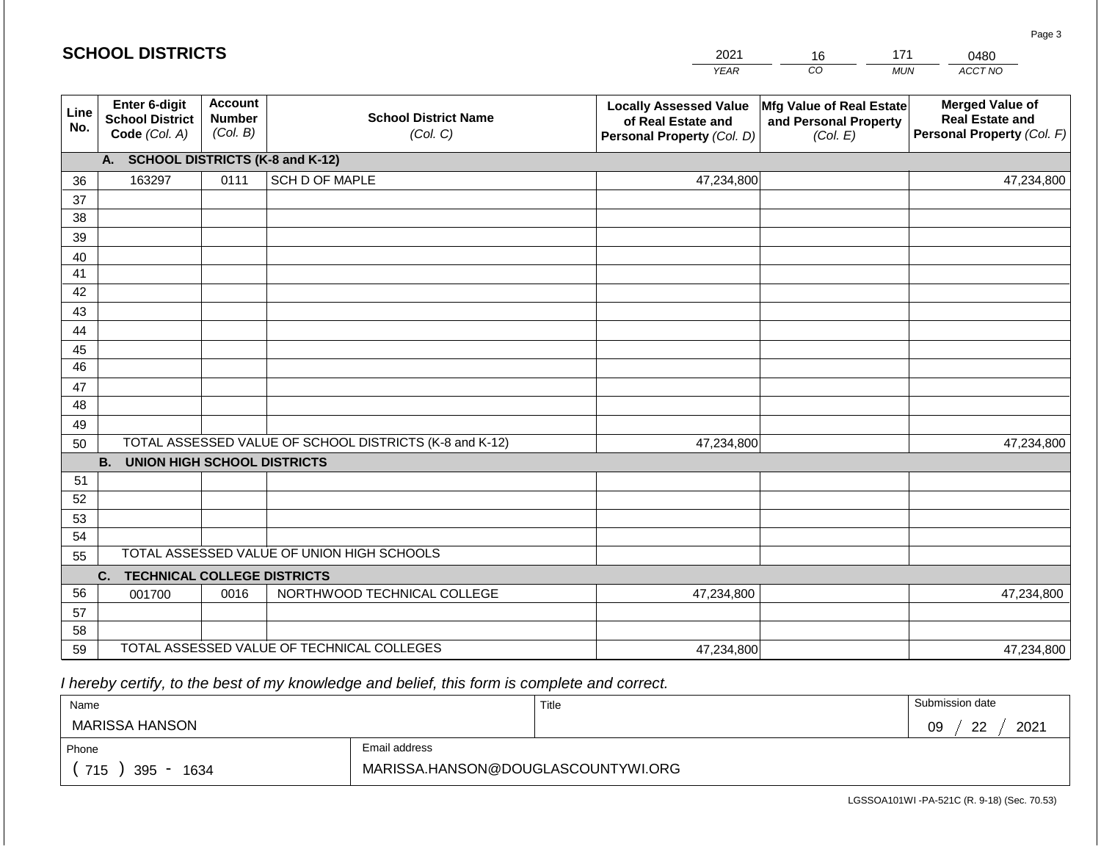|             | <b>SCHOOL DISTRICTS</b>                                  |                                                                                        |                                                         | 2021                                                                              | 16                                                            | 171<br>0480                                                                    |
|-------------|----------------------------------------------------------|----------------------------------------------------------------------------------------|---------------------------------------------------------|-----------------------------------------------------------------------------------|---------------------------------------------------------------|--------------------------------------------------------------------------------|
|             |                                                          |                                                                                        |                                                         | <b>YEAR</b>                                                                       | CO                                                            | ACCT NO<br><b>MUN</b>                                                          |
| Line<br>No. | Enter 6-digit<br><b>School District</b><br>Code (Col. A) | <b>Account</b><br><b>School District Name</b><br><b>Number</b><br>(Col. B)<br>(Col. C) |                                                         | <b>Locally Assessed Value</b><br>of Real Estate and<br>Personal Property (Col. D) | Mfg Value of Real Estate<br>and Personal Property<br>(Col. E) | <b>Merged Value of</b><br><b>Real Estate and</b><br>Personal Property (Col. F) |
|             | А.                                                       |                                                                                        | <b>SCHOOL DISTRICTS (K-8 and K-12)</b>                  |                                                                                   |                                                               |                                                                                |
| 36          | 163297                                                   | 0111                                                                                   | SCH D OF MAPLE                                          | 47,234,800                                                                        |                                                               | 47,234,800                                                                     |
| 37          |                                                          |                                                                                        |                                                         |                                                                                   |                                                               |                                                                                |
| 38          |                                                          |                                                                                        |                                                         |                                                                                   |                                                               |                                                                                |
| 39          |                                                          |                                                                                        |                                                         |                                                                                   |                                                               |                                                                                |
| 40          |                                                          |                                                                                        |                                                         |                                                                                   |                                                               |                                                                                |
| 41          |                                                          |                                                                                        |                                                         |                                                                                   |                                                               |                                                                                |
| 42<br>43    |                                                          |                                                                                        |                                                         |                                                                                   |                                                               |                                                                                |
| 44          |                                                          |                                                                                        |                                                         |                                                                                   |                                                               |                                                                                |
| 45          |                                                          |                                                                                        |                                                         |                                                                                   |                                                               |                                                                                |
| 46          |                                                          |                                                                                        |                                                         |                                                                                   |                                                               |                                                                                |
| 47          |                                                          |                                                                                        |                                                         |                                                                                   |                                                               |                                                                                |
| 48          |                                                          |                                                                                        |                                                         |                                                                                   |                                                               |                                                                                |
| 49          |                                                          |                                                                                        |                                                         |                                                                                   |                                                               |                                                                                |
| 50          |                                                          |                                                                                        | TOTAL ASSESSED VALUE OF SCHOOL DISTRICTS (K-8 and K-12) | 47,234,800                                                                        |                                                               | 47,234,800                                                                     |
|             | <b>B.</b><br><b>UNION HIGH SCHOOL DISTRICTS</b>          |                                                                                        |                                                         |                                                                                   |                                                               |                                                                                |
| 51          |                                                          |                                                                                        |                                                         |                                                                                   |                                                               |                                                                                |
| 52          |                                                          |                                                                                        |                                                         |                                                                                   |                                                               |                                                                                |
| 53          |                                                          |                                                                                        |                                                         |                                                                                   |                                                               |                                                                                |
| 54          |                                                          |                                                                                        | TOTAL ASSESSED VALUE OF UNION HIGH SCHOOLS              |                                                                                   |                                                               |                                                                                |
| 55          | <b>TECHNICAL COLLEGE DISTRICTS</b><br>C.                 |                                                                                        |                                                         |                                                                                   |                                                               |                                                                                |
| 56          | 001700                                                   | 0016                                                                                   | NORTHWOOD TECHNICAL COLLEGE                             | 47,234,800                                                                        |                                                               | 47,234,800                                                                     |
| 57          |                                                          |                                                                                        |                                                         |                                                                                   |                                                               |                                                                                |
| 58          |                                                          |                                                                                        |                                                         |                                                                                   |                                                               |                                                                                |
| 59          |                                                          |                                                                                        | TOTAL ASSESSED VALUE OF TECHNICAL COLLEGES              | 47,234,800                                                                        |                                                               | 47,234,800                                                                     |

 *I hereby certify, to the best of my knowledge and belief, this form is complete and correct.*

| Name               |                                    | Title | Submission date  |
|--------------------|------------------------------------|-------|------------------|
| MARISSA HANSON     |                                    |       | 2021<br>ററ<br>09 |
| Phone              | Email address                      |       |                  |
| 715<br>395<br>1634 | MARISSA.HANSON@DOUGLASCOUNTYWI.ORG |       |                  |

LGSSOA101WI -PA-521C (R. 9-18) (Sec. 70.53)

Page 3

| <b>SCHOOL DISTRICTS</b> |  |
|-------------------------|--|
|-------------------------|--|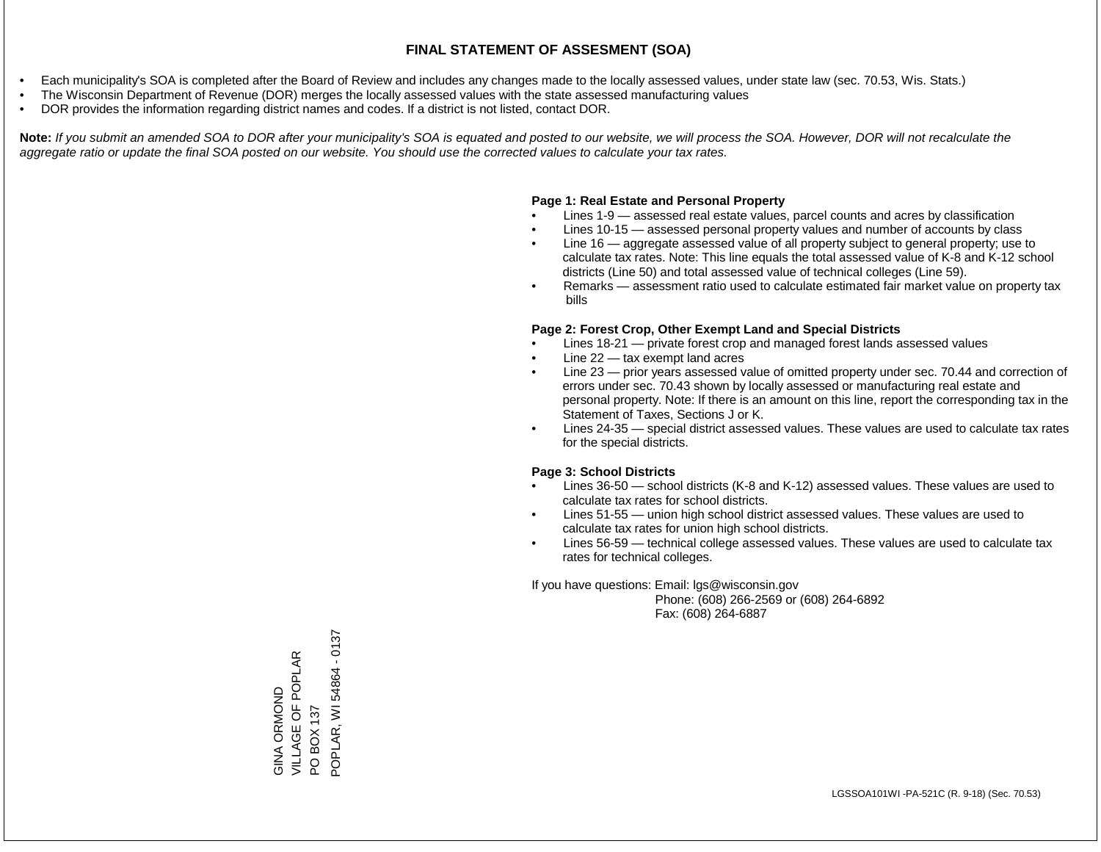- Each municipality's SOA is completed after the Board of Review and includes any changes made to the locally assessed values, under state law (sec. 70.53, Wis. Stats.)
- The Wisconsin Department of Revenue (DOR) merges the locally assessed values with the state assessed manufacturing values
- DOR provides the information regarding district names and codes. If a district is not listed, contact DOR.

Note: If you submit an amended SOA to DOR after your municipality's SOA is equated and posted to our website, we will process the SOA. However, DOR will not recalculate the *aggregate ratio or update the final SOA posted on our website. You should use the corrected values to calculate your tax rates.*

### **Page 1: Real Estate and Personal Property**

- Lines 1-9 assessed real estate values, parcel counts and acres by classification
- Lines 10-15 assessed personal property values and number of accounts by class
- Line 16 aggregate assessed value of all property subject to general property; use to calculate tax rates. Note: This line equals the total assessed value of K-8 and K-12 school districts (Line 50) and total assessed value of technical colleges (Line 59).
- Remarks assessment ratio used to calculate estimated fair market value on property tax bills

#### **Page 2: Forest Crop, Other Exempt Land and Special Districts**

- Lines 18-21 private forest crop and managed forest lands assessed values
- Line  $22 -$  tax exempt land acres
- Line 23 prior years assessed value of omitted property under sec. 70.44 and correction of errors under sec. 70.43 shown by locally assessed or manufacturing real estate and personal property. Note: If there is an amount on this line, report the corresponding tax in the Statement of Taxes, Sections J or K.
- Lines 24-35 special district assessed values. These values are used to calculate tax rates for the special districts.

#### **Page 3: School Districts**

- Lines 36-50 school districts (K-8 and K-12) assessed values. These values are used to calculate tax rates for school districts.
- Lines 51-55 union high school district assessed values. These values are used to calculate tax rates for union high school districts.
- Lines 56-59 technical college assessed values. These values are used to calculate tax rates for technical colleges.

If you have questions: Email: lgs@wisconsin.gov

 Phone: (608) 266-2569 or (608) 264-6892 Fax: (608) 264-6887

POPLAR, WI 54864 - 0137POPLAR, WI 54864 - 0137 VILLAGE OF POPLAR GINA ORMOND<br>VILLAGE OF POPLAR PO BOX 137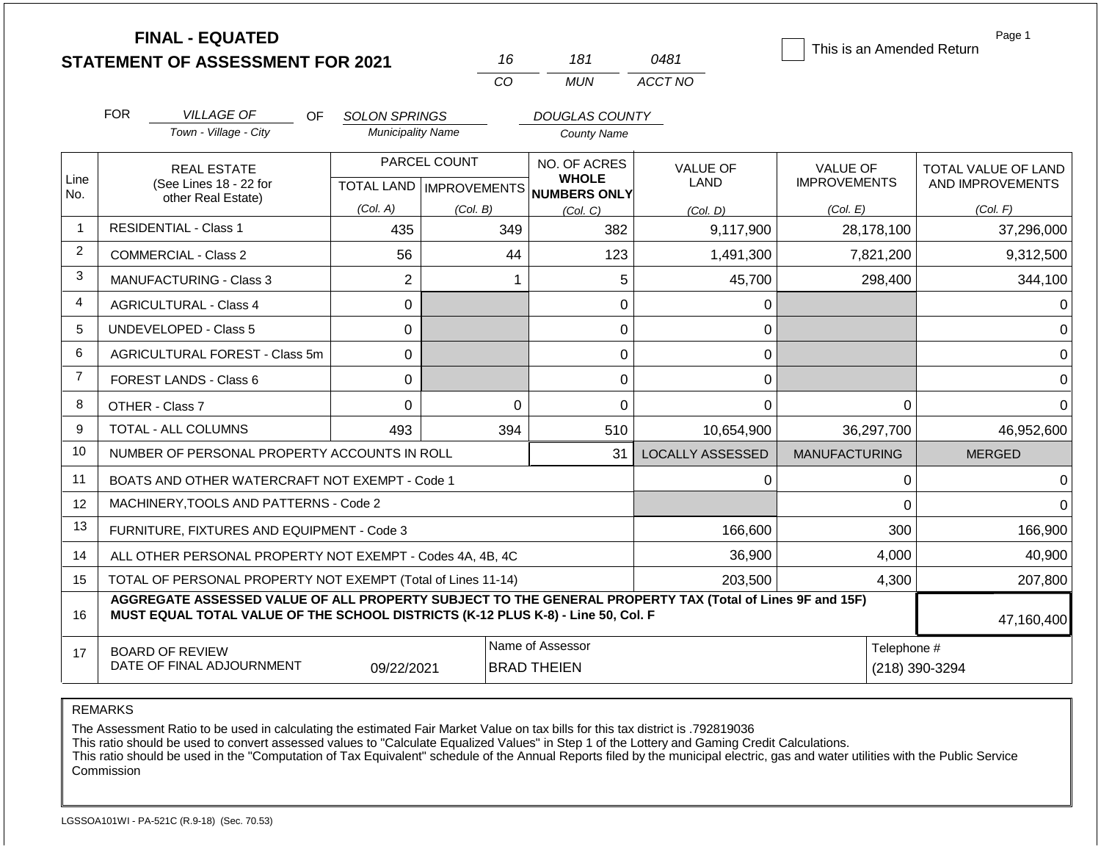|                |                                                                                                                                                                                              | <b>FINAL - EQUATED</b><br><b>STATEMENT OF ASSESSMENT FOR 2021</b> |                          |              | 16                                                   | 181                   | 0481                    | This is an Amended Return | Page 1              |
|----------------|----------------------------------------------------------------------------------------------------------------------------------------------------------------------------------------------|-------------------------------------------------------------------|--------------------------|--------------|------------------------------------------------------|-----------------------|-------------------------|---------------------------|---------------------|
|                |                                                                                                                                                                                              |                                                                   |                          |              | CO                                                   | <b>MUN</b>            | ACCT NO                 |                           |                     |
|                | <b>FOR</b>                                                                                                                                                                                   | <b>VILLAGE OF</b><br>OF.                                          | <b>SOLON SPRINGS</b>     |              |                                                      | <b>DOUGLAS COUNTY</b> |                         |                           |                     |
|                |                                                                                                                                                                                              | Town - Village - City                                             | <b>Municipality Name</b> |              |                                                      | <b>County Name</b>    |                         |                           |                     |
|                |                                                                                                                                                                                              | <b>REAL ESTATE</b>                                                |                          | PARCEL COUNT |                                                      | NO. OF ACRES          | <b>VALUE OF</b>         | <b>VALUE OF</b>           | TOTAL VALUE OF LAND |
| Line<br>No.    |                                                                                                                                                                                              | (See Lines 18 - 22 for<br>other Real Estate)                      |                          |              | <b>WHOLE</b><br>TOTAL LAND IMPROVEMENTS NUMBERS ONLY |                       | LAND                    | <b>IMPROVEMENTS</b>       | AND IMPROVEMENTS    |
|                |                                                                                                                                                                                              |                                                                   | (Col. A)                 | (Col. B)     |                                                      | (Col. C)              | (Col. D)                | (Col. E)                  | (Col. F)            |
| $\overline{1}$ |                                                                                                                                                                                              | <b>RESIDENTIAL - Class 1</b>                                      | 435                      |              | 349                                                  | 382                   | 9,117,900               | 28,178,100                | 37,296,000          |
| $\overline{2}$ |                                                                                                                                                                                              | COMMERCIAL - Class 2                                              | 56                       |              | 44                                                   | 123                   | 1,491,300               | 7,821,200                 | 9,312,500           |
| 3              |                                                                                                                                                                                              | <b>MANUFACTURING - Class 3</b>                                    | $\overline{2}$           |              | 1                                                    | 5                     | 45,700                  | 298,400                   | 344,100             |
| 4              | <b>AGRICULTURAL - Class 4</b>                                                                                                                                                                |                                                                   | 0                        |              |                                                      | 0                     | 0                       |                           | 0                   |
| 5              |                                                                                                                                                                                              | <b>UNDEVELOPED - Class 5</b>                                      | 0                        |              |                                                      | 0                     | 0                       |                           | $\Omega$            |
| 6              |                                                                                                                                                                                              | AGRICULTURAL FOREST - Class 5m                                    | 0                        |              |                                                      | 0                     | 0                       |                           | 0                   |
| $\overline{7}$ |                                                                                                                                                                                              | <b>FOREST LANDS - Class 6</b>                                     | 0                        |              |                                                      | 0                     | 0                       |                           | $\Omega$            |
| 8              |                                                                                                                                                                                              | OTHER - Class 7                                                   | $\Omega$                 |              | $\Omega$                                             | 0                     | 0                       | $\Omega$                  | $\Omega$            |
| 9              |                                                                                                                                                                                              | <b>TOTAL - ALL COLUMNS</b>                                        | 493                      |              | 394                                                  | 510                   | 10,654,900              | 36,297,700                | 46,952,600          |
| 10             |                                                                                                                                                                                              | NUMBER OF PERSONAL PROPERTY ACCOUNTS IN ROLL                      |                          |              |                                                      | 31                    | <b>LOCALLY ASSESSED</b> | <b>MANUFACTURING</b>      | <b>MERGED</b>       |
| 11             |                                                                                                                                                                                              | BOATS AND OTHER WATERCRAFT NOT EXEMPT - Code 1                    |                          |              |                                                      |                       | 0                       | 0                         | $\Omega$            |
| 12             |                                                                                                                                                                                              | MACHINERY, TOOLS AND PATTERNS - Code 2                            |                          |              |                                                      |                       |                         | $\mathbf 0$               | $\Omega$            |
| 13             |                                                                                                                                                                                              | FURNITURE, FIXTURES AND EQUIPMENT - Code 3                        |                          |              |                                                      |                       | 166,600                 | 300                       | 166,900             |
| 14             |                                                                                                                                                                                              | ALL OTHER PERSONAL PROPERTY NOT EXEMPT - Codes 4A, 4B, 4C         |                          |              |                                                      | 36,900                | 4,000                   | 40,900                    |                     |
| 15             | TOTAL OF PERSONAL PROPERTY NOT EXEMPT (Total of Lines 11-14)                                                                                                                                 |                                                                   |                          |              |                                                      |                       | 203,500                 | 4,300                     | 207,800             |
| 16             | AGGREGATE ASSESSED VALUE OF ALL PROPERTY SUBJECT TO THE GENERAL PROPERTY TAX (Total of Lines 9F and 15F)<br>MUST EQUAL TOTAL VALUE OF THE SCHOOL DISTRICTS (K-12 PLUS K-8) - Line 50, Col. F |                                                                   |                          |              |                                                      |                       |                         | 47,160,400                |                     |
| 17             | Name of Assessor<br><b>BOARD OF REVIEW</b><br>DATE OF FINAL ADJOURNMENT<br>09/22/2021<br><b>BRAD THEIEN</b>                                                                                  |                                                                   |                          |              |                                                      |                       |                         | Telephone #               | (218) 390-3294      |

REMARKS

The Assessment Ratio to be used in calculating the estimated Fair Market Value on tax bills for this tax district is .792819036

This ratio should be used to convert assessed values to "Calculate Equalized Values" in Step 1 of the Lottery and Gaming Credit Calculations.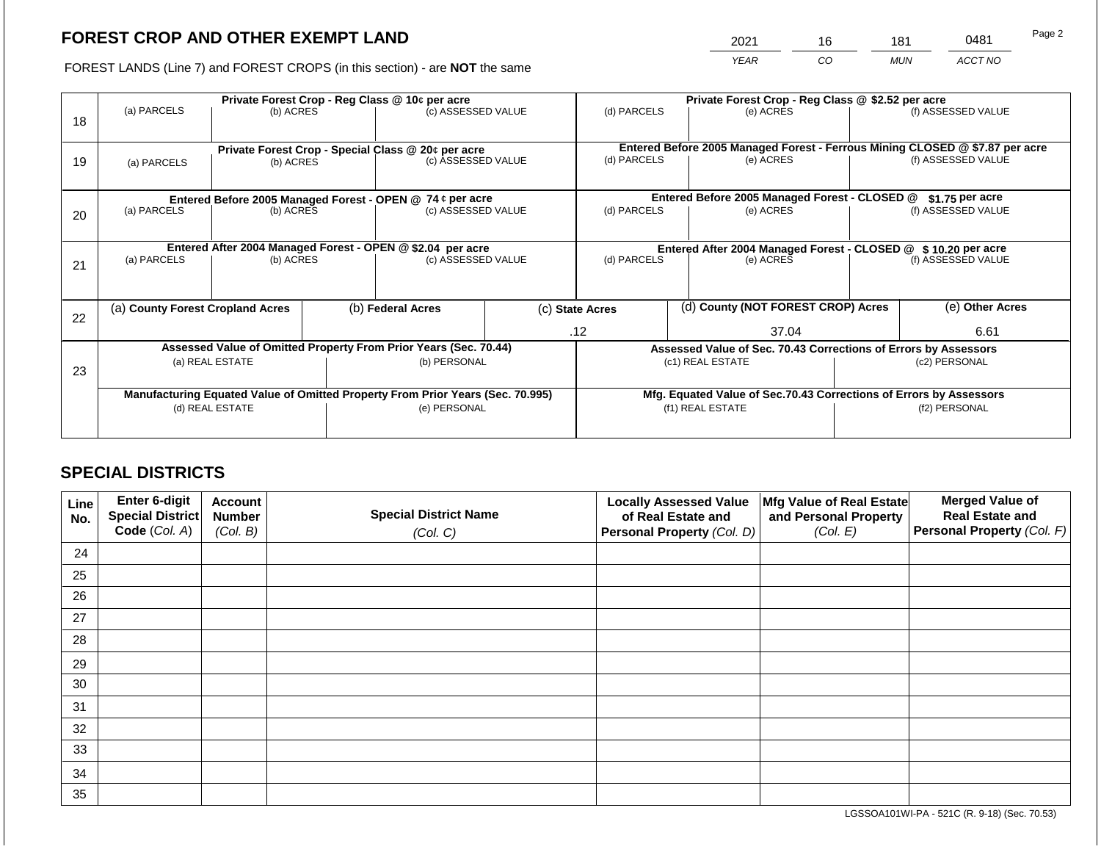2021 16 181 0481

FOREST LANDS (Line 7) and FOREST CROPS (in this section) - are **NOT** the same *YEAR CO MUN ACCT NO*

| 18 | (a) PARCELS<br>(b) ACRES         |           |                                                                                                | Private Forest Crop - Reg Class @ 10¢ per acre<br>(c) ASSESSED VALUE     |                                                                    | Private Forest Crop - Reg Class @ \$2.52 per acre<br>(d) PARCELS<br>(e) ACRES |  | (f) ASSESSED VALUE                                              |                    |                                                                                                    |
|----|----------------------------------|-----------|------------------------------------------------------------------------------------------------|--------------------------------------------------------------------------|--------------------------------------------------------------------|-------------------------------------------------------------------------------|--|-----------------------------------------------------------------|--------------------|----------------------------------------------------------------------------------------------------|
| 19 | (a) PARCELS                      | (b) ACRES |                                                                                                | Private Forest Crop - Special Class @ 20¢ per acre<br>(c) ASSESSED VALUE |                                                                    | (d) PARCELS                                                                   |  | (e) ACRES                                                       |                    | Entered Before 2005 Managed Forest - Ferrous Mining CLOSED @ \$7.87 per acre<br>(f) ASSESSED VALUE |
|    |                                  |           |                                                                                                | Entered Before 2005 Managed Forest - OPEN @ 74 ¢ per acre                |                                                                    |                                                                               |  | Entered Before 2005 Managed Forest - CLOSED @                   |                    | $$1.75$ per acre                                                                                   |
| 20 | (a) PARCELS                      | (b) ACRES |                                                                                                | (c) ASSESSED VALUE                                                       |                                                                    | (d) PARCELS<br>(e) ACRES                                                      |  |                                                                 | (f) ASSESSED VALUE |                                                                                                    |
|    |                                  |           |                                                                                                | Entered After 2004 Managed Forest - OPEN @ \$2.04 per acre               |                                                                    | Entered After 2004 Managed Forest - CLOSED @ \$10.20 per acre                 |  |                                                                 |                    |                                                                                                    |
| 21 | (a) PARCELS                      | (b) ACRES |                                                                                                | (c) ASSESSED VALUE                                                       |                                                                    | (d) PARCELS                                                                   |  | (e) ACRES                                                       | (f) ASSESSED VALUE |                                                                                                    |
|    |                                  |           |                                                                                                |                                                                          |                                                                    |                                                                               |  |                                                                 |                    |                                                                                                    |
| 22 | (a) County Forest Cropland Acres |           |                                                                                                | (b) Federal Acres<br>(c) State Acres                                     |                                                                    | (d) County (NOT FOREST CROP) Acres                                            |  |                                                                 | (e) Other Acres    |                                                                                                    |
|    |                                  |           |                                                                                                |                                                                          |                                                                    | .12                                                                           |  | 37.04                                                           |                    | 6.61                                                                                               |
|    |                                  |           |                                                                                                | Assessed Value of Omitted Property From Prior Years (Sec. 70.44)         |                                                                    |                                                                               |  | Assessed Value of Sec. 70.43 Corrections of Errors by Assessors |                    |                                                                                                    |
| 23 | (a) REAL ESTATE                  |           |                                                                                                | (b) PERSONAL                                                             |                                                                    | (c1) REAL ESTATE                                                              |  |                                                                 | (c2) PERSONAL      |                                                                                                    |
|    |                                  |           |                                                                                                |                                                                          | Mfg. Equated Value of Sec.70.43 Corrections of Errors by Assessors |                                                                               |  |                                                                 |                    |                                                                                                    |
|    | (d) REAL ESTATE                  |           | Manufacturing Equated Value of Omitted Property From Prior Years (Sec. 70.995)<br>(e) PERSONAL |                                                                          | (f1) REAL ESTATE                                                   |                                                                               |  | (f2) PERSONAL                                                   |                    |                                                                                                    |
|    |                                  |           |                                                                                                |                                                                          |                                                                    |                                                                               |  |                                                                 |                    |                                                                                                    |

# **SPECIAL DISTRICTS**

| Line<br>No. | <b>Enter 6-digit</b><br>Special District | <b>Account</b><br><b>Number</b> | <b>Special District Name</b> | <b>Locally Assessed Value</b><br>of Real Estate and | Mfg Value of Real Estate<br>and Personal Property | <b>Merged Value of</b><br><b>Real Estate and</b> |
|-------------|------------------------------------------|---------------------------------|------------------------------|-----------------------------------------------------|---------------------------------------------------|--------------------------------------------------|
|             | Code (Col. A)                            | (Col. B)                        | (Col. C)                     | Personal Property (Col. D)                          | (Col. E)                                          | <b>Personal Property (Col. F)</b>                |
| 24          |                                          |                                 |                              |                                                     |                                                   |                                                  |
| 25          |                                          |                                 |                              |                                                     |                                                   |                                                  |
| 26          |                                          |                                 |                              |                                                     |                                                   |                                                  |
| 27          |                                          |                                 |                              |                                                     |                                                   |                                                  |
| 28          |                                          |                                 |                              |                                                     |                                                   |                                                  |
| 29          |                                          |                                 |                              |                                                     |                                                   |                                                  |
| 30          |                                          |                                 |                              |                                                     |                                                   |                                                  |
| 31          |                                          |                                 |                              |                                                     |                                                   |                                                  |
| 32          |                                          |                                 |                              |                                                     |                                                   |                                                  |
| 33          |                                          |                                 |                              |                                                     |                                                   |                                                  |
| 34          |                                          |                                 |                              |                                                     |                                                   |                                                  |
| 35          |                                          |                                 |                              |                                                     |                                                   |                                                  |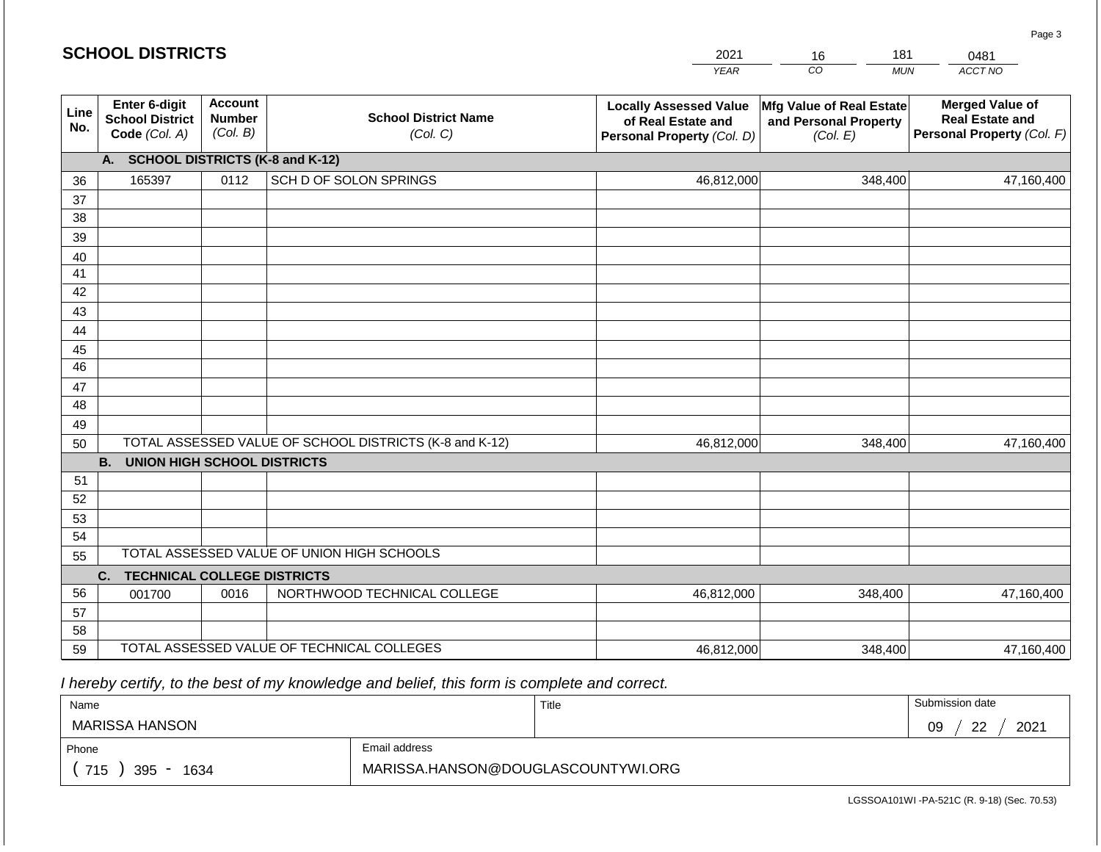|             | <b>SCHOOL DISTRICTS</b>                                  |                                                                                        |                                                         | 2021                                                                              | 181<br>16                                                     | 0481                                                                           |  |  |  |
|-------------|----------------------------------------------------------|----------------------------------------------------------------------------------------|---------------------------------------------------------|-----------------------------------------------------------------------------------|---------------------------------------------------------------|--------------------------------------------------------------------------------|--|--|--|
|             |                                                          |                                                                                        |                                                         | <b>YEAR</b>                                                                       | CO<br><b>MUN</b>                                              | ACCT NO                                                                        |  |  |  |
| Line<br>No. | Enter 6-digit<br><b>School District</b><br>Code (Col. A) | <b>Account</b><br><b>School District Name</b><br><b>Number</b><br>(Col. B)<br>(Col. C) |                                                         | <b>Locally Assessed Value</b><br>of Real Estate and<br>Personal Property (Col. D) | Mfg Value of Real Estate<br>and Personal Property<br>(Col. E) | <b>Merged Value of</b><br><b>Real Estate and</b><br>Personal Property (Col. F) |  |  |  |
|             | A.                                                       |                                                                                        | <b>SCHOOL DISTRICTS (K-8 and K-12)</b>                  |                                                                                   |                                                               |                                                                                |  |  |  |
| 36          | 165397                                                   | 0112                                                                                   | SCH D OF SOLON SPRINGS                                  | 46,812,000                                                                        | 348,400                                                       | 47,160,400                                                                     |  |  |  |
| 37          |                                                          |                                                                                        |                                                         |                                                                                   |                                                               |                                                                                |  |  |  |
| 38          |                                                          |                                                                                        |                                                         |                                                                                   |                                                               |                                                                                |  |  |  |
| 39          |                                                          |                                                                                        |                                                         |                                                                                   |                                                               |                                                                                |  |  |  |
| 40          |                                                          |                                                                                        |                                                         |                                                                                   |                                                               |                                                                                |  |  |  |
| 41          |                                                          |                                                                                        |                                                         |                                                                                   |                                                               |                                                                                |  |  |  |
| 42          |                                                          |                                                                                        |                                                         |                                                                                   |                                                               |                                                                                |  |  |  |
| 43          |                                                          |                                                                                        |                                                         |                                                                                   |                                                               |                                                                                |  |  |  |
| 44<br>45    |                                                          |                                                                                        |                                                         |                                                                                   |                                                               |                                                                                |  |  |  |
| 46          |                                                          |                                                                                        |                                                         |                                                                                   |                                                               |                                                                                |  |  |  |
| 47          |                                                          |                                                                                        |                                                         |                                                                                   |                                                               |                                                                                |  |  |  |
| 48          |                                                          |                                                                                        |                                                         |                                                                                   |                                                               |                                                                                |  |  |  |
| 49          |                                                          |                                                                                        |                                                         |                                                                                   |                                                               |                                                                                |  |  |  |
| 50          |                                                          |                                                                                        | TOTAL ASSESSED VALUE OF SCHOOL DISTRICTS (K-8 and K-12) | 46,812,000                                                                        | 348,400                                                       | 47,160,400                                                                     |  |  |  |
|             | <b>B.</b><br><b>UNION HIGH SCHOOL DISTRICTS</b>          |                                                                                        |                                                         |                                                                                   |                                                               |                                                                                |  |  |  |
| 51          |                                                          |                                                                                        |                                                         |                                                                                   |                                                               |                                                                                |  |  |  |
| 52          |                                                          |                                                                                        |                                                         |                                                                                   |                                                               |                                                                                |  |  |  |
| 53          |                                                          |                                                                                        |                                                         |                                                                                   |                                                               |                                                                                |  |  |  |
| 54          |                                                          |                                                                                        |                                                         |                                                                                   |                                                               |                                                                                |  |  |  |
|             | TOTAL ASSESSED VALUE OF UNION HIGH SCHOOLS<br>55         |                                                                                        |                                                         |                                                                                   |                                                               |                                                                                |  |  |  |
|             | <b>TECHNICAL COLLEGE DISTRICTS</b><br>C.                 |                                                                                        |                                                         |                                                                                   |                                                               |                                                                                |  |  |  |
| 56          | 001700                                                   | 0016                                                                                   | NORTHWOOD TECHNICAL COLLEGE                             | 46,812,000                                                                        | 348,400                                                       | 47,160,400                                                                     |  |  |  |
| 57          |                                                          |                                                                                        |                                                         |                                                                                   |                                                               |                                                                                |  |  |  |
| 58          |                                                          |                                                                                        | TOTAL ASSESSED VALUE OF TECHNICAL COLLEGES              |                                                                                   |                                                               |                                                                                |  |  |  |
| 59          |                                                          |                                                                                        |                                                         | 46,812,000                                                                        | 348,400                                                       | 47,160,400                                                                     |  |  |  |

 *I hereby certify, to the best of my knowledge and belief, this form is complete and correct.*

| Name                                           |                                    | Title | Submission date  |
|------------------------------------------------|------------------------------------|-------|------------------|
| MARISSA HANSON                                 |                                    |       | ററ<br>2021<br>09 |
| Phone                                          | Email address                      |       |                  |
| 715<br>395<br>1634<br>$\overline{\phantom{a}}$ | MARISSA.HANSON@DOUGLASCOUNTYWI.ORG |       |                  |

LGSSOA101WI -PA-521C (R. 9-18) (Sec. 70.53)

Page 3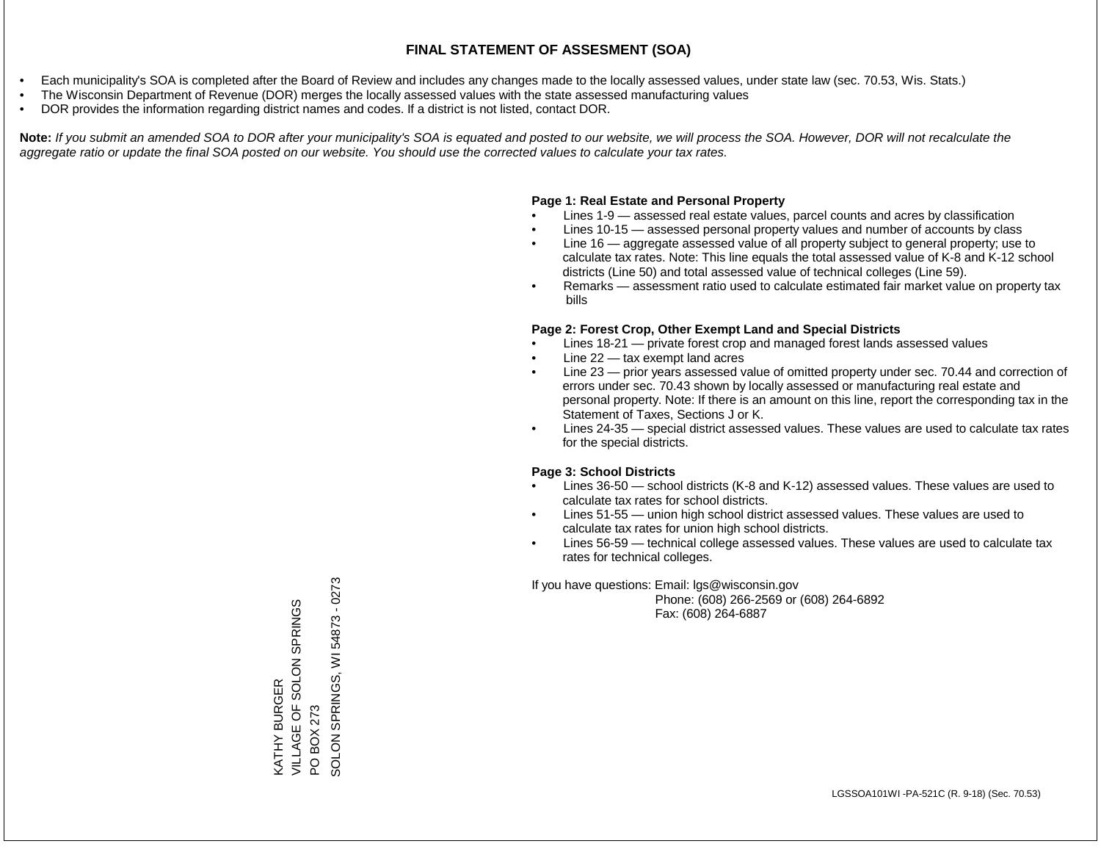- Each municipality's SOA is completed after the Board of Review and includes any changes made to the locally assessed values, under state law (sec. 70.53, Wis. Stats.)
- The Wisconsin Department of Revenue (DOR) merges the locally assessed values with the state assessed manufacturing values
- DOR provides the information regarding district names and codes. If a district is not listed, contact DOR.

Note: If you submit an amended SOA to DOR after your municipality's SOA is equated and posted to our website, we will process the SOA. However, DOR will not recalculate the *aggregate ratio or update the final SOA posted on our website. You should use the corrected values to calculate your tax rates.*

## **Page 1: Real Estate and Personal Property**

- Lines 1-9 assessed real estate values, parcel counts and acres by classification
- Lines 10-15 assessed personal property values and number of accounts by class
- Line 16 aggregate assessed value of all property subject to general property; use to calculate tax rates. Note: This line equals the total assessed value of K-8 and K-12 school districts (Line 50) and total assessed value of technical colleges (Line 59).
- Remarks assessment ratio used to calculate estimated fair market value on property tax bills

## **Page 2: Forest Crop, Other Exempt Land and Special Districts**

- Lines 18-21 private forest crop and managed forest lands assessed values
- Line  $22 -$  tax exempt land acres
- Line 23 prior years assessed value of omitted property under sec. 70.44 and correction of errors under sec. 70.43 shown by locally assessed or manufacturing real estate and personal property. Note: If there is an amount on this line, report the corresponding tax in the Statement of Taxes, Sections J or K.
- Lines 24-35 special district assessed values. These values are used to calculate tax rates for the special districts.

## **Page 3: School Districts**

- Lines 36-50 school districts (K-8 and K-12) assessed values. These values are used to calculate tax rates for school districts.
- Lines 51-55 union high school district assessed values. These values are used to calculate tax rates for union high school districts.
- Lines 56-59 technical college assessed values. These values are used to calculate tax rates for technical colleges.

If you have questions: Email: lgs@wisconsin.gov

 Phone: (608) 266-2569 or (608) 264-6892 Fax: (608) 264-6887

PO BOX 273<br>SOLON SPRINGS, WI 54873 - 0273 SOLON SPRINGS, WI 54873 - 0273VILLAGE OF SOLON SPRINGS KATHY BURGER<br>VILLAGE OF SOLON SPRINGS KATHY BURGER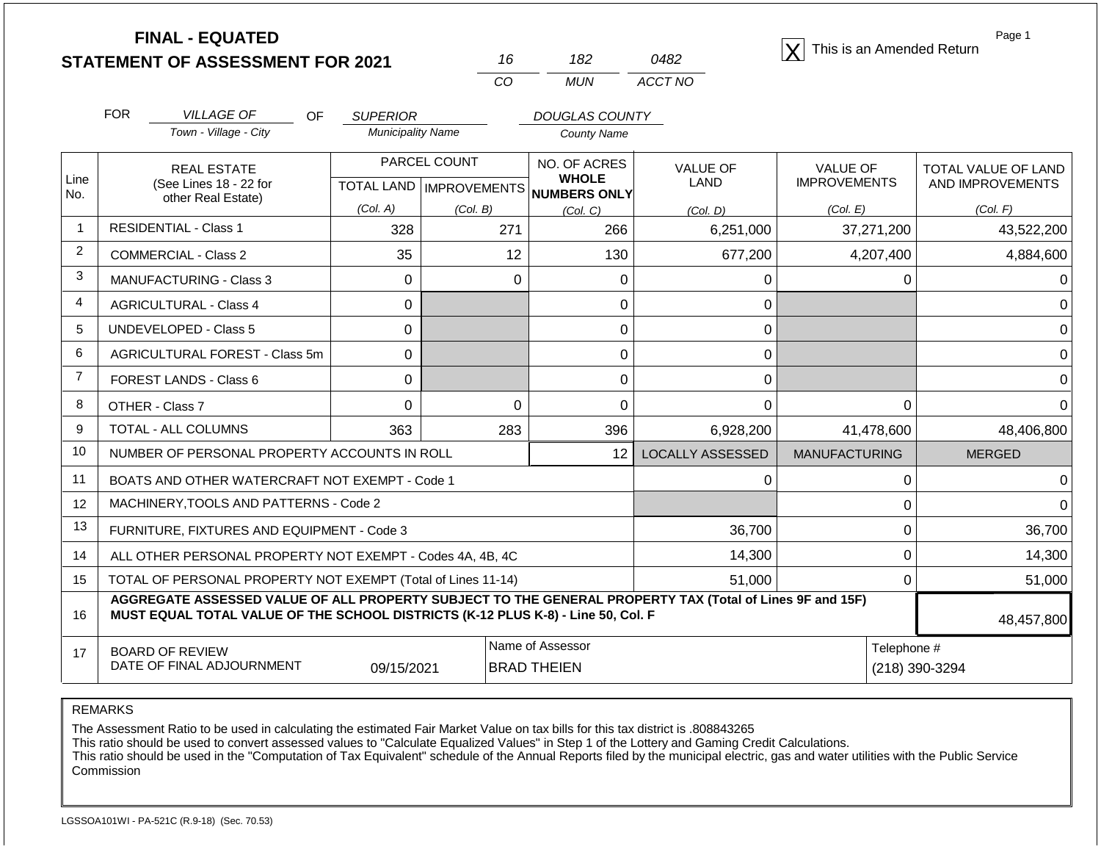|                | <b>FINAL - EQUATED</b><br><b>STATEMENT OF ASSESSMENT FOR 2021</b>                                                                                                                            |                          | 16                        | 182                                    | 0482                    | This is an Amended Return | Page 1              |
|----------------|----------------------------------------------------------------------------------------------------------------------------------------------------------------------------------------------|--------------------------|---------------------------|----------------------------------------|-------------------------|---------------------------|---------------------|
|                |                                                                                                                                                                                              |                          | CO                        | <b>MUN</b>                             | ACCT NO                 |                           |                     |
|                | <b>FOR</b><br><b>VILLAGE OF</b><br>OF                                                                                                                                                        | <b>SUPERIOR</b>          | DOUGLAS COUNTY            |                                        |                         |                           |                     |
|                | Town - Village - City                                                                                                                                                                        | <b>Municipality Name</b> |                           | <b>County Name</b>                     |                         |                           |                     |
|                | <b>REAL ESTATE</b>                                                                                                                                                                           |                          | PARCEL COUNT              | NO. OF ACRES                           | <b>VALUE OF</b>         | <b>VALUE OF</b>           | TOTAL VALUE OF LAND |
| Line<br>No.    | (See Lines 18 - 22 for<br>other Real Estate)                                                                                                                                                 |                          | TOTAL LAND   IMPROVEMENTS | <b>WHOLE</b><br>NUMBERS ONLY           | LAND                    | <b>IMPROVEMENTS</b>       | AND IMPROVEMENTS    |
|                |                                                                                                                                                                                              | (Col. A)                 | (Col. B)                  | (Col, C)                               | (Col. D)                | (Col. E)                  | (Col. F)            |
| $\overline{1}$ | <b>RESIDENTIAL - Class 1</b>                                                                                                                                                                 | 328                      | 271                       | 266                                    | 6,251,000               | 37,271,200                | 43,522,200          |
| 2              | <b>COMMERCIAL - Class 2</b>                                                                                                                                                                  | 35                       | 12                        | 130                                    | 677,200                 | 4,207,400                 | 4,884,600           |
| 3              | <b>MANUFACTURING - Class 3</b>                                                                                                                                                               | $\Omega$                 | $\Omega$                  | 0                                      | 0                       | 0                         | 0                   |
| $\overline{4}$ | <b>AGRICULTURAL - Class 4</b>                                                                                                                                                                | $\mathbf 0$              |                           | $\mathbf 0$                            | 0                       |                           | 0                   |
| 5              | UNDEVELOPED - Class 5                                                                                                                                                                        | $\mathbf 0$              |                           | $\mathbf 0$                            | 0                       |                           | $\overline{0}$      |
| 6              | AGRICULTURAL FOREST - Class 5m                                                                                                                                                               | $\mathbf 0$              |                           | $\mathbf 0$                            | $\mathbf 0$             |                           | $\mathbf 0$         |
| $\overline{7}$ | <b>FOREST LANDS - Class 6</b>                                                                                                                                                                | $\Omega$                 |                           | 0                                      | 0                       |                           | $\mathbf 0$         |
| 8              | OTHER - Class 7                                                                                                                                                                              | $\Omega$                 | $\Omega$                  | $\mathbf 0$                            | 0                       | 0                         | $\overline{0}$      |
| 9              | <b>TOTAL - ALL COLUMNS</b>                                                                                                                                                                   | 363                      | 283                       | 396                                    | 6,928,200               | 41,478,600                | 48,406,800          |
| 10             | NUMBER OF PERSONAL PROPERTY ACCOUNTS IN ROLL                                                                                                                                                 |                          |                           | 12                                     | <b>LOCALLY ASSESSED</b> | <b>MANUFACTURING</b>      | <b>MERGED</b>       |
| 11             | BOATS AND OTHER WATERCRAFT NOT EXEMPT - Code 1                                                                                                                                               |                          |                           |                                        | $\Omega$                | 0                         | 0                   |
| 12             | MACHINERY, TOOLS AND PATTERNS - Code 2                                                                                                                                                       |                          |                           |                                        |                         | 0                         | $\Omega$            |
| 13             | FURNITURE, FIXTURES AND EQUIPMENT - Code 3                                                                                                                                                   |                          |                           |                                        | 36,700                  | 0                         | 36,700              |
| 14             | ALL OTHER PERSONAL PROPERTY NOT EXEMPT - Codes 4A, 4B, 4C                                                                                                                                    |                          |                           | 14,300                                 | 0                       | 14,300                    |                     |
| 15             | TOTAL OF PERSONAL PROPERTY NOT EXEMPT (Total of Lines 11-14)                                                                                                                                 |                          |                           | 51,000                                 | 0                       | 51,000                    |                     |
| 16             | AGGREGATE ASSESSED VALUE OF ALL PROPERTY SUBJECT TO THE GENERAL PROPERTY TAX (Total of Lines 9F and 15F)<br>MUST EQUAL TOTAL VALUE OF THE SCHOOL DISTRICTS (K-12 PLUS K-8) - Line 50, Col. F |                          |                           |                                        |                         |                           | 48,457,800          |
| 17             | <b>BOARD OF REVIEW</b><br>DATE OF FINAL ADJOURNMENT                                                                                                                                          | 09/15/2021               |                           | Name of Assessor<br><b>BRAD THEIEN</b> |                         | Telephone #               | (218) 390-3294      |

REMARKS

The Assessment Ratio to be used in calculating the estimated Fair Market Value on tax bills for this tax district is .808843265

This ratio should be used to convert assessed values to "Calculate Equalized Values" in Step 1 of the Lottery and Gaming Credit Calculations.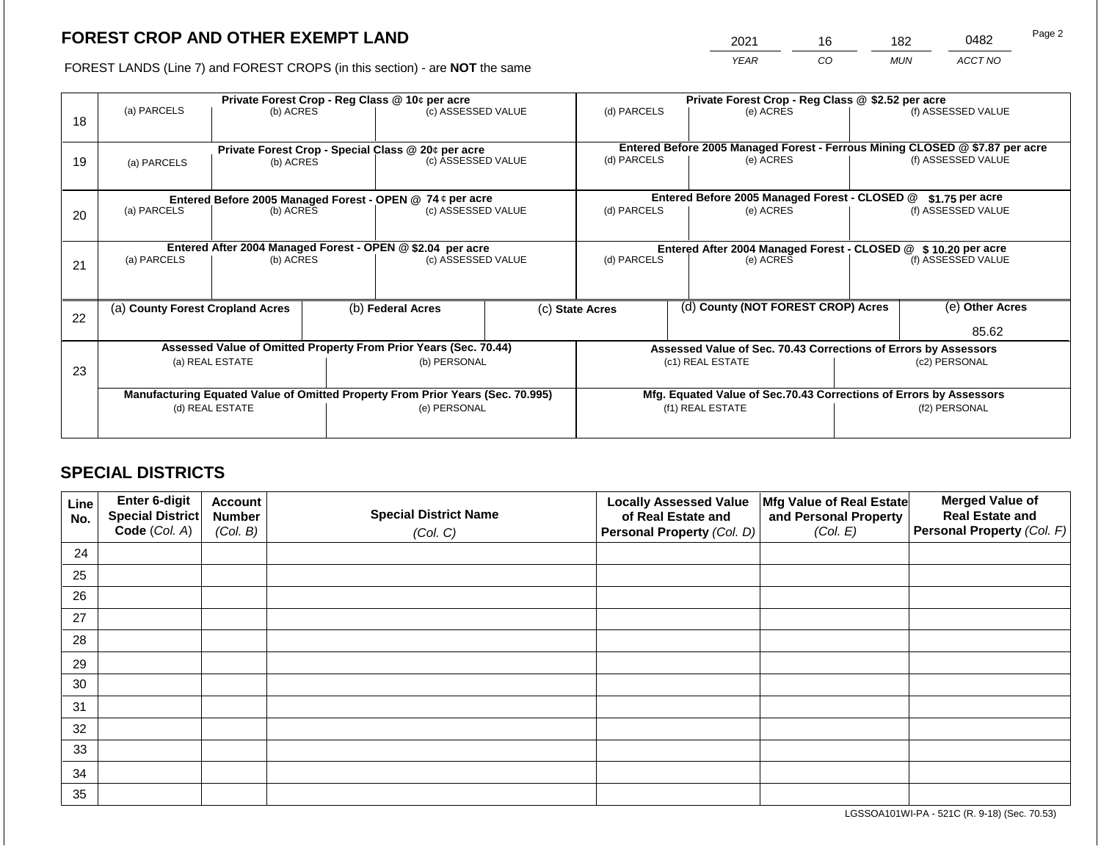2021 16 182 0482

FOREST LANDS (Line 7) and FOREST CROPS (in this section) - are **NOT** the same *YEAR CO MUN ACCT NO*

|    |                                                                                |                                                                  | Private Forest Crop - Reg Class @ \$2.52 per acre                        |                    |                                                                              |                                                               |  |                                                                 |                    |                    |
|----|--------------------------------------------------------------------------------|------------------------------------------------------------------|--------------------------------------------------------------------------|--------------------|------------------------------------------------------------------------------|---------------------------------------------------------------|--|-----------------------------------------------------------------|--------------------|--------------------|
| 18 | (a) PARCELS                                                                    | Private Forest Crop - Reg Class @ 10¢ per acre<br>(b) ACRES      |                                                                          | (c) ASSESSED VALUE |                                                                              | (d) PARCELS                                                   |  | (e) ACRES                                                       |                    | (f) ASSESSED VALUE |
|    |                                                                                |                                                                  |                                                                          |                    |                                                                              |                                                               |  |                                                                 |                    |                    |
|    |                                                                                |                                                                  | Private Forest Crop - Special Class @ 20¢ per acre<br>(c) ASSESSED VALUE |                    | Entered Before 2005 Managed Forest - Ferrous Mining CLOSED @ \$7.87 per acre |                                                               |  |                                                                 | (f) ASSESSED VALUE |                    |
| 19 | (a) PARCELS                                                                    | (b) ACRES                                                        |                                                                          |                    |                                                                              | (d) PARCELS                                                   |  | (e) ACRES                                                       |                    |                    |
|    |                                                                                |                                                                  |                                                                          |                    |                                                                              |                                                               |  |                                                                 |                    |                    |
|    |                                                                                | Entered Before 2005 Managed Forest - OPEN @ 74 ¢ per acre        |                                                                          |                    |                                                                              |                                                               |  | Entered Before 2005 Managed Forest - CLOSED @                   |                    | $$1.75$ per acre   |
| 20 | (a) PARCELS                                                                    | (b) ACRES                                                        |                                                                          | (c) ASSESSED VALUE |                                                                              | (d) PARCELS                                                   |  | (e) ACRES                                                       |                    | (f) ASSESSED VALUE |
|    |                                                                                |                                                                  |                                                                          |                    |                                                                              |                                                               |  |                                                                 |                    |                    |
|    |                                                                                | Entered After 2004 Managed Forest - OPEN @ \$2.04 per acre       |                                                                          |                    |                                                                              | Entered After 2004 Managed Forest - CLOSED @ \$10.20 per acre |  |                                                                 |                    |                    |
| 21 | (a) PARCELS                                                                    | (b) ACRES                                                        |                                                                          | (c) ASSESSED VALUE |                                                                              | (d) PARCELS<br>(e) ACRES                                      |  | (f) ASSESSED VALUE                                              |                    |                    |
|    |                                                                                |                                                                  |                                                                          |                    |                                                                              |                                                               |  |                                                                 |                    |                    |
|    |                                                                                |                                                                  |                                                                          |                    |                                                                              |                                                               |  |                                                                 |                    |                    |
|    | (a) County Forest Cropland Acres                                               |                                                                  |                                                                          | (b) Federal Acres  |                                                                              | (c) State Acres                                               |  | (d) County (NOT FOREST CROP) Acres                              |                    | (e) Other Acres    |
| 22 |                                                                                |                                                                  |                                                                          |                    |                                                                              |                                                               |  |                                                                 |                    |                    |
|    |                                                                                |                                                                  |                                                                          |                    |                                                                              |                                                               |  |                                                                 |                    | 85.62              |
|    |                                                                                | Assessed Value of Omitted Property From Prior Years (Sec. 70.44) |                                                                          |                    |                                                                              |                                                               |  | Assessed Value of Sec. 70.43 Corrections of Errors by Assessors |                    |                    |
| 23 |                                                                                | (a) REAL ESTATE                                                  |                                                                          | (b) PERSONAL       |                                                                              |                                                               |  | (c1) REAL ESTATE                                                |                    | (c2) PERSONAL      |
|    |                                                                                |                                                                  |                                                                          |                    |                                                                              |                                                               |  |                                                                 |                    |                    |
|    | Manufacturing Equated Value of Omitted Property From Prior Years (Sec. 70.995) |                                                                  |                                                                          |                    | Mfg. Equated Value of Sec.70.43 Corrections of Errors by Assessors           |                                                               |  |                                                                 |                    |                    |
|    |                                                                                | (d) REAL ESTATE                                                  |                                                                          | (e) PERSONAL       |                                                                              | (f1) REAL ESTATE<br>(f2) PERSONAL                             |  |                                                                 |                    |                    |
|    |                                                                                |                                                                  |                                                                          |                    |                                                                              |                                                               |  |                                                                 |                    |                    |
|    |                                                                                |                                                                  |                                                                          |                    |                                                                              |                                                               |  |                                                                 |                    |                    |

# **SPECIAL DISTRICTS**

| Line<br>No. | Enter 6-digit<br>Special District<br>Code (Col. A) | <b>Account</b><br><b>Number</b><br>(Col. B) | <b>Special District Name</b><br>(Col. C) | <b>Locally Assessed Value</b><br>of Real Estate and<br><b>Personal Property (Col. D)</b> | Mfg Value of Real Estate<br>and Personal Property<br>(Col. E) | <b>Merged Value of</b><br><b>Real Estate and</b><br>Personal Property (Col. F) |
|-------------|----------------------------------------------------|---------------------------------------------|------------------------------------------|------------------------------------------------------------------------------------------|---------------------------------------------------------------|--------------------------------------------------------------------------------|
| 24          |                                                    |                                             |                                          |                                                                                          |                                                               |                                                                                |
| 25          |                                                    |                                             |                                          |                                                                                          |                                                               |                                                                                |
| 26          |                                                    |                                             |                                          |                                                                                          |                                                               |                                                                                |
| 27          |                                                    |                                             |                                          |                                                                                          |                                                               |                                                                                |
| 28          |                                                    |                                             |                                          |                                                                                          |                                                               |                                                                                |
| 29          |                                                    |                                             |                                          |                                                                                          |                                                               |                                                                                |
| 30          |                                                    |                                             |                                          |                                                                                          |                                                               |                                                                                |
| 31          |                                                    |                                             |                                          |                                                                                          |                                                               |                                                                                |
| 32          |                                                    |                                             |                                          |                                                                                          |                                                               |                                                                                |
| 33          |                                                    |                                             |                                          |                                                                                          |                                                               |                                                                                |
| 34          |                                                    |                                             |                                          |                                                                                          |                                                               |                                                                                |
| 35          |                                                    |                                             |                                          |                                                                                          |                                                               |                                                                                |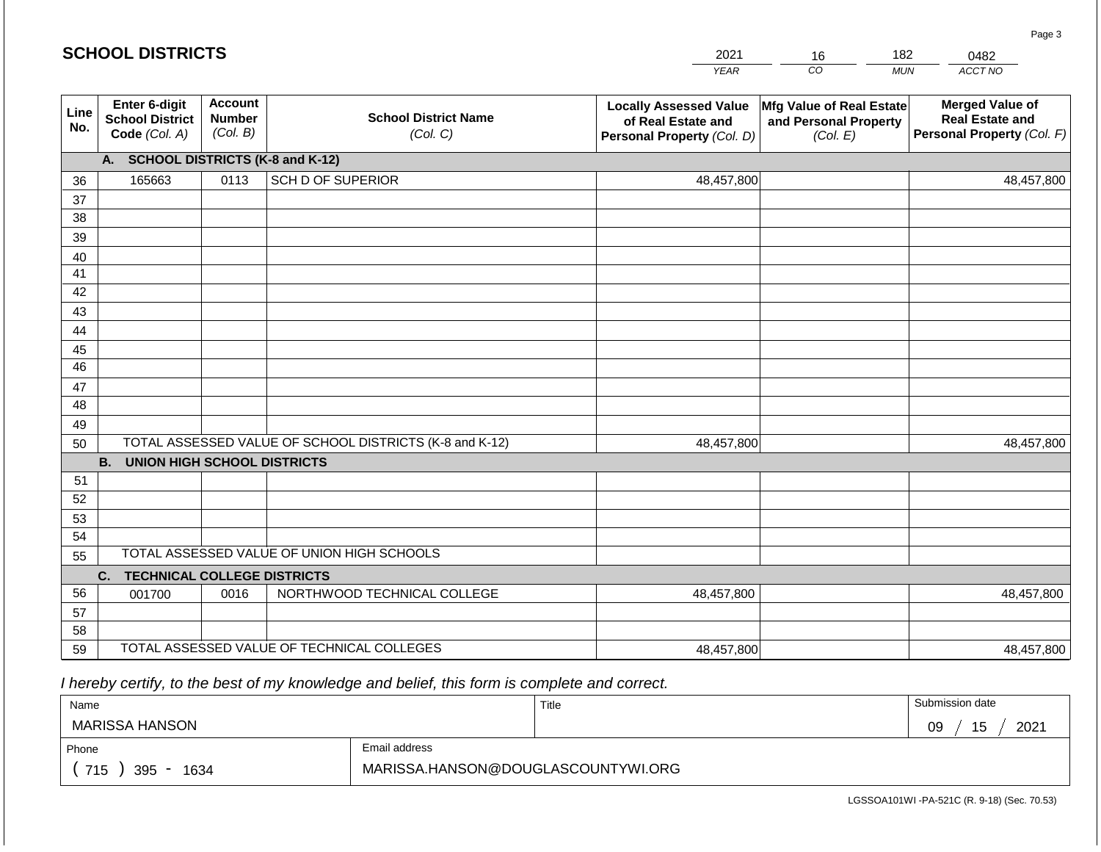|                       | <b>SCHOOL DISTRICTS</b>                                         |                                             |                                                         | 2021                                                                              | 16                                                            | 182        | 0482                                                                           |
|-----------------------|-----------------------------------------------------------------|---------------------------------------------|---------------------------------------------------------|-----------------------------------------------------------------------------------|---------------------------------------------------------------|------------|--------------------------------------------------------------------------------|
|                       |                                                                 |                                             |                                                         | <b>YEAR</b>                                                                       | CO                                                            | <b>MUN</b> | ACCT NO                                                                        |
| Line<br>No.           | <b>Enter 6-digit</b><br><b>School District</b><br>Code (Col. A) | <b>Account</b><br><b>Number</b><br>(Col. B) | <b>School District Name</b><br>(Col. C)                 | <b>Locally Assessed Value</b><br>of Real Estate and<br>Personal Property (Col. D) | Mfg Value of Real Estate<br>and Personal Property<br>(Col. E) |            | <b>Merged Value of</b><br><b>Real Estate and</b><br>Personal Property (Col. F) |
|                       | A.                                                              |                                             | <b>SCHOOL DISTRICTS (K-8 and K-12)</b>                  |                                                                                   |                                                               |            |                                                                                |
| 36                    | 165663                                                          | 0113                                        | <b>SCH D OF SUPERIOR</b>                                | 48,457,800                                                                        |                                                               |            | 48,457,800                                                                     |
| 37                    |                                                                 |                                             |                                                         |                                                                                   |                                                               |            |                                                                                |
| 38                    |                                                                 |                                             |                                                         |                                                                                   |                                                               |            |                                                                                |
| 39                    |                                                                 |                                             |                                                         |                                                                                   |                                                               |            |                                                                                |
| 40                    |                                                                 |                                             |                                                         |                                                                                   |                                                               |            |                                                                                |
| 41                    |                                                                 |                                             |                                                         |                                                                                   |                                                               |            |                                                                                |
| 42                    |                                                                 |                                             |                                                         |                                                                                   |                                                               |            |                                                                                |
| 43                    |                                                                 |                                             |                                                         |                                                                                   |                                                               |            |                                                                                |
| 44                    |                                                                 |                                             |                                                         |                                                                                   |                                                               |            |                                                                                |
| 45<br>$\overline{46}$ |                                                                 |                                             |                                                         |                                                                                   |                                                               |            |                                                                                |
| 47                    |                                                                 |                                             |                                                         |                                                                                   |                                                               |            |                                                                                |
| 48                    |                                                                 |                                             |                                                         |                                                                                   |                                                               |            |                                                                                |
| 49                    |                                                                 |                                             |                                                         |                                                                                   |                                                               |            |                                                                                |
| 50                    |                                                                 |                                             | TOTAL ASSESSED VALUE OF SCHOOL DISTRICTS (K-8 and K-12) | 48,457,800                                                                        |                                                               |            | 48,457,800                                                                     |
|                       | <b>B.</b><br><b>UNION HIGH SCHOOL DISTRICTS</b>                 |                                             |                                                         |                                                                                   |                                                               |            |                                                                                |
| 51                    |                                                                 |                                             |                                                         |                                                                                   |                                                               |            |                                                                                |
| 52                    |                                                                 |                                             |                                                         |                                                                                   |                                                               |            |                                                                                |
| 53                    |                                                                 |                                             |                                                         |                                                                                   |                                                               |            |                                                                                |
| 54                    |                                                                 |                                             |                                                         |                                                                                   |                                                               |            |                                                                                |
| 55                    |                                                                 |                                             | TOTAL ASSESSED VALUE OF UNION HIGH SCHOOLS              |                                                                                   |                                                               |            |                                                                                |
|                       | <b>TECHNICAL COLLEGE DISTRICTS</b><br>C.                        |                                             |                                                         |                                                                                   |                                                               |            |                                                                                |
| 56                    | 001700                                                          | 0016                                        | NORTHWOOD TECHNICAL COLLEGE                             | 48,457,800                                                                        |                                                               |            | 48,457,800                                                                     |
| 57                    |                                                                 |                                             |                                                         |                                                                                   |                                                               |            |                                                                                |
| 58                    |                                                                 |                                             | TOTAL ASSESSED VALUE OF TECHNICAL COLLEGES              |                                                                                   |                                                               |            |                                                                                |
| 59                    |                                                                 |                                             |                                                         | 48,457,800                                                                        |                                                               |            | 48,457,800                                                                     |

2021

182

Page 3

 *I hereby certify, to the best of my knowledge and belief, this form is complete and correct.*

**SCHOOL DISTRICTS**

| Name               |                                    | Title | Submission date  |
|--------------------|------------------------------------|-------|------------------|
| MARISSA HANSON     |                                    |       | 15<br>2021<br>09 |
| Phone              | Email address                      |       |                  |
| 715<br>395<br>1634 | MARISSA.HANSON@DOUGLASCOUNTYWI.ORG |       |                  |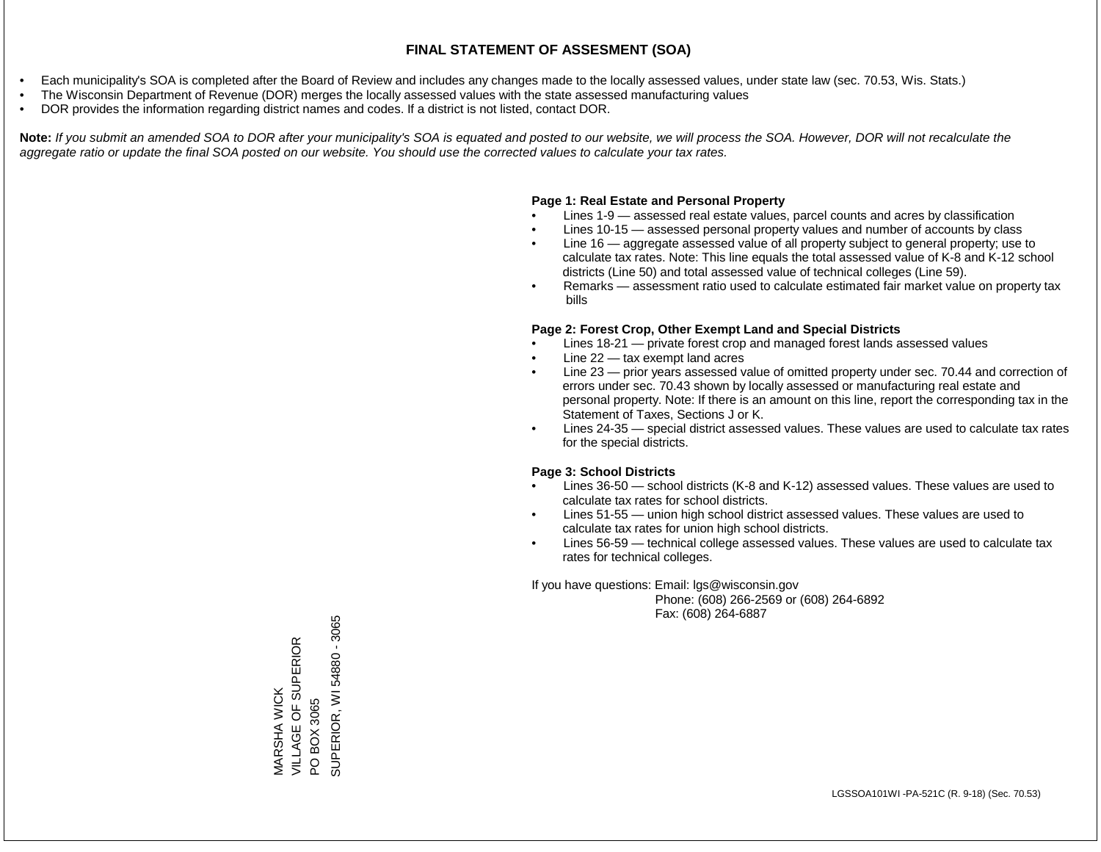- Each municipality's SOA is completed after the Board of Review and includes any changes made to the locally assessed values, under state law (sec. 70.53, Wis. Stats.)
- The Wisconsin Department of Revenue (DOR) merges the locally assessed values with the state assessed manufacturing values
- DOR provides the information regarding district names and codes. If a district is not listed, contact DOR.

Note: If you submit an amended SOA to DOR after your municipality's SOA is equated and posted to our website, we will process the SOA. However, DOR will not recalculate the *aggregate ratio or update the final SOA posted on our website. You should use the corrected values to calculate your tax rates.*

## **Page 1: Real Estate and Personal Property**

- Lines 1-9 assessed real estate values, parcel counts and acres by classification
- Lines 10-15 assessed personal property values and number of accounts by class
- Line 16 aggregate assessed value of all property subject to general property; use to calculate tax rates. Note: This line equals the total assessed value of K-8 and K-12 school districts (Line 50) and total assessed value of technical colleges (Line 59).
- Remarks assessment ratio used to calculate estimated fair market value on property tax bills

## **Page 2: Forest Crop, Other Exempt Land and Special Districts**

- Lines 18-21 private forest crop and managed forest lands assessed values
- Line  $22 -$  tax exempt land acres
- Line 23 prior years assessed value of omitted property under sec. 70.44 and correction of errors under sec. 70.43 shown by locally assessed or manufacturing real estate and personal property. Note: If there is an amount on this line, report the corresponding tax in the Statement of Taxes, Sections J or K.
- Lines 24-35 special district assessed values. These values are used to calculate tax rates for the special districts.

## **Page 3: School Districts**

- Lines 36-50 school districts (K-8 and K-12) assessed values. These values are used to calculate tax rates for school districts.
- Lines 51-55 union high school district assessed values. These values are used to calculate tax rates for union high school districts.
- Lines 56-59 technical college assessed values. These values are used to calculate tax rates for technical colleges.

If you have questions: Email: lgs@wisconsin.gov

 Phone: (608) 266-2569 or (608) 264-6892 Fax: (608) 264-6887

SUPERIOR, WI 54880 - 3065 SUPERIOR, WI 54880 - 3065VILLAGE OF SUPERIOR MARSHA WICK<br>VILLAGE OF SUPERIOR MARSHA WICK PO BOX 3065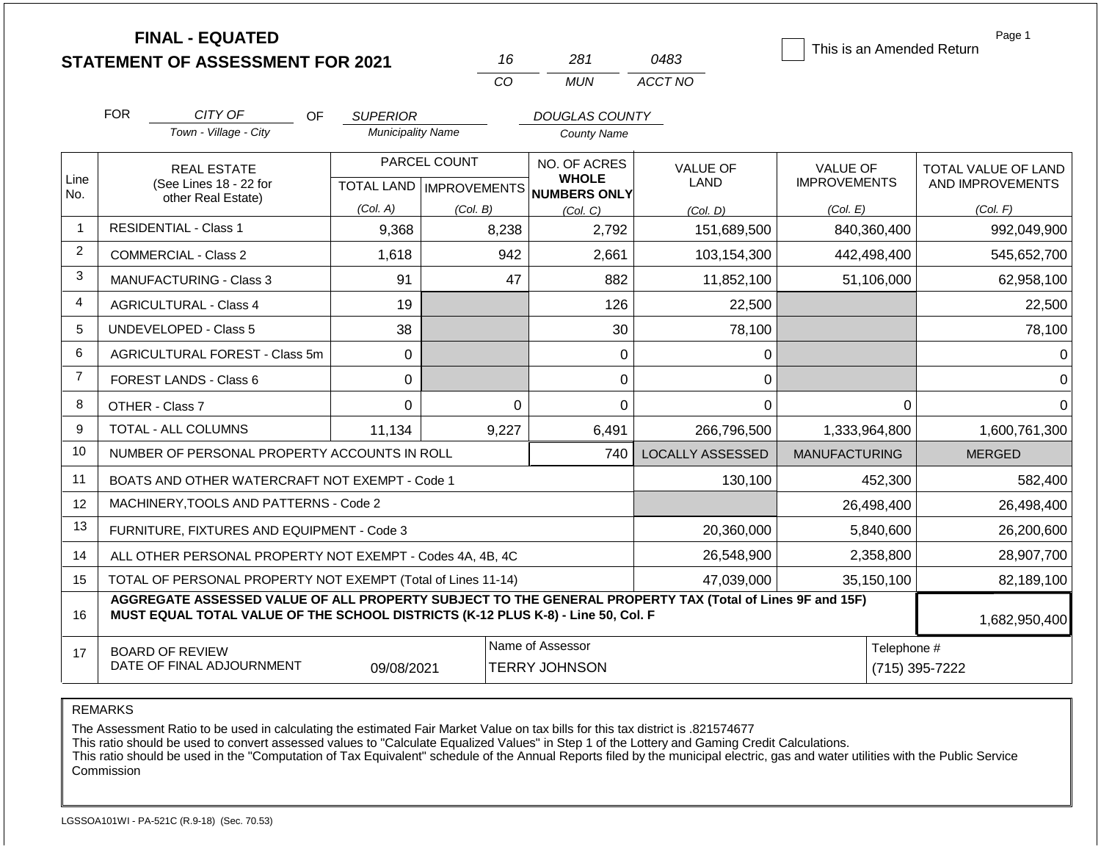|                |                                                       | <b>FINAL - EQUATED</b><br><b>STATEMENT OF ASSESSMENT FOR 2021</b>                                                                                                                            |                          | 16                                        | 281                                          | 0483                    | This is an Amended Return              | Page 1                                  |
|----------------|-------------------------------------------------------|----------------------------------------------------------------------------------------------------------------------------------------------------------------------------------------------|--------------------------|-------------------------------------------|----------------------------------------------|-------------------------|----------------------------------------|-----------------------------------------|
|                |                                                       |                                                                                                                                                                                              |                          | CO                                        | <b>MUN</b>                                   | ACCT NO                 |                                        |                                         |
|                | <b>FOR</b><br>CITY OF<br><b>OF</b><br><b>SUPERIOR</b> |                                                                                                                                                                                              |                          |                                           | DOUGLAS COUNTY                               |                         |                                        |                                         |
|                |                                                       | Town - Village - City                                                                                                                                                                        | <b>Municipality Name</b> |                                           | <b>County Name</b>                           |                         |                                        |                                         |
| Line           |                                                       | <b>REAL ESTATE</b><br>(See Lines 18 - 22 for                                                                                                                                                 |                          | PARCEL COUNT<br>TOTAL LAND   IMPROVEMENTS | NO. OF ACRES<br><b>WHOLE</b><br>NUMBERS ONLY | <b>VALUE OF</b><br>LAND | <b>VALUE OF</b><br><b>IMPROVEMENTS</b> | TOTAL VALUE OF LAND<br>AND IMPROVEMENTS |
| No.            |                                                       | other Real Estate)                                                                                                                                                                           | (Col. A)                 | (Col. B)                                  | (Col, C)                                     | (Col, D)                | (Col. E)                               | (Col. F)                                |
| $\mathbf{1}$   |                                                       | <b>RESIDENTIAL - Class 1</b>                                                                                                                                                                 | 9,368                    | 8,238                                     | 2,792                                        | 151,689,500             | 840,360,400                            | 992,049,900                             |
| $\overline{2}$ |                                                       | <b>COMMERCIAL - Class 2</b>                                                                                                                                                                  | 1,618                    | 942                                       | 2,661                                        | 103,154,300             | 442,498,400                            | 545,652,700                             |
| 3              |                                                       | <b>MANUFACTURING - Class 3</b>                                                                                                                                                               | 91                       |                                           | 47<br>882                                    | 11,852,100              | 51,106,000                             | 62,958,100                              |
| 4              |                                                       | <b>AGRICULTURAL - Class 4</b>                                                                                                                                                                | 19                       |                                           | 126                                          | 22,500                  |                                        | 22,500                                  |
| 5              |                                                       | UNDEVELOPED - Class 5                                                                                                                                                                        | 38                       |                                           | 30                                           | 78,100                  |                                        | 78,100                                  |
| 6              |                                                       | AGRICULTURAL FOREST - Class 5m                                                                                                                                                               | 0                        |                                           | $\Omega$                                     | 0                       |                                        | 0                                       |
| $\overline{7}$ |                                                       | <b>FOREST LANDS - Class 6</b>                                                                                                                                                                | 0                        |                                           | 0                                            | 0                       |                                        | $\Omega$                                |
| 8              | OTHER - Class 7                                       |                                                                                                                                                                                              | $\Omega$                 |                                           | $\Omega$<br>$\Omega$                         | $\Omega$                | $\Omega$                               | $\Omega$                                |
| 9              |                                                       | TOTAL - ALL COLUMNS                                                                                                                                                                          | 11,134                   | 9,227                                     | 6,491                                        | 266.796.500             | 1,333,964,800                          | 1,600,761,300                           |
| 10             |                                                       | NUMBER OF PERSONAL PROPERTY ACCOUNTS IN ROLL                                                                                                                                                 |                          |                                           | 740                                          | <b>LOCALLY ASSESSED</b> | <b>MANUFACTURING</b>                   | <b>MERGED</b>                           |
| 11             |                                                       | BOATS AND OTHER WATERCRAFT NOT EXEMPT - Code 1                                                                                                                                               |                          |                                           |                                              | 130,100                 | 452,300                                | 582,400                                 |
| 12             |                                                       | MACHINERY, TOOLS AND PATTERNS - Code 2                                                                                                                                                       |                          |                                           |                                              |                         | 26,498,400                             | 26,498,400                              |
| 13             |                                                       | FURNITURE, FIXTURES AND EQUIPMENT - Code 3                                                                                                                                                   |                          |                                           |                                              | 20,360,000              | 5,840,600                              | 26,200,600                              |
| 14             |                                                       | ALL OTHER PERSONAL PROPERTY NOT EXEMPT - Codes 4A, 4B, 4C                                                                                                                                    |                          |                                           | 26,548,900                                   | 2,358,800               | 28,907,700                             |                                         |
| 15             |                                                       | TOTAL OF PERSONAL PROPERTY NOT EXEMPT (Total of Lines 11-14)                                                                                                                                 |                          |                                           | 47,039,000                                   | 35,150,100              | 82,189,100                             |                                         |
| 16             |                                                       | AGGREGATE ASSESSED VALUE OF ALL PROPERTY SUBJECT TO THE GENERAL PROPERTY TAX (Total of Lines 9F and 15F)<br>MUST EQUAL TOTAL VALUE OF THE SCHOOL DISTRICTS (K-12 PLUS K-8) - Line 50, Col. F |                          |                                           |                                              |                         | 1,682,950,400                          |                                         |
| 17             |                                                       | <b>BOARD OF REVIEW</b><br>DATE OF FINAL ADJOURNMENT                                                                                                                                          | 09/08/2021               |                                           | Name of Assessor<br><b>TERRY JOHNSON</b>     |                         | Telephone #                            | (715) 395-7222                          |

REMARKS

The Assessment Ratio to be used in calculating the estimated Fair Market Value on tax bills for this tax district is .821574677

This ratio should be used to convert assessed values to "Calculate Equalized Values" in Step 1 of the Lottery and Gaming Credit Calculations.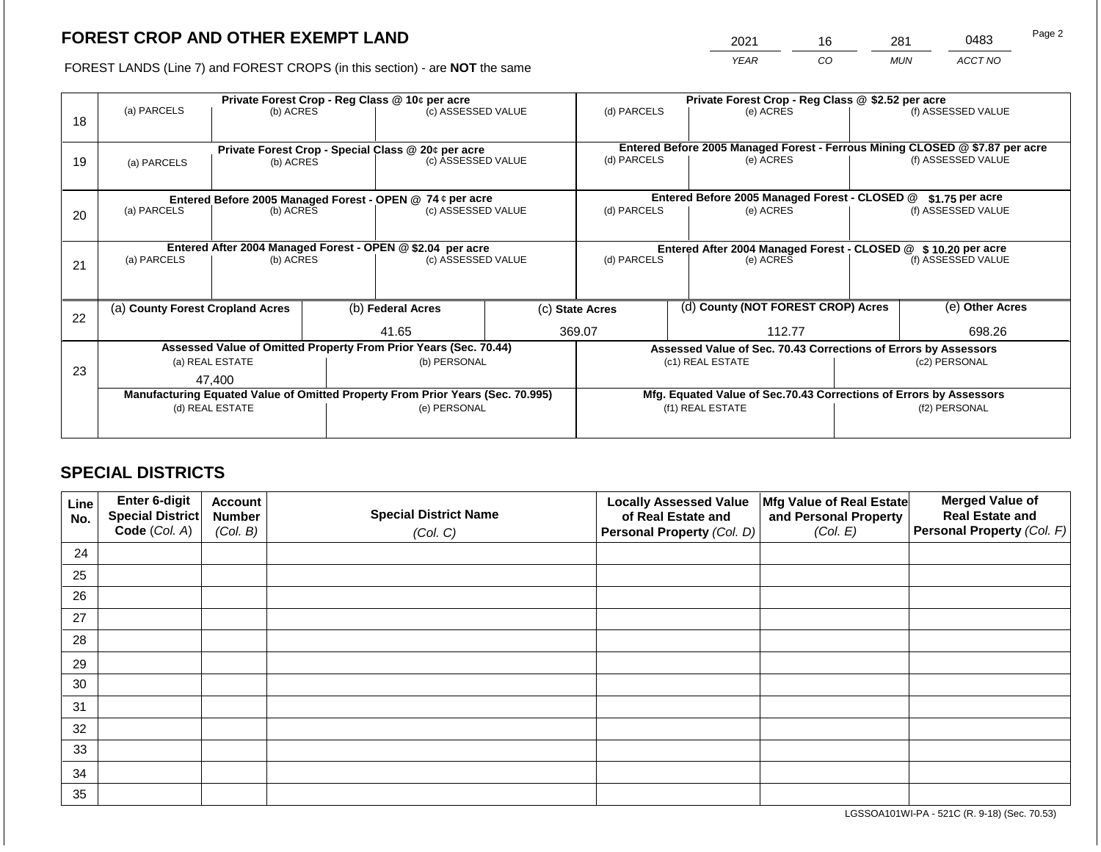2021 16 281 0483

FOREST LANDS (Line 7) and FOREST CROPS (in this section) - are **NOT** the same *YEAR CO MUN ACCT NO*

|    | Private Forest Crop - Reg Class @ 10¢ per acre             |                 |             |                                                                                |           |                                                       | Private Forest Crop - Reg Class @ \$2.52 per acre                            |                                                                    |        |                    |
|----|------------------------------------------------------------|-----------------|-------------|--------------------------------------------------------------------------------|-----------|-------------------------------------------------------|------------------------------------------------------------------------------|--------------------------------------------------------------------|--------|--------------------|
| 18 | (a) PARCELS                                                | (b) ACRES       |             | (c) ASSESSED VALUE                                                             |           | (d) PARCELS                                           |                                                                              | (e) ACRES                                                          |        | (f) ASSESSED VALUE |
|    |                                                            |                 |             |                                                                                |           |                                                       |                                                                              |                                                                    |        |                    |
|    |                                                            |                 |             | Private Forest Crop - Special Class @ 20¢ per acre                             |           |                                                       | Entered Before 2005 Managed Forest - Ferrous Mining CLOSED @ \$7.87 per acre |                                                                    |        |                    |
| 19 | (a) PARCELS                                                | (b) ACRES       |             | (c) ASSESSED VALUE                                                             |           |                                                       | (d) PARCELS<br>(e) ACRES                                                     |                                                                    |        | (f) ASSESSED VALUE |
|    |                                                            |                 |             |                                                                                |           |                                                       |                                                                              |                                                                    |        |                    |
|    |                                                            |                 |             | Entered Before 2005 Managed Forest - OPEN @ 74 ¢ per acre                      |           |                                                       |                                                                              | Entered Before 2005 Managed Forest - CLOSED @                      |        | \$1.75 per acre    |
| 20 | (a) PARCELS<br>(c) ASSESSED VALUE<br>(b) ACRES             |                 | (d) PARCELS |                                                                                | (e) ACRES |                                                       | (f) ASSESSED VALUE                                                           |                                                                    |        |                    |
|    |                                                            |                 |             |                                                                                |           |                                                       |                                                                              |                                                                    |        |                    |
|    | Entered After 2004 Managed Forest - OPEN @ \$2.04 per acre |                 |             |                                                                                |           |                                                       |                                                                              | Entered After 2004 Managed Forest - CLOSED @ \$10.20 per acre      |        |                    |
| 21 | (a) PARCELS                                                | (b) ACRES       |             | (c) ASSESSED VALUE                                                             |           | (d) PARCELS<br>(e) ACRES                              |                                                                              | (f) ASSESSED VALUE                                                 |        |                    |
|    |                                                            |                 |             |                                                                                |           |                                                       |                                                                              |                                                                    |        |                    |
|    |                                                            |                 |             |                                                                                |           |                                                       |                                                                              |                                                                    |        | (e) Other Acres    |
| 22 | (a) County Forest Cropland Acres                           |                 |             | (b) Federal Acres                                                              |           | (d) County (NOT FOREST CROP) Acres<br>(c) State Acres |                                                                              |                                                                    |        |                    |
|    |                                                            |                 |             | 41.65                                                                          |           | 369.07                                                |                                                                              | 112.77                                                             | 698.26 |                    |
|    |                                                            |                 |             | Assessed Value of Omitted Property From Prior Years (Sec. 70.44)               |           |                                                       |                                                                              | Assessed Value of Sec. 70.43 Corrections of Errors by Assessors    |        |                    |
| 23 |                                                            | (a) REAL ESTATE |             | (b) PERSONAL                                                                   |           |                                                       |                                                                              | (c1) REAL ESTATE                                                   |        | (c2) PERSONAL      |
|    |                                                            | 47.400          |             |                                                                                |           |                                                       |                                                                              |                                                                    |        |                    |
|    |                                                            |                 |             | Manufacturing Equated Value of Omitted Property From Prior Years (Sec. 70.995) |           |                                                       |                                                                              | Mfg. Equated Value of Sec.70.43 Corrections of Errors by Assessors |        |                    |
|    |                                                            | (d) REAL ESTATE |             | (e) PERSONAL                                                                   |           | (f1) REAL ESTATE<br>(f2) PERSONAL                     |                                                                              |                                                                    |        |                    |
|    |                                                            |                 |             |                                                                                |           |                                                       |                                                                              |                                                                    |        |                    |

# **SPECIAL DISTRICTS**

| Line<br>No. | Enter 6-digit<br>Special District<br>Code (Col. A) | <b>Account</b><br><b>Number</b><br>(Col. B) | <b>Special District Name</b><br>(Col. C) | <b>Locally Assessed Value</b><br>of Real Estate and<br><b>Personal Property (Col. D)</b> | Mfg Value of Real Estate<br>and Personal Property<br>(Col. E) | <b>Merged Value of</b><br><b>Real Estate and</b><br>Personal Property (Col. F) |
|-------------|----------------------------------------------------|---------------------------------------------|------------------------------------------|------------------------------------------------------------------------------------------|---------------------------------------------------------------|--------------------------------------------------------------------------------|
| 24          |                                                    |                                             |                                          |                                                                                          |                                                               |                                                                                |
| 25          |                                                    |                                             |                                          |                                                                                          |                                                               |                                                                                |
| 26          |                                                    |                                             |                                          |                                                                                          |                                                               |                                                                                |
| 27          |                                                    |                                             |                                          |                                                                                          |                                                               |                                                                                |
| 28          |                                                    |                                             |                                          |                                                                                          |                                                               |                                                                                |
| 29          |                                                    |                                             |                                          |                                                                                          |                                                               |                                                                                |
| 30          |                                                    |                                             |                                          |                                                                                          |                                                               |                                                                                |
| 31          |                                                    |                                             |                                          |                                                                                          |                                                               |                                                                                |
| 32          |                                                    |                                             |                                          |                                                                                          |                                                               |                                                                                |
| 33          |                                                    |                                             |                                          |                                                                                          |                                                               |                                                                                |
| 34          |                                                    |                                             |                                          |                                                                                          |                                                               |                                                                                |
| 35          |                                                    |                                             |                                          |                                                                                          |                                                               |                                                                                |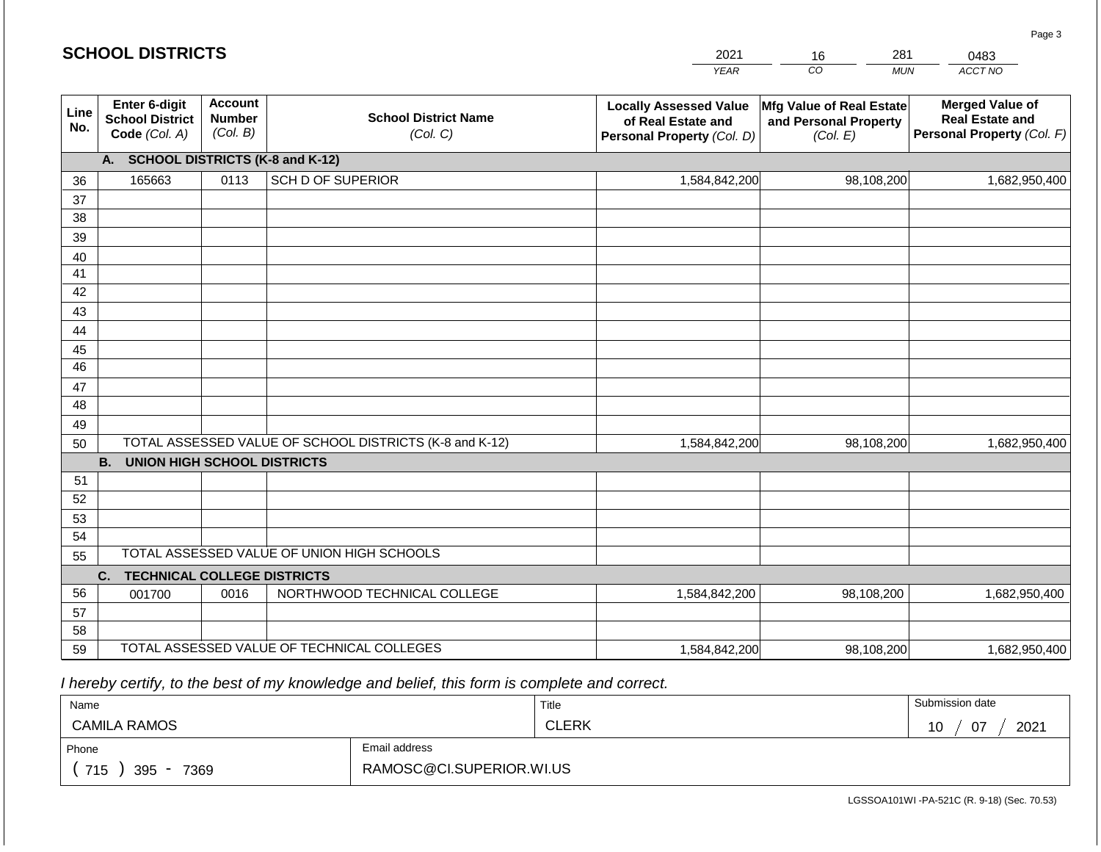|             |                                                          |                                             |                                                         | <b>YEAR</b>                                                                       | CO<br><b>MUN</b>                                              | - • • •<br>ACCT NO                                                             |
|-------------|----------------------------------------------------------|---------------------------------------------|---------------------------------------------------------|-----------------------------------------------------------------------------------|---------------------------------------------------------------|--------------------------------------------------------------------------------|
| Line<br>No. | Enter 6-digit<br><b>School District</b><br>Code (Col. A) | <b>Account</b><br><b>Number</b><br>(Col. B) | <b>School District Name</b><br>(Col. C)                 | <b>Locally Assessed Value</b><br>of Real Estate and<br>Personal Property (Col. D) | Mfg Value of Real Estate<br>and Personal Property<br>(Col. E) | <b>Merged Value of</b><br><b>Real Estate and</b><br>Personal Property (Col. F) |
|             | <b>SCHOOL DISTRICTS (K-8 and K-12)</b><br>А.             |                                             |                                                         |                                                                                   |                                                               |                                                                                |
| 36          | 165663                                                   | 0113                                        | <b>SCH D OF SUPERIOR</b>                                | 1,584,842,200                                                                     | 98,108,200                                                    | 1,682,950,400                                                                  |
| 37          |                                                          |                                             |                                                         |                                                                                   |                                                               |                                                                                |
| 38          |                                                          |                                             |                                                         |                                                                                   |                                                               |                                                                                |
| 39          |                                                          |                                             |                                                         |                                                                                   |                                                               |                                                                                |
| 40          |                                                          |                                             |                                                         |                                                                                   |                                                               |                                                                                |
| 41          |                                                          |                                             |                                                         |                                                                                   |                                                               |                                                                                |
| 42          |                                                          |                                             |                                                         |                                                                                   |                                                               |                                                                                |
| 43          |                                                          |                                             |                                                         |                                                                                   |                                                               |                                                                                |
| 44          |                                                          |                                             |                                                         |                                                                                   |                                                               |                                                                                |
| 45          |                                                          |                                             |                                                         |                                                                                   |                                                               |                                                                                |
| 46          |                                                          |                                             |                                                         |                                                                                   |                                                               |                                                                                |
| 47          |                                                          |                                             |                                                         |                                                                                   |                                                               |                                                                                |
| 48          |                                                          |                                             |                                                         |                                                                                   |                                                               |                                                                                |
| 49          |                                                          |                                             |                                                         |                                                                                   |                                                               |                                                                                |
| 50          | <b>B.</b><br><b>UNION HIGH SCHOOL DISTRICTS</b>          |                                             | TOTAL ASSESSED VALUE OF SCHOOL DISTRICTS (K-8 and K-12) | 1,584,842,200                                                                     | 98,108,200                                                    | 1,682,950,400                                                                  |
| 51          |                                                          |                                             |                                                         |                                                                                   |                                                               |                                                                                |
| 52          |                                                          |                                             |                                                         |                                                                                   |                                                               |                                                                                |
| 53          |                                                          |                                             |                                                         |                                                                                   |                                                               |                                                                                |
| 54          |                                                          |                                             |                                                         |                                                                                   |                                                               |                                                                                |
| 55          |                                                          |                                             | TOTAL ASSESSED VALUE OF UNION HIGH SCHOOLS              |                                                                                   |                                                               |                                                                                |
|             | <b>TECHNICAL COLLEGE DISTRICTS</b><br>C.                 |                                             |                                                         |                                                                                   |                                                               |                                                                                |
| 56          | 001700                                                   | 0016                                        | NORTHWOOD TECHNICAL COLLEGE                             | 1,584,842,200                                                                     | 98,108,200                                                    | 1,682,950,400                                                                  |
| 57          |                                                          |                                             |                                                         |                                                                                   |                                                               |                                                                                |
| 58          |                                                          |                                             |                                                         |                                                                                   |                                                               |                                                                                |
| 59          |                                                          |                                             | TOTAL ASSESSED VALUE OF TECHNICAL COLLEGES              | 1,584,842,200                                                                     | 98,108,200                                                    | 1,682,950,400                                                                  |

 *I hereby certify, to the best of my knowledge and belief, this form is complete and correct.*

| Name                   |                          | Title        | Submission date      |
|------------------------|--------------------------|--------------|----------------------|
| <b>CAMILA RAMOS</b>    |                          | <b>CLERK</b> | 2021<br>$\sim$<br>10 |
| Phone                  | Email address            |              |                      |
| 715<br>$395 -$<br>7369 | RAMOSC@CI.SUPERIOR.WI.US |              |                      |

Page 3

| <b>SCHOOL DISTRICTS</b> |  |
|-------------------------|--|
|-------------------------|--|

2021 16 281

0483